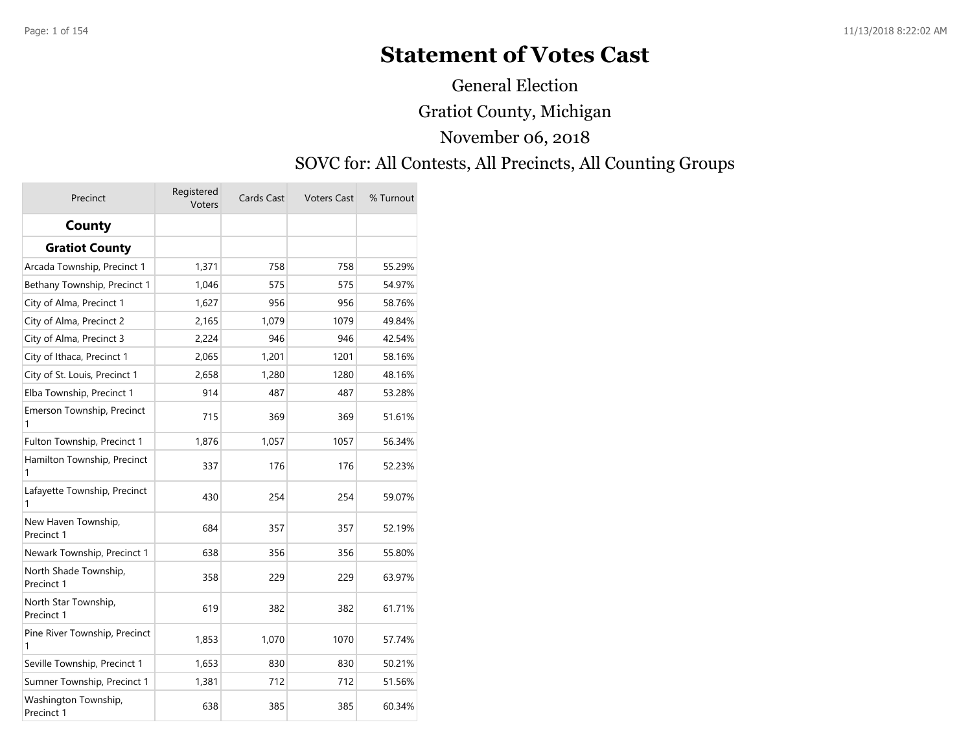# **Statement of Votes Cast**

Gratiot County, Michigan November 06, 2018 General Election

### SOVC for: All Contests, All Precincts, All Counting Groups

| Precinct                            | Registered<br>Voters | Cards Cast | <b>Voters Cast</b> | % Turnout |
|-------------------------------------|----------------------|------------|--------------------|-----------|
| County                              |                      |            |                    |           |
| <b>Gratiot County</b>               |                      |            |                    |           |
| Arcada Township, Precinct 1         | 1,371                | 758        | 758                | 55.29%    |
| Bethany Township, Precinct 1        | 1,046                | 575        | 575                | 54.97%    |
| City of Alma, Precinct 1            | 1,627                | 956        | 956                | 58.76%    |
| City of Alma, Precinct 2            | 2,165                | 1,079      | 1079               | 49.84%    |
| City of Alma, Precinct 3            | 2,224                | 946        | 946                | 42.54%    |
| City of Ithaca, Precinct 1          | 2,065                | 1,201      | 1201               | 58.16%    |
| City of St. Louis, Precinct 1       | 2,658                | 1,280      | 1280               | 48.16%    |
| Elba Township, Precinct 1           | 914                  | 487        | 487                | 53.28%    |
| Emerson Township, Precinct<br>1     | 715                  | 369        | 369                | 51.61%    |
| Fulton Township, Precinct 1         | 1,876                | 1,057      | 1057               | 56.34%    |
| Hamilton Township, Precinct<br>1    | 337                  | 176        | 176                | 52.23%    |
| Lafayette Township, Precinct<br>1   | 430                  | 254        | 254                | 59.07%    |
| New Haven Township,<br>Precinct 1   | 684                  | 357        | 357                | 52.19%    |
| Newark Township, Precinct 1         | 638                  | 356        | 356                | 55.80%    |
| North Shade Township,<br>Precinct 1 | 358                  | 229        | 229                | 63.97%    |
| North Star Township,<br>Precinct 1  | 619                  | 382        | 382                | 61.71%    |
| Pine River Township, Precinct<br>1  | 1,853                | 1,070      | 1070               | 57.74%    |
| Seville Township, Precinct 1        | 1,653                | 830        | 830                | 50.21%    |
| Sumner Township, Precinct 1         | 1,381                | 712        | 712                | 51.56%    |
| Washington Township,<br>Precinct 1  | 638                  | 385        | 385                | 60.34%    |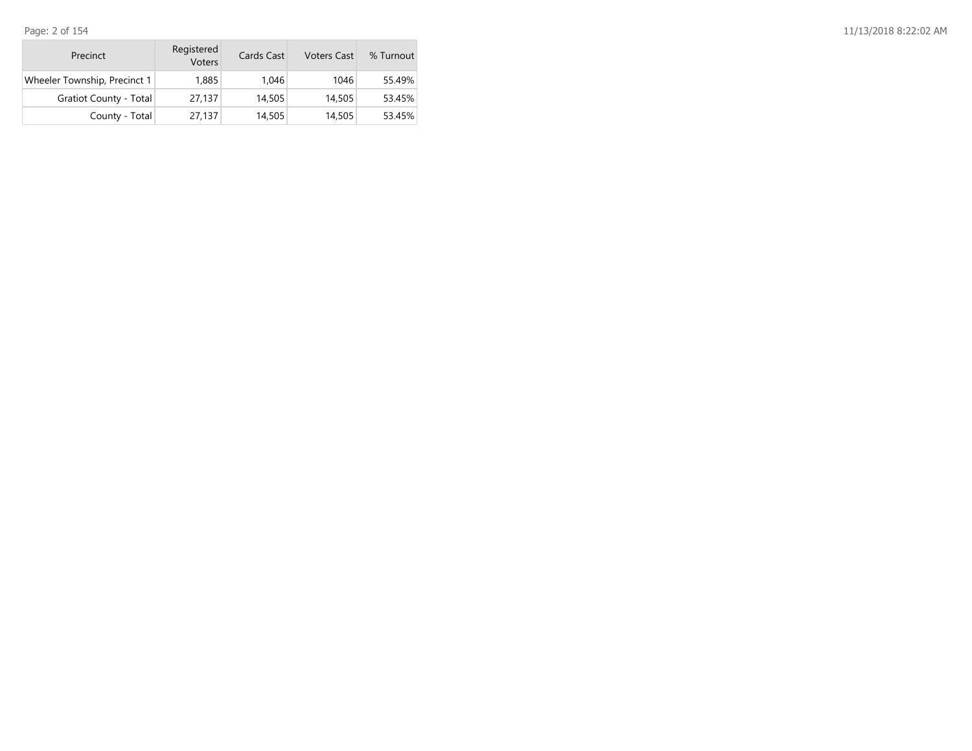Page: 2 of 154

| Precinct                      | Registered<br>Voters | Cards Cast | <b>Voters Cast</b> | % Turnout |
|-------------------------------|----------------------|------------|--------------------|-----------|
| Wheeler Township, Precinct 1  | 1,885                | 1.046      | 1046               | 55.49%    |
| <b>Gratiot County - Total</b> | 27,137               | 14,505     | 14,505             | 53.45%    |
| County - Total                | 27,137               | 14,505     | 14,505             | 53.45%    |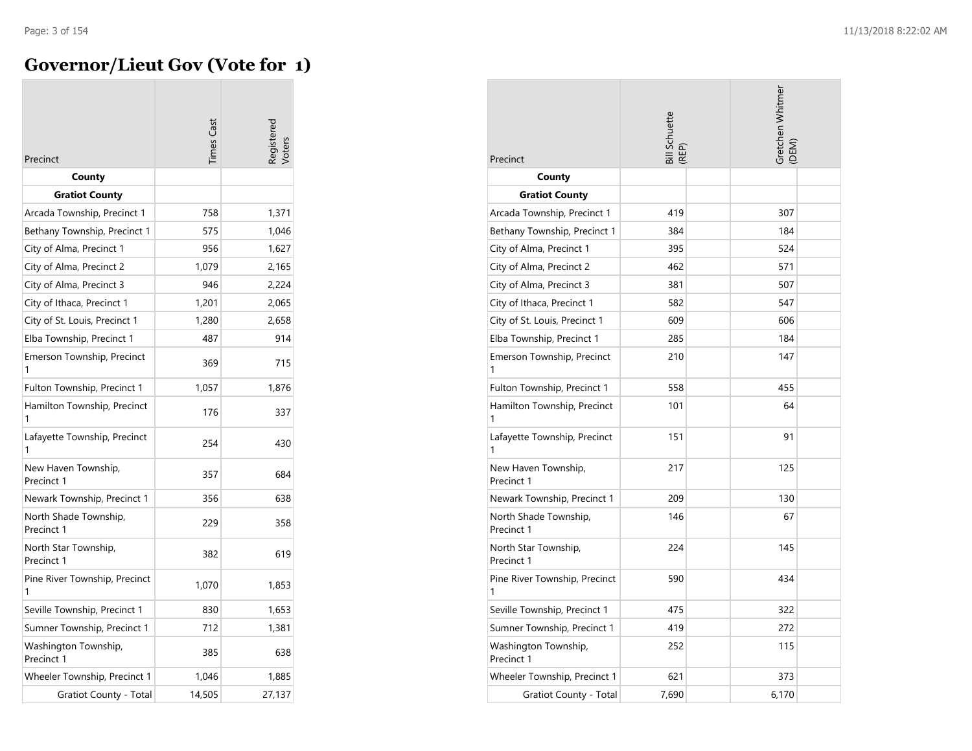# **Governor/Lieut Gov (Vote for 1)**

| Precinct                            | <b>Times</b> Cast | egistered |
|-------------------------------------|-------------------|-----------|
| County                              |                   |           |
| <b>Gratiot County</b>               |                   |           |
| Arcada Township, Precinct 1         | 758               | 1,371     |
| Bethany Township, Precinct 1        | 575               | 1,046     |
| City of Alma, Precinct 1            | 956               | 1,627     |
| City of Alma, Precinct 2            | 1,079             | 2,165     |
| City of Alma, Precinct 3            | 946               | 2,224     |
| City of Ithaca, Precinct 1          | 1,201             | 2,065     |
| City of St. Louis, Precinct 1       | 1,280             | 2,658     |
| Elba Township, Precinct 1           | 487               | 914       |
| Emerson Township, Precinct<br>1     | 369               | 715       |
| Fulton Township, Precinct 1         | 1,057             | 1,876     |
| Hamilton Township, Precinct<br>1    | 176               | 337       |
| Lafayette Township, Precinct<br>1   | 254               | 430       |
| New Haven Township,<br>Precinct 1   | 357               | 684       |
| Newark Township, Precinct 1         | 356               | 638       |
| North Shade Township,<br>Precinct 1 | 229               | 358       |
| North Star Township,<br>Precinct 1  | 382               | 619       |
| Pine River Township, Precinct<br>1  | 1,070             | 1,853     |
| Seville Township, Precinct 1        | 830               | 1,653     |
| Sumner Township, Precinct 1         | 712               | 1,381     |
| Washington Township,<br>Precinct 1  | 385               | 638       |
| Wheeler Township, Precinct 1        | 1,046             | 1,885     |
| <b>Gratiot County - Total</b>       | 14,505            | 27,137    |

| Precinct                            | <b>Bill Schuette</b><br>(REP) | Gretchen Whitmer<br>(DEM) |
|-------------------------------------|-------------------------------|---------------------------|
| County                              |                               |                           |
| <b>Gratiot County</b>               |                               |                           |
| Arcada Township, Precinct 1         | 419                           | 307                       |
| Bethany Township, Precinct 1        | 384                           | 184                       |
| City of Alma, Precinct 1            | 395                           | 524                       |
| City of Alma, Precinct 2            | 462                           | 571                       |
| City of Alma, Precinct 3            | 381                           | 507                       |
| City of Ithaca, Precinct 1          | 582                           | 547                       |
| City of St. Louis, Precinct 1       | 609                           | 606                       |
| Elba Township, Precinct 1           | 285                           | 184                       |
| Emerson Township, Precinct<br>1     | 210                           | 147                       |
| Fulton Township, Precinct 1         | 558                           | 455                       |
| Hamilton Township, Precinct<br>1    | 101                           | 64                        |
| Lafayette Township, Precinct        | 151                           | 91                        |
| New Haven Township,<br>Precinct 1   | 217                           | 125                       |
| Newark Township, Precinct 1         | 209                           | 130                       |
| North Shade Township,<br>Precinct 1 | 146                           | 67                        |
| North Star Township,<br>Precinct 1  | 224                           | 145                       |
| Pine River Township, Precinct<br>1  | 590                           | 434                       |
| Seville Township, Precinct 1        | 475                           | 322                       |
| Sumner Township, Precinct 1         | 419                           | 272                       |
| Washington Township,<br>Precinct 1  | 252                           | 115                       |
| Wheeler Township, Precinct 1        | 621                           | 373                       |
| Gratiot County - Total              | 7,690                         | 6,170                     |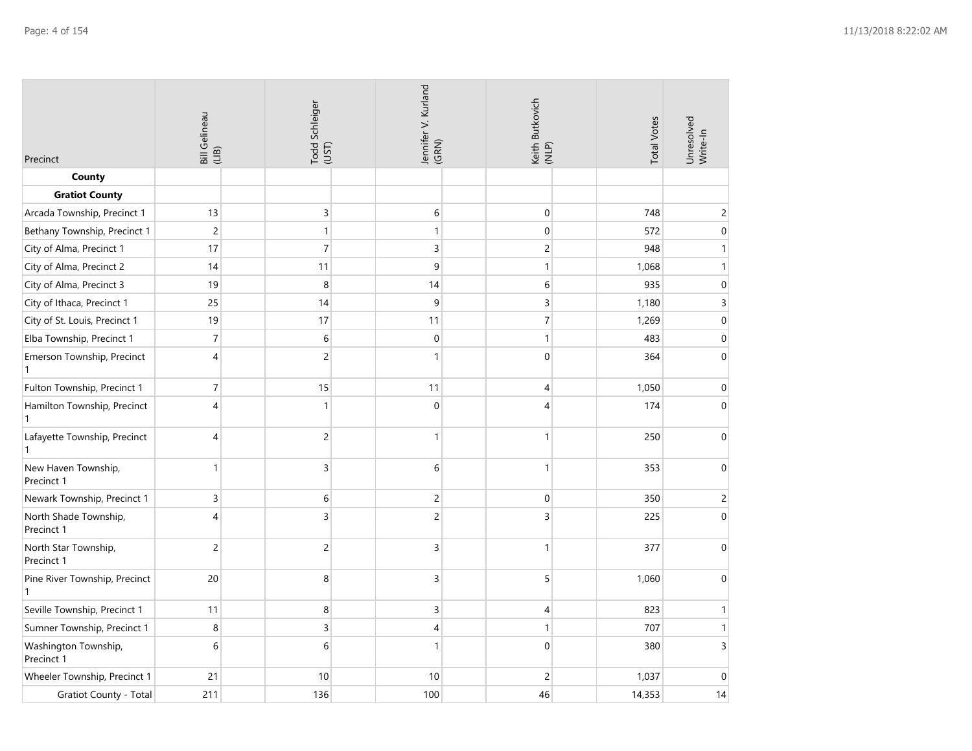| Precinct                                      | Bill Gelineau<br>(LIB) | Todd Schleiger<br>(UST) | Jennifer V. Kurland<br>(GRN) | Keith Butkovich<br>(NLP) | <b>Total Votes</b> | Unresolved<br>Write-In |
|-----------------------------------------------|------------------------|-------------------------|------------------------------|--------------------------|--------------------|------------------------|
| County                                        |                        |                         |                              |                          |                    |                        |
| <b>Gratiot County</b>                         |                        |                         |                              |                          |                    |                        |
| Arcada Township, Precinct 1                   | 13                     | $\mathsf 3$             | 6                            | $\boldsymbol{0}$         | 748                | 2                      |
| Bethany Township, Precinct 1                  | $\overline{c}$         | $\mathbf{1}$            | $\mathbf{1}$                 | $\mathbf 0$              | 572                | $\boldsymbol{0}$       |
| City of Alma, Precinct 1                      | 17                     | $\overline{7}$          | $\mathsf 3$                  | $\overline{c}$           | 948                | $\mathbf{1}$           |
| City of Alma, Precinct 2                      | 14                     | 11                      | 9                            | $\mathbf{1}$             | 1,068              | $\mathbf{1}$           |
| City of Alma, Precinct 3                      | 19                     | 8                       | 14                           | 6                        | 935                | $\mathbf{0}$           |
| City of Ithaca, Precinct 1                    | 25                     | 14                      | 9                            | 3                        | 1,180              | 3                      |
| City of St. Louis, Precinct 1                 | 19                     | 17                      | 11                           | $\overline{7}$           | 1,269              | $\mathbf{0}$           |
| Elba Township, Precinct 1                     | $\overline{7}$         | $\,$ 6 $\,$             | $\mathbf{0}$                 | $\mathbf{1}$             | 483                | $\boldsymbol{0}$       |
| Emerson Township, Precinct<br>$\mathbf{1}$    | 4                      | $\overline{c}$          | $\mathbf{1}$                 | $\mathbf{0}$             | 364                | $\mathbf{0}$           |
| Fulton Township, Precinct 1                   | $\overline{7}$         | 15                      | 11                           | 4                        | 1,050              | $\mathbf{0}$           |
| Hamilton Township, Precinct<br>$\mathbf{1}$   | 4                      | $\mathbf{1}$            | $\mathbf{0}$                 | 4                        | 174                | $\mathbf{0}$           |
| Lafayette Township, Precinct<br>$\mathbf{1}$  | $\overline{4}$         | $\overline{c}$          | $\mathbf{1}$                 | 1                        | 250                | $\Omega$               |
| New Haven Township,<br>Precinct 1             | $\mathbf{1}$           | 3                       | 6                            | 1                        | 353                | $\mathbf{0}$           |
| Newark Township, Precinct 1                   | 3                      | $\,$ 6 $\,$             | $\overline{c}$               | $\boldsymbol{0}$         | 350                | $\overline{c}$         |
| North Shade Township,<br>Precinct 1           | 4                      | 3                       | $\overline{c}$               | 3                        | 225                | $\Omega$               |
| North Star Township,<br>Precinct 1            | $\overline{c}$         | $\overline{c}$          | $\overline{3}$               | $\mathbf{1}$             | 377                | $\mathbf{0}$           |
| Pine River Township, Precinct<br>$\mathbf{1}$ | 20                     | 8                       | 3                            | 5                        | 1,060              | $\mathbf{0}$           |
| Seville Township, Precinct 1                  | 11                     | $\bf 8$                 | $\overline{3}$               | 4                        | 823                | $\mathbf{1}$           |
| Sumner Township, Precinct 1                   | 8                      | 3                       | $\overline{4}$               | $\mathbf{1}$             | 707                | $\mathbf{1}$           |
| Washington Township,<br>Precinct 1            | $\,$ 6 $\,$            | 6                       | $\mathbf{1}$                 | $\mathbf 0$              | 380                | 3                      |
| Wheeler Township, Precinct 1                  | 21                     | 10                      | 10                           | $\overline{c}$           | 1,037              | $\mathbf 0$            |
| Gratiot County - Total                        | 211                    | 136                     | 100                          | 46                       | 14,353             | 14                     |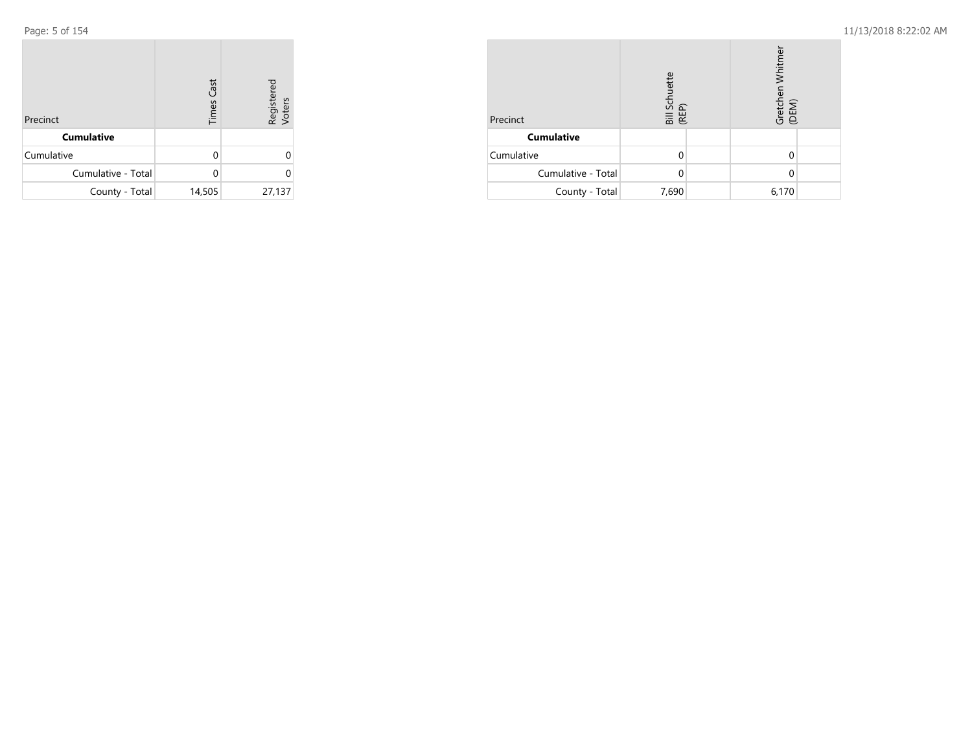Page: 5 of 154

| Precinct           | <b>Times Cast</b> | Registered<br>Voters |
|--------------------|-------------------|----------------------|
| <b>Cumulative</b>  |                   |                      |
| Cumulative         | O                 |                      |
| Cumulative - Total | U                 | 0                    |
| County - Total     | 14,505            | 27,137               |

| Precinct           | Bill Schuette<br>(REP) | Gretchen Whitmer<br>(DEM) |  |
|--------------------|------------------------|---------------------------|--|
| <b>Cumulative</b>  |                        |                           |  |
| Cumulative         |                        |                           |  |
| Cumulative - Total |                        |                           |  |
| County - Total     | 7,690                  | 6,170                     |  |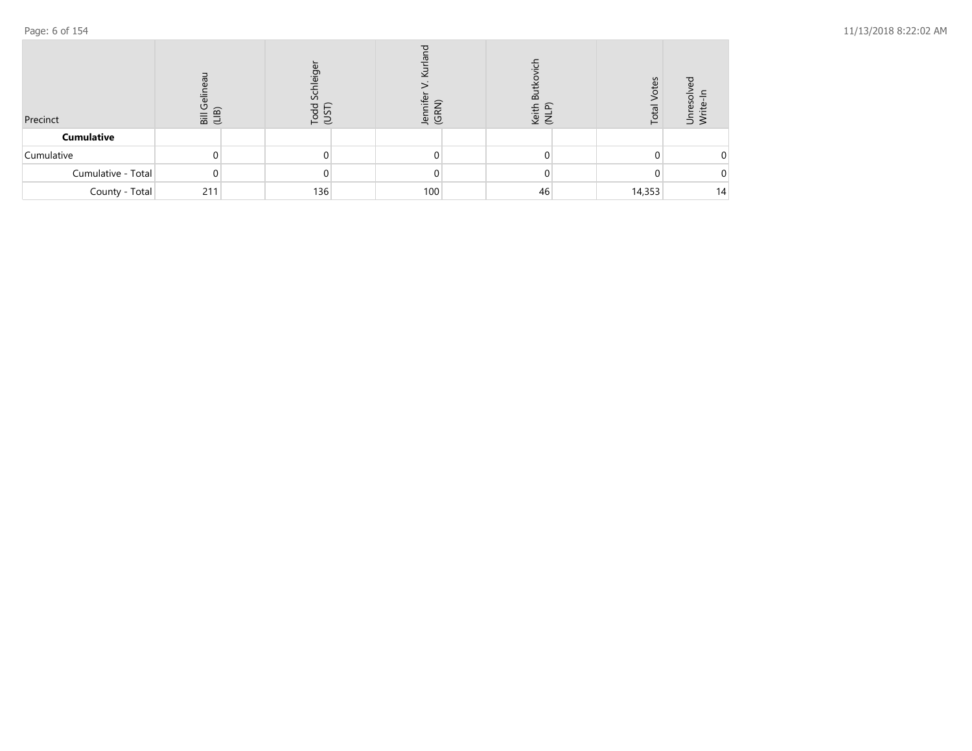| Precinct           | Sill C<br>(LIB) | $\mathbf \omega$<br>eig<br>$\Omega$<br>공<br>$\overline{C}$<br>ತ | Jennife<br>(GRN) | $\sqrt{1}$<br>Lei<br>$\leq$ | Votes<br>Total | ▿<br>$\supset$ |
|--------------------|-----------------|-----------------------------------------------------------------|------------------|-----------------------------|----------------|----------------|
| <b>Cumulative</b>  |                 |                                                                 |                  |                             |                |                |
| Cumulative         |                 |                                                                 |                  |                             |                | 0.             |
| Cumulative - Total |                 |                                                                 |                  |                             |                | O              |
| County - Total     | 211             | 136                                                             | 100              | 46                          | 14,353         | 14             |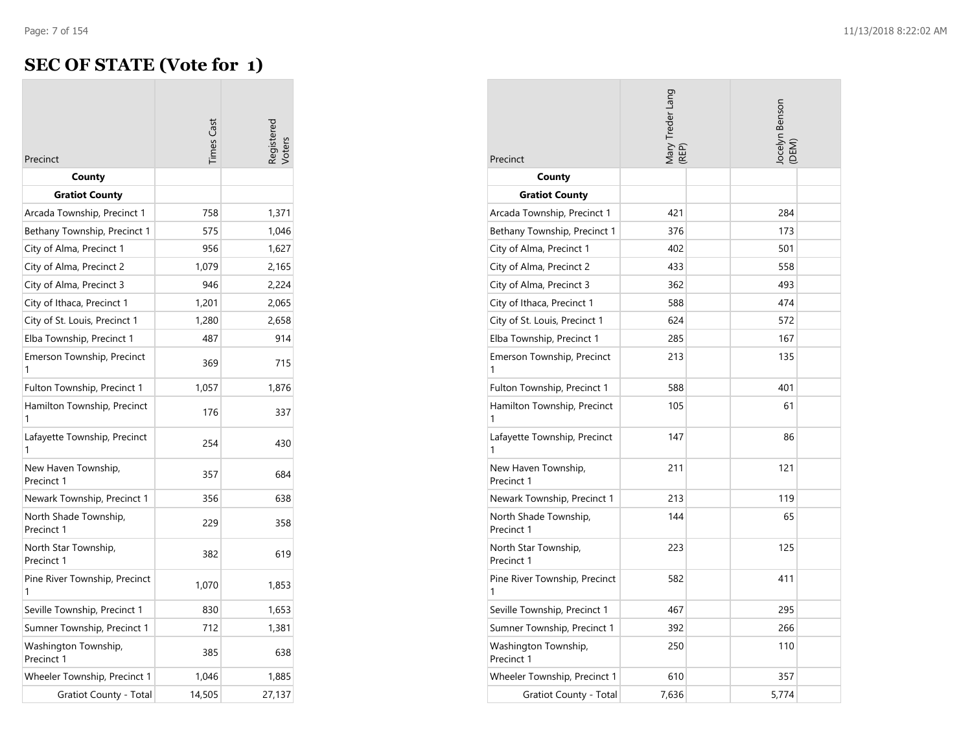$\sim$ 

# **SEC OF STATE (Vote for 1)**

|                                     | <b>Times</b> Cast | egisterec<br><b>oters</b> |
|-------------------------------------|-------------------|---------------------------|
| Precinct                            |                   |                           |
| County                              |                   |                           |
| <b>Gratiot County</b>               |                   |                           |
| Arcada Township, Precinct 1         | 758               | 1,371                     |
| Bethany Township, Precinct 1        | 575               | 1,046                     |
| City of Alma, Precinct 1            | 956               | 1,627                     |
| City of Alma, Precinct 2            | 1,079             | 2,165                     |
| City of Alma, Precinct 3            | 946               | 2,224                     |
| City of Ithaca, Precinct 1          | 1,201             | 2,065                     |
| City of St. Louis, Precinct 1       | 1,280             | 2,658                     |
| Elba Township, Precinct 1           | 487               | 914                       |
| Emerson Township, Precinct<br>1     | 369               | 715                       |
| Fulton Township, Precinct 1         | 1,057             | 1,876                     |
| Hamilton Township, Precinct<br>1    | 176               | 337                       |
| Lafayette Township, Precinct<br>1   | 254               | 430                       |
| New Haven Township,<br>Precinct 1   | 357               | 684                       |
| Newark Township, Precinct 1         | 356               | 638                       |
| North Shade Township,<br>Precinct 1 | 229               | 358                       |
| North Star Township,<br>Precinct 1  | 382               | 619                       |
| Pine River Township, Precinct<br>1  | 1,070             | 1,853                     |
| Seville Township, Precinct 1        | 830               | 1,653                     |
| Sumner Township, Precinct 1         | 712               | 1,381                     |
| Washington Township,<br>Precinct 1  | 385               | 638                       |
| Wheeler Township, Precinct 1        | 1,046             | 1,885                     |
| <b>Gratiot County - Total</b>       | 14,505            | 27,137                    |

| Precinct                            | Mary Treder Lang<br>(REP) | Jocelyn Benson<br>(DEM) |  |
|-------------------------------------|---------------------------|-------------------------|--|
| County                              |                           |                         |  |
| <b>Gratiot County</b>               |                           |                         |  |
| Arcada Township, Precinct 1         | 421                       | 284                     |  |
| Bethany Township, Precinct 1        | 376                       | 173                     |  |
| City of Alma, Precinct 1            | 402                       | 501                     |  |
| City of Alma, Precinct 2            | 433                       | 558                     |  |
| City of Alma, Precinct 3            | 362                       | 493                     |  |
| City of Ithaca, Precinct 1          | 588                       | 474                     |  |
| City of St. Louis, Precinct 1       | 624                       | 572                     |  |
| Elba Township, Precinct 1           | 285                       | 167                     |  |
| Emerson Township, Precinct          | 213                       | 135                     |  |
| Fulton Township, Precinct 1         | 588                       | 401                     |  |
| Hamilton Township, Precinct         | 105                       | 61                      |  |
| Lafayette Township, Precinct        | 147                       | 86                      |  |
| New Haven Township,<br>Precinct 1   | 211                       | 121                     |  |
| Newark Township, Precinct 1         | 213                       | 119                     |  |
| North Shade Township,<br>Precinct 1 | 144                       | 65                      |  |
| North Star Township,<br>Precinct 1  | 223                       | 125                     |  |
| Pine River Township, Precinct<br>1  | 582                       | 411                     |  |
| Seville Township, Precinct 1        | 467                       | 295                     |  |
| Sumner Township, Precinct 1         | 392                       | 266                     |  |
| Washington Township,<br>Precinct 1  | 250                       | 110                     |  |
| Wheeler Township, Precinct 1        | 610                       | 357                     |  |
| <b>Gratiot County - Total</b>       | 7,636                     | 5,774                   |  |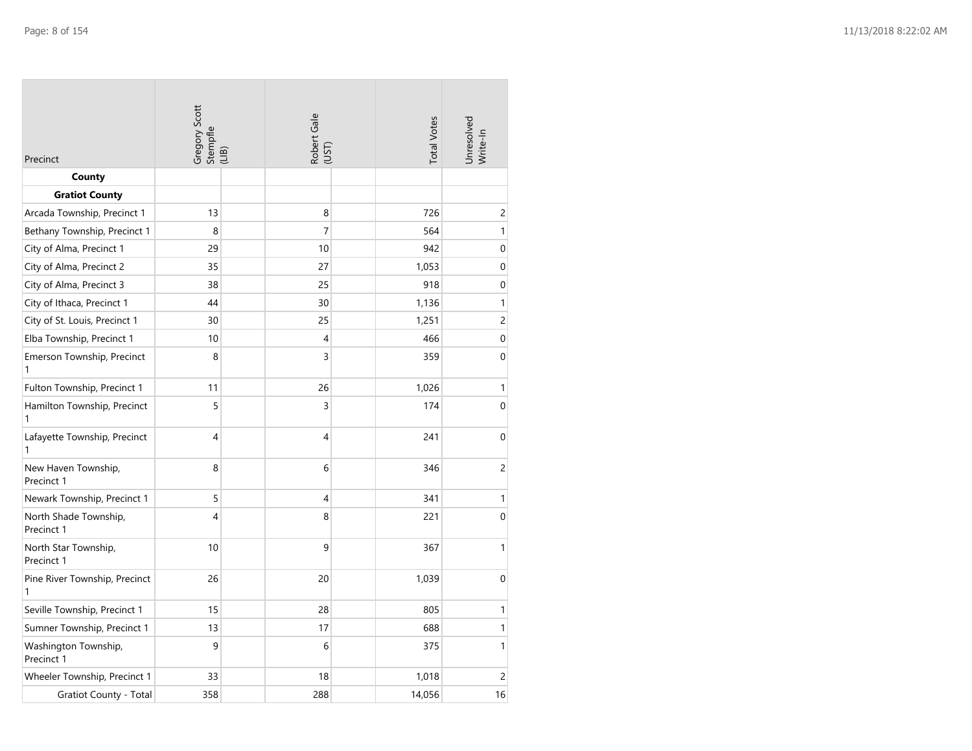| Precinct                            | Gregory Scott<br>Stempfle<br>(LIB) | Robert Gale<br>(UST) | <b>Total Votes</b> | Unresolved<br>Write-In |
|-------------------------------------|------------------------------------|----------------------|--------------------|------------------------|
| County                              |                                    |                      |                    |                        |
| <b>Gratiot County</b>               |                                    |                      |                    |                        |
| Arcada Township, Precinct 1         | 13                                 | 8                    | 726                | $\overline{c}$         |
| Bethany Township, Precinct 1        | 8                                  | $\overline{7}$       | 564                | 1                      |
| City of Alma, Precinct 1            | 29                                 | 10                   | 942                | 0                      |
| City of Alma, Precinct 2            | 35                                 | 27                   | 1,053              | $\mathbf 0$            |
| City of Alma, Precinct 3            | 38                                 | 25                   | 918                | $\boldsymbol{0}$       |
| City of Ithaca, Precinct 1          | 44                                 | 30                   | 1,136              | 1                      |
| City of St. Louis, Precinct 1       | 30                                 | 25                   | 1,251              | $\overline{c}$         |
| Elba Township, Precinct 1           | 10                                 | 4                    | 466                | $\boldsymbol{0}$       |
| Emerson Township, Precinct<br>1     | 8                                  | 3                    | 359                | $\boldsymbol{0}$       |
| Fulton Township, Precinct 1         | 11                                 | 26                   | 1,026              | 1                      |
| Hamilton Township, Precinct<br>1    | 5                                  | 3                    | 174                | $\mathbf 0$            |
| Lafayette Township, Precinct<br>1   | 4                                  | $\overline{4}$       | 241                | $\mathbf{0}$           |
| New Haven Township,<br>Precinct 1   | 8                                  | 6                    | 346                | $\overline{c}$         |
| Newark Township, Precinct 1         | 5                                  | 4                    | 341                | 1                      |
| North Shade Township,<br>Precinct 1 | 4                                  | 8                    | 221                | $\boldsymbol{0}$       |
| North Star Township,<br>Precinct 1  | 10                                 | 9                    | 367                | 1                      |
| Pine River Township, Precinct<br>1  | 26                                 | 20                   | 1,039              | $\mathbf 0$            |
| Seville Township, Precinct 1        | 15                                 | 28                   | 805                | 1                      |
| Sumner Township, Precinct 1         | 13                                 | 17                   | 688                | 1                      |
| Washington Township,<br>Precinct 1  | 9                                  | 6                    | 375                | 1                      |
| Wheeler Township, Precinct 1        | 33                                 | 18                   | 1,018              | $\overline{c}$         |
| <b>Gratiot County - Total</b>       | 358                                | 288                  | 14,056             | 16                     |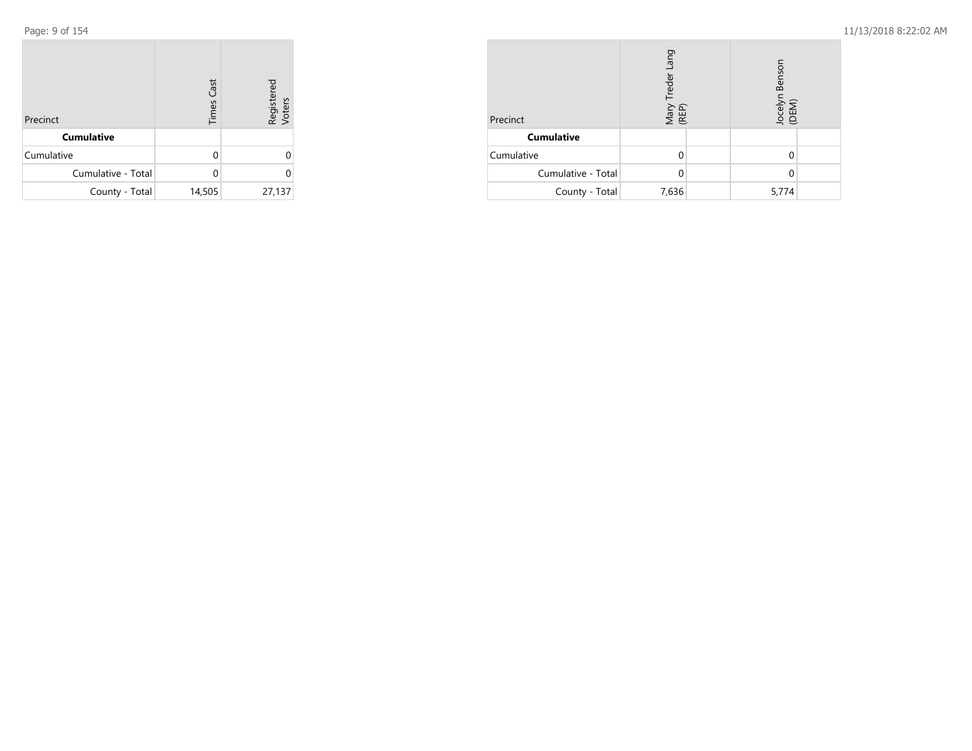Page: 9 of 154

| Precinct           | <b>Times Cast</b> | Registered<br>Voters |
|--------------------|-------------------|----------------------|
| <b>Cumulative</b>  |                   |                      |
| Cumulative         | U                 |                      |
| Cumulative - Total | U                 |                      |
| County - Total     | 14,505            | 27,137               |

| Precinct           | Lang<br>Mary Treder L<br>(REP) |  | Bensor<br>Jocelyr<br>(DEM) |  |
|--------------------|--------------------------------|--|----------------------------|--|
| <b>Cumulative</b>  |                                |  |                            |  |
| Cumulative         |                                |  |                            |  |
| Cumulative - Total | Ω                              |  |                            |  |
| County - Total     | 7,636                          |  | 5,774                      |  |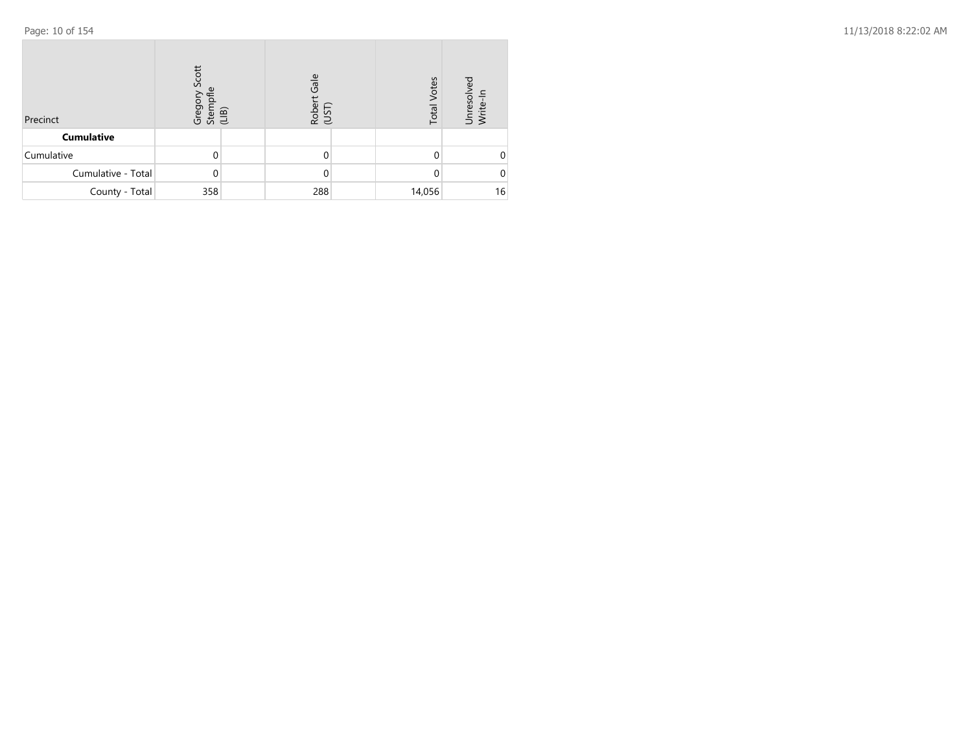| Precinct           | Scott<br>Stempfle<br>(LIB)<br>Gregory |  | Gale<br>Rober<br>(UST) |  | <b>Total Votes</b> | Unresolved<br>Write-In |
|--------------------|---------------------------------------|--|------------------------|--|--------------------|------------------------|
| <b>Cumulative</b>  |                                       |  |                        |  |                    |                        |
| Cumulative         |                                       |  | 0                      |  |                    | 0                      |
| Cumulative - Total |                                       |  | 0                      |  |                    | 0                      |
| County - Total     | 358                                   |  | 288                    |  | 14,056             | 16                     |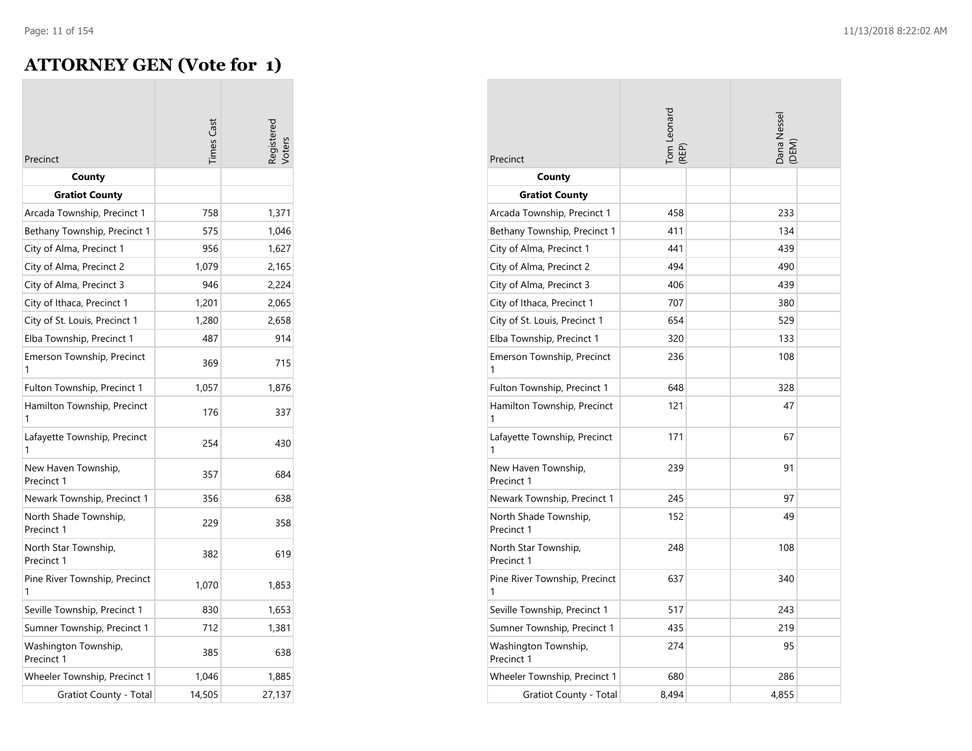÷

### **ATTORNEY GEN (Vote for 1)**

| Precinct                            | <b>Times</b> Cast | egisterec<br><b>loters</b> |
|-------------------------------------|-------------------|----------------------------|
| County                              |                   |                            |
| <b>Gratiot County</b>               |                   |                            |
| Arcada Township, Precinct 1         | 758               | 1,371                      |
| Bethany Township, Precinct 1        | 575               | 1,046                      |
| City of Alma, Precinct 1            | 956               | 1,627                      |
| City of Alma, Precinct 2            | 1,079             | 2,165                      |
| City of Alma, Precinct 3            | 946               | 2,224                      |
| City of Ithaca, Precinct 1          | 1,201             | 2,065                      |
| City of St. Louis, Precinct 1       | 1,280             | 2,658                      |
| Elba Township, Precinct 1           | 487               | 914                        |
| Emerson Township, Precinct<br>1     | 369               | 715                        |
| Fulton Township, Precinct 1         | 1,057             | 1,876                      |
| Hamilton Township, Precinct<br>1    | 176               | 337                        |
| Lafayette Township, Precinct<br>1   | 254               | 430                        |
| New Haven Township,<br>Precinct 1   | 357               | 684                        |
| Newark Township, Precinct 1         | 356               | 638                        |
| North Shade Township,<br>Precinct 1 | 229               | 358                        |
| North Star Township,<br>Precinct 1  | 382               | 619                        |
| Pine River Township, Precinct<br>1  | 1,070             | 1,853                      |
| Seville Township, Precinct 1        | 830               | 1,653                      |
| Sumner Township, Precinct 1         | 712               | 1,381                      |
| Washington Township,<br>Precinct 1  | 385               | 638                        |
| Wheeler Township, Precinct 1        | 1,046             | 1,885                      |
| <b>Gratiot County - Total</b>       | 14,505            | 27,137                     |

|                                     | Tom Leonard<br>(REP) | Dana Nessel<br>(DEM) |
|-------------------------------------|----------------------|----------------------|
| Precinct                            |                      |                      |
| County                              |                      |                      |
| <b>Gratiot County</b>               |                      |                      |
| Arcada Township, Precinct 1         | 458                  | 233                  |
| Bethany Township, Precinct 1        | 411                  | 134                  |
| City of Alma, Precinct 1            | 441                  | 439                  |
| City of Alma, Precinct 2            | 494                  | 490                  |
| City of Alma, Precinct 3            | 406                  | 439                  |
| City of Ithaca, Precinct 1          | 707                  | 380                  |
| City of St. Louis, Precinct 1       | 654                  | 529                  |
| Elba Township, Precinct 1           | 320                  | 133                  |
| Emerson Township, Precinct<br>1     | 236                  | 108                  |
| Fulton Township, Precinct 1         | 648                  | 328                  |
| Hamilton Township, Precinct         | 121                  | 47                   |
| Lafayette Township, Precinct        | 171                  | 67                   |
| New Haven Township,<br>Precinct 1   | 239                  | 91                   |
| Newark Township, Precinct 1         | 245                  | 97                   |
| North Shade Township,<br>Precinct 1 | 152                  | 49                   |
| North Star Township,<br>Precinct 1  | 248                  | 108                  |
| Pine River Township, Precinct<br>1  | 637                  | 340                  |
| Seville Township, Precinct 1        | 517                  | 243                  |
| Sumner Township, Precinct 1         | 435                  | 219                  |
| Washington Township,<br>Precinct 1  | 274                  | 95                   |
| Wheeler Township, Precinct 1        | 680                  | 286                  |
| <b>Gratiot County - Total</b>       | 8,494                | 4,855                |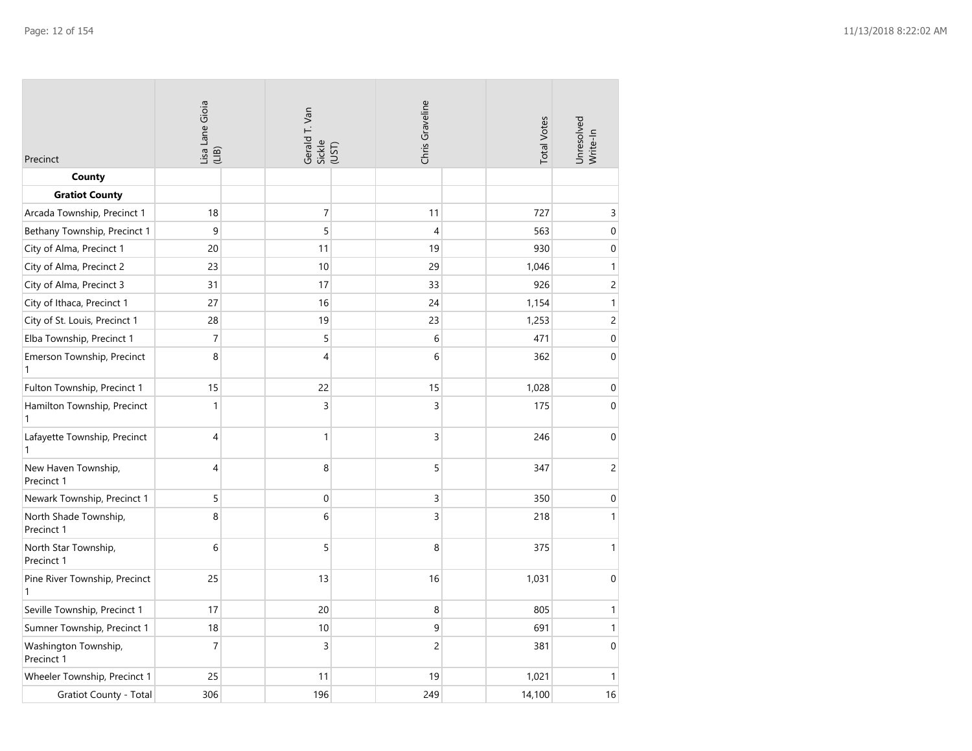| Precinct                            | Lisa Lane Gioia<br>(LIB) | Gerald T. Van<br>Sickle<br>(UST) | Chris Graveline | <b>Total Votes</b> | Unresolved<br>Write-In |
|-------------------------------------|--------------------------|----------------------------------|-----------------|--------------------|------------------------|
| County                              |                          |                                  |                 |                    |                        |
| <b>Gratiot County</b>               |                          |                                  |                 |                    |                        |
| Arcada Township, Precinct 1         | 18                       | $\overline{7}$                   | 11              | 727                | $\mathsf 3$            |
| Bethany Township, Precinct 1        | 9                        | 5                                | $\overline{4}$  | 563                | 0                      |
| City of Alma, Precinct 1            | 20                       | 11                               | 19              | 930                | $\boldsymbol{0}$       |
| City of Alma, Precinct 2            | 23                       | 10                               | 29              | 1,046              | $\mathbf{1}$           |
| City of Alma, Precinct 3            | 31                       | 17                               | 33              | 926                | $\overline{c}$         |
| City of Ithaca, Precinct 1          | 27                       | 16                               | 24              | 1,154              | $\mathbf{1}$           |
| City of St. Louis, Precinct 1       | 28                       | 19                               | 23              | 1,253              | $\overline{c}$         |
| Elba Township, Precinct 1           | $\overline{7}$           | 5                                | 6               | 471                | $\boldsymbol{0}$       |
| Emerson Township, Precinct<br>1     | 8                        | 4                                | 6               | 362                | $\mathbf 0$            |
| Fulton Township, Precinct 1         | 15                       | 22                               | 15              | 1,028              | $\boldsymbol{0}$       |
| Hamilton Township, Precinct<br>1    | $\mathbf{1}$             | 3                                | 3               | 175                | $\mathbf 0$            |
| Lafayette Township, Precinct<br>1   | $\overline{4}$           | $\mathbf{1}$                     | 3               | 246                | $\mathbf 0$            |
| New Haven Township,<br>Precinct 1   | $\overline{4}$           | 8                                | 5               | 347                | $\overline{c}$         |
| Newark Township, Precinct 1         | 5                        | $\boldsymbol{0}$                 | 3               | 350                | $\boldsymbol{0}$       |
| North Shade Township,<br>Precinct 1 | 8                        | 6                                | 3               | 218                | $\mathbf{1}$           |
| North Star Township,<br>Precinct 1  | 6                        | 5                                | 8               | 375                | $\mathbf{1}$           |
| Pine River Township, Precinct<br>1  | 25                       | 13                               | 16              | 1,031              | $\mathbf 0$            |
| Seville Township, Precinct 1        | 17                       | 20                               | 8               | 805                | $\mathbf{1}$           |
| Sumner Township, Precinct 1         | 18                       | 10                               | 9               | 691                | $\mathbf{1}$           |
| Washington Township,<br>Precinct 1  | $\overline{7}$           | 3                                | $\overline{c}$  | 381                | $\boldsymbol{0}$       |
| Wheeler Township, Precinct 1        | 25                       | 11                               | 19              | 1,021              | $\mathbf{1}$           |
| Gratiot County - Total              | 306                      | 196                              | 249             | 14,100             | 16                     |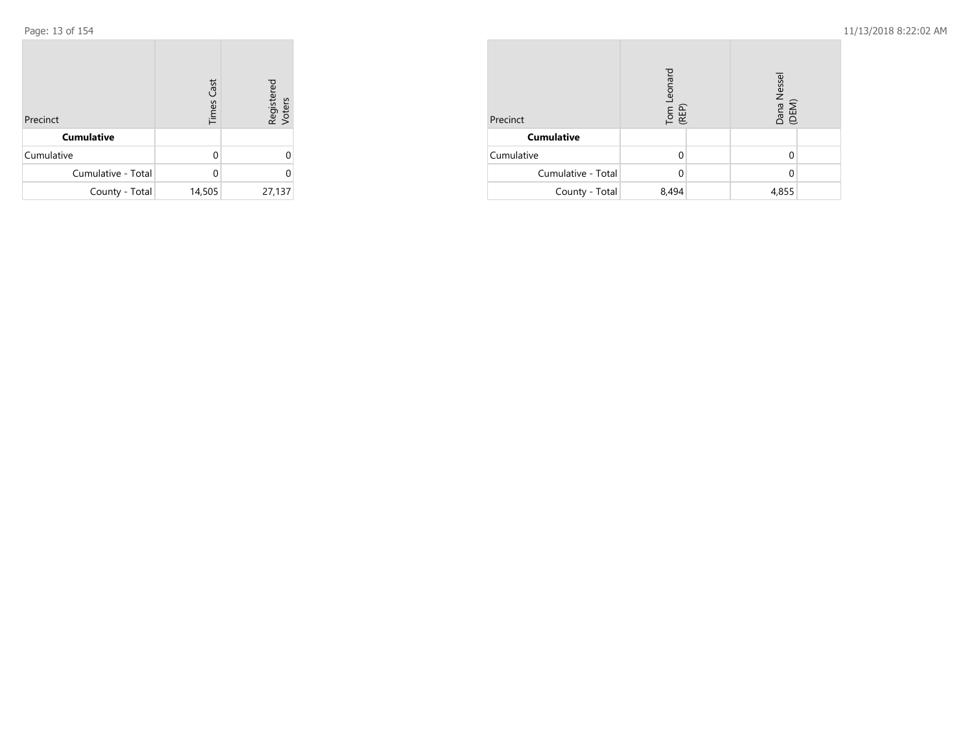| Precinct           | <b>Times Cast</b> | Registered<br>Voters |
|--------------------|-------------------|----------------------|
| <b>Cumulative</b>  |                   |                      |
| Cumulative         | U                 |                      |
| Cumulative - Total | U                 | 0                    |
| County - Total     | 14,505            | 27,137               |

| Precinct           | Tom Leonard<br>(REP) |  | Dana Nessel<br>(DEM) |  |
|--------------------|----------------------|--|----------------------|--|
| <b>Cumulative</b>  |                      |  |                      |  |
| Cumulative         |                      |  |                      |  |
| Cumulative - Total |                      |  |                      |  |
| County - Total     | 8,494                |  | 4,855                |  |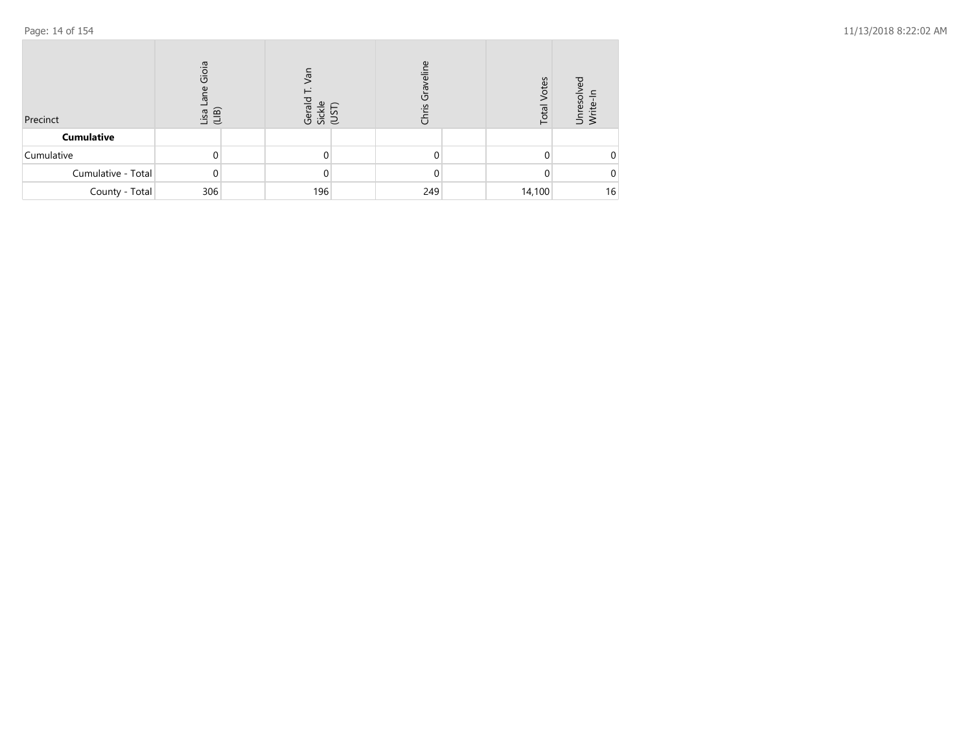| Precinct           | Gioia<br>usa<br>(LIB) | Ĭā<br>ple<br>$\omega$<br><b>Gera</b><br>Sickle | Graveline<br>Chris | Votes<br>Total | ΘŐ<br>Unresol<br>Write-Ir |
|--------------------|-----------------------|------------------------------------------------|--------------------|----------------|---------------------------|
| <b>Cumulative</b>  |                       |                                                |                    |                |                           |
| Cumulative         | 0                     | 0                                              |                    |                | 0                         |
| Cumulative - Total | $\mathbf{0}$          | 0                                              |                    |                | $\Omega$                  |
| County - Total     | 306                   | 196                                            | 249                | 14,100         | 16                        |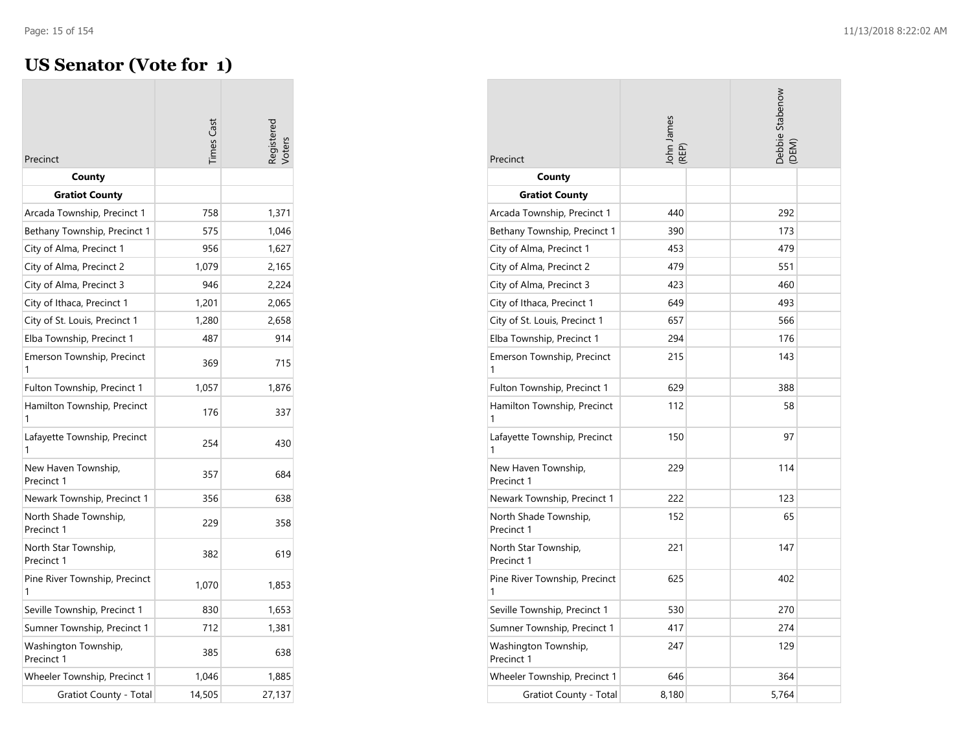**COL** 

# **US Senator (Vote for 1)**

|                                     | <b>Times</b> Cast | legistered<br>oters |
|-------------------------------------|-------------------|---------------------|
| Precinct                            |                   |                     |
| County                              |                   |                     |
| <b>Gratiot County</b>               |                   |                     |
| Arcada Township, Precinct 1         | 758               | 1,371               |
| Bethany Township, Precinct 1        | 575               | 1,046               |
| City of Alma, Precinct 1            | 956               | 1,627               |
| City of Alma, Precinct 2            | 1,079             | 2,165               |
| City of Alma, Precinct 3            | 946               | 2,224               |
| City of Ithaca, Precinct 1          | 1,201             | 2,065               |
| City of St. Louis, Precinct 1       | 1,280             | 2,658               |
| Elba Township, Precinct 1           | 487               | 914                 |
| Emerson Township, Precinct<br>1     | 369               | 715                 |
| Fulton Township, Precinct 1         | 1,057             | 1,876               |
| Hamilton Township, Precinct<br>1    | 176               | 337                 |
| Lafayette Township, Precinct<br>1   | 254               | 430                 |
| New Haven Township,<br>Precinct 1   | 357               | 684                 |
| Newark Township, Precinct 1         | 356               | 638                 |
| North Shade Township,<br>Precinct 1 | 229               | 358                 |
| North Star Township,<br>Precinct 1  | 382               | 619                 |
| Pine River Township, Precinct<br>1  | 1,070             | 1,853               |
| Seville Township, Precinct 1        | 830               | 1,653               |
| Sumner Township, Precinct 1         | 712               | 1,381               |
| Washington Township,<br>Precinct 1  | 385               | 638                 |
| Wheeler Township, Precinct 1        | 1,046             | 1,885               |
| <b>Gratiot County - Total</b>       | 14,505            | 27,137              |

| Precinct                            | John James<br>(REP) | Debbie Stabenow<br>(DEM) |
|-------------------------------------|---------------------|--------------------------|
| County                              |                     |                          |
| <b>Gratiot County</b>               |                     |                          |
| Arcada Township, Precinct 1         | 440                 | 292                      |
| Bethany Township, Precinct 1        | 390                 | 173                      |
| City of Alma, Precinct 1            | 453                 | 479                      |
| City of Alma, Precinct 2            | 479                 | 551                      |
| City of Alma, Precinct 3            | 423                 | 460                      |
| City of Ithaca, Precinct 1          | 649                 | 493                      |
| City of St. Louis, Precinct 1       | 657                 | 566                      |
| Elba Township, Precinct 1           | 294                 | 176                      |
| Emerson Township, Precinct<br>1     | 215                 | 143                      |
| Fulton Township, Precinct 1         | 629                 | 388                      |
| Hamilton Township, Precinct         | 112                 | 58                       |
| Lafayette Township, Precinct        | 150                 | 97                       |
| New Haven Township,<br>Precinct 1   | 229                 | 114                      |
| Newark Township, Precinct 1         | 222                 | 123                      |
| North Shade Township,<br>Precinct 1 | 152                 | 65                       |
| North Star Township,<br>Precinct 1  | 221                 | 147                      |
| Pine River Township, Precinct<br>1  | 625                 | 402                      |
| Seville Township, Precinct 1        | 530                 | 270                      |
| Sumner Township, Precinct 1         | 417                 | 274                      |
| Washington Township,<br>Precinct 1  | 247                 | 129                      |
| Wheeler Township, Precinct 1        | 646                 | 364                      |
| Gratiot County - Total              | 8,180               | 5,764                    |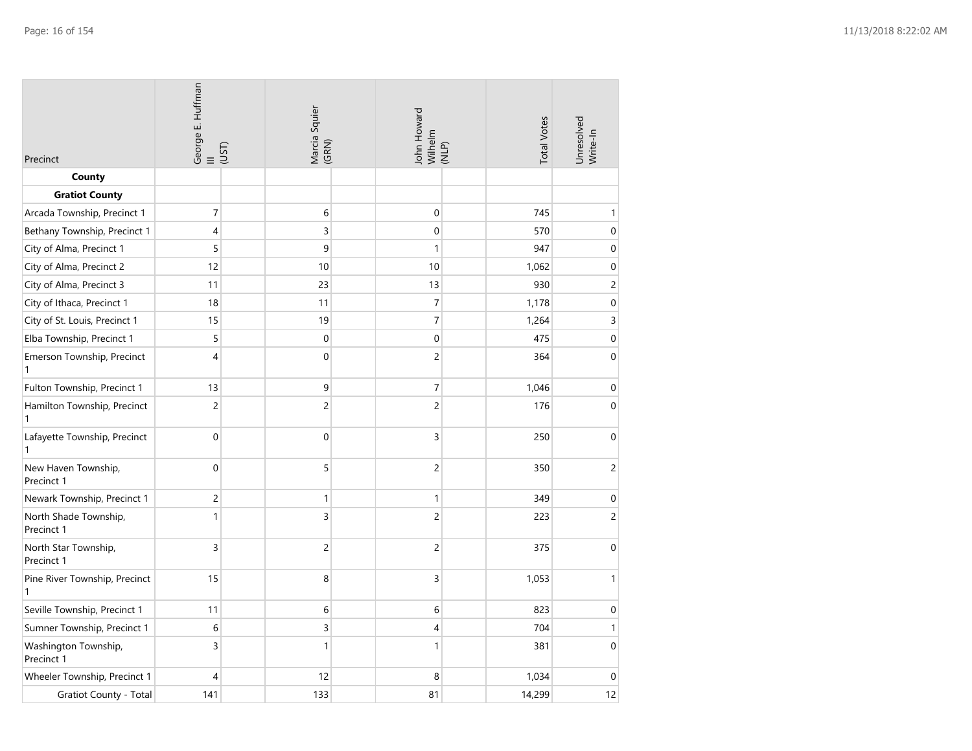| Precinct                            | George E. Huffman<br>III<br>(UST) | Marcia Squier<br>(GRN) | John Howard<br>Wilhelm<br>(NLP) | <b>Total Votes</b> | Unresolved<br>Write-In |
|-------------------------------------|-----------------------------------|------------------------|---------------------------------|--------------------|------------------------|
| County                              |                                   |                        |                                 |                    |                        |
| <b>Gratiot County</b>               |                                   |                        |                                 |                    |                        |
| Arcada Township, Precinct 1         | $\overline{7}$                    | 6                      | $\mathbf 0$                     | 745                | $\mathbf{1}$           |
| Bethany Township, Precinct 1        | $\overline{4}$                    | 3                      | $\mathbf 0$                     | 570                | 0                      |
| City of Alma, Precinct 1            | 5                                 | 9                      | $\mathbf{1}$                    | 947                | $\boldsymbol{0}$       |
| City of Alma, Precinct 2            | 12                                | 10                     | 10                              | 1,062              | $\boldsymbol{0}$       |
| City of Alma, Precinct 3            | 11                                | 23                     | 13                              | 930                | $\overline{c}$         |
| City of Ithaca, Precinct 1          | 18                                | 11                     | $\overline{7}$                  | 1,178              | 0                      |
| City of St. Louis, Precinct 1       | 15                                | 19                     | $\overline{7}$                  | 1,264              | 3                      |
| Elba Township, Precinct 1           | 5                                 | $\mathbf{0}$           | $\boldsymbol{0}$                | 475                | $\boldsymbol{0}$       |
| Emerson Township, Precinct<br>1     | $\overline{4}$                    | $\mathbf 0$            | $\overline{c}$                  | 364                | $\mathbf 0$            |
| Fulton Township, Precinct 1         | 13                                | 9                      | $\overline{7}$                  | 1,046              | $\mathbf 0$            |
| Hamilton Township, Precinct<br>1    | $\overline{c}$                    | $\overline{c}$         | $\overline{c}$                  | 176                | $\mathbf 0$            |
| Lafayette Township, Precinct<br>1   | $\boldsymbol{0}$                  | $\mathbf 0$            | 3                               | 250                | $\mathbf 0$            |
| New Haven Township,<br>Precinct 1   | $\overline{0}$                    | 5                      | $\overline{c}$                  | 350                | $\overline{c}$         |
| Newark Township, Precinct 1         | $\overline{c}$                    | $\mathbf{1}$           | $\mathbf{1}$                    | 349                | $\boldsymbol{0}$       |
| North Shade Township,<br>Precinct 1 | $\mathbf{1}$                      | 3                      | $\overline{c}$                  | 223                | $\overline{c}$         |
| North Star Township,<br>Precinct 1  | 3                                 | $\overline{c}$         | $\overline{c}$                  | 375                | $\boldsymbol{0}$       |
| Pine River Township, Precinct<br>1  | 15                                | 8                      | 3                               | 1,053              | $\mathbf{1}$           |
| Seville Township, Precinct 1        | 11                                | 6                      | 6                               | 823                | $\mathbf 0$            |
| Sumner Township, Precinct 1         | $\overline{6}$                    | 3                      | 4                               | 704                | $\mathbf{1}$           |
| Washington Township,<br>Precinct 1  | 3                                 | $\mathbf{1}$           | 1                               | 381                | $\boldsymbol{0}$       |
| Wheeler Township, Precinct 1        | 4                                 | 12                     | 8                               | 1,034              | $\boldsymbol{0}$       |
| <b>Gratiot County - Total</b>       | 141                               | 133                    | 81                              | 14,299             | 12                     |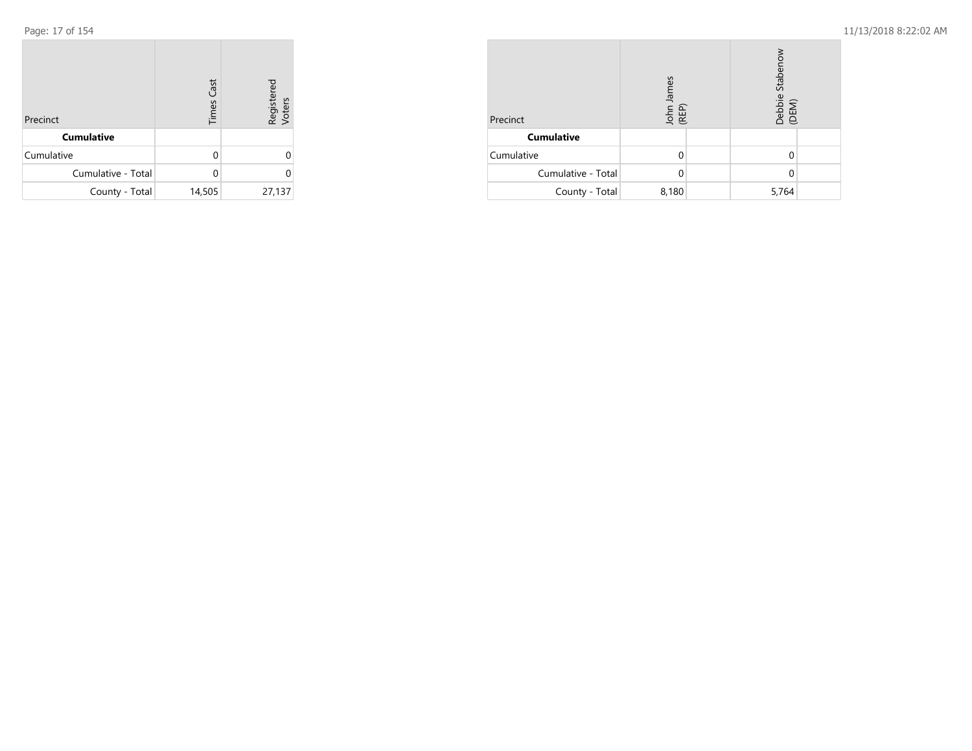Page: 17 of 154 11/13/2018 8:22:02 AM

| Precinct           | <b>Times Cast</b> | Registered<br>Voters |
|--------------------|-------------------|----------------------|
| <b>Cumulative</b>  |                   |                      |
| Cumulative         | U                 |                      |
| Cumulative - Total | U                 |                      |
| County - Total     | 14,505            | 27,137               |

| Precinct           | John James<br>(REP) | Debbie Stabenow<br>(DEM) |  |
|--------------------|---------------------|--------------------------|--|
| <b>Cumulative</b>  |                     |                          |  |
| Cumulative         |                     |                          |  |
| Cumulative - Total |                     |                          |  |
| County - Total     | 8,180               | 5,764                    |  |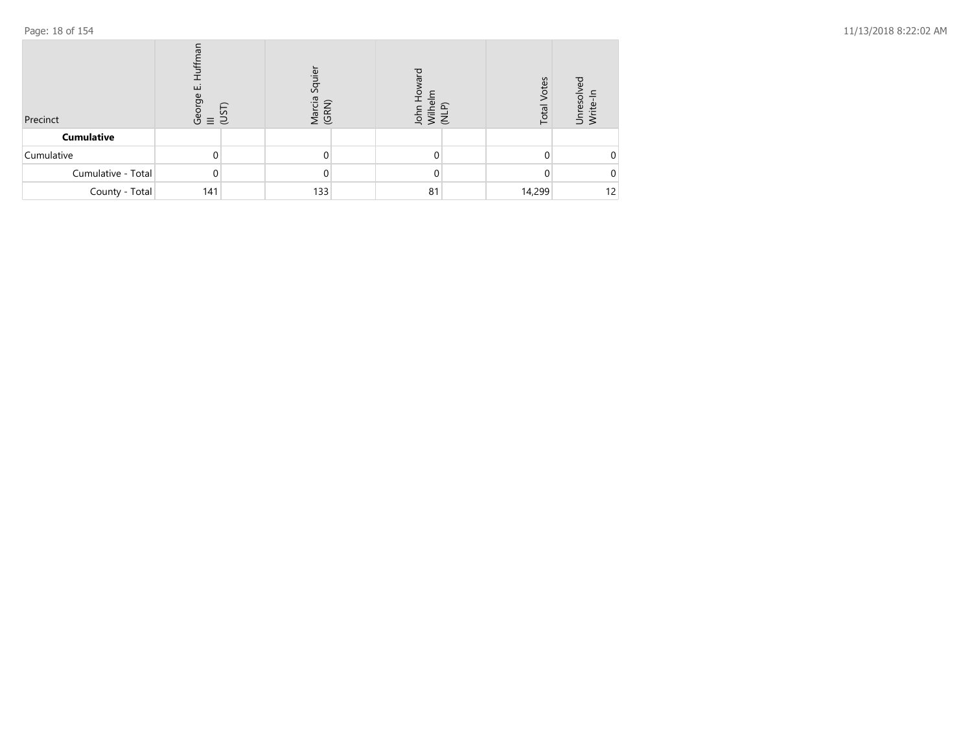| Precinct           | ய<br>rge<br>Georg<br>≡ UST) | Squier<br>Marcia<br>(GRN) | 등 로 | Votes<br>Total | ु<br>eso<br>ぅ ≥ |
|--------------------|-----------------------------|---------------------------|-----|----------------|-----------------|
| <b>Cumulative</b>  |                             |                           |     |                |                 |
| Cumulative         |                             |                           |     |                | 0               |
| Cumulative - Total | 0                           |                           |     |                | 0               |
| County - Total     | 141                         | 133                       | 81  | 14,299         | 12              |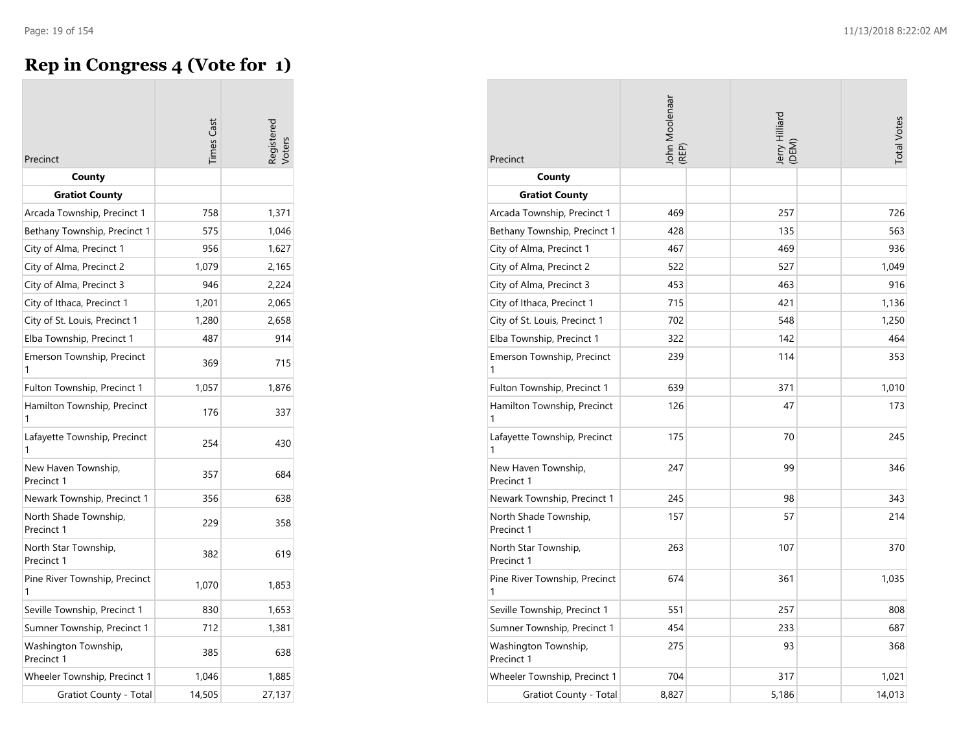$\overline{\phantom{a}}$ 

# **Rep in Congress 4 (Vote for 1)**

|                                     | <b>Times</b> Cast | egisterec |
|-------------------------------------|-------------------|-----------|
| Precinct                            |                   |           |
| County                              |                   |           |
| <b>Gratiot County</b>               |                   |           |
| Arcada Township, Precinct 1         | 758               | 1,371     |
| Bethany Township, Precinct 1        | 575               | 1,046     |
| City of Alma, Precinct 1            | 956               | 1,627     |
| City of Alma, Precinct 2            | 1,079             | 2,165     |
| City of Alma, Precinct 3            | 946               | 2,224     |
| City of Ithaca, Precinct 1          | 1,201             | 2,065     |
| City of St. Louis, Precinct 1       | 1,280             | 2,658     |
| Elba Township, Precinct 1           | 487               | 914       |
| Emerson Township, Precinct<br>1     | 369               | 715       |
| Fulton Township, Precinct 1         | 1,057             | 1,876     |
| Hamilton Township, Precinct<br>1    | 176               | 337       |
| Lafayette Township, Precinct<br>1   | 254               | 430       |
| New Haven Township,<br>Precinct 1   | 357               | 684       |
| Newark Township, Precinct 1         | 356               | 638       |
| North Shade Township,<br>Precinct 1 | 229               | 358       |
| North Star Township,<br>Precinct 1  | 382               | 619       |
| Pine River Township, Precinct<br>1  | 1,070             | 1,853     |
| Seville Township, Precinct 1        | 830               | 1,653     |
| Sumner Township, Precinct 1         | 712               | 1,381     |
| Washington Township,<br>Precinct 1  | 385               | 638       |
| Wheeler Township, Precinct 1        | 1,046             | 1,885     |
| <b>Gratiot County - Total</b>       | 14,505            | 27,137    |

| Precinct                            | John Moolenaar<br>(REP) | Jerry Hilliard<br>(DEM) | <b>Total Votes</b> |
|-------------------------------------|-------------------------|-------------------------|--------------------|
| County                              |                         |                         |                    |
| <b>Gratiot County</b>               |                         |                         |                    |
| Arcada Township, Precinct 1         | 469                     | 257                     | 726                |
| Bethany Township, Precinct 1        | 428                     | 135                     | 563                |
| City of Alma, Precinct 1            | 467                     | 469                     | 936                |
| City of Alma, Precinct 2            | 522                     | 527                     | 1,049              |
| City of Alma, Precinct 3            | 453                     | 463                     | 916                |
| City of Ithaca, Precinct 1          | 715                     | 421                     | 1,136              |
| City of St. Louis, Precinct 1       | 702                     | 548                     | 1,250              |
| Elba Township, Precinct 1           | 322                     | 142                     | 464                |
| Emerson Township, Precinct<br>1     | 239                     | 114                     | 353                |
| Fulton Township, Precinct 1         | 639                     | 371                     | 1,010              |
| Hamilton Township, Precinct<br>1    | 126                     | 47                      | 173                |
| Lafayette Township, Precinct<br>1   | 175                     | 70                      | 245                |
| New Haven Township,<br>Precinct 1   | 247                     | 99                      | 346                |
| Newark Township, Precinct 1         | 245                     | 98                      | 343                |
| North Shade Township,<br>Precinct 1 | 157                     | 57                      | 214                |
| North Star Township,<br>Precinct 1  | 263                     | 107                     | 370                |
| Pine River Township, Precinct<br>1  | 674                     | 361                     | 1,035              |
| Seville Township, Precinct 1        | 551                     | 257                     | 808                |
| Sumner Township, Precinct 1         | 454                     | 233                     | 687                |
| Washington Township,<br>Precinct 1  | 275                     | 93                      | 368                |
| Wheeler Township, Precinct 1        | 704                     | 317                     | 1,021              |
| Gratiot County - Total              | 8,827                   | 5,186                   | 14,013             |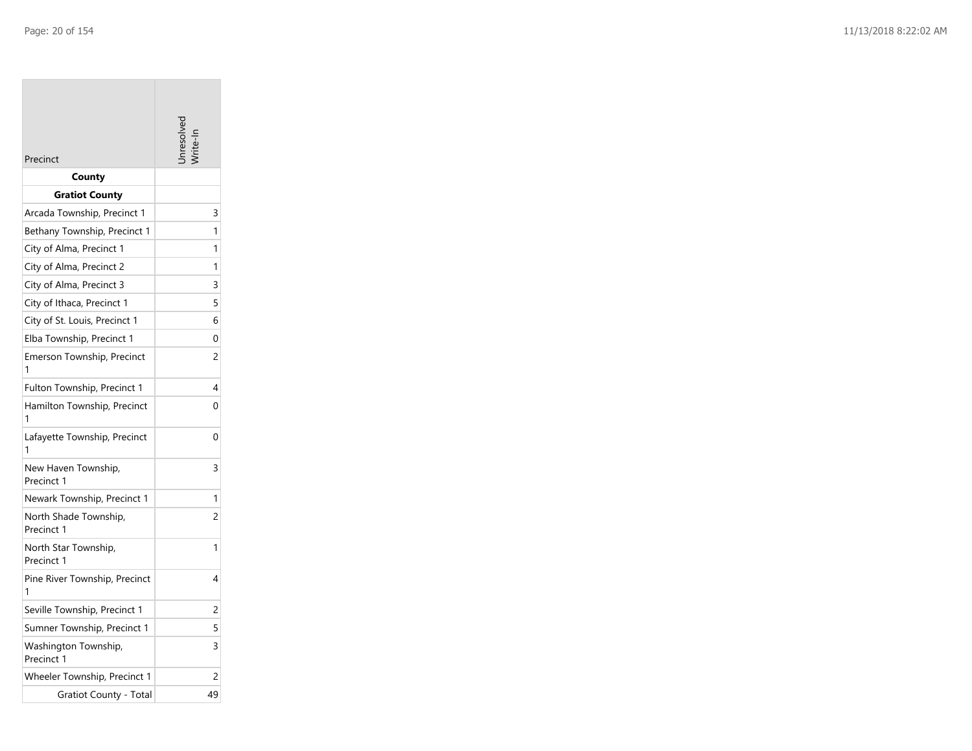| Precinct                            | nresolv  |
|-------------------------------------|----------|
| County                              |          |
| <b>Gratiot County</b>               |          |
| Arcada Township, Precinct 1         | 3        |
| Bethany Township, Precinct 1        | 1        |
| City of Alma, Precinct 1            | 1        |
| City of Alma, Precinct 2            | 1        |
| City of Alma, Precinct 3            | 3        |
| City of Ithaca, Precinct 1          | 5        |
| City of St. Louis, Precinct 1       | 6        |
| Elba Township, Precinct 1           | 0        |
| Emerson Township, Precinct<br>1     | 2        |
| Fulton Township, Precinct 1         | 4        |
| Hamilton Township, Precinct<br>1    | 0        |
| Lafayette Township, Precinct<br>1   | $\Omega$ |
| New Haven Township,<br>Precinct 1   | 3        |
| Newark Township, Precinct 1         | 1        |
| North Shade Township,<br>Precinct 1 | 2        |
| North Star Township,<br>Precinct 1  | 1        |
| Pine River Township, Precinct<br>1  | 4        |
| Seville Township, Precinct 1        | 2        |
| Sumner Township, Precinct 1         | 5        |
| Washington Township,<br>Precinct 1  | 3        |
| Wheeler Township, Precinct 1        | 2        |
| Gratiot County - Total              | 49       |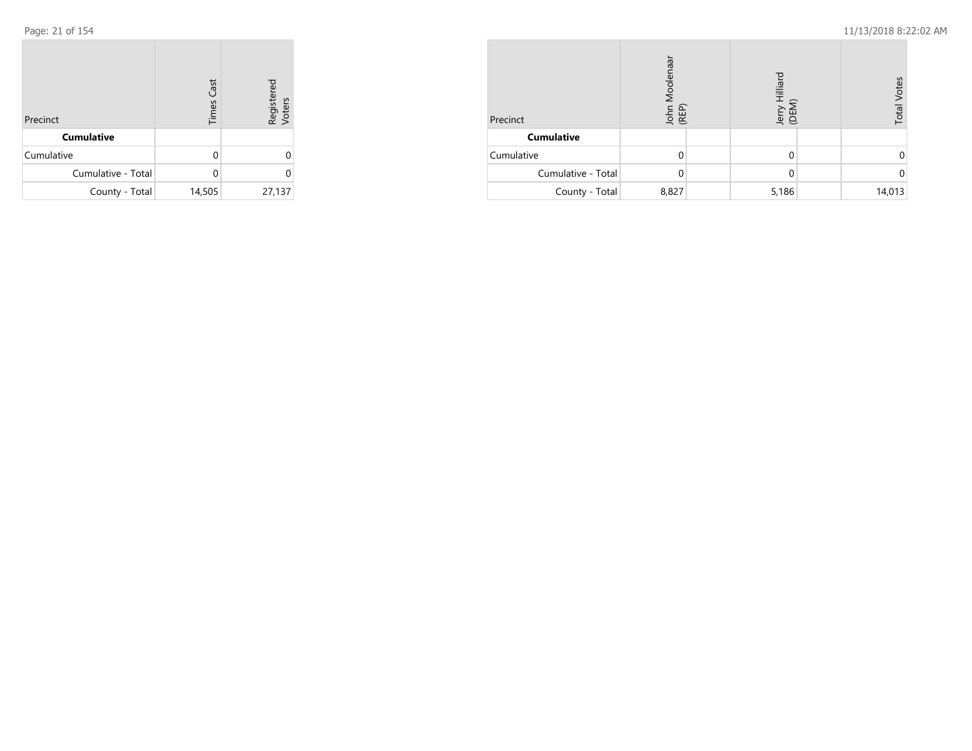| Precinct           | <b>Times Cast</b> | Registered<br>Voters |
|--------------------|-------------------|----------------------|
| <b>Cumulative</b>  |                   |                      |
| Cumulative         | O                 | U                    |
| Cumulative - Total | Λ                 |                      |
| County - Total     | 14,505            | 27,137               |

| Precinct           | John Moolenaar<br>(REP) |  | Hilliard<br>.<br>GEN<br>ξ |  | <b>Total Votes</b> |
|--------------------|-------------------------|--|---------------------------|--|--------------------|
| <b>Cumulative</b>  |                         |  |                           |  |                    |
| Cumulative         |                         |  |                           |  | O                  |
| Cumulative - Total |                         |  |                           |  | 0                  |
| County - Total     | 8,827                   |  | 5,186                     |  | 14,013             |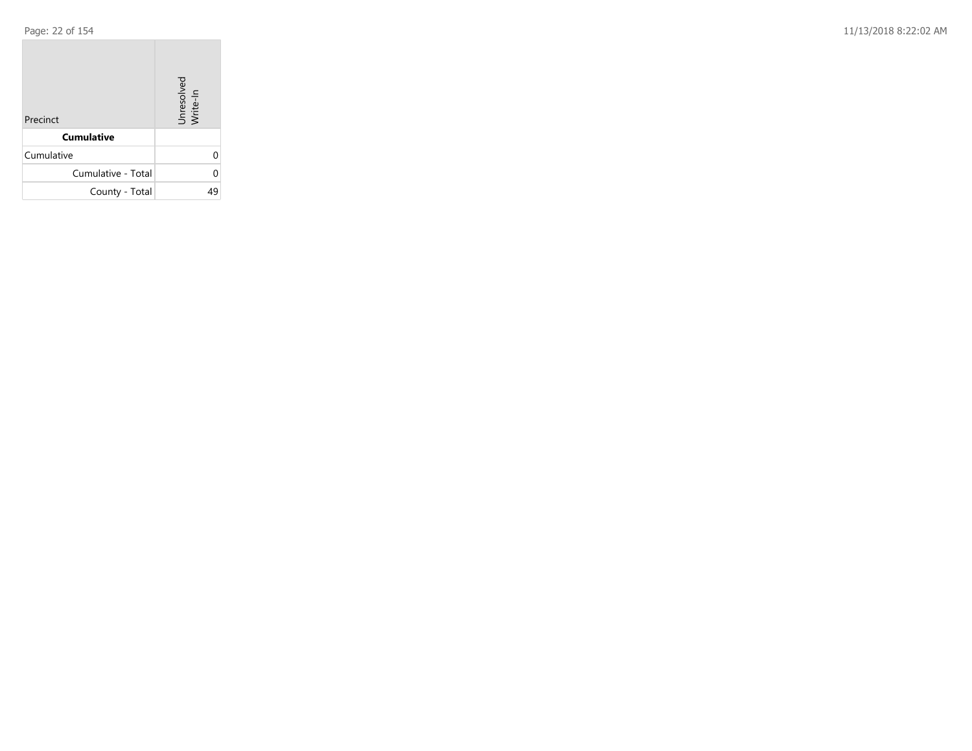**College** 

Page: 22 of 154 11/13/2018 8:22:02 AM

| Precinct           | Unresolved<br>Write-In |
|--------------------|------------------------|
| <b>Cumulative</b>  |                        |
| Cumulative         | U                      |
| Cumulative - Total |                        |
| County - Total     | 49                     |

the control of the control of the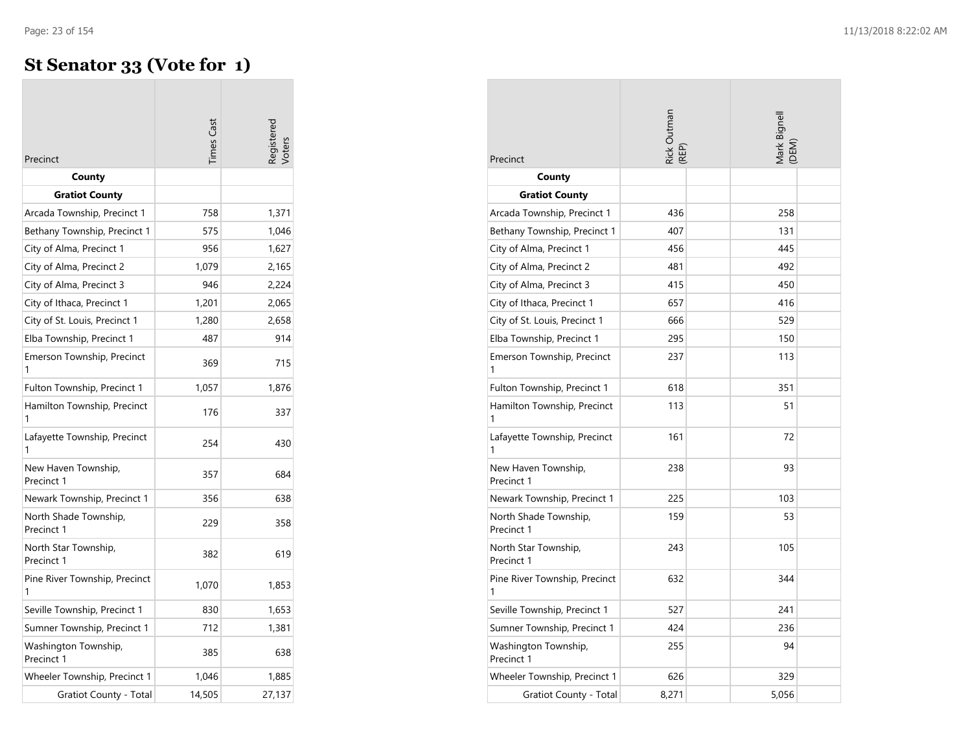# **St Senator 33 (Vote for 1)**

|                                     | <b>Times</b> Cast | egisterec |
|-------------------------------------|-------------------|-----------|
| Precinct                            |                   |           |
| County                              |                   |           |
| <b>Gratiot County</b>               |                   |           |
| Arcada Township, Precinct 1         | 758               | 1,371     |
| Bethany Township, Precinct 1        | 575               | 1,046     |
| City of Alma, Precinct 1            | 956               | 1,627     |
| City of Alma, Precinct 2            | 1,079             | 2,165     |
| City of Alma, Precinct 3            | 946               | 2,224     |
| City of Ithaca, Precinct 1          | 1,201             | 2,065     |
| City of St. Louis, Precinct 1       | 1,280             | 2,658     |
| Elba Township, Precinct 1           | 487               | 914       |
| Emerson Township, Precinct<br>1     | 369               | 715       |
| Fulton Township, Precinct 1         | 1,057             | 1,876     |
| Hamilton Township, Precinct<br>1    | 176               | 337       |
| Lafayette Township, Precinct<br>1   | 254               | 430       |
| New Haven Township,<br>Precinct 1   | 357               | 684       |
| Newark Township, Precinct 1         | 356               | 638       |
| North Shade Township,<br>Precinct 1 | 229               | 358       |
| North Star Township,<br>Precinct 1  | 382               | 619       |
| Pine River Township, Precinct<br>1  | 1,070             | 1,853     |
| Seville Township, Precinct 1        | 830               | 1,653     |
| Sumner Township, Precinct 1         | 712               | 1,381     |
| Washington Township,<br>Precinct 1  | 385               | 638       |
| Wheeler Township, Precinct 1        | 1,046             | 1,885     |
| <b>Gratiot County - Total</b>       | 14,505            | 27,137    |

| Precinct                            | Rick Outman<br>(REP) | Mark Bignell<br>(DEM) |
|-------------------------------------|----------------------|-----------------------|
| County                              |                      |                       |
| <b>Gratiot County</b>               |                      |                       |
| Arcada Township, Precinct 1         | 436                  | 258                   |
| Bethany Township, Precinct 1        | 407                  | 131                   |
| City of Alma, Precinct 1            | 456                  | 445                   |
| City of Alma, Precinct 2            | 481                  | 492                   |
| City of Alma, Precinct 3            | 415                  | 450                   |
| City of Ithaca, Precinct 1          | 657                  | 416                   |
| City of St. Louis, Precinct 1       | 666                  | 529                   |
| Elba Township, Precinct 1           | 295                  | 150                   |
| Emerson Township, Precinct<br>1     | 237                  | 113                   |
| Fulton Township, Precinct 1         | 618                  | 351                   |
| Hamilton Township, Precinct<br>1    | 113                  | 51                    |
| Lafayette Township, Precinct        | 161                  | 72                    |
| New Haven Township,<br>Precinct 1   | 238                  | 93                    |
| Newark Township, Precinct 1         | 225                  | 103                   |
| North Shade Township,<br>Precinct 1 | 159                  | 53                    |
| North Star Township,<br>Precinct 1  | 243                  | 105                   |
| Pine River Township, Precinct<br>1  | 632                  | 344                   |
| Seville Township, Precinct 1        | 527                  | 241                   |
| Sumner Township, Precinct 1         | 424                  | 236                   |
| Washington Township,<br>Precinct 1  | 255                  | 94                    |
| Wheeler Township, Precinct 1        | 626                  | 329                   |
| Gratiot County - Total              | 8,271                | 5,056                 |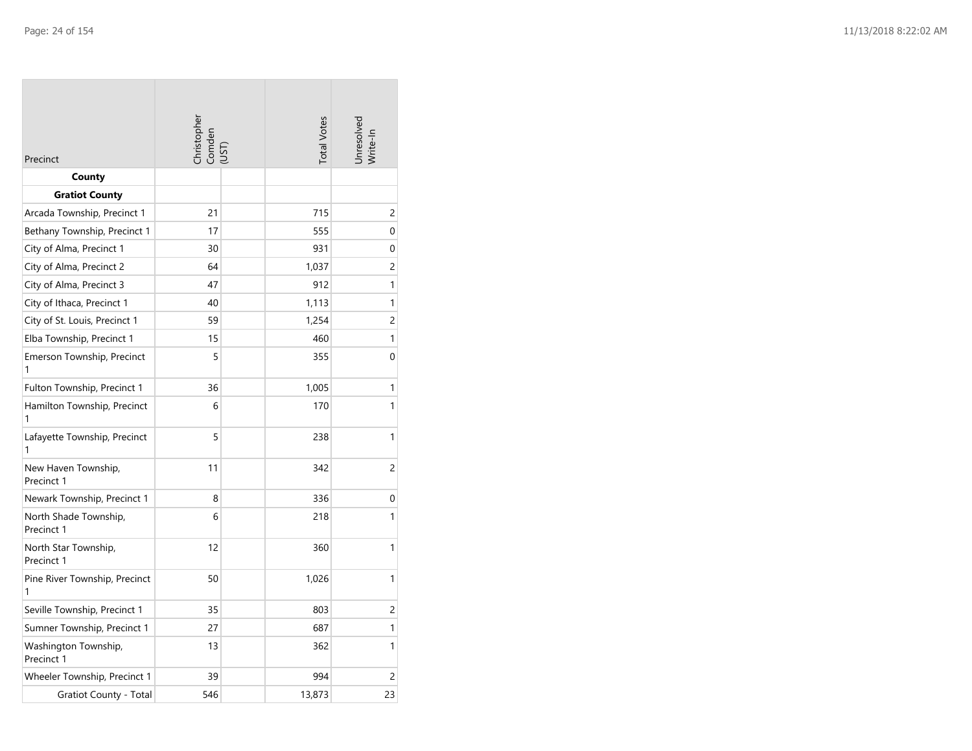| Precinct                            | Christopher<br>Comden<br>(UST) |  | <b>Total Votes</b> | Unresolved<br>Write-In |
|-------------------------------------|--------------------------------|--|--------------------|------------------------|
| County                              |                                |  |                    |                        |
| <b>Gratiot County</b>               |                                |  |                    |                        |
| Arcada Township, Precinct 1         | 21                             |  | 715                | 2                      |
| Bethany Township, Precinct 1        | 17                             |  | 555                | 0                      |
| City of Alma, Precinct 1            | 30                             |  | 931                | 0                      |
| City of Alma, Precinct 2            | 64                             |  | 1,037              | 2                      |
| City of Alma, Precinct 3            | 47                             |  | 912                | 1                      |
| City of Ithaca, Precinct 1          | 40                             |  | 1,113              | 1                      |
| City of St. Louis, Precinct 1       | 59                             |  | 1,254              | 2                      |
| Elba Township, Precinct 1           | 15                             |  | 460                | $\mathbf{1}$           |
| Emerson Township, Precinct<br>1     | 5                              |  | 355                | 0                      |
| Fulton Township, Precinct 1         | 36                             |  | 1,005              | 1                      |
| Hamilton Township, Precinct<br>1    | 6                              |  | 170                | 1                      |
| Lafayette Township, Precinct<br>1   | 5                              |  | 238                | 1                      |
| New Haven Township,<br>Precinct 1   | 11                             |  | 342                | 2                      |
| Newark Township, Precinct 1         | 8                              |  | 336                | 0                      |
| North Shade Township,<br>Precinct 1 | 6                              |  | 218                | 1                      |
| North Star Township,<br>Precinct 1  | 12                             |  | 360                | 1                      |
| Pine River Township, Precinct<br>1  | 50                             |  | 1,026              | 1                      |
| Seville Township, Precinct 1        | 35                             |  | 803                | 2                      |
| Sumner Township, Precinct 1         | 27                             |  | 687                | 1                      |
| Washington Township,<br>Precinct 1  | 13                             |  | 362                | 1                      |
| Wheeler Township, Precinct 1        | 39                             |  | 994                | 2                      |
| Gratiot County - Total              | 546                            |  | 13,873             | 23                     |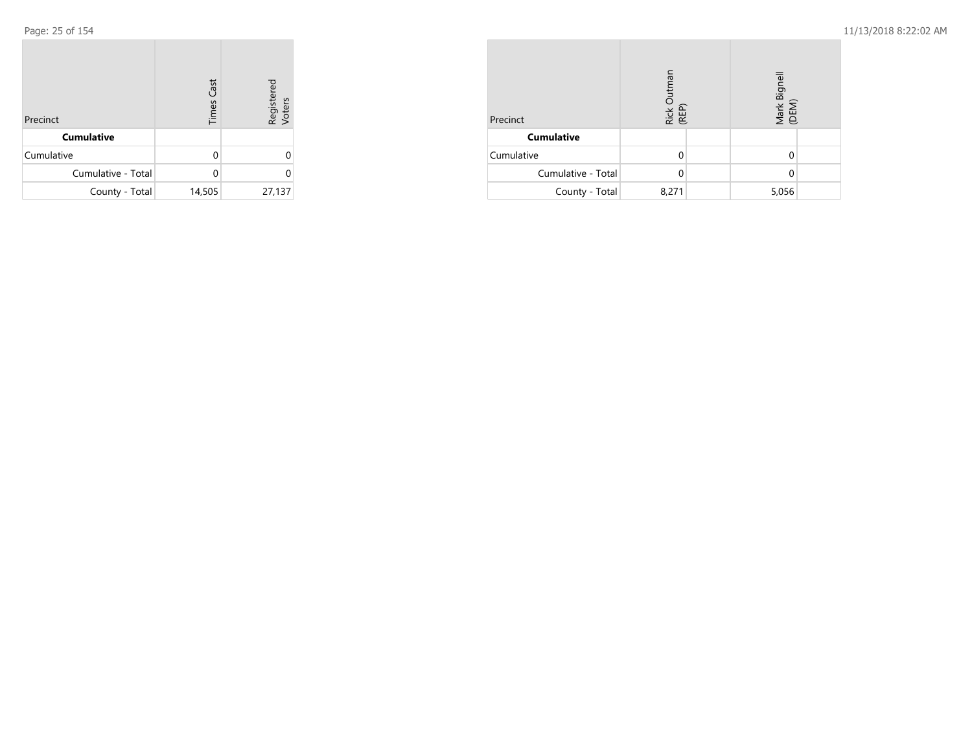| Precinct           | <b>Times Cast</b> | Registered<br>Voters |
|--------------------|-------------------|----------------------|
| <b>Cumulative</b>  |                   |                      |
| Cumulative         | O                 |                      |
| Cumulative - Total |                   |                      |
| County - Total     | 14,505            | 27,137               |

| Precinct           | Rick Outman<br>(REP) |  | Mark Bignell<br>(DEM) |  |
|--------------------|----------------------|--|-----------------------|--|
| <b>Cumulative</b>  |                      |  |                       |  |
| Cumulative         |                      |  |                       |  |
| Cumulative - Total |                      |  |                       |  |
| County - Total     | 8,271                |  | 5,056                 |  |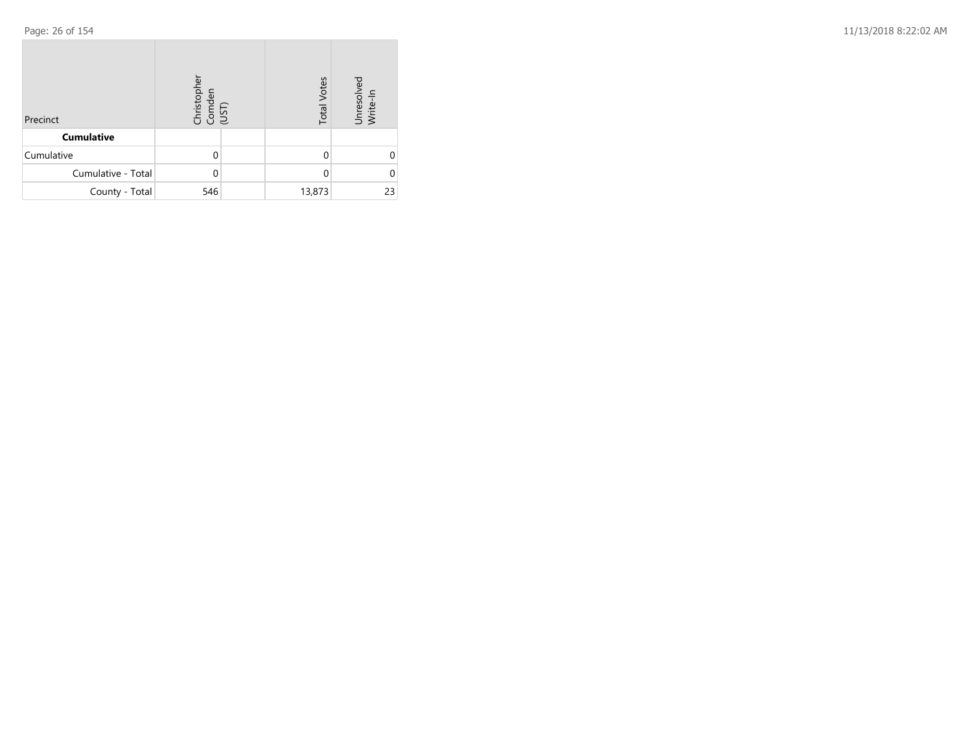| 11/13/2018 8:22:02 AM |
|-----------------------|
|                       |

| Precinct           | Christopher<br>Comden<br>(UST) |  | <b>Total Votes</b> | Unresolved<br>Write-In |
|--------------------|--------------------------------|--|--------------------|------------------------|
| <b>Cumulative</b>  |                                |  |                    |                        |
| Cumulative         |                                |  |                    |                        |
| Cumulative - Total | ი                              |  |                    |                        |
| County - Total     | 546                            |  | 13,873             | 23                     |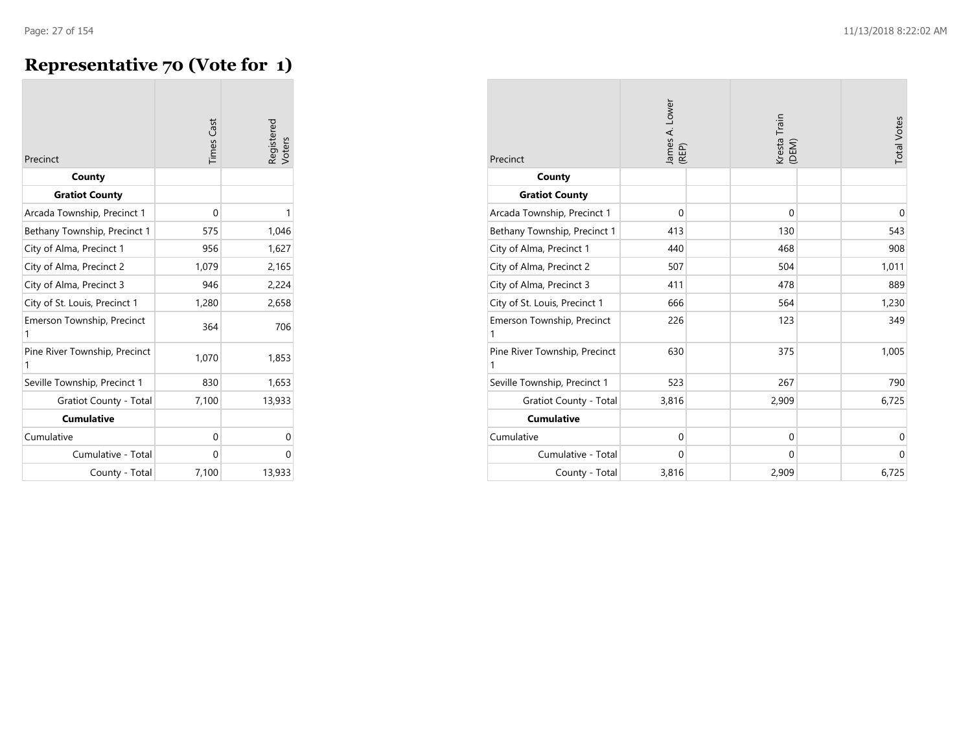m.

# **Representative 70 (Vote for 1)**

| Precinct                           | <b>Times Cast</b> | Registered<br>Voters |
|------------------------------------|-------------------|----------------------|
| County                             |                   |                      |
| <b>Gratiot County</b>              |                   |                      |
| Arcada Township, Precinct 1        | 0                 | 1                    |
| Bethany Township, Precinct 1       | 575               | 1,046                |
| City of Alma, Precinct 1           | 956               | 1,627                |
| City of Alma, Precinct 2           | 1,079             | 2,165                |
| City of Alma, Precinct 3           | 946               | 2,224                |
| City of St. Louis, Precinct 1      | 1,280             | 2,658                |
| Emerson Township, Precinct<br>1    | 364               | 706                  |
| Pine River Township, Precinct<br>1 | 1,070             | 1,853                |
| Seville Township, Precinct 1       | 830               | 1,653                |
| <b>Gratiot County - Total</b>      | 7,100             | 13,933               |
| <b>Cumulative</b>                  |                   |                      |
| Cumulative                         | 0                 | 0                    |
| Cumulative - Total                 | 0                 | 0                    |
| County - Total                     | 7,100             | 13,933               |

| Precinct                           | James A. Lower<br>(REP) | Kresta Train<br>(DEM) | <b>Total Votes</b> |
|------------------------------------|-------------------------|-----------------------|--------------------|
| County                             |                         |                       |                    |
| <b>Gratiot County</b>              |                         |                       |                    |
| Arcada Township, Precinct 1        | $\Omega$                | $\Omega$              | $\mathbf 0$        |
| Bethany Township, Precinct 1       | 413                     | 130                   | 543                |
| City of Alma, Precinct 1           | 440                     | 468                   | 908                |
| City of Alma, Precinct 2           | 507                     | 504                   | 1,011              |
| City of Alma, Precinct 3           | 411                     | 478                   | 889                |
| City of St. Louis, Precinct 1      | 666                     | 564                   | 1,230              |
| Emerson Township, Precinct<br>1    | 226                     | 123                   | 349                |
| Pine River Township, Precinct<br>1 | 630                     | 375                   | 1,005              |
| Seville Township, Precinct 1       | 523                     | 267                   | 790                |
| <b>Gratiot County - Total</b>      | 3,816                   | 2,909                 | 6,725              |
| <b>Cumulative</b>                  |                         |                       |                    |
| Cumulative                         | $\mathbf{0}$            | $\mathbf{0}$          | $\mathbf 0$        |
| Cumulative - Total                 | 0                       | $\mathbf 0$           | $\mathbf 0$        |
| County - Total                     | 3,816                   | 2,909                 | 6,725              |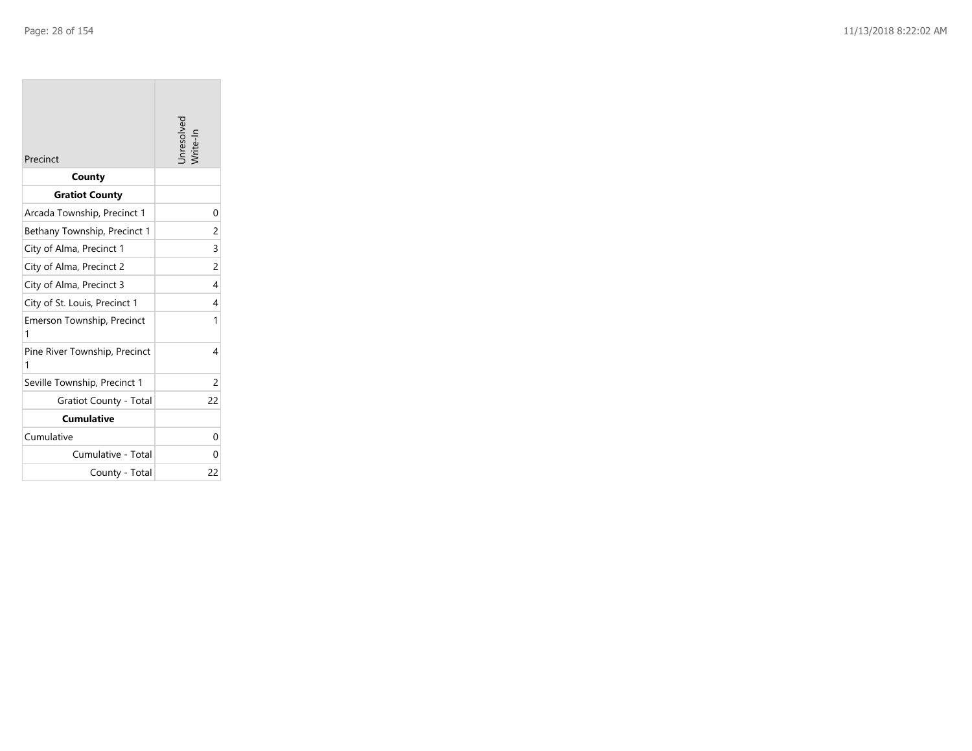| Precinct                           | Inresolve      |
|------------------------------------|----------------|
| County                             |                |
| <b>Gratiot County</b>              |                |
| Arcada Township, Precinct 1        | 0              |
| Bethany Township, Precinct 1       | 2              |
| City of Alma, Precinct 1           | 3              |
| City of Alma, Precinct 2           | $\overline{c}$ |
| City of Alma, Precinct 3           | 4              |
| City of St. Louis, Precinct 1      | 4              |
| Emerson Township, Precinct<br>1    | 1              |
| Pine River Township, Precinct<br>1 | 4              |
| Seville Township, Precinct 1       | $\mathcal{P}$  |
| Gratiot County - Total             | 22             |
| <b>Cumulative</b>                  |                |
| Cumulative                         | 0              |
| Cumulative - Total                 | 0              |
| County - Total                     | 22             |

the control of the control of the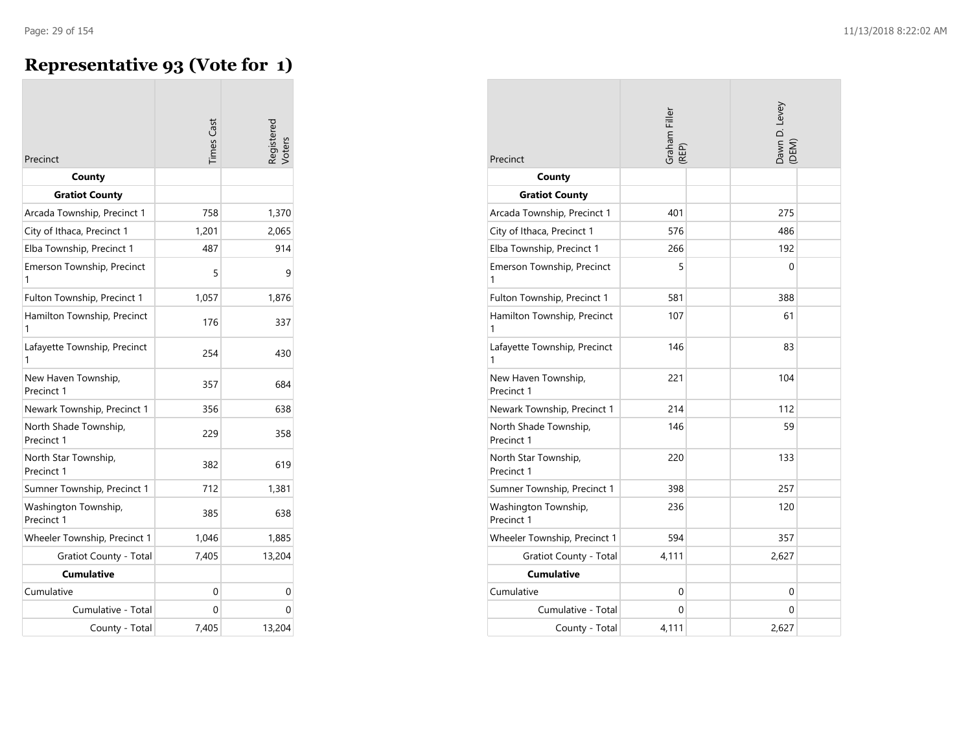# **Representative 93 (Vote for 1)**

| Precinct                            | <b>Times</b> Cast | Registered<br>Voters |
|-------------------------------------|-------------------|----------------------|
| County                              |                   |                      |
| <b>Gratiot County</b>               |                   |                      |
| Arcada Township, Precinct 1         | 758               | 1,370                |
| City of Ithaca, Precinct 1          | 1,201             | 2,065                |
| Elba Township, Precinct 1           | 487               | 914                  |
| Emerson Township, Precinct<br>1     | 5                 | 9                    |
| Fulton Township, Precinct 1         | 1,057             | 1,876                |
| Hamilton Township, Precinct<br>1    | 176               | 337                  |
| Lafayette Township, Precinct<br>1   | 254               | 430                  |
| New Haven Township,<br>Precinct 1   | 357               | 684                  |
| Newark Township, Precinct 1         | 356               | 638                  |
| North Shade Township,<br>Precinct 1 | 229               | 358                  |
| North Star Township,<br>Precinct 1  | 382               | 619                  |
| Sumner Township, Precinct 1         | 712               | 1,381                |
| Washington Township,<br>Precinct 1  | 385               | 638                  |
| Wheeler Township, Precinct 1        | 1,046             | 1,885                |
| <b>Gratiot County - Total</b>       | 7,405             | 13,204               |
| <b>Cumulative</b>                   |                   |                      |
| Cumulative                          | 0                 | 0                    |
| Cumulative - Total                  | 0                 | 0                    |
| County - Total                      | 7,405             | 13,204               |

| Precinct                            | Graham Filler<br>(REP) | Dawn D. Levey<br>(DEM) |  |
|-------------------------------------|------------------------|------------------------|--|
| County                              |                        |                        |  |
| <b>Gratiot County</b>               |                        |                        |  |
| Arcada Township, Precinct 1         | 401                    | 275                    |  |
| City of Ithaca, Precinct 1          | 576                    | 486                    |  |
| Elba Township, Precinct 1           | 266                    | 192                    |  |
| Emerson Township, Precinct<br>1     | 5                      | 0                      |  |
| Fulton Township, Precinct 1         | 581                    | 388                    |  |
| Hamilton Township, Precinct<br>1    | 107                    | 61                     |  |
| Lafayette Township, Precinct<br>1   | 146                    | 83                     |  |
| New Haven Township,<br>Precinct 1   | 221                    | 104                    |  |
| Newark Township, Precinct 1         | 214                    | 112                    |  |
| North Shade Township,<br>Precinct 1 | 146                    | 59                     |  |
| North Star Township,<br>Precinct 1  | 220                    | 133                    |  |
| Sumner Township, Precinct 1         | 398                    | 257                    |  |
| Washington Township,<br>Precinct 1  | 236                    | 120                    |  |
| Wheeler Township, Precinct 1        | 594                    | 357                    |  |
| <b>Gratiot County - Total</b>       | 4,111                  | 2,627                  |  |
| <b>Cumulative</b>                   |                        |                        |  |
| Cumulative                          | 0                      | 0                      |  |
| Cumulative - Total                  | 0                      | 0                      |  |
| County - Total                      | 4,111                  | 2,627                  |  |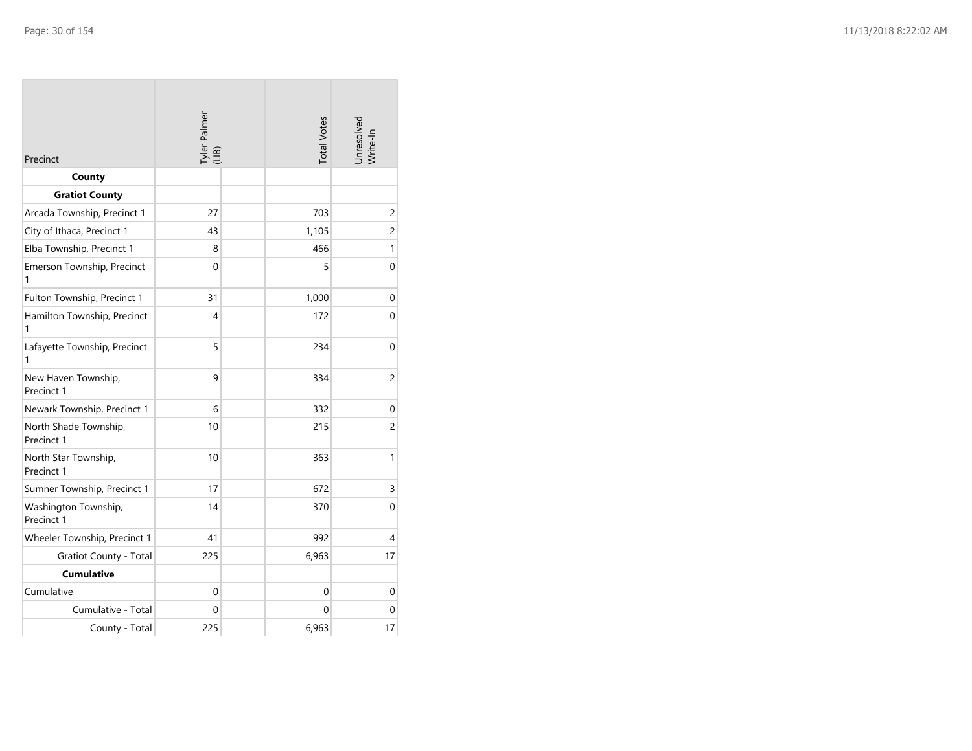| Precinct                            | Tyler Palmer<br>(LIB) |  | <b>Total Votes</b> | Unresolved<br>Write-In |
|-------------------------------------|-----------------------|--|--------------------|------------------------|
| County                              |                       |  |                    |                        |
| <b>Gratiot County</b>               |                       |  |                    |                        |
| Arcada Township, Precinct 1         | 27                    |  | 703                | $\overline{c}$         |
| City of Ithaca, Precinct 1          | 43                    |  | 1,105              | $\overline{c}$         |
| Elba Township, Precinct 1           | 8                     |  | 466                | 1                      |
| Emerson Township, Precinct<br>1     | 0                     |  | 5                  | 0                      |
| Fulton Township, Precinct 1         | 31                    |  | 1,000              | 0                      |
| Hamilton Township, Precinct<br>1    | 4                     |  | 172                | 0                      |
| Lafayette Township, Precinct<br>1   | 5                     |  | 234                | 0                      |
| New Haven Township,<br>Precinct 1   | 9                     |  | 334                | $\overline{c}$         |
| Newark Township, Precinct 1         | 6                     |  | 332                | $\mathbf 0$            |
| North Shade Township,<br>Precinct 1 | 10                    |  | 215                | $\overline{c}$         |
| North Star Township,<br>Precinct 1  | 10                    |  | 363                | 1                      |
| Sumner Township, Precinct 1         | 17                    |  | 672                | 3                      |
| Washington Township,<br>Precinct 1  | 14                    |  | 370                | 0                      |
| Wheeler Township, Precinct 1        | 41                    |  | 992                | 4                      |
| <b>Gratiot County - Total</b>       | 225                   |  | 6,963              | 17                     |
| <b>Cumulative</b>                   |                       |  |                    |                        |
| Cumulative                          | 0                     |  | 0                  | 0                      |
| Cumulative - Total                  | 0                     |  | 0                  | 0                      |
| County - Total                      | 225                   |  | 6,963              | 17                     |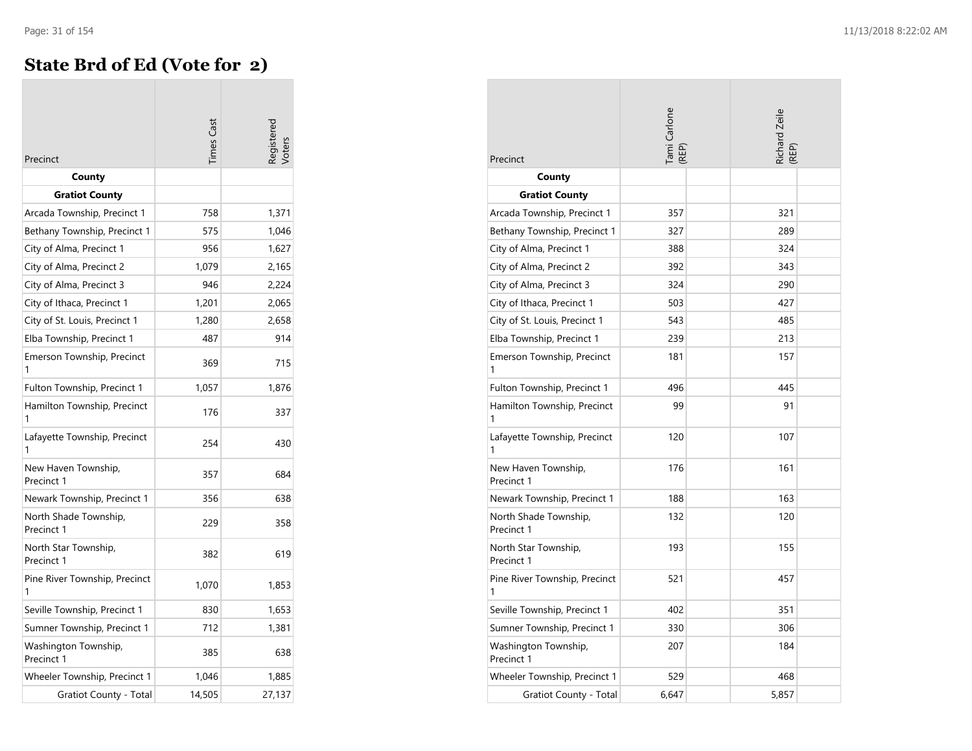**COL** 

# **State Brd of Ed (Vote for 2)**

|                                     | <b>Times</b> Cast | egisterec |
|-------------------------------------|-------------------|-----------|
| Precinct                            |                   |           |
| County                              |                   |           |
| <b>Gratiot County</b>               |                   |           |
| Arcada Township, Precinct 1         | 758               | 1,371     |
| Bethany Township, Precinct 1        | 575               | 1,046     |
| City of Alma, Precinct 1            | 956               | 1,627     |
| City of Alma, Precinct 2            | 1,079             | 2,165     |
| City of Alma, Precinct 3            | 946               | 2,224     |
| City of Ithaca, Precinct 1          | 1,201             | 2,065     |
| City of St. Louis, Precinct 1       | 1,280             | 2,658     |
| Elba Township, Precinct 1           | 487               | 914       |
| Emerson Township, Precinct<br>1     | 369               | 715       |
| Fulton Township, Precinct 1         | 1,057             | 1,876     |
| Hamilton Township, Precinct<br>1    | 176               | 337       |
| Lafayette Township, Precinct<br>1   | 254               | 430       |
| New Haven Township,<br>Precinct 1   | 357               | 684       |
| Newark Township, Precinct 1         | 356               | 638       |
| North Shade Township,<br>Precinct 1 | 229               | 358       |
| North Star Township,<br>Precinct 1  | 382               | 619       |
| Pine River Township, Precinct<br>1  | 1,070             | 1,853     |
| Seville Township, Precinct 1        | 830               | 1,653     |
| Sumner Township, Precinct 1         | 712               | 1,381     |
| Washington Township,<br>Precinct 1  | 385               | 638       |
| Wheeler Township, Precinct 1        | 1,046             | 1,885     |
| <b>Gratiot County - Total</b>       | 14,505            | 27,137    |

| Precinct                            | Tami Carlone<br>(REP) | Richard Zeile<br>(REP) |
|-------------------------------------|-----------------------|------------------------|
| County                              |                       |                        |
| <b>Gratiot County</b>               |                       |                        |
| Arcada Township, Precinct 1         | 357                   | 321                    |
| Bethany Township, Precinct 1        | 327                   | 289                    |
| City of Alma, Precinct 1            | 388                   | 324                    |
| City of Alma, Precinct 2            | 392                   | 343                    |
| City of Alma, Precinct 3            | 324                   | 290                    |
| City of Ithaca, Precinct 1          | 503                   | 427                    |
| City of St. Louis, Precinct 1       | 543                   | 485                    |
| Elba Township, Precinct 1           | 239                   | 213                    |
| Emerson Township, Precinct          | 181                   | 157                    |
| Fulton Township, Precinct 1         | 496                   | 445                    |
| Hamilton Township, Precinct         | 99                    | 91                     |
| Lafayette Township, Precinct<br>1   | 120                   | 107                    |
| New Haven Township,<br>Precinct 1   | 176                   | 161                    |
| Newark Township, Precinct 1         | 188                   | 163                    |
| North Shade Township,<br>Precinct 1 | 132                   | 120                    |
| North Star Township,<br>Precinct 1  | 193                   | 155                    |
| Pine River Township, Precinct<br>1  | 521                   | 457                    |
| Seville Township, Precinct 1        | 402                   | 351                    |
| Sumner Township, Precinct 1         | 330                   | 306                    |
| Washington Township,<br>Precinct 1  | 207                   | 184                    |
| Wheeler Township, Precinct 1        | 529                   | 468                    |
| <b>Gratiot County - Total</b>       | 6,647                 | 5,857                  |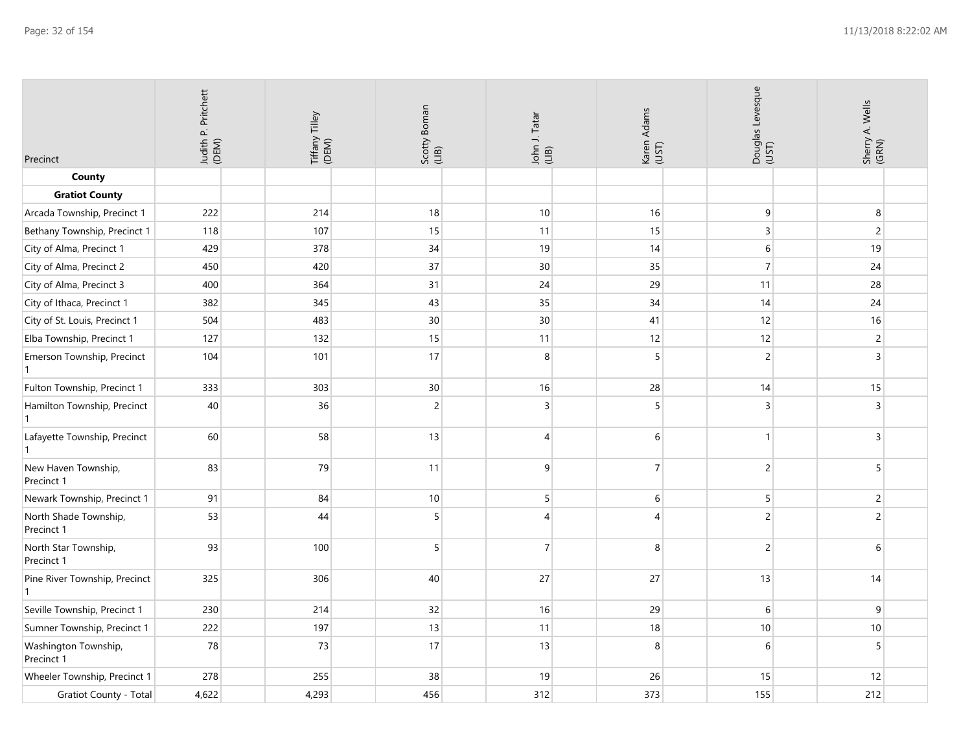| Precinct                                      | Judith P. Pritchett<br>(DEM) | Tiffany Tilley<br>(DEM) | Scotty Boman<br>(LIB) | John J. Tatar<br>(LIB) | Karen Adams<br>(UST) | Douglas Levesque<br>(UST) | Sherry A. Wells<br>(GRN) |
|-----------------------------------------------|------------------------------|-------------------------|-----------------------|------------------------|----------------------|---------------------------|--------------------------|
| County                                        |                              |                         |                       |                        |                      |                           |                          |
| <b>Gratiot County</b>                         |                              |                         |                       |                        |                      |                           |                          |
| Arcada Township, Precinct 1                   | 222                          | 214                     | 18                    | 10                     | 16                   | 9                         | 8                        |
| Bethany Township, Precinct 1                  | 118                          | 107                     | 15                    | 11                     | 15                   | 3                         | $\overline{c}$           |
| City of Alma, Precinct 1                      | 429                          | 378                     | 34                    | 19                     | 14                   | 6                         | 19                       |
| City of Alma, Precinct 2                      | 450                          | 420                     | 37                    | 30                     | 35                   | $\overline{7}$            | 24                       |
| City of Alma, Precinct 3                      | 400                          | 364                     | 31                    | 24                     | 29                   | 11                        | 28                       |
| City of Ithaca, Precinct 1                    | 382                          | 345                     | 43                    | 35                     | 34                   | 14                        | 24                       |
| City of St. Louis, Precinct 1                 | 504                          | 483                     | 30 <sup>°</sup>       | 30                     | 41                   | 12                        | 16                       |
| Elba Township, Precinct 1                     | 127                          | 132                     | 15                    | 11                     | 12                   | 12                        | $\overline{c}$           |
| Emerson Township, Precinct<br>1               | 104                          | 101                     | 17                    | 8                      | 5                    | $\overline{c}$            | $\overline{3}$           |
| Fulton Township, Precinct 1                   | 333                          | 303                     | 30                    | 16                     | 28                   | 14                        | 15                       |
| Hamilton Township, Precinct<br>$\mathbf{1}$   | 40                           | 36                      | $\overline{c}$        | $\overline{3}$         | 5                    | $\overline{3}$            | $\overline{3}$           |
| Lafayette Township, Precinct<br>1             | 60                           | 58                      | 13                    | $\overline{4}$         | $\sqrt{6}$           | -1                        | $\mathsf{3}$             |
| New Haven Township,<br>Precinct 1             | 83                           | 79                      | 11                    | 9                      | $\overline{7}$       | $\overline{c}$            | 5                        |
| Newark Township, Precinct 1                   | 91                           | 84                      | 10                    | 5                      | $\,6\,$              | 5                         | $\overline{c}$           |
| North Shade Township,<br>Precinct 1           | 53                           | 44                      | 5                     | $\overline{A}$         | $\overline{4}$       | $\overline{c}$            | $\overline{2}$           |
| North Star Township,<br>Precinct 1            | 93                           | 100                     | 5                     | $\overline{7}$         | 8                    | $\overline{c}$            | 6                        |
| Pine River Township, Precinct<br>$\mathbf{1}$ | 325                          | 306                     | 40                    | 27                     | 27                   | 13                        | 14                       |
| Seville Township, Precinct 1                  | 230                          | 214                     | 32                    | 16                     | 29                   | 6                         | 9                        |
| Sumner Township, Precinct 1                   | 222                          | 197                     | 13                    | 11                     | 18                   | 10                        | 10                       |
| Washington Township,<br>Precinct 1            | 78                           | 73                      | 17                    | 13                     | 8                    | 6                         | 5                        |
| Wheeler Township, Precinct 1                  | 278                          | 255                     | 38                    | 19                     | 26                   | 15                        | 12                       |
| Gratiot County - Total                        | 4,622                        | 4,293                   | 456                   | 312                    | 373                  | 155                       | 212                      |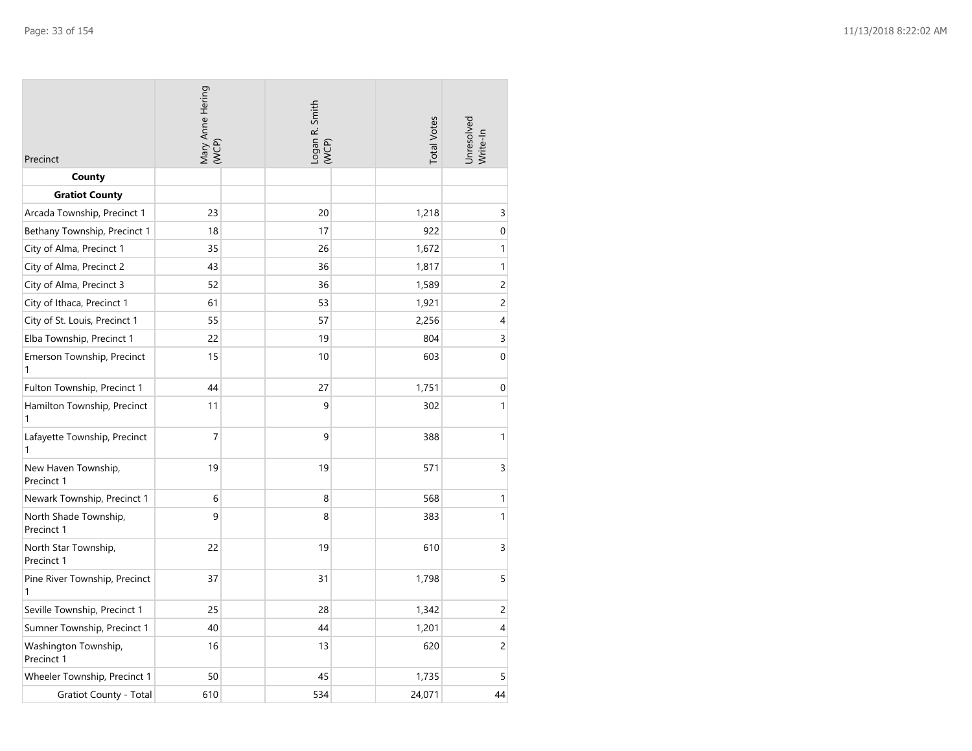| Precinct                            | Mary Anne Hering<br>(WCP) |  | Logan R. Smith<br>(WCP) |  | <b>Total Votes</b> | Unresolved<br>Write-In  |
|-------------------------------------|---------------------------|--|-------------------------|--|--------------------|-------------------------|
| County                              |                           |  |                         |  |                    |                         |
| <b>Gratiot County</b>               |                           |  |                         |  |                    |                         |
| Arcada Township, Precinct 1         | 23                        |  | 20                      |  | 1,218              | 3                       |
| Bethany Township, Precinct 1        | 18                        |  | 17                      |  | 922                | $\boldsymbol{0}$        |
| City of Alma, Precinct 1            | 35                        |  | 26                      |  | 1,672              | 1                       |
| City of Alma, Precinct 2            | 43                        |  | 36                      |  | 1,817              | 1                       |
| City of Alma, Precinct 3            | 52                        |  | 36                      |  | 1,589              | $\overline{c}$          |
| City of Ithaca, Precinct 1          | 61                        |  | 53                      |  | 1,921              | $\overline{c}$          |
| City of St. Louis, Precinct 1       | 55                        |  | 57                      |  | 2,256              | 4                       |
| Elba Township, Precinct 1           | 22                        |  | 19                      |  | 804                | 3                       |
| Emerson Township, Precinct<br>1     | 15                        |  | 10                      |  | 603                | $\boldsymbol{0}$        |
| Fulton Township, Precinct 1         | 44                        |  | 27                      |  | 1,751              | $\boldsymbol{0}$        |
| Hamilton Township, Precinct<br>1    | 11                        |  | 9                       |  | 302                | 1                       |
| Lafayette Township, Precinct<br>1   | $\overline{7}$            |  | 9                       |  | 388                | $\mathbf{1}$            |
| New Haven Township,<br>Precinct 1   | 19                        |  | 19                      |  | 571                | 3                       |
| Newark Township, Precinct 1         | 6                         |  | 8                       |  | 568                | 1                       |
| North Shade Township,<br>Precinct 1 | 9                         |  | 8                       |  | 383                | $\mathbf{1}$            |
| North Star Township,<br>Precinct 1  | 22                        |  | 19                      |  | 610                | $\overline{3}$          |
| Pine River Township, Precinct<br>1  | 37                        |  | 31                      |  | 1,798              | 5                       |
| Seville Township, Precinct 1        | 25                        |  | 28                      |  | 1,342              | $\overline{c}$          |
| Sumner Township, Precinct 1         | 40                        |  | 44                      |  | 1,201              | $\overline{\mathbf{4}}$ |
| Washington Township,<br>Precinct 1  | 16                        |  | 13                      |  | 620                | $\overline{c}$          |
| Wheeler Township, Precinct 1        | 50                        |  | 45                      |  | 1,735              | 5                       |
| <b>Gratiot County - Total</b>       | 610                       |  | 534                     |  | 24,071             | 44                      |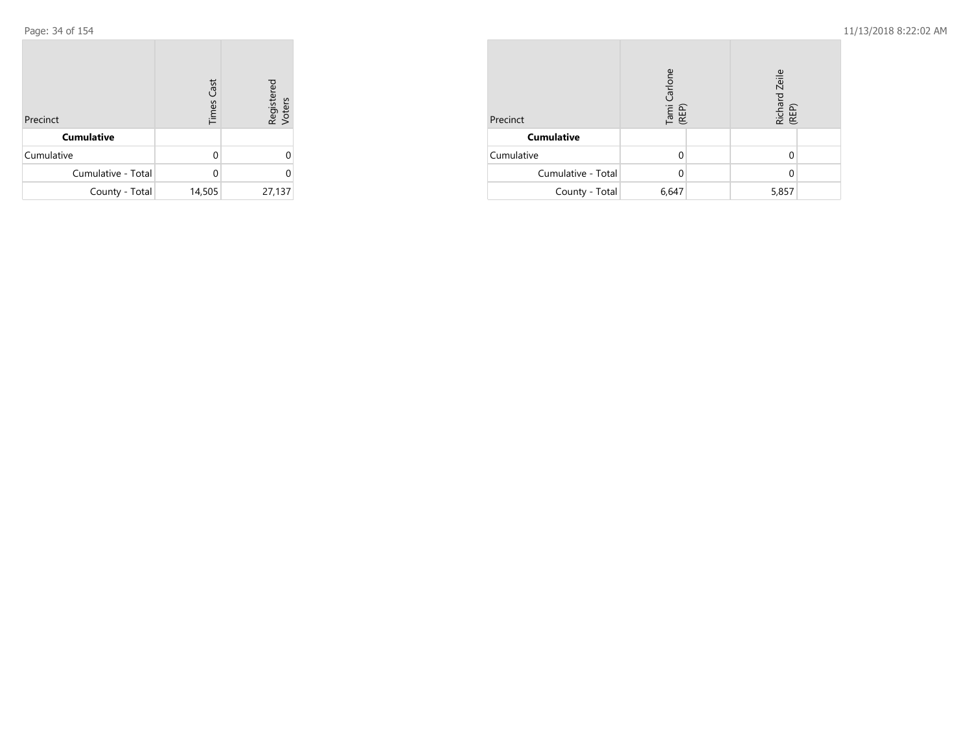| Precinct           | <b>Times Cast</b> | Registered<br>Voters |
|--------------------|-------------------|----------------------|
| <b>Cumulative</b>  |                   |                      |
| Cumulative         | O                 |                      |
| Cumulative - Total | U                 |                      |
| County - Total     | 14,505            | 27,137               |

| Precinct           | Tami Carlone<br>(REP) | Richard Zeile<br>(REP) |  |  |
|--------------------|-----------------------|------------------------|--|--|
| <b>Cumulative</b>  |                       |                        |  |  |
| Cumulative         |                       |                        |  |  |
| Cumulative - Total |                       |                        |  |  |
| County - Total     | 6,647                 | 5,857                  |  |  |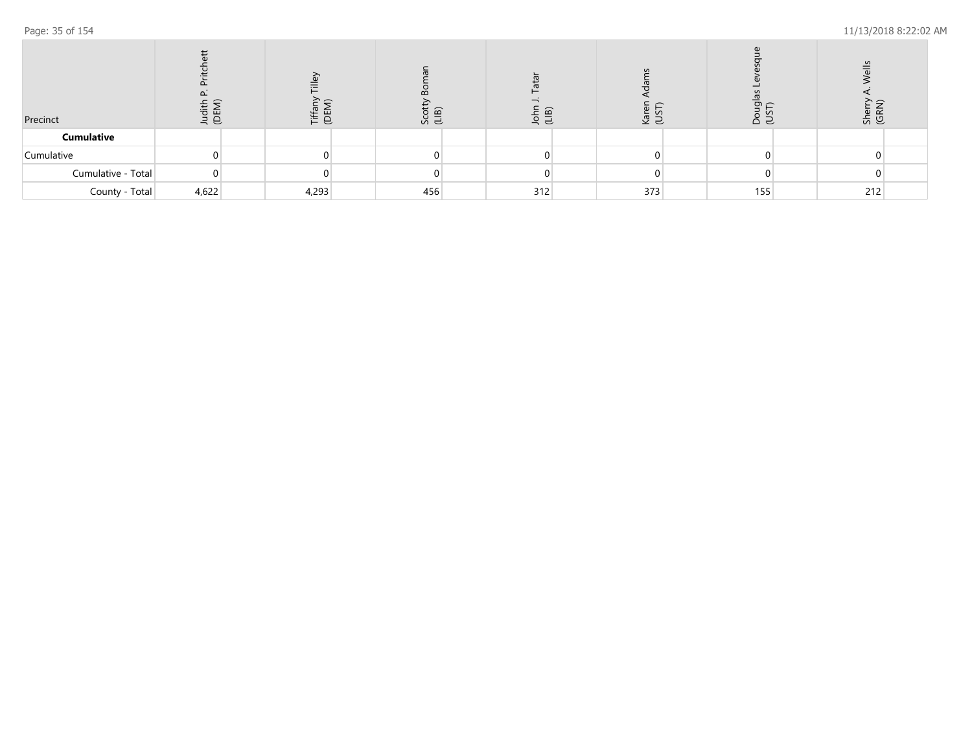| Precinct           | 'ਰ<br>ш<br>$\ominus$<br>$\preceq$ | ine<br>E | $\widehat{\mathbf{m}}$<br>ರ್ ನ |  | <u>ଇ</u><br>- ನಿ |  | Φ<br>SC<br>SC<br>Sc |  | Ğ<br>e q | $rac{1}{\sqrt{1}}$<br>Shei<br>(GRI |  |
|--------------------|-----------------------------------|----------|--------------------------------|--|------------------|--|---------------------|--|----------|------------------------------------|--|
| <b>Cumulative</b>  |                                   |          |                                |  |                  |  |                     |  |          |                                    |  |
| Cumulative         |                                   |          |                                |  |                  |  |                     |  |          |                                    |  |
| Cumulative - Total |                                   |          |                                |  |                  |  |                     |  |          |                                    |  |
| County - Total     | 4,622                             | 4,293    | 456                            |  | 312              |  | 373                 |  | 155      | 212                                |  |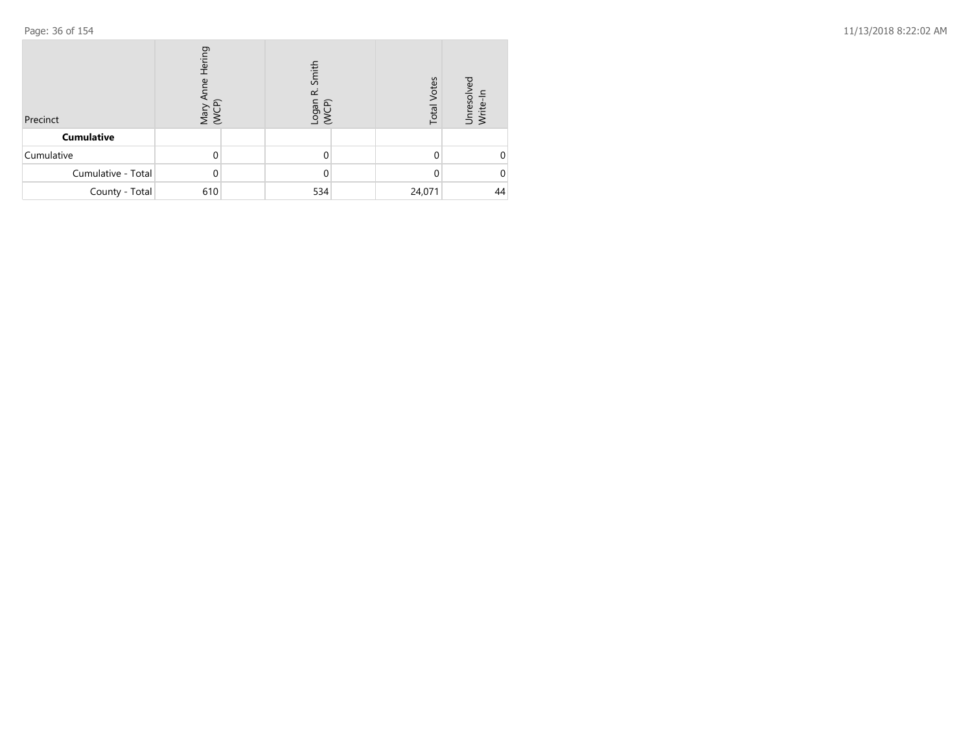| Precinct           | Hering<br>d١<br>Mary<br>(WCP) |  | Smith<br>œ<br>$\widehat{P}$<br>Logan<br>⋛ |  | <b>Total Votes</b> | Unresolved<br>Write-In |
|--------------------|-------------------------------|--|-------------------------------------------|--|--------------------|------------------------|
| <b>Cumulative</b>  |                               |  |                                           |  |                    |                        |
| Cumulative         |                               |  | 0                                         |  |                    |                        |
| Cumulative - Total |                               |  | 0                                         |  |                    |                        |
| County - Total     | 610                           |  | 534                                       |  | 24,071             | 44                     |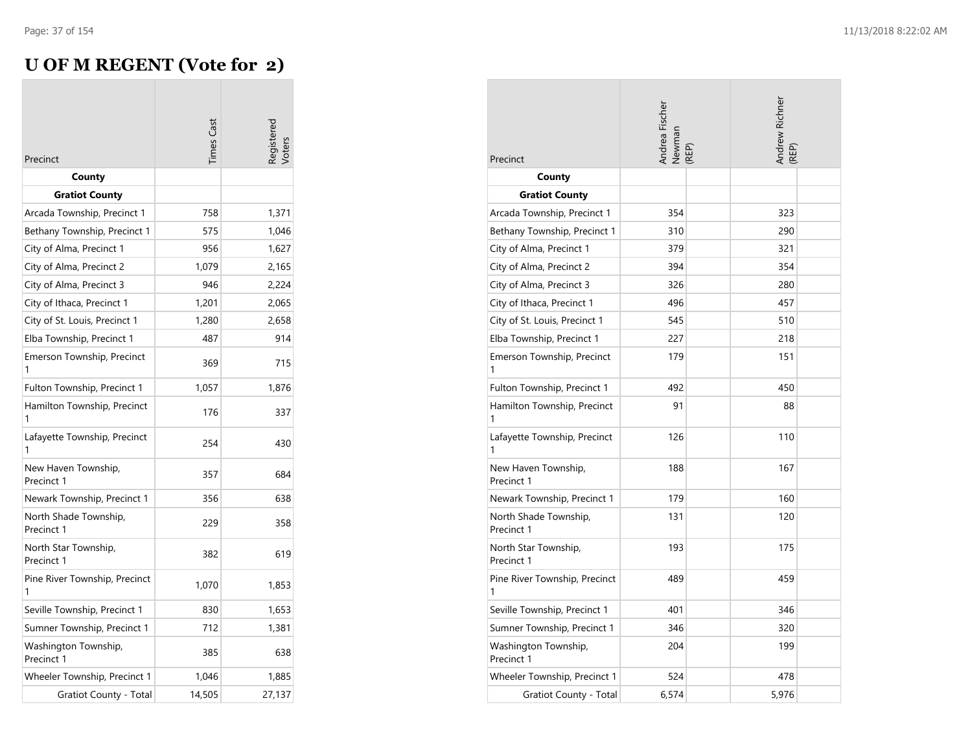#### **U OF M REGENT (Vote for 2)**  $\sim$

| Precinct                            | <b>Times</b> Cast | egistereo<br>'oters |
|-------------------------------------|-------------------|---------------------|
| County                              |                   |                     |
| <b>Gratiot County</b>               |                   |                     |
| Arcada Township, Precinct 1         | 758               | 1,371               |
| Bethany Township, Precinct 1        | 575               | 1,046               |
| City of Alma, Precinct 1            | 956               | 1,627               |
| City of Alma, Precinct 2            | 1,079             | 2,165               |
| City of Alma, Precinct 3            | 946               | 2,224               |
| City of Ithaca, Precinct 1          | 1,201             | 2,065               |
| City of St. Louis, Precinct 1       | 1,280             | 2,658               |
| Elba Township, Precinct 1           | 487               | 914                 |
| Emerson Township, Precinct<br>1     | 369               | 715                 |
| Fulton Township, Precinct 1         | 1,057             | 1,876               |
| Hamilton Township, Precinct<br>1    | 176               | 337                 |
| Lafayette Township, Precinct<br>1   | 254               | 430                 |
| New Haven Township,<br>Precinct 1   | 357               | 684                 |
| Newark Township, Precinct 1         | 356               | 638                 |
| North Shade Township,<br>Precinct 1 | 229               | 358                 |
| North Star Township,<br>Precinct 1  | 382               | 619                 |
| Pine River Township, Precinct<br>1  | 1,070             | 1,853               |
| Seville Township, Precinct 1        | 830               | 1,653               |
| Sumner Township, Precinct 1         | 712               | 1,381               |
| Washington Township,<br>Precinct 1  | 385               | 638                 |
| Wheeler Township, Precinct 1        | 1,046             | 1,885               |
| <b>Gratiot County - Total</b>       | 14,505            | 27,137              |

| Precinct                            | Andrea Fischer<br>Newman<br>(REP) | Andrew Richner<br>(REP) |
|-------------------------------------|-----------------------------------|-------------------------|
| County                              |                                   |                         |
| <b>Gratiot County</b>               |                                   |                         |
| Arcada Township, Precinct 1         | 354                               | 323                     |
| Bethany Township, Precinct 1        | 310                               | 290                     |
| City of Alma, Precinct 1            | 379                               | 321                     |
| City of Alma, Precinct 2            | 394                               | 354                     |
| City of Alma, Precinct 3            | 326                               | 280                     |
| City of Ithaca, Precinct 1          | 496                               | 457                     |
| City of St. Louis, Precinct 1       | 545                               | 510                     |
| Elba Township, Precinct 1           | 227                               | 218                     |
| Emerson Township, Precinct<br>1     | 179                               | 151                     |
| Fulton Township, Precinct 1         | 492                               | 450                     |
| Hamilton Township, Precinct<br>1    | 91                                | 88                      |
| Lafayette Township, Precinct        | 126                               | 110                     |
| New Haven Township,<br>Precinct 1   | 188                               | 167                     |
| Newark Township, Precinct 1         | 179                               | 160                     |
| North Shade Township,<br>Precinct 1 | 131                               | 120                     |
| North Star Township,<br>Precinct 1  | 193                               | 175                     |
| Pine River Township, Precinct<br>1  | 489                               | 459                     |
| Seville Township, Precinct 1        | 401                               | 346                     |
| Sumner Township, Precinct 1         | 346                               | 320                     |
| Washington Township,<br>Precinct 1  | 204                               | 199                     |
| Wheeler Township, Precinct 1        | 524                               | 478                     |
| <b>Gratiot County - Total</b>       | 6,574                             | 5,976                   |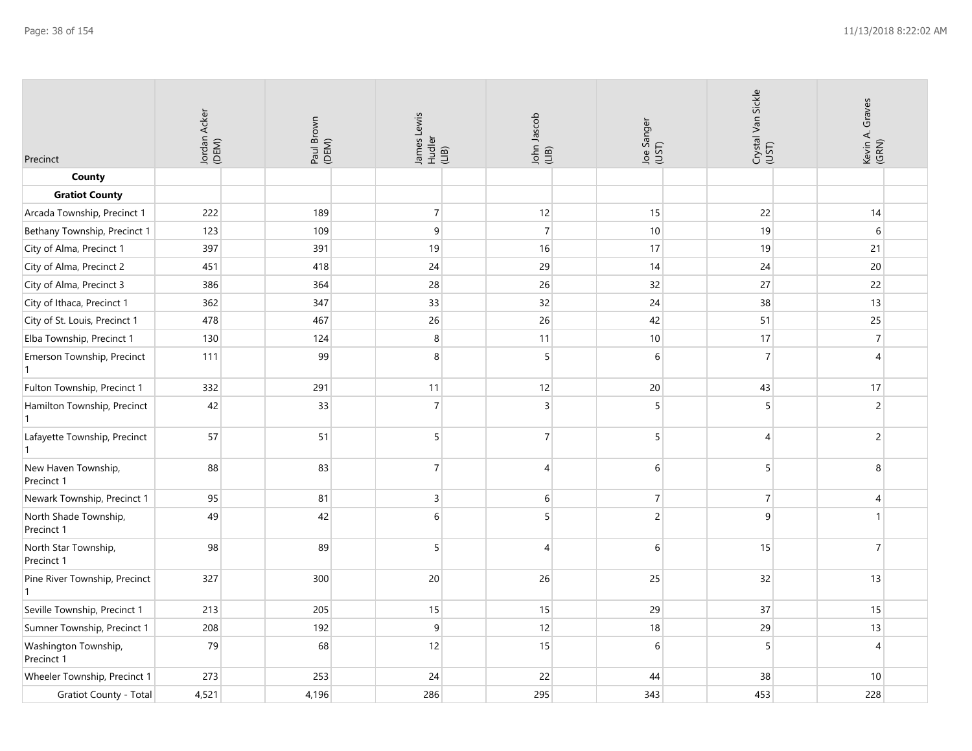| Precinct                            | Jordan Acker<br>(DEM) | Paul Brown<br>(DEM) | James Lewis<br>Hudler<br>(LIB) | John Jascob<br>(LIB) | Joe Sanger<br>(UST) | Crystal Van Sickle<br>(UST) | Kevin A. Graves<br>(GRN) |
|-------------------------------------|-----------------------|---------------------|--------------------------------|----------------------|---------------------|-----------------------------|--------------------------|
| County                              |                       |                     |                                |                      |                     |                             |                          |
| <b>Gratiot County</b>               |                       |                     |                                |                      |                     |                             |                          |
| Arcada Township, Precinct 1         | 222                   | 189                 | $\overline{\mathcal{I}}$       | 12                   | 15                  | 22                          | 14                       |
| Bethany Township, Precinct 1        | 123                   | 109                 | $\boldsymbol{9}$               | $\overline{7}$       | $10\,$              | 19                          | $\sqrt{6}$               |
| City of Alma, Precinct 1            | 397                   | 391                 | 19                             | 16                   | 17                  | 19                          | 21                       |
| City of Alma, Precinct 2            | 451                   | 418                 | 24                             | 29                   | 14                  | 24                          | 20                       |
| City of Alma, Precinct 3            | 386                   | 364                 | 28                             | 26                   | 32                  | 27                          | 22                       |
| City of Ithaca, Precinct 1          | 362                   | 347                 | 33                             | 32                   | 24                  | 38                          | 13                       |
| City of St. Louis, Precinct 1       | 478                   | 467                 | 26                             | 26                   | 42                  | 51                          | 25                       |
| Elba Township, Precinct 1           | 130                   | 124                 | $\bf 8$                        | 11                   | 10                  | 17                          | $\sqrt{7}$               |
| Emerson Township, Precinct<br>1     | 111                   | 99                  | $\bf 8$                        | $\overline{5}$       | $\sqrt{6}$          | $\overline{7}$              | $\overline{4}$           |
| Fulton Township, Precinct 1         | 332                   | 291                 | 11                             | 12                   | 20                  | 43                          | 17                       |
| Hamilton Township, Precinct<br>-1   | 42                    | 33                  | $\overline{7}$                 | $\overline{3}$       | 5                   | 5                           | $\overline{2}$           |
| Lafayette Township, Precinct        | 57                    | 51                  | 5                              | $\overline{7}$       | 5                   | $\overline{4}$              | $\overline{2}$           |
| New Haven Township,<br>Precinct 1   | 88                    | 83                  | $\overline{\mathcal{I}}$       | $\overline{4}$       | $\sqrt{6}$          | 5                           | $\bf 8$                  |
| Newark Township, Precinct 1         | 95                    | 81                  | $\overline{3}$                 | $\,$ 6 $\,$          | $\boldsymbol{7}$    | $\overline{7}$              | $\overline{4}$           |
| North Shade Township,<br>Precinct 1 | 49                    | 42                  | 6                              | 5                    | $\overline{c}$      | 9                           | $\mathbf{1}$             |
| North Star Township,<br>Precinct 1  | 98                    | 89                  | 5                              | $\overline{4}$       | $\,$ 6              | 15                          | $\overline{7}$           |
| Pine River Township, Precinct       | 327                   | 300                 | 20                             | 26                   | 25                  | 32                          | 13                       |
| Seville Township, Precinct 1        | 213                   | 205                 | 15                             | 15                   | 29                  | 37                          | 15                       |
| Sumner Township, Precinct 1         | 208                   | 192                 | 9                              | 12                   | 18                  | 29                          | 13                       |
| Washington Township,<br>Precinct 1  | 79                    | 68                  | 12                             | 15                   | 6                   | 5                           | 4                        |
| Wheeler Township, Precinct 1        | 273                   | 253                 | 24                             | 22                   | 44                  | 38                          | 10                       |
| Gratiot County - Total              | 4,521                 | 4,196               | 286                            | 295                  | 343                 | 453                         | 228                      |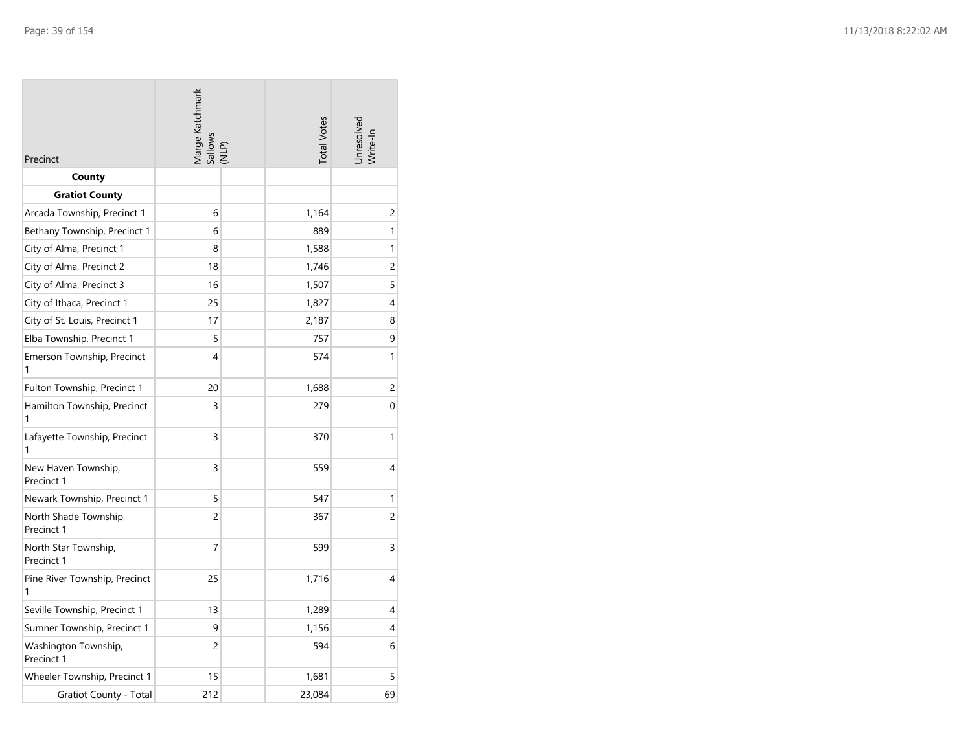| Precinct                            | Marge Katchmark<br>Sallows<br>(NLP) |  | <b>Total Votes</b> | Unresolved<br>Write-In |
|-------------------------------------|-------------------------------------|--|--------------------|------------------------|
| County                              |                                     |  |                    |                        |
| <b>Gratiot County</b>               |                                     |  |                    |                        |
| Arcada Township, Precinct 1         | 6                                   |  | 1,164              | 2                      |
| Bethany Township, Precinct 1        | 6                                   |  | 889                | 1                      |
| City of Alma, Precinct 1            | 8                                   |  | 1,588              | 1                      |
| City of Alma, Precinct 2            | 18                                  |  | 1,746              | 2                      |
| City of Alma, Precinct 3            | 16                                  |  | 1,507              | 5                      |
| City of Ithaca, Precinct 1          | 25                                  |  | 1,827              | 4                      |
| City of St. Louis, Precinct 1       | 17                                  |  | 2,187              | 8                      |
| Elba Township, Precinct 1           | 5                                   |  | 757                | 9                      |
| Emerson Township, Precinct<br>1     | 4                                   |  | 574                | 1                      |
| Fulton Township, Precinct 1         | 20                                  |  | 1,688              | 2                      |
| Hamilton Township, Precinct<br>1    | 3                                   |  | 279                | 0                      |
| Lafayette Township, Precinct<br>1   | 3                                   |  | 370                | 1                      |
| New Haven Township,<br>Precinct 1   | 3                                   |  | 559                | 4                      |
| Newark Township, Precinct 1         | 5                                   |  | 547                | 1                      |
| North Shade Township,<br>Precinct 1 | $\overline{c}$                      |  | 367                | 2                      |
| North Star Township,<br>Precinct 1  | 7                                   |  | 599                | 3                      |
| Pine River Township, Precinct<br>1  | 25                                  |  | 1,716              | 4                      |
| Seville Township, Precinct 1        | 13                                  |  | 1,289              | 4                      |
| Sumner Township, Precinct 1         | 9                                   |  | 1,156              | 4                      |
| Washington Township,<br>Precinct 1  | $\overline{c}$                      |  | 594                | 6                      |
| Wheeler Township, Precinct 1        | 15                                  |  | 1,681              | 5                      |
| Gratiot County - Total              | 212                                 |  | 23,084             | 69                     |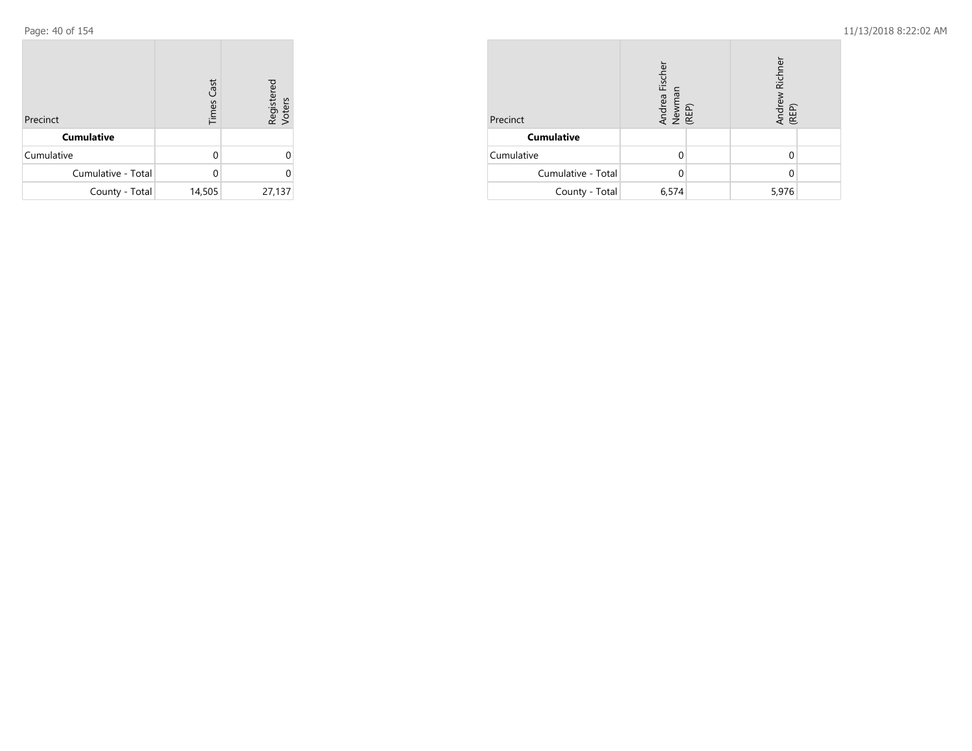| Precinct           | <b>Times Cast</b> | Registered<br>Voters |
|--------------------|-------------------|----------------------|
| <b>Cumulative</b>  |                   |                      |
| Cumulative         | O                 |                      |
| Cumulative - Total |                   |                      |
| County - Total     | 14,505            | 27,137               |

| Precinct           | Andrea Fischer<br>Newman<br>(REP) | Richner<br>Andrew<br>(REP) |  |  |
|--------------------|-----------------------------------|----------------------------|--|--|
| <b>Cumulative</b>  |                                   |                            |  |  |
| Cumulative         |                                   |                            |  |  |
| Cumulative - Total |                                   |                            |  |  |
| County - Total     | 6,574                             | 5,976                      |  |  |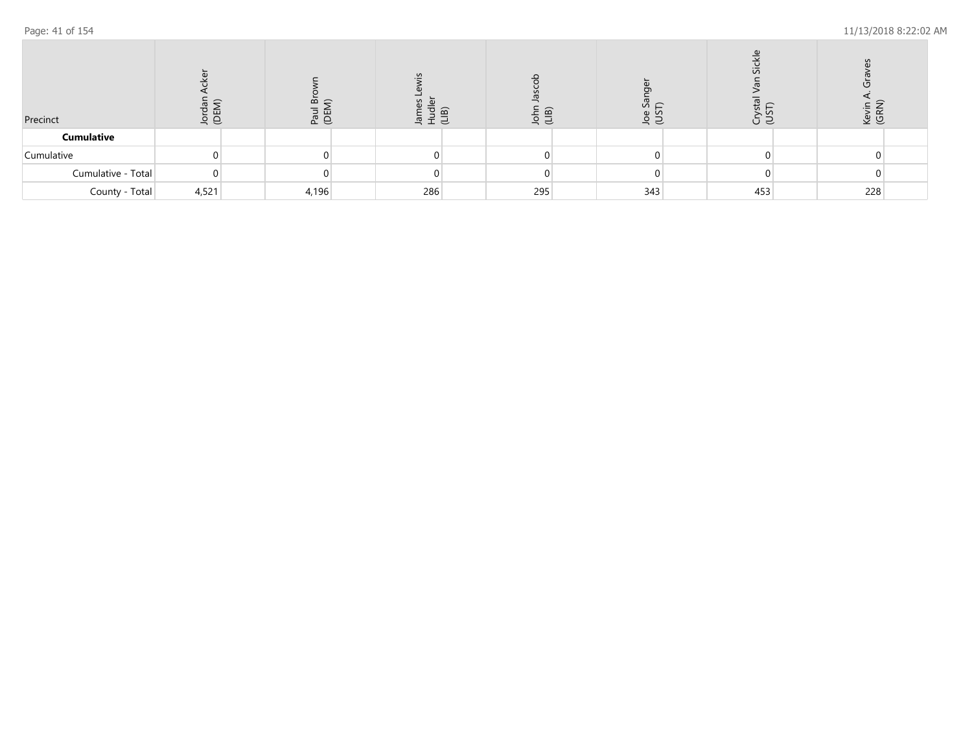| Precinct           | ᠊ᢐ<br>こうしょう うくり うちょう うちょう | 忌     | 흑   | $\sim$<br>≂ | 5 F | Φ<br>ng S | $\mathcal{L}$<br>ここ | S<br>ଟି ବି |  |
|--------------------|---------------------------|-------|-----|-------------|-----|-----------|---------------------|------------|--|
| <b>Cumulative</b>  |                           |       |     |             |     |           |                     |            |  |
| Cumulative         |                           |       |     |             |     |           |                     |            |  |
| Cumulative - Total |                           |       |     |             |     |           |                     |            |  |
| County - Total     | 4,521                     | 4,196 | 286 |             | 295 | 343       | 453                 | 228        |  |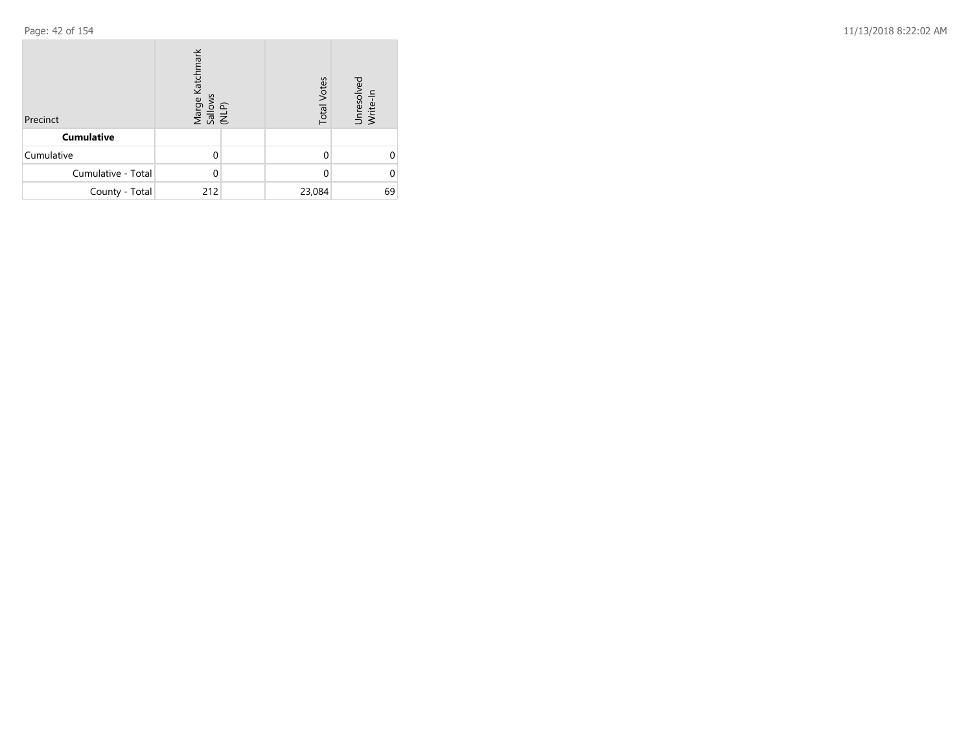| Precinct           | Marge Katchmark<br>Sallows<br>(NLP) | <b>Total Votes</b> | Unresolved<br>Write-In |
|--------------------|-------------------------------------|--------------------|------------------------|
| <b>Cumulative</b>  |                                     |                    |                        |
| Cumulative         |                                     |                    |                        |
| Cumulative - Total |                                     |                    |                        |
| County - Total     | 212                                 | 23,084             | 69                     |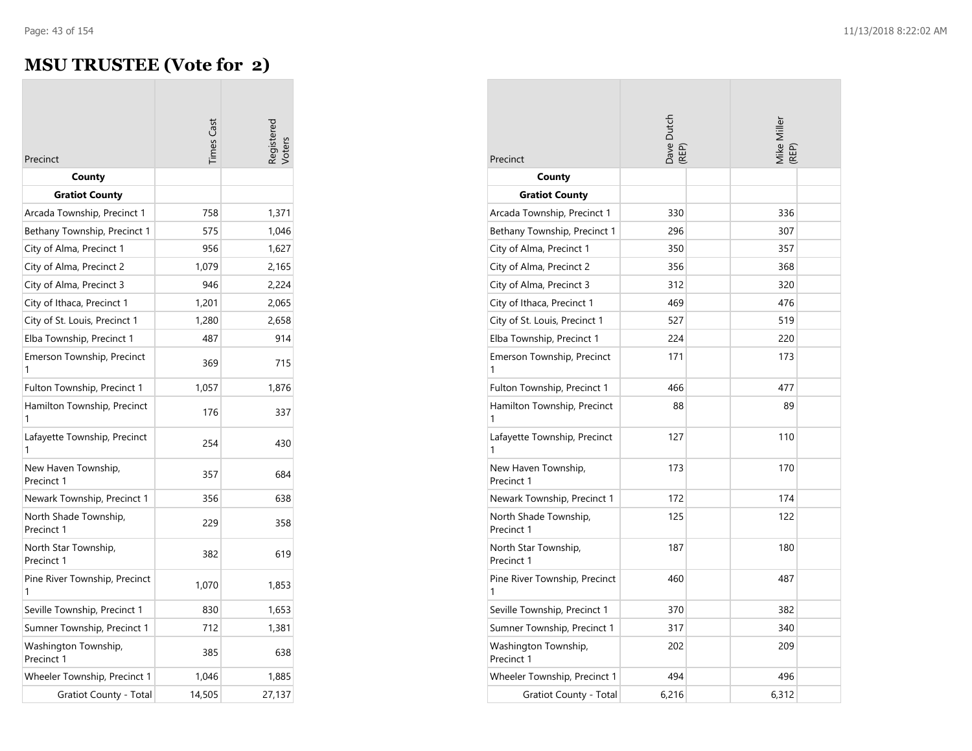$\sim$ 

#### **MSU TRUSTEE (Vote for 2)**

|                                     | <b>imes</b> Cast | egisterec<br>'oters |
|-------------------------------------|------------------|---------------------|
| Precinct                            |                  |                     |
| County<br><b>Gratiot County</b>     |                  |                     |
| Arcada Township, Precinct 1         | 758              | 1,371               |
| Bethany Township, Precinct 1        | 575              | 1,046               |
| City of Alma, Precinct 1            | 956              | 1,627               |
| City of Alma, Precinct 2            | 1,079            | 2,165               |
| City of Alma, Precinct 3            | 946              | 2,224               |
| City of Ithaca, Precinct 1          | 1,201            | 2,065               |
| City of St. Louis, Precinct 1       | 1,280            | 2,658               |
| Elba Township, Precinct 1           | 487              | 914                 |
| Emerson Township, Precinct          |                  |                     |
| 1                                   | 369              | 715                 |
| Fulton Township, Precinct 1         | 1,057            | 1,876               |
| Hamilton Township, Precinct<br>1    | 176              | 337                 |
| Lafayette Township, Precinct<br>1   | 254              | 430                 |
| New Haven Township,<br>Precinct 1   | 357              | 684                 |
| Newark Township, Precinct 1         | 356              | 638                 |
| North Shade Township,<br>Precinct 1 | 229              | 358                 |
| North Star Township,<br>Precinct 1  | 382              | 619                 |
| Pine River Township, Precinct<br>1  | 1,070            | 1,853               |
| Seville Township, Precinct 1        | 830              | 1,653               |
| Sumner Township, Precinct 1         | 712              | 1,381               |
| Washington Township,<br>Precinct 1  | 385              | 638                 |
| Wheeler Township, Precinct 1        | 1,046            | 1,885               |
| <b>Gratiot County - Total</b>       | 14,505           | 27,137              |

| Precinct                            | Dave Dutch<br>(REP) | Mike Miller<br>(REP) |
|-------------------------------------|---------------------|----------------------|
| County                              |                     |                      |
| <b>Gratiot County</b>               |                     |                      |
| Arcada Township, Precinct 1         | 330                 | 336                  |
| Bethany Township, Precinct 1        | 296                 | 307                  |
| City of Alma, Precinct 1            | 350                 | 357                  |
| City of Alma, Precinct 2            | 356                 | 368                  |
| City of Alma, Precinct 3            | 312                 | 320                  |
| City of Ithaca, Precinct 1          | 469                 | 476                  |
| City of St. Louis, Precinct 1       | 527                 | 519                  |
| Elba Township, Precinct 1           | 224                 | 220                  |
| Emerson Township, Precinct          | 171                 | 173                  |
| Fulton Township, Precinct 1         | 466                 | 477                  |
| Hamilton Township, Precinct         | 88                  | 89                   |
| Lafayette Township, Precinct        | 127                 | 110                  |
| New Haven Township,<br>Precinct 1   | 173                 | 170                  |
| Newark Township, Precinct 1         | 172                 | 174                  |
| North Shade Township,<br>Precinct 1 | 125                 | 122                  |
| North Star Township,<br>Precinct 1  | 187                 | 180                  |
| Pine River Township, Precinct<br>1  | 460                 | 487                  |
| Seville Township, Precinct 1        | 370                 | 382                  |
| Sumner Township, Precinct 1         | 317                 | 340                  |
| Washington Township,<br>Precinct 1  | 202                 | 209                  |
| Wheeler Township, Precinct 1        | 494                 | 496                  |
| <b>Gratiot County - Total</b>       | 6,216               | 6,312                |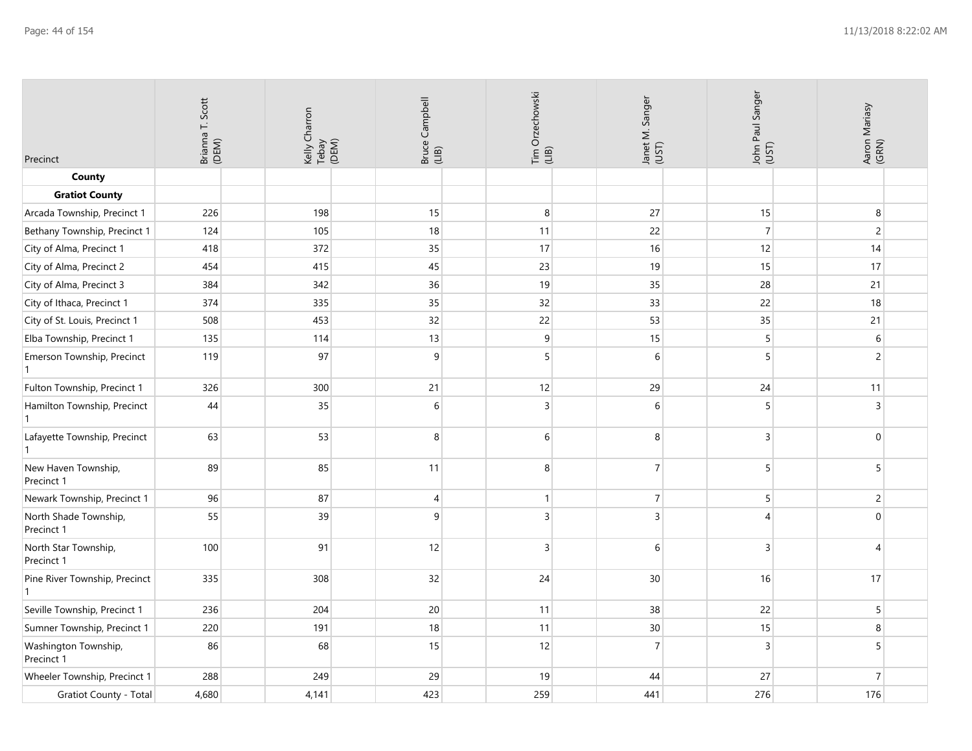| Precinct                                     | Brianna T. Scott<br>(DEM) | Kelly Charron<br>Tebay<br>(DEM) | Bruce Campbell<br>(LIB) | Tim Orzechowski<br>(LIB) | Janet M. Sanger<br>(UST) | John Paul Sanger<br>(UST) | Aaron Mariasy<br>(GRN) |
|----------------------------------------------|---------------------------|---------------------------------|-------------------------|--------------------------|--------------------------|---------------------------|------------------------|
| County                                       |                           |                                 |                         |                          |                          |                           |                        |
| <b>Gratiot County</b>                        | 226                       | 198                             | 15                      | 8                        | 27                       | 15                        | 8                      |
| Arcada Township, Precinct 1                  | 124                       |                                 |                         |                          |                          | $\overline{7}$            |                        |
| Bethany Township, Precinct 1                 |                           | 105                             | 18                      | 11                       | 22                       |                           | $\overline{c}$         |
| City of Alma, Precinct 1                     | 418                       | 372                             | 35                      | 17                       | 16                       | 12                        | 14                     |
| City of Alma, Precinct 2                     | 454                       | 415                             | 45                      | 23                       | 19                       | 15                        | 17                     |
| City of Alma, Precinct 3                     | 384                       | 342                             | 36                      | 19                       | 35                       | 28                        | 21                     |
| City of Ithaca, Precinct 1                   | 374                       | 335                             | 35                      | 32                       | 33                       | 22                        | 18                     |
| City of St. Louis, Precinct 1                | 508                       | 453                             | 32                      | 22                       | 53                       | 35                        | 21                     |
| Elba Township, Precinct 1                    | 135                       | 114                             | 13                      | $\boldsymbol{9}$         | 15                       | $\sqrt{5}$                | 6                      |
| Emerson Township, Precinct                   | 119                       | 97                              | 9                       | 5                        | 6                        | 5                         | $\overline{c}$         |
| Fulton Township, Precinct 1                  | 326                       | 300                             | 21                      | 12                       | 29                       | 24                        | 11                     |
| Hamilton Township, Precinct                  | 44                        | 35                              | 6                       | $\overline{3}$           | 6                        | 5                         | $\overline{3}$         |
| Lafayette Township, Precinct<br>$\mathbf{1}$ | 63                        | 53                              | 8                       | 6                        | 8                        | $\mathbf{3}$              | $\mathbf{0}$           |
| New Haven Township,<br>Precinct 1            | 89                        | 85                              | 11                      | 8                        | $\overline{7}$           | 5                         | 5                      |
| Newark Township, Precinct 1                  | 96                        | 87                              | 4                       | $\mathbf{1}$             | $\overline{7}$           | $\overline{5}$            | $\overline{c}$         |
| North Shade Township,<br>Precinct 1          | 55                        | 39                              | 9                       | $\overline{3}$           | $\overline{3}$           | $\overline{4}$            | $\Omega$               |
| North Star Township,<br>Precinct 1           | 100                       | 91                              | 12                      | $\overline{3}$           | 6                        | $\overline{3}$            | $\overline{4}$         |
| Pine River Township, Precinct                | 335                       | 308                             | 32                      | 24                       | 30                       | 16                        | 17                     |
| Seville Township, Precinct 1                 | 236                       | 204                             | $20\,$                  | 11                       | 38                       | 22                        | 5                      |
| Sumner Township, Precinct 1                  | 220                       | 191                             | 18                      | 11                       | 30                       | 15                        | 8                      |
| Washington Township,<br>Precinct 1           | 86                        | 68                              | 15                      | 12                       | $\overline{7}$           | $\overline{3}$            | 5                      |
| Wheeler Township, Precinct 1                 | 288                       | 249                             | 29                      | 19                       | 44                       | 27                        | $\overline{7}$         |

Gratiot County - Total 4,680 4,141 423 259 441 276 176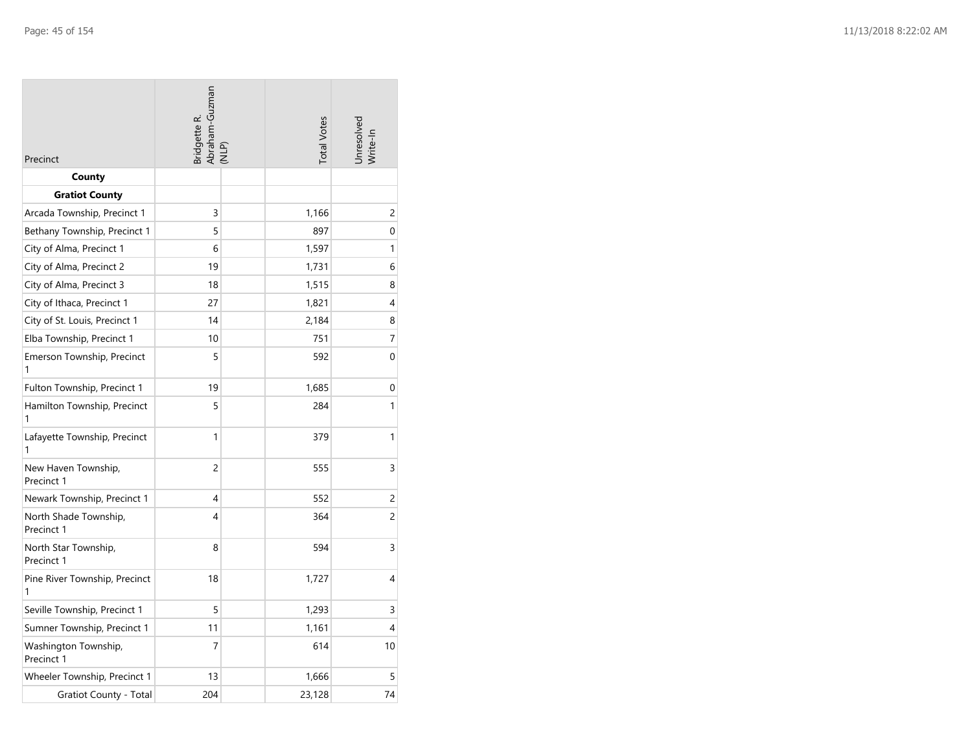| Precinct                            | Bridgette R.<br>Abraham-Guzman<br>(NLP) |  | <b>Total Votes</b> | Unresolved<br>Write-In |
|-------------------------------------|-----------------------------------------|--|--------------------|------------------------|
| County                              |                                         |  |                    |                        |
| <b>Gratiot County</b>               |                                         |  |                    |                        |
| Arcada Township, Precinct 1         | 3                                       |  | 1,166              | 2                      |
| Bethany Township, Precinct 1        | 5                                       |  | 897                | 0                      |
| City of Alma, Precinct 1            | 6                                       |  | 1,597              | 1                      |
| City of Alma, Precinct 2            | 19                                      |  | 1,731              | 6                      |
| City of Alma, Precinct 3            | 18                                      |  | 1,515              | 8                      |
| City of Ithaca, Precinct 1          | 27                                      |  | 1,821              | 4                      |
| City of St. Louis, Precinct 1       | 14                                      |  | 2,184              | 8                      |
| Elba Township, Precinct 1           | 10                                      |  | 751                | 7                      |
| Emerson Township, Precinct<br>1     | 5                                       |  | 592                | 0                      |
| Fulton Township, Precinct 1         | 19                                      |  | 1,685              | 0                      |
| Hamilton Township, Precinct<br>1    | 5                                       |  | 284                | 1                      |
| Lafayette Township, Precinct<br>1   | 1                                       |  | 379                | 1                      |
| New Haven Township,<br>Precinct 1   | $\overline{c}$                          |  | 555                | 3                      |
| Newark Township, Precinct 1         | 4                                       |  | 552                | 2                      |
| North Shade Township,<br>Precinct 1 | 4                                       |  | 364                | $\overline{c}$         |
| North Star Township,<br>Precinct 1  | 8                                       |  | 594                | 3                      |
| Pine River Township, Precinct<br>1  | 18                                      |  | 1,727              | 4                      |
| Seville Township, Precinct 1        | 5                                       |  | 1,293              | 3                      |
| Sumner Township, Precinct 1         | 11                                      |  | 1,161              | 4                      |
| Washington Township,<br>Precinct 1  | $\overline{7}$                          |  | 614                | 10                     |
| Wheeler Township, Precinct 1        | 13                                      |  | 1,666              | 5                      |
| Gratiot County - Total              | 204                                     |  | 23,128             | 74                     |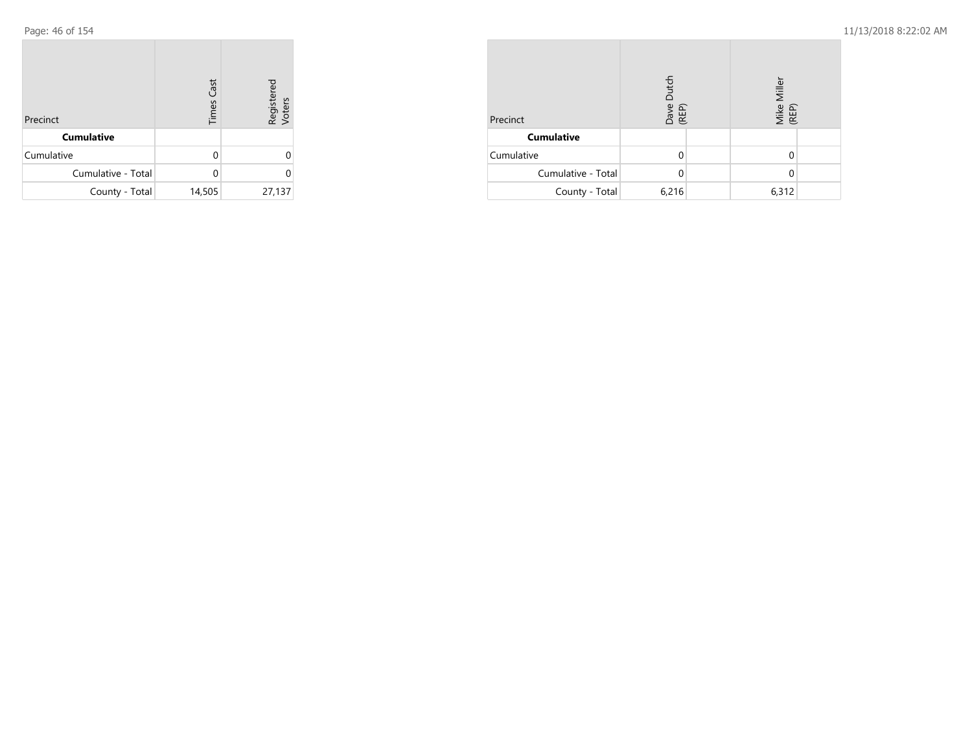| Precinct           | <b>Times Cast</b> | Registered<br>Voters |
|--------------------|-------------------|----------------------|
| <b>Cumulative</b>  |                   |                      |
| Cumulative         | O                 |                      |
| Cumulative - Total | U                 |                      |
| County - Total     | 14,505            | 27,137               |

| Precinct           | Dutch<br>Dave I<br>(REP) | Mike Miller<br>(REP) |  |  |
|--------------------|--------------------------|----------------------|--|--|
| <b>Cumulative</b>  |                          |                      |  |  |
| Cumulative         |                          |                      |  |  |
| Cumulative - Total |                          |                      |  |  |
| County - Total     | 6,216                    | 6,312                |  |  |

п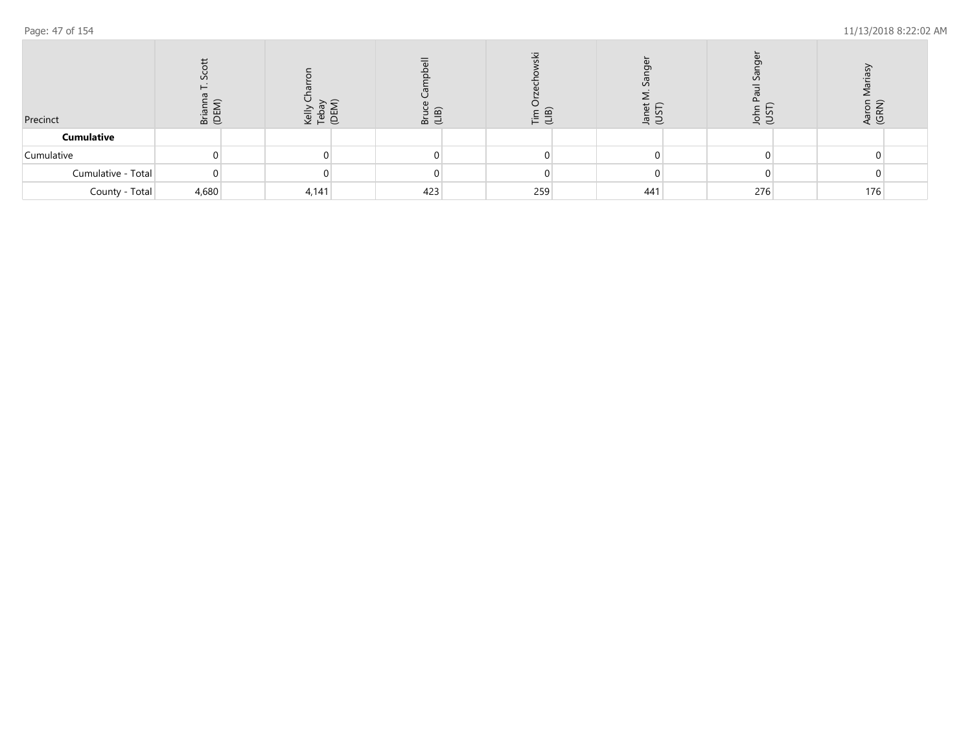| Precinct           | ш<br>조 호 | Velis<br>Tebia<br>QEM | B<br>≂ | = ബ<br>ドビ | S E | ょう  | ই উ |  |
|--------------------|----------|-----------------------|--------|-----------|-----|-----|-----|--|
| <b>Cumulative</b>  |          |                       |        |           |     |     |     |  |
| Cumulative         |          |                       |        |           |     |     |     |  |
| Cumulative - Total |          |                       |        |           |     |     |     |  |
| County - Total     | 4,680    | 4,141                 | 423    | 259       | 441 | 276 | 176 |  |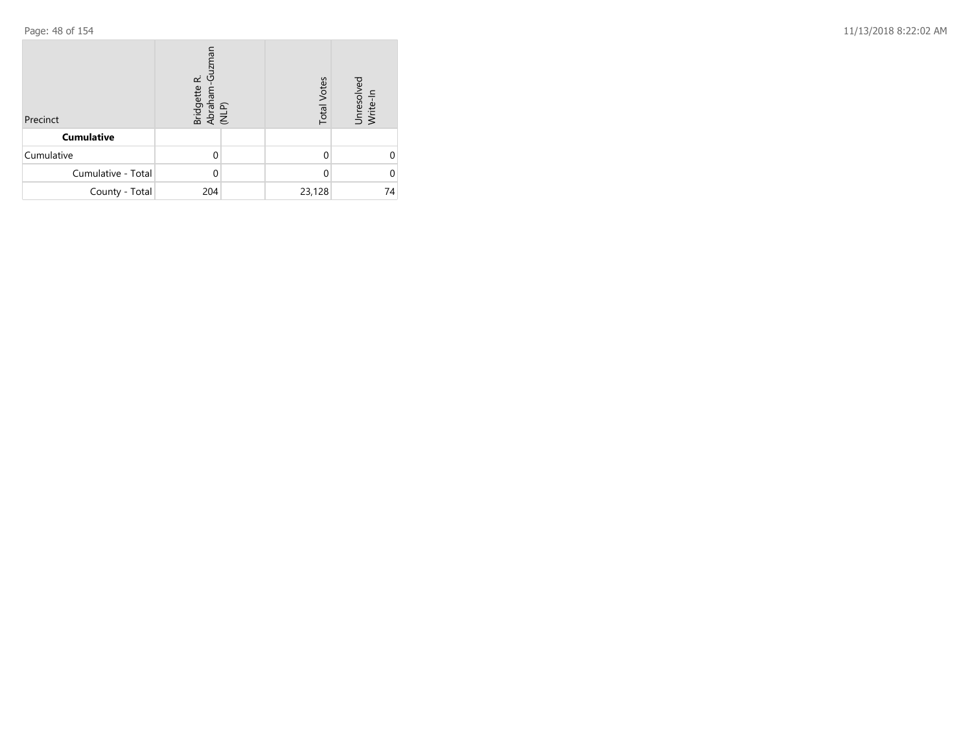| Precinct           | Guzma<br>Bridgette R.<br>Abraham-Gu<br>(NLP) | <b>Total Votes</b> | Unresolved<br>Write-In |
|--------------------|----------------------------------------------|--------------------|------------------------|
| <b>Cumulative</b>  |                                              |                    |                        |
| Cumulative         |                                              |                    |                        |
| Cumulative - Total |                                              |                    |                        |
| County - Total     | 204                                          | 23,128             | 74                     |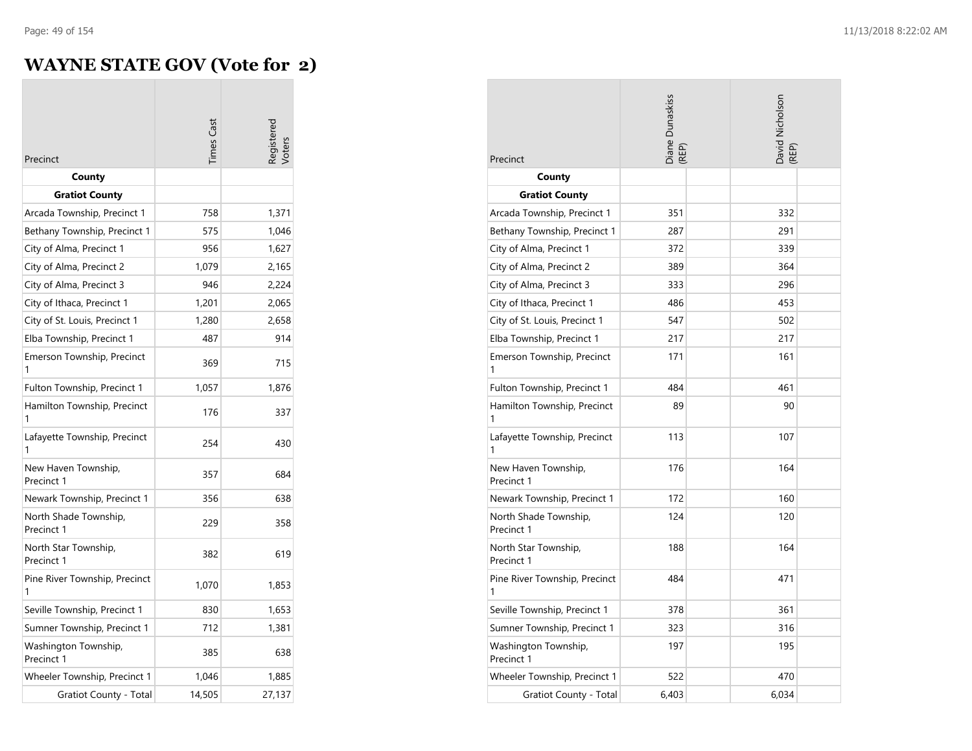#### **WAYNE STATE GOV (Vote for 2)**

|                                     | imes Cast | egistered<br>'oters |
|-------------------------------------|-----------|---------------------|
| Precinct                            |           |                     |
| County<br><b>Gratiot County</b>     |           |                     |
| Arcada Township, Precinct 1         | 758       | 1,371               |
| Bethany Township, Precinct 1        | 575       | 1,046               |
| City of Alma, Precinct 1            | 956       | 1,627               |
|                                     |           |                     |
| City of Alma, Precinct 2            | 1,079     | 2,165               |
| City of Alma, Precinct 3            | 946       | 2,224               |
| City of Ithaca, Precinct 1          | 1,201     | 2,065               |
| City of St. Louis, Precinct 1       | 1,280     | 2,658               |
| Elba Township, Precinct 1           | 487       | 914                 |
| Emerson Township, Precinct<br>1     | 369       | 715                 |
| Fulton Township, Precinct 1         | 1,057     | 1,876               |
| Hamilton Township, Precinct<br>1    | 176       | 337                 |
| Lafayette Township, Precinct<br>1   | 254       | 430                 |
| New Haven Township,<br>Precinct 1   | 357       | 684                 |
| Newark Township, Precinct 1         | 356       | 638                 |
| North Shade Township,<br>Precinct 1 | 229       | 358                 |
| North Star Township,<br>Precinct 1  | 382       | 619                 |
| Pine River Township, Precinct<br>1  | 1,070     | 1,853               |
| Seville Township, Precinct 1        | 830       | 1,653               |
| Sumner Township, Precinct 1         | 712       | 1,381               |
| Washington Township,<br>Precinct 1  | 385       | 638                 |
| Wheeler Township, Precinct 1        | 1,046     | 1,885               |
| <b>Gratiot County - Total</b>       | 14,505    | 27,137              |

| Precinct                            | Diane Dunaskiss<br>(REP) |  | David Nicholson<br>(REP) |  |
|-------------------------------------|--------------------------|--|--------------------------|--|
| County                              |                          |  |                          |  |
| <b>Gratiot County</b>               |                          |  |                          |  |
| Arcada Township, Precinct 1         | 351                      |  | 332                      |  |
| Bethany Township, Precinct 1        | 287                      |  | 291                      |  |
| City of Alma, Precinct 1            | 372                      |  | 339                      |  |
| City of Alma, Precinct 2            | 389                      |  | 364                      |  |
| City of Alma, Precinct 3            | 333                      |  | 296                      |  |
| City of Ithaca, Precinct 1          | 486                      |  | 453                      |  |
| City of St. Louis, Precinct 1       | 547                      |  | 502                      |  |
| Elba Township, Precinct 1           | 217                      |  | 217                      |  |
| Emerson Township, Precinct<br>1     | 171                      |  | 161                      |  |
| Fulton Township, Precinct 1         | 484                      |  | 461                      |  |
| Hamilton Township, Precinct         | 89                       |  | 90                       |  |
| Lafayette Township, Precinct        | 113                      |  | 107                      |  |
| New Haven Township,<br>Precinct 1   | 176                      |  | 164                      |  |
| Newark Township, Precinct 1         | 172                      |  | 160                      |  |
| North Shade Township,<br>Precinct 1 | 124                      |  | 120                      |  |
| North Star Township,<br>Precinct 1  | 188                      |  | 164                      |  |
| Pine River Township, Precinct<br>1  | 484                      |  | 471                      |  |
| Seville Township, Precinct 1        | 378                      |  | 361                      |  |
| Sumner Township, Precinct 1         | 323                      |  | 316                      |  |
| Washington Township,<br>Precinct 1  | 197                      |  | 195                      |  |
| Wheeler Township, Precinct 1        | 522                      |  | 470                      |  |
| Gratiot County - Total              | 6,403                    |  | 6,034                    |  |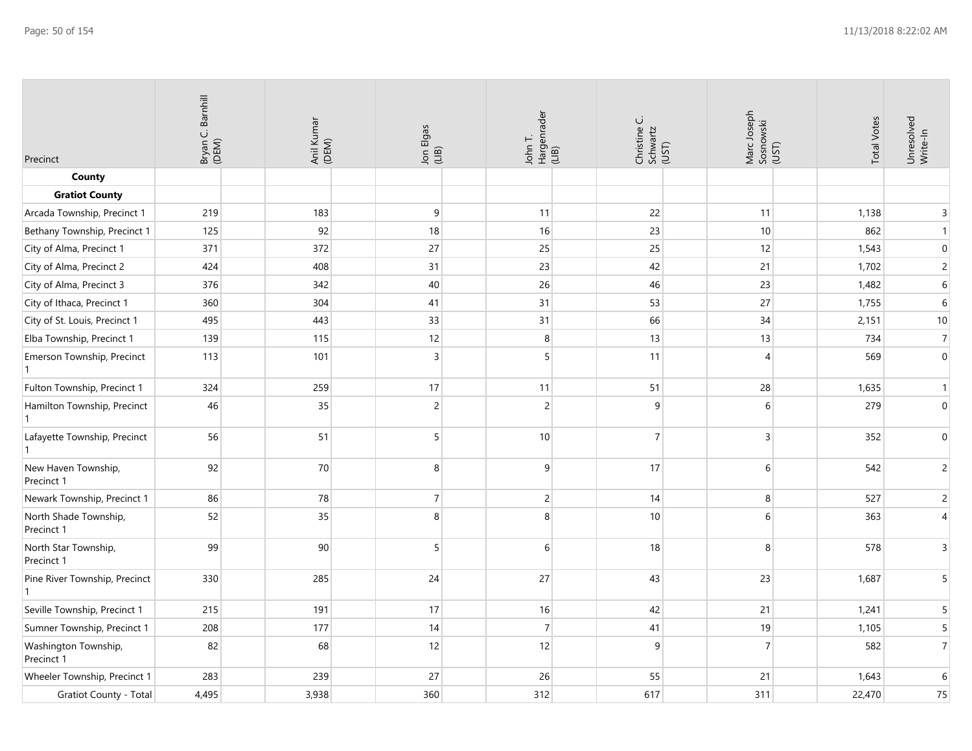| Precinct                                    | Bryan C. Barnhill<br>(DEM) | Anil Kumar<br>(DEM) | Jon Elgas<br>(LIB) | John T.<br>Hargenrader<br>(LIB) | Christine C.<br>Schwartz<br>(UST) | Marc Joseph<br>Sosnowski<br>(UST) | <b>Total Votes</b> | Unresolved<br>Write-In   |
|---------------------------------------------|----------------------------|---------------------|--------------------|---------------------------------|-----------------------------------|-----------------------------------|--------------------|--------------------------|
| County                                      |                            |                     |                    |                                 |                                   |                                   |                    |                          |
| <b>Gratiot County</b>                       |                            |                     |                    |                                 |                                   |                                   |                    |                          |
| Arcada Township, Precinct 1                 | 219                        | 183                 | $\overline{9}$     | 11                              | 22                                | 11                                | 1,138              | $\overline{3}$           |
| Bethany Township, Precinct 1                | 125                        | 92                  | 18                 | 16                              | 23                                | 10                                | 862                | $\mathbf{1}$             |
| City of Alma, Precinct 1                    | 371                        | 372                 | 27                 | 25                              | 25                                | 12                                | 1,543              | $\boldsymbol{0}$         |
| City of Alma, Precinct 2                    | 424                        | 408                 | 31                 | 23                              | 42                                | 21                                | 1,702              | $\overline{c}$           |
| City of Alma, Precinct 3                    | 376                        | 342                 | 40                 | 26                              | 46                                | 23                                | 1,482              | $\sqrt{6}$               |
| City of Ithaca, Precinct 1                  | 360                        | 304                 | 41                 | 31                              | 53                                | 27                                | 1,755              | $\sqrt{6}$               |
| City of St. Louis, Precinct 1               | 495                        | 443                 | 33                 | 31                              | 66                                | 34                                | 2,151              | $10\,$                   |
| Elba Township, Precinct 1                   | 139                        | 115                 | 12                 | 8                               | 13                                | 13                                | 734                | $\boldsymbol{7}$         |
| Emerson Township, Precinct                  | 113                        | 101                 | $\overline{3}$     | 5                               | 11                                | $\overline{4}$                    | 569                | $\boldsymbol{0}$         |
| Fulton Township, Precinct 1                 | 324                        | 259                 | 17                 | 11                              | 51                                | 28                                | 1,635              | $\mathbf{1}$             |
| Hamilton Township, Precinct<br>$\mathbf{1}$ | 46                         | 35                  | $\overline{c}$     | $\overline{c}$                  | 9                                 | 6                                 | 279                | $\mathbf 0$              |
| Lafayette Township, Precinct                | 56                         | 51                  | 5                  | 10                              | $\overline{7}$                    | 3                                 | 352                | $\mathbf{0}$             |
| New Haven Township,<br>Precinct 1           | 92                         | 70                  | 8                  | 9                               | 17                                | 6                                 | 542                | $\overline{2}$           |
| Newark Township, Precinct 1                 | 86                         | 78                  | $\overline{7}$     | $\overline{c}$                  | 14                                | 8                                 | 527                | $\overline{c}$           |
| North Shade Township,<br>Precinct 1         | 52                         | 35                  | 8                  | $\,8\,$                         | 10 <sup>1</sup>                   | 6                                 | 363                | $\overline{4}$           |
| North Star Township,<br>Precinct 1          | 99                         | 90                  | 5                  | $\,6\,$                         | 18                                | 8                                 | 578                | $\overline{3}$           |
| Pine River Township, Precinct               | 330                        | 285                 | 24                 | 27                              | 43                                | 23                                | 1,687              | 5                        |
| Seville Township, Precinct 1                | 215                        | 191                 | 17                 | 16                              | 42                                | 21                                | 1,241              | $\overline{5}$           |
| Sumner Township, Precinct 1                 | 208                        | 177                 | 14                 | $\overline{7}$                  | 41                                | 19                                | 1,105              | $\overline{5}$           |
| Washington Township,<br>Precinct 1          | 82                         | 68                  | 12                 | 12                              | 9                                 | $\overline{7}$                    | 582                | $\overline{\mathcal{I}}$ |
| Wheeler Township, Precinct 1                | 283                        | 239                 | 27                 | 26                              | 55                                | 21                                | 1,643              | 6                        |
| Gratiot County - Total                      | 4,495                      | 3,938               | 360                | 312                             | 617                               | 311                               | 22,470             | 75                       |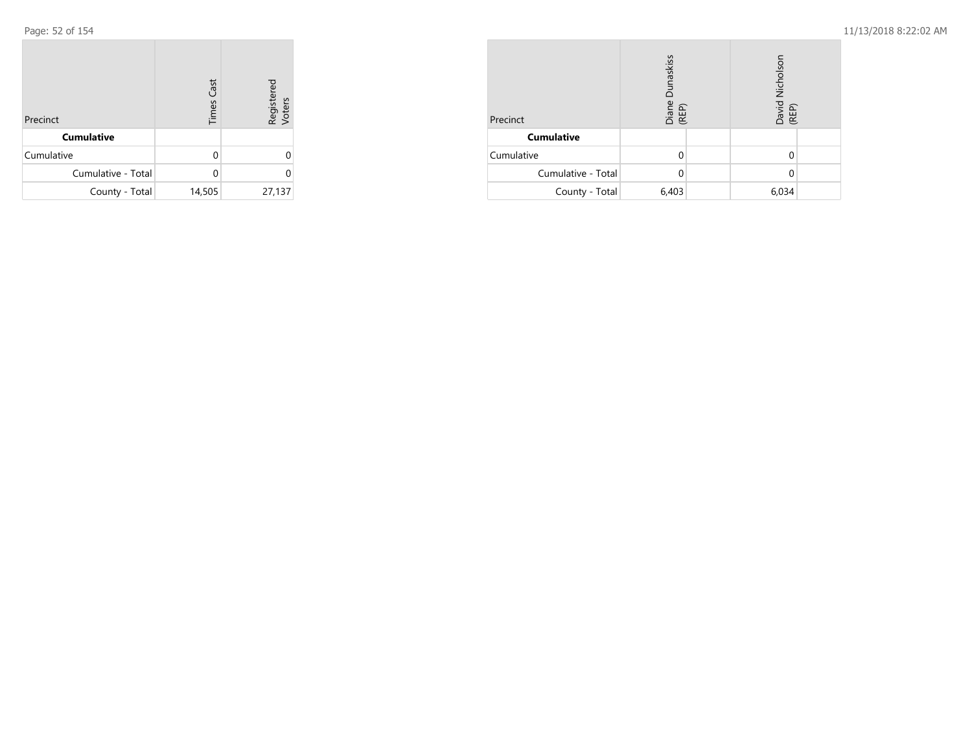| Precinct           | <b>Times Cast</b> | Registered<br>Voters |
|--------------------|-------------------|----------------------|
| <b>Cumulative</b>  |                   |                      |
| Cumulative         | O                 |                      |
| Cumulative - Total | U                 |                      |
| County - Total     | 14,505            | 27,137               |

| Precinct           | Dunaskiss<br>Diane<br>(REP) | David Nicholson<br>(REP) |  |
|--------------------|-----------------------------|--------------------------|--|
| <b>Cumulative</b>  |                             |                          |  |
| Cumulative         | U                           |                          |  |
| Cumulative - Total |                             |                          |  |
| County - Total     | 6,403                       | 6,034                    |  |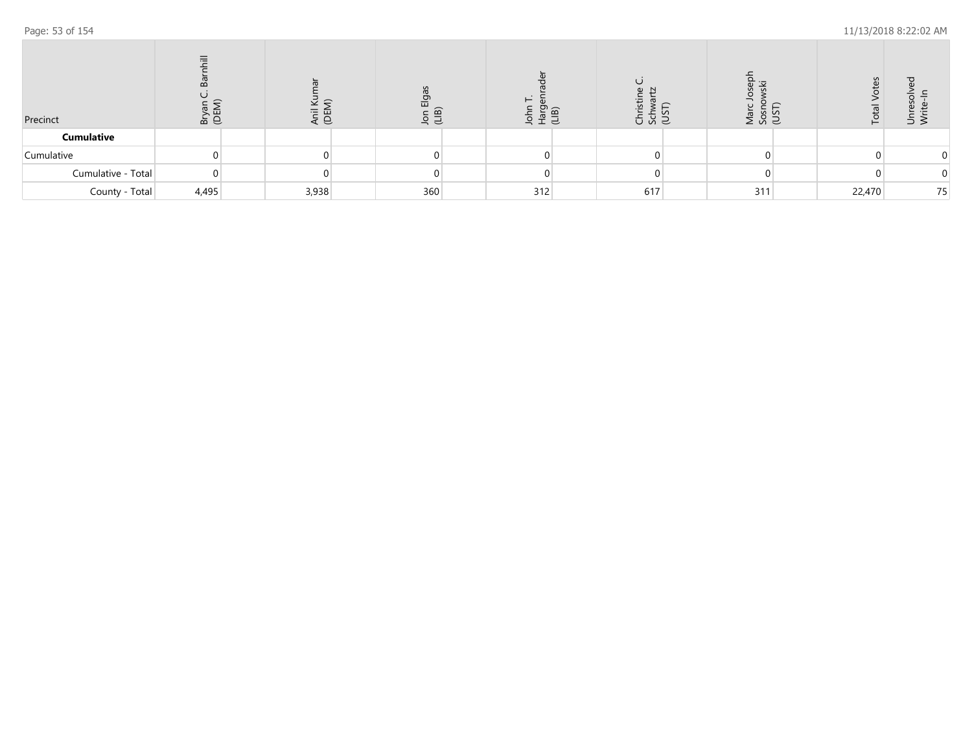| Precinct           | ≡<br>说 오 | $\overline{\overline{c}}$<br>ÜE | Elgas<br>lon<br>(LIB) | ra<br>上<br>上 | ≔<br>(LIB)<br>້ 5 ຮ້ 5 | isr<br>ISL<br>σ<br>$\geq$ 2 $\leq$ | ⊢      | っゞ |
|--------------------|----------|---------------------------------|-----------------------|--------------|------------------------|------------------------------------|--------|----|
| <b>Cumulative</b>  |          |                                 |                       |              |                        |                                    |        |    |
| Cumulative         |          |                                 |                       |              |                        |                                    |        |    |
| Cumulative - Total |          |                                 |                       |              |                        |                                    |        |    |
| County - Total     | 4,495    | 3,938                           | 360                   | 312          | 617                    | 311                                | 22,470 | 75 |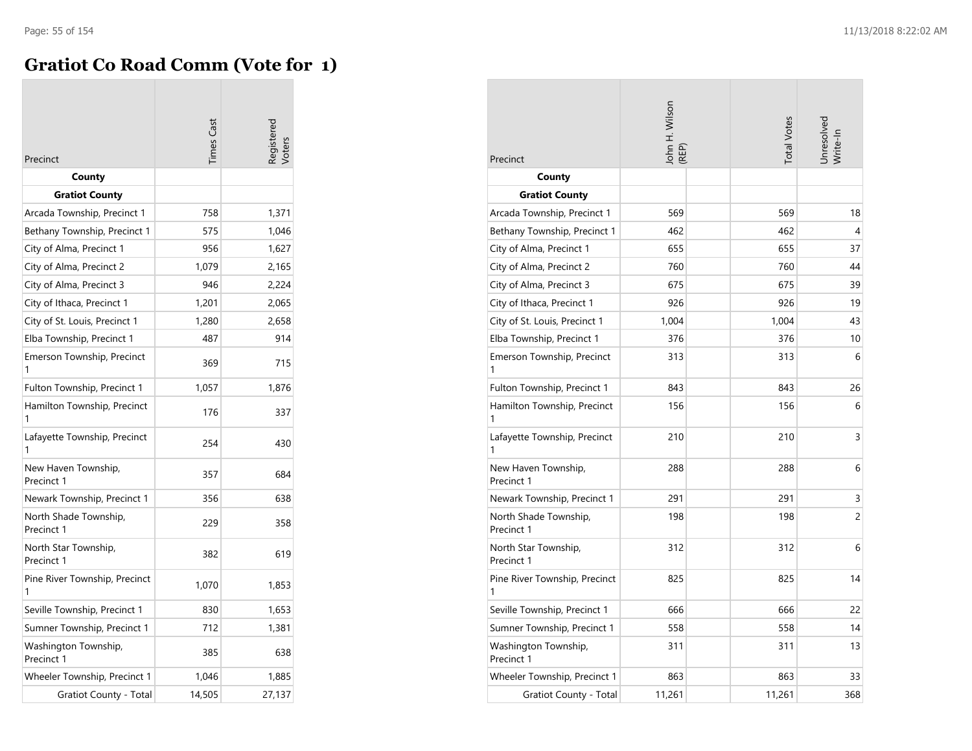#### **Gratiot Co Road Comm (Vote for 1)**

| Precinct                            | <b>Times</b> Cast | egistered |
|-------------------------------------|-------------------|-----------|
| County                              |                   |           |
| <b>Gratiot County</b>               |                   |           |
| Arcada Township, Precinct 1         | 758               | 1,371     |
| Bethany Township, Precinct 1        | 575               | 1,046     |
| City of Alma, Precinct 1            | 956               | 1,627     |
| City of Alma, Precinct 2            | 1,079             | 2,165     |
| City of Alma, Precinct 3            | 946               | 2,224     |
| City of Ithaca, Precinct 1          | 1,201             | 2,065     |
| City of St. Louis, Precinct 1       | 1,280             | 2,658     |
| Elba Township, Precinct 1           | 487               | 914       |
| Emerson Township, Precinct<br>1     | 369               | 715       |
| Fulton Township, Precinct 1         | 1,057             | 1,876     |
| Hamilton Township, Precinct<br>1    | 176               | 337       |
| Lafayette Township, Precinct<br>1   | 254               | 430       |
| New Haven Township,<br>Precinct 1   | 357               | 684       |
| Newark Township, Precinct 1         | 356               | 638       |
| North Shade Township,<br>Precinct 1 | 229               | 358       |
| North Star Township,<br>Precinct 1  | 382               | 619       |
| Pine River Township, Precinct<br>1  | 1,070             | 1,853     |
| Seville Township, Precinct 1        | 830               | 1,653     |
| Sumner Township, Precinct 1         | 712               | 1,381     |
| Washington Township,<br>Precinct 1  | 385               | 638       |
| Wheeler Township, Precinct 1        | 1,046             | 1,885     |
| Gratiot County - Total              | 14,505            | 27,137    |

| Precinct                            | John H. Wilson<br>(REP) | <b>Total Votes</b> | Unresolved<br>Write-In |
|-------------------------------------|-------------------------|--------------------|------------------------|
| County                              |                         |                    |                        |
| <b>Gratiot County</b>               |                         |                    |                        |
| Arcada Township, Precinct 1         | 569                     | 569                | 18                     |
| Bethany Township, Precinct 1        | 462                     | 462                | 4                      |
| City of Alma, Precinct 1            | 655                     | 655                | 37                     |
| City of Alma, Precinct 2            | 760                     | 760                | 44                     |
| City of Alma, Precinct 3            | 675                     | 675                | 39                     |
| City of Ithaca, Precinct 1          | 926                     | 926                | 19                     |
| City of St. Louis, Precinct 1       | 1,004                   | 1,004              | 43                     |
| Elba Township, Precinct 1           | 376                     | 376                | 10                     |
| Emerson Township, Precinct<br>1     | 313                     | 313                | 6                      |
| Fulton Township, Precinct 1         | 843                     | 843                | 26                     |
| Hamilton Township, Precinct<br>1    | 156                     | 156                | 6                      |
| Lafayette Township, Precinct        | 210                     | 210                | 3                      |
| New Haven Township,<br>Precinct 1   | 288                     | 288                | 6                      |
| Newark Township, Precinct 1         | 291                     | 291                | 3                      |
| North Shade Township,<br>Precinct 1 | 198                     | 198                | $\overline{c}$         |
| North Star Township,<br>Precinct 1  | 312                     | 312                | 6                      |
| Pine River Township, Precinct<br>1  | 825                     | 825                | 14                     |
| Seville Township, Precinct 1        | 666                     | 666                | 22                     |
| Sumner Township, Precinct 1         | 558                     | 558                | 14                     |
| Washington Township,<br>Precinct 1  | 311                     | 311                | 13                     |
| Wheeler Township, Precinct 1        | 863                     | 863                | 33                     |
| Gratiot County - Total              | 11,261                  | 11,261             | 368                    |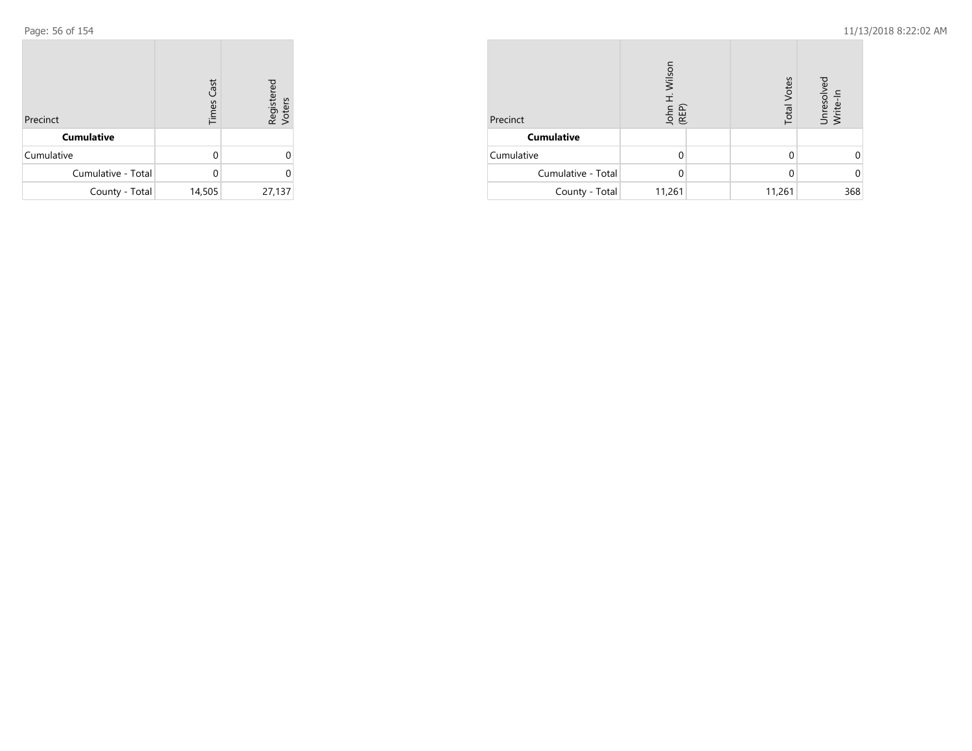| Precinct           | <b>Times Cast</b> | Registered<br>Voters |
|--------------------|-------------------|----------------------|
| <b>Cumulative</b>  |                   |                      |
| Cumulative         | U                 | 0                    |
| Cumulative - Total |                   |                      |
| County - Total     | 14,505            | 27,137               |

| Precinct           | Wilson<br>H<br>John<br>(REP) |  | <b>Total Votes</b> | Unresolved<br>Write-In |
|--------------------|------------------------------|--|--------------------|------------------------|
| <b>Cumulative</b>  |                              |  |                    |                        |
| Cumulative         | U                            |  |                    |                        |
| Cumulative - Total | 0                            |  |                    |                        |
| County - Total     | 11,261                       |  | 11,261             | 368                    |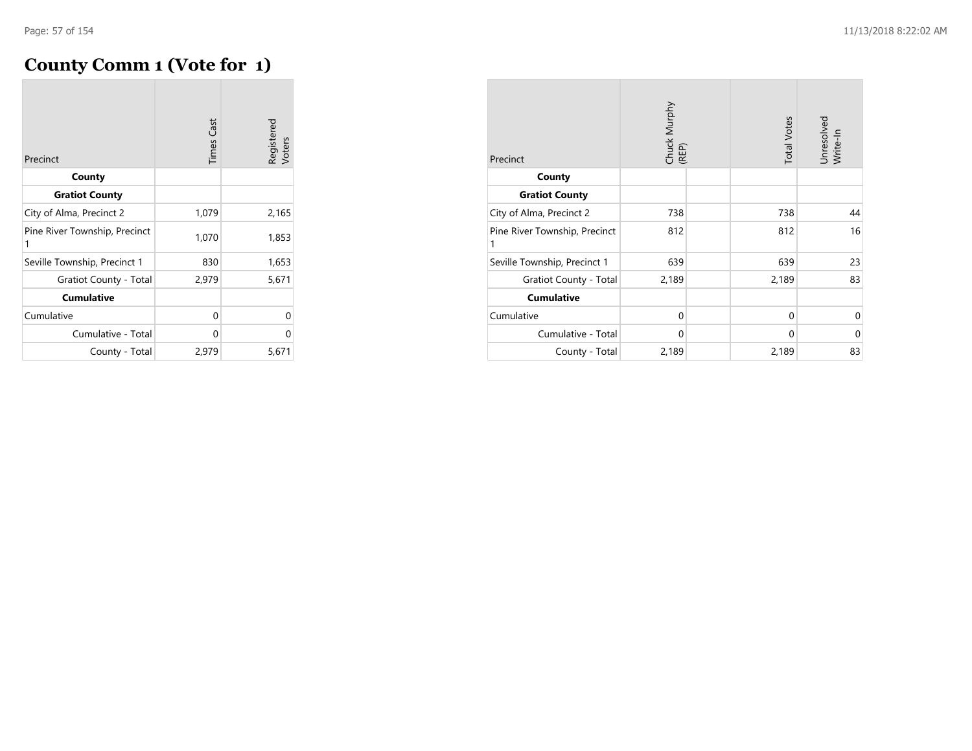#### **County Comm 1 (Vote for 1)**

| Precinct                           | <b>Times Cast</b> | Registered<br>Voters |
|------------------------------------|-------------------|----------------------|
| County                             |                   |                      |
| <b>Gratiot County</b>              |                   |                      |
| City of Alma, Precinct 2           | 1,079             | 2,165                |
| Pine River Township, Precinct<br>1 | 1,070             | 1,853                |
| Seville Township, Precinct 1       | 830               | 1,653                |
| Gratiot County - Total             | 2,979             | 5,671                |
| <b>Cumulative</b>                  |                   |                      |
| Cumulative                         | 0                 | U                    |
| Cumulative - Total                 | 0                 | 0                    |
| County - Total                     | 2,979             | 5,671                |

| Precinct                           | Chuck Murphy<br>(REP) | <b>Total Votes</b> | Unresolved<br>Write-In |
|------------------------------------|-----------------------|--------------------|------------------------|
| County                             |                       |                    |                        |
| <b>Gratiot County</b>              |                       |                    |                        |
| City of Alma, Precinct 2           | 738                   | 738                | 44                     |
| Pine River Township, Precinct<br>1 | 812                   | 812                | 16                     |
| Seville Township, Precinct 1       | 639                   | 639                | 23                     |
| Gratiot County - Total             | 2,189                 | 2,189              | 83                     |
| <b>Cumulative</b>                  |                       |                    |                        |
| Cumulative                         | $\mathbf 0$           | $\mathbf 0$        | 0                      |
| Cumulative - Total                 | 0                     | $\mathbf 0$        | 0                      |
| County - Total                     | 2,189                 | 2,189              | 83                     |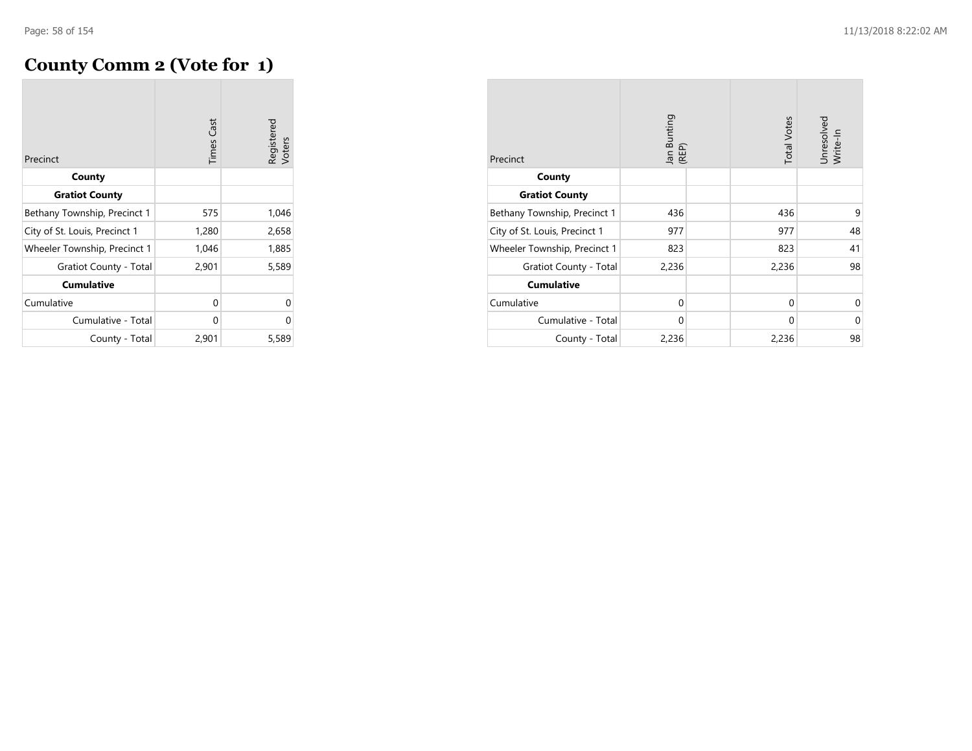# **County Comm 2 (Vote for 1)**

| Precinct                      | <b>Times Cast</b> | Registered<br>Voters |
|-------------------------------|-------------------|----------------------|
| County                        |                   |                      |
| <b>Gratiot County</b>         |                   |                      |
| Bethany Township, Precinct 1  | 575               | 1,046                |
| City of St. Louis, Precinct 1 | 1,280             | 2,658                |
| Wheeler Township, Precinct 1  | 1,046             | 1,885                |
| Gratiot County - Total        | 2,901             | 5,589                |
| <b>Cumulative</b>             |                   |                      |
| Cumulative                    | 0                 | U                    |
| Cumulative - Total            | 0                 | 0                    |
| County - Total                | 2,901             | 5,589                |

| Precinct                      | Jan Bunting<br>(REP) | <b>Total Votes</b> | Unresolved<br>Write-In |
|-------------------------------|----------------------|--------------------|------------------------|
| County                        |                      |                    |                        |
| <b>Gratiot County</b>         |                      |                    |                        |
| Bethany Township, Precinct 1  | 436                  | 436                | 9                      |
| City of St. Louis, Precinct 1 | 977                  | 977                | 48                     |
| Wheeler Township, Precinct 1  | 823                  | 823                | 41                     |
| Gratiot County - Total        | 2,236                | 2,236              | 98                     |
| <b>Cumulative</b>             |                      |                    |                        |
| Cumulative                    | $\mathbf 0$          | 0                  | $\Omega$               |
| Cumulative - Total            | $\mathbf 0$          | $\mathbf 0$        | 0                      |
| County - Total                | 2,236                | 2,236              | 98                     |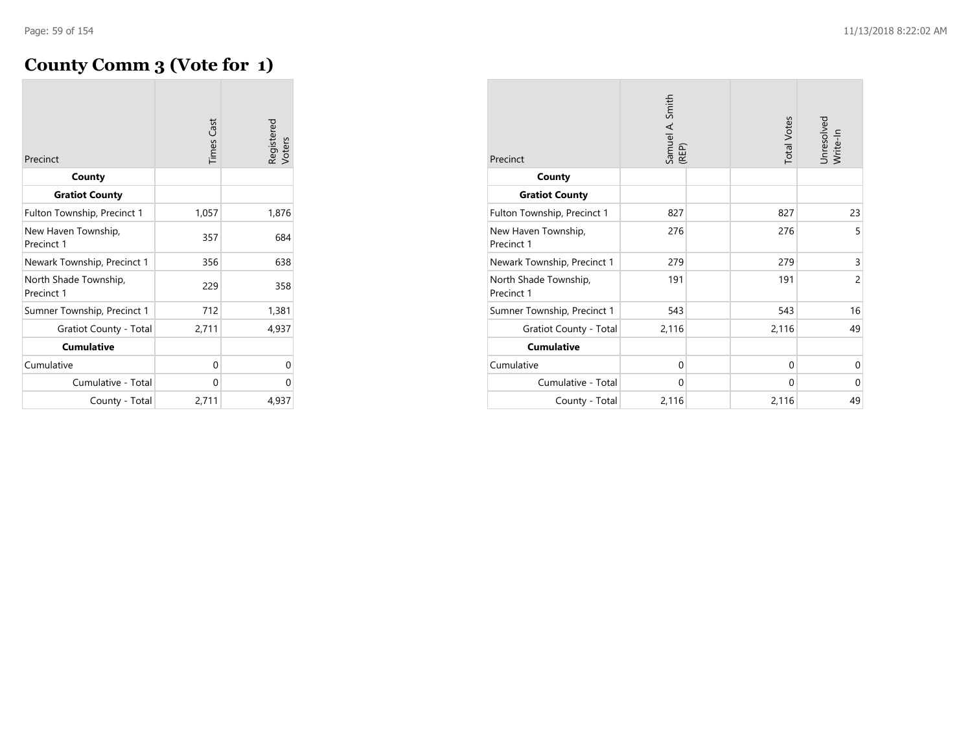# **County Comm 3 (Vote for 1)**

| Precinct                            | <b>Times Cast</b> | Registered<br>Voters |
|-------------------------------------|-------------------|----------------------|
| County                              |                   |                      |
| <b>Gratiot County</b>               |                   |                      |
| Fulton Township, Precinct 1         | 1,057             | 1,876                |
| New Haven Township,<br>Precinct 1   | 357               | 684                  |
| Newark Township, Precinct 1         | 356               | 638                  |
| North Shade Township,<br>Precinct 1 | 229               | 358                  |
| Sumner Township, Precinct 1         | 712               | 1,381                |
| Gratiot County - Total              | 2,711             | 4,937                |
| <b>Cumulative</b>                   |                   |                      |
| Cumulative                          | 0                 | 0                    |
| Cumulative - Total                  | 0                 | 0                    |
| County - Total                      | 2,711             | 4,937                |

| Precinct<br>County                  | Samuel A. Smith<br>(REP) | <b>Total Votes</b> | Unresolved<br>Write-In |
|-------------------------------------|--------------------------|--------------------|------------------------|
| <b>Gratiot County</b>               |                          |                    |                        |
| Fulton Township, Precinct 1         | 827                      | 827                | 23                     |
| New Haven Township,<br>Precinct 1   | 276                      | 276                | 5                      |
| Newark Township, Precinct 1         | 279                      | 279                | 3                      |
| North Shade Township,<br>Precinct 1 | 191                      | 191                | $\overline{2}$         |
| Sumner Township, Precinct 1         | 543                      | 543                | 16                     |
| <b>Gratiot County - Total</b>       | 2,116                    | 2,116              | 49                     |
| <b>Cumulative</b>                   |                          |                    |                        |
| Cumulative                          | $\Omega$                 | $\mathbf 0$        | $\mathbf 0$            |
| Cumulative - Total                  | $\Omega$                 | $\Omega$           | $\Omega$               |
| County - Total                      | 2,116                    | 2,116              | 49                     |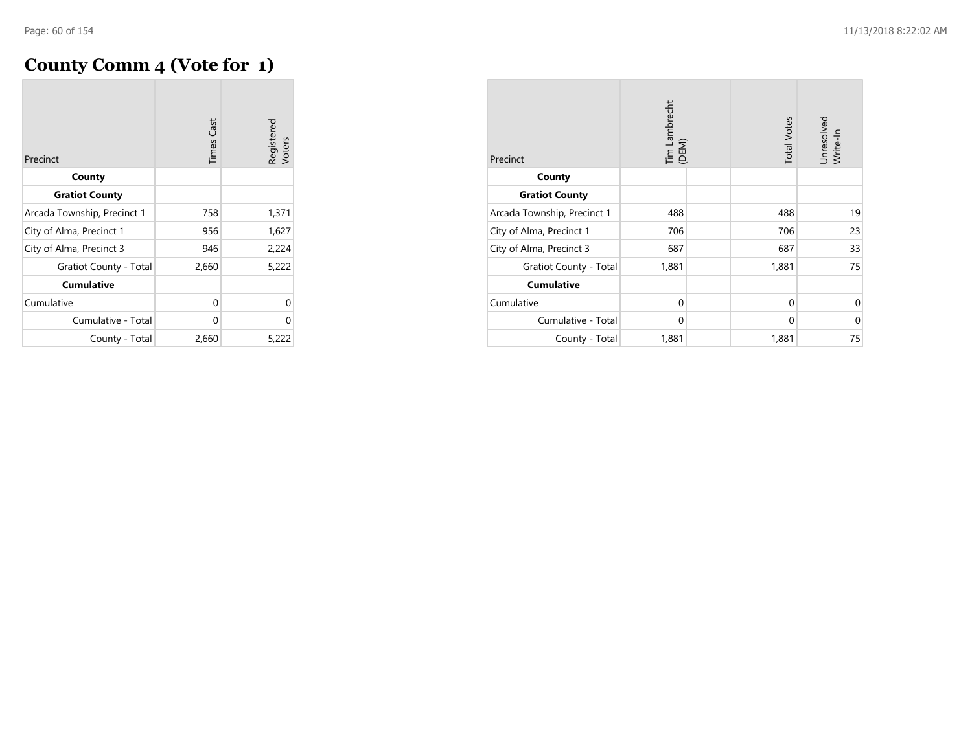#### **County Comm 4 (Vote for 1)**

| Precinct                    | <b>Times Cast</b> | Registered<br>Voters |
|-----------------------------|-------------------|----------------------|
| County                      |                   |                      |
| <b>Gratiot County</b>       |                   |                      |
| Arcada Township, Precinct 1 | 758               | 1,371                |
| City of Alma, Precinct 1    | 956               | 1,627                |
| City of Alma, Precinct 3    | 946               | 2,224                |
| Gratiot County - Total      | 2,660             | 5,222                |
| <b>Cumulative</b>           |                   |                      |
| Cumulative                  | 0                 | $\Omega$             |
| Cumulative - Total          | 0                 | 0                    |
| County - Total              | 2,660             | 5,222                |

| Precinct                    | Tim Lambrecht<br>(DEM) | <b>Total Votes</b> | Unresolved<br>Write-In |
|-----------------------------|------------------------|--------------------|------------------------|
| County                      |                        |                    |                        |
| <b>Gratiot County</b>       |                        |                    |                        |
| Arcada Township, Precinct 1 | 488                    | 488                | 19                     |
| City of Alma, Precinct 1    | 706                    | 706                | 23                     |
| City of Alma, Precinct 3    | 687                    | 687                | 33                     |
| Gratiot County - Total      | 1,881                  | 1,881              | 75                     |
| <b>Cumulative</b>           |                        |                    |                        |
| Cumulative                  | $\Omega$               | 0                  | $\Omega$               |
| Cumulative - Total          | $\mathbf 0$            | $\mathbf 0$        | 0                      |
| County - Total              | 1,881                  | 1,881              | 75                     |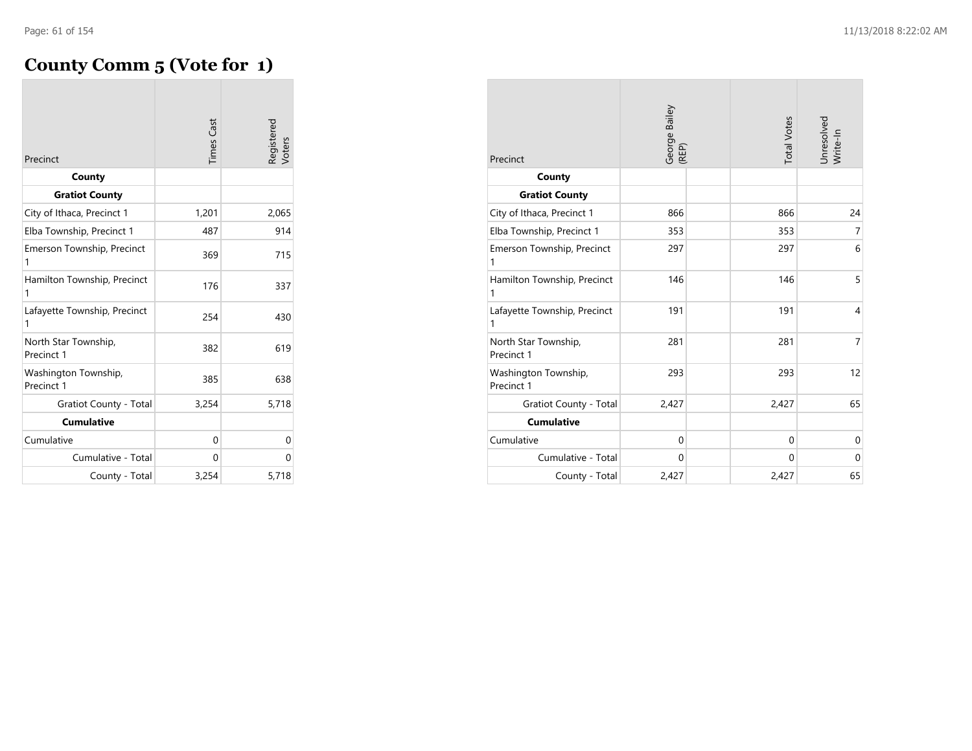# **County Comm 5 (Vote for 1)**

| Precinct                           | <b>Times Cast</b> | Registered<br>Voters |
|------------------------------------|-------------------|----------------------|
| County                             |                   |                      |
| <b>Gratiot County</b>              |                   |                      |
| City of Ithaca, Precinct 1         | 1,201             | 2,065                |
| Elba Township, Precinct 1          | 487               | 914                  |
| Emerson Township, Precinct<br>1    | 369               | 715                  |
| Hamilton Township, Precinct<br>1   | 176               | 337                  |
| Lafayette Township, Precinct<br>1  | 254               | 430                  |
| North Star Township,<br>Precinct 1 | 382               | 619                  |
| Washington Township,<br>Precinct 1 | 385               | 638                  |
| Gratiot County - Total             | 3,254             | 5,718                |
| <b>Cumulative</b>                  |                   |                      |
| Cumulative                         | $\Omega$          | 0                    |
| Cumulative - Total                 | 0                 | 0                    |
| County - Total                     | 3,254             | 5,718                |

| Precinct                                    | George Bailey<br>(REP) | <b>Total Votes</b> | Unresolved<br>Write-In |
|---------------------------------------------|------------------------|--------------------|------------------------|
| County                                      |                        |                    |                        |
| <b>Gratiot County</b>                       |                        |                    |                        |
| City of Ithaca, Precinct 1                  | 866                    | 866                | 24                     |
| Elba Township, Precinct 1                   | 353                    | 353                | 7                      |
| Emerson Township, Precinct<br>1             | 297                    | 297                | 6                      |
| Hamilton Township, Precinct<br>$\mathbf{1}$ | 146                    | 146                | 5                      |
| Lafayette Township, Precinct<br>1           | 191                    | 191                | $\overline{4}$         |
| North Star Township,<br>Precinct 1          | 281                    | 281                | $\overline{7}$         |
| Washington Township,<br>Precinct 1          | 293                    | 293                | 12                     |
| <b>Gratiot County - Total</b>               | 2,427                  | 2,427              | 65                     |
| <b>Cumulative</b>                           |                        |                    |                        |
| Cumulative                                  | $\Omega$               | $\Omega$           | $\mathbf 0$            |
| Cumulative - Total                          | $\mathbf 0$            | $\Omega$           | $\mathbf 0$            |
| County - Total                              | 2,427                  | 2,427              | 65                     |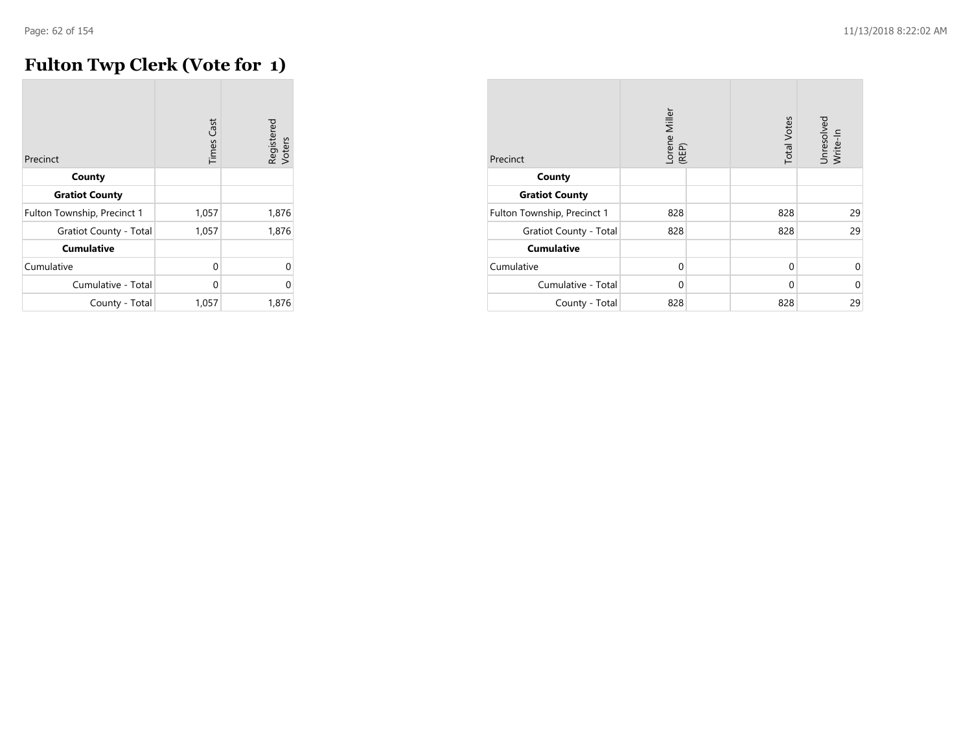# **Fulton Twp Clerk (Vote for 1)**

| Precinct                    | <b>Times Cast</b> | Registered<br>Voters |
|-----------------------------|-------------------|----------------------|
| County                      |                   |                      |
| <b>Gratiot County</b>       |                   |                      |
| Fulton Township, Precinct 1 | 1,057             | 1,876                |
| Gratiot County - Total      | 1,057             | 1,876                |
| <b>Cumulative</b>           |                   |                      |
| Cumulative                  | $\Omega$          |                      |
| Cumulative - Total          | $\Omega$          |                      |
| County - Total              | 1,057             | 1,876                |

| Precinct                      | Lorene Miller<br>(REP) | <b>Total Votes</b> | Unresolved<br>Write-In |
|-------------------------------|------------------------|--------------------|------------------------|
| County                        |                        |                    |                        |
| <b>Gratiot County</b>         |                        |                    |                        |
| Fulton Township, Precinct 1   | 828                    | 828                | 29                     |
| <b>Gratiot County - Total</b> | 828                    | 828                | 29                     |
| <b>Cumulative</b>             |                        |                    |                        |
| Cumulative                    | $\Omega$               | $\Omega$           | $\Omega$               |
| Cumulative - Total            | $\Omega$               | $\Omega$           | $\Omega$               |
| County - Total                | 828                    | 828                | 29                     |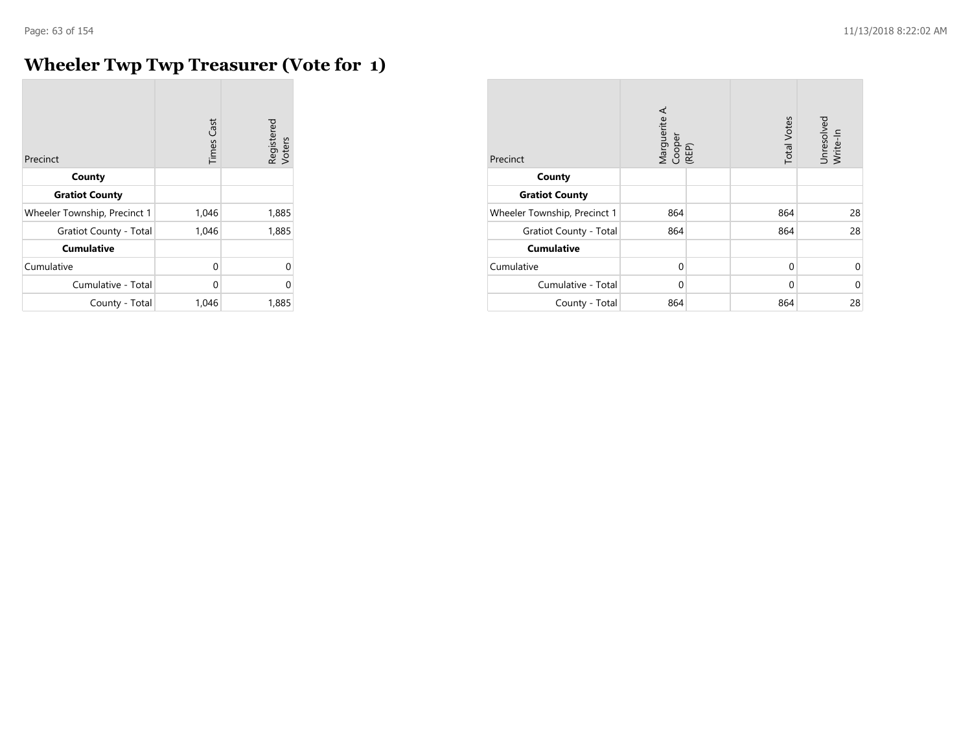$\sim$ 

# **Wheeler Twp Twp Treasurer (Vote for 1)**

| Precinct                      | <b>Times Cast</b> | Registered<br>Voters |
|-------------------------------|-------------------|----------------------|
| County                        |                   |                      |
| <b>Gratiot County</b>         |                   |                      |
| Wheeler Township, Precinct 1  | 1,046             | 1,885                |
| <b>Gratiot County - Total</b> | 1,046             | 1,885                |
| <b>Cumulative</b>             |                   |                      |
| Cumulative                    | 0                 | $\Omega$             |
| Cumulative - Total            | 0                 | 0                    |
| County - Total                | 1,046             | 1,885                |

| Precinct                     | Marguerite A.<br>Cooper<br>(REP) | <b>Total Votes</b> | Unresolved<br>Write-In |
|------------------------------|----------------------------------|--------------------|------------------------|
| County                       |                                  |                    |                        |
| <b>Gratiot County</b>        |                                  |                    |                        |
| Wheeler Township, Precinct 1 | 864                              | 864                | 28                     |
| Gratiot County - Total       | 864                              | 864                | 28                     |
| <b>Cumulative</b>            |                                  |                    |                        |
| Cumulative                   | $\Omega$                         | $\Omega$           | $\Omega$               |
| Cumulative - Total           | $\mathbf 0$                      | $\mathbf 0$        | $\Omega$               |
| County - Total               | 864                              | 864                | 28                     |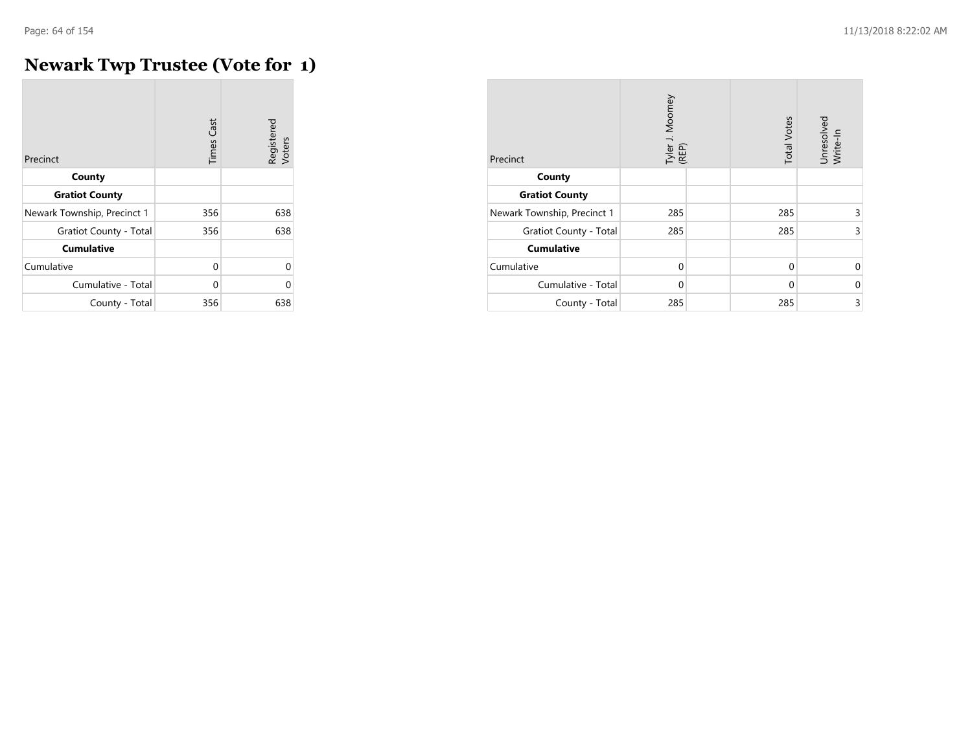# **Newark Twp Trustee (Vote for 1)**

| Precinct                    | <b>Times Cast</b> | Registered<br>Voters |
|-----------------------------|-------------------|----------------------|
| County                      |                   |                      |
| <b>Gratiot County</b>       |                   |                      |
| Newark Township, Precinct 1 | 356               | 638                  |
| Gratiot County - Total      | 356               | 638                  |
| <b>Cumulative</b>           |                   |                      |
| Cumulative                  | 0                 | 0                    |
| Cumulative - Total          | $\Omega$          | U                    |
| County - Total              | 356               | 638                  |

| Precinct                      | Tyler J. Moomey<br>(REP) | <b>Total Votes</b> | Unresolved<br>Write-In |
|-------------------------------|--------------------------|--------------------|------------------------|
| County                        |                          |                    |                        |
| <b>Gratiot County</b>         |                          |                    |                        |
| Newark Township, Precinct 1   | 285                      | 285                | 3                      |
| <b>Gratiot County - Total</b> | 285                      | 285                | 3                      |
| <b>Cumulative</b>             |                          |                    |                        |
| Cumulative                    | $\Omega$                 | $\Omega$           | $\Omega$               |
| Cumulative - Total            | $\Omega$                 | $\Omega$           | $\Omega$               |
| County - Total                | 285                      | 285                | 3                      |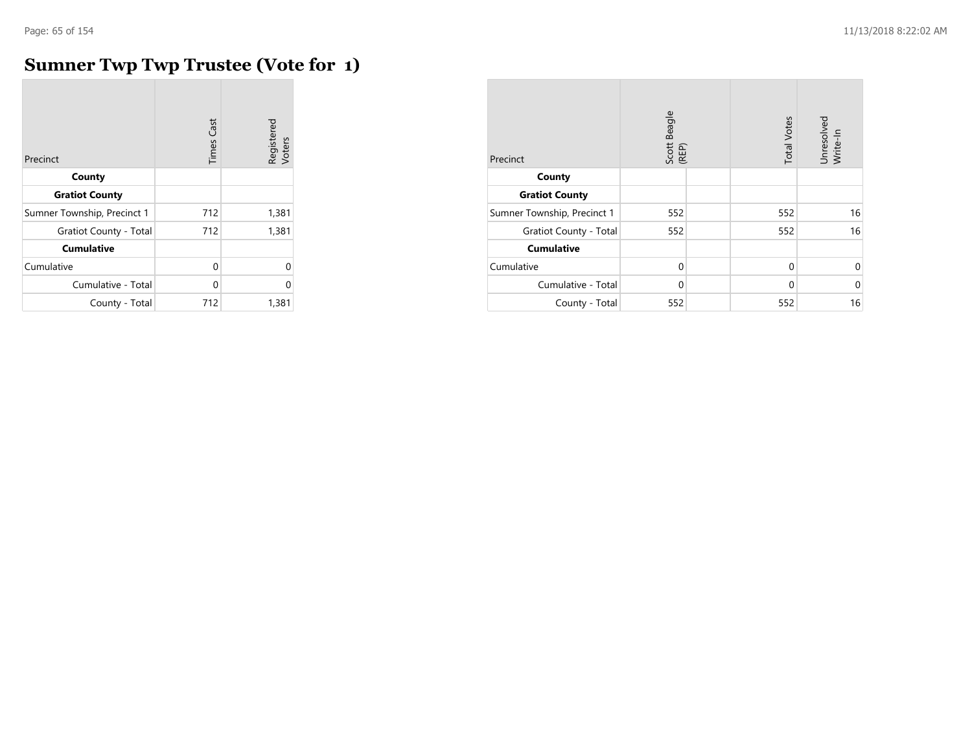$\mathcal{L}$ 

# **Sumner Twp Twp Trustee (Vote for 1)**

| Precinct                    | <b>Times Cast</b> | Registered<br>Voters |
|-----------------------------|-------------------|----------------------|
| County                      |                   |                      |
| <b>Gratiot County</b>       |                   |                      |
| Sumner Township, Precinct 1 | 712               | 1,381                |
| Gratiot County - Total      | 712               | 1,381                |
| <b>Cumulative</b>           |                   |                      |
| Cumulative                  | 0                 | $\Omega$             |
| Cumulative - Total          | $\Omega$          | 0                    |
| County - Total              | 712               | 1,381                |

| Precinct                      | Scott Beagle<br>(REP) | <b>Total Votes</b> | Unresolved<br>Write-In |
|-------------------------------|-----------------------|--------------------|------------------------|
| County                        |                       |                    |                        |
| <b>Gratiot County</b>         |                       |                    |                        |
| Sumner Township, Precinct 1   | 552                   | 552                | 16                     |
| <b>Gratiot County - Total</b> | 552                   | 552                | 16                     |
| <b>Cumulative</b>             |                       |                    |                        |
| Cumulative                    | $\Omega$              | $\Omega$           | $\Omega$               |
| Cumulative - Total            | $\Omega$              | $\Omega$           | $\Omega$               |
| County - Total                | 552                   | 552                | 16                     |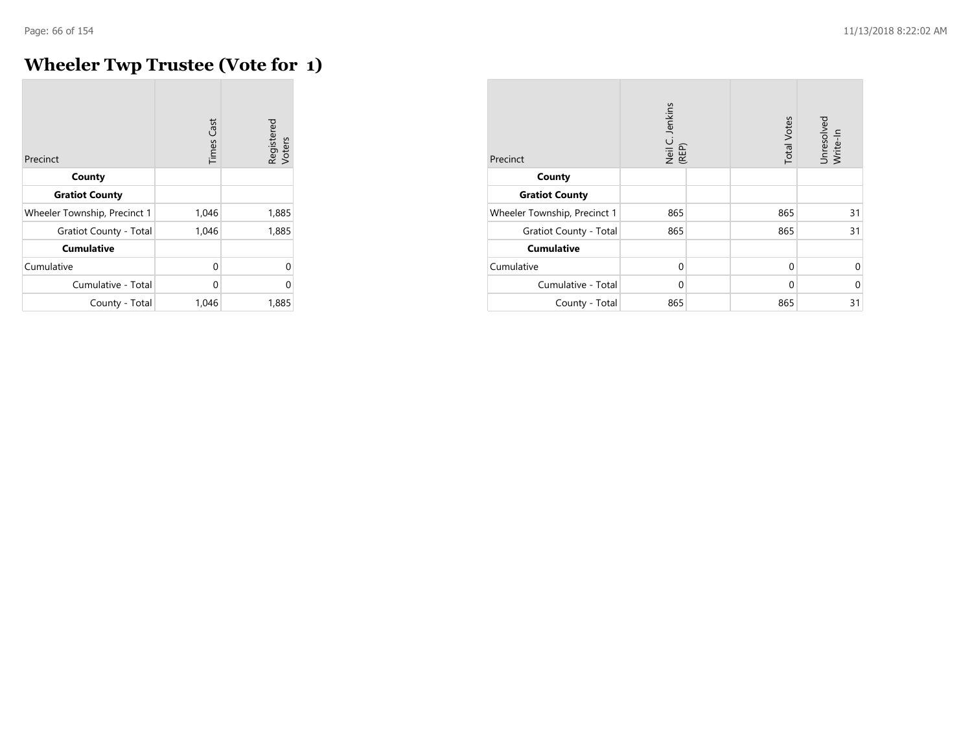# **Wheeler Twp Trustee (Vote for 1)**

| Precinct                     | <b>Times Cast</b> | Registered<br>Voters |
|------------------------------|-------------------|----------------------|
| County                       |                   |                      |
| <b>Gratiot County</b>        |                   |                      |
| Wheeler Township, Precinct 1 | 1,046             | 1,885                |
| Gratiot County - Total       | 1,046             | 1,885                |
| <b>Cumulative</b>            |                   |                      |
| Cumulative                   | 0                 | U                    |
| Cumulative - Total           | 0                 | U                    |
| County - Total               | 1,046             | 1,885                |

| Precinct                     | Neil C. Jenkins<br>(REP) | <b>Total Votes</b> | Unresolved<br>Write-In |
|------------------------------|--------------------------|--------------------|------------------------|
| County                       |                          |                    |                        |
| <b>Gratiot County</b>        |                          |                    |                        |
| Wheeler Township, Precinct 1 | 865                      | 865                | 31                     |
| Gratiot County - Total       | 865                      | 865                | 31                     |
| <b>Cumulative</b>            |                          |                    |                        |
| Cumulative                   | $\Omega$                 | $\Omega$           | $\Omega$               |
| Cumulative - Total           | $\Omega$                 | $\Omega$           | $\Omega$               |
| County - Total               | 865                      | 865                | 31                     |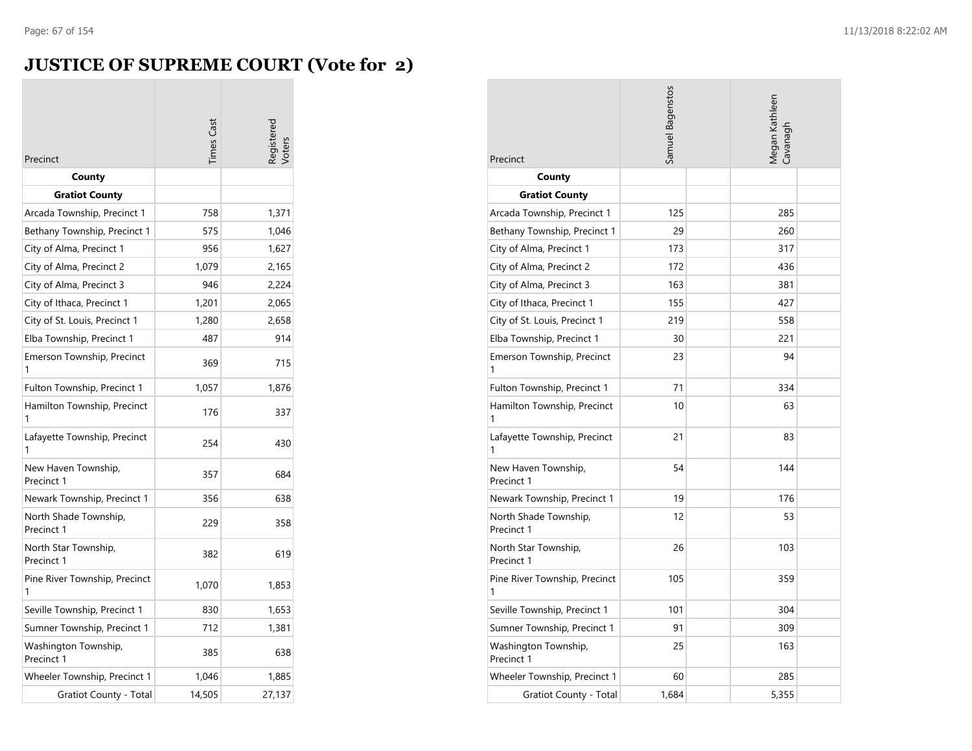# **JUSTICE OF SUPREME COURT (Vote for 2)**

|                                     | <b>Times</b> Cast | egistered |
|-------------------------------------|-------------------|-----------|
| Precinct<br>County                  |                   |           |
| <b>Gratiot County</b>               |                   |           |
| Arcada Township, Precinct 1         | 758               | 1,371     |
| Bethany Township, Precinct 1        | 575               | 1,046     |
| City of Alma, Precinct 1            | 956               | 1,627     |
| City of Alma, Precinct 2            | 1,079             | 2,165     |
| City of Alma, Precinct 3            | 946               | 2,224     |
| City of Ithaca, Precinct 1          | 1,201             | 2,065     |
| City of St. Louis, Precinct 1       | 1,280             | 2,658     |
| Elba Township, Precinct 1           | 487               | 914       |
| Emerson Township, Precinct<br>1     | 369               | 715       |
| Fulton Township, Precinct 1         | 1,057             | 1,876     |
| Hamilton Township, Precinct<br>1    | 176               | 337       |
| Lafayette Township, Precinct<br>1   | 254               | 430       |
| New Haven Township,<br>Precinct 1   | 357               | 684       |
| Newark Township, Precinct 1         | 356               | 638       |
| North Shade Township,<br>Precinct 1 | 229               | 358       |
| North Star Township,<br>Precinct 1  | 382               | 619       |
| Pine River Township, Precinct<br>1  | 1,070             | 1,853     |
| Seville Township, Precinct 1        | 830               | 1,653     |
| Sumner Township, Precinct 1         | 712               | 1,381     |
| Washington Township,<br>Precinct 1  | 385               | 638       |
| Wheeler Township, Precinct 1        | 1,046             | 1,885     |
| <b>Gratiot County - Total</b>       | 14,505            | 27,137    |

| Precinct                            | Samuel Bagenstos | Megan Kathleen<br>Cavanagh |  |
|-------------------------------------|------------------|----------------------------|--|
| County                              |                  |                            |  |
| <b>Gratiot County</b>               |                  |                            |  |
| Arcada Township, Precinct 1         | 125              | 285                        |  |
| Bethany Township, Precinct 1        | 29               | 260                        |  |
| City of Alma, Precinct 1            | 173              | 317                        |  |
| City of Alma, Precinct 2            | 172              | 436                        |  |
| City of Alma, Precinct 3            | 163              | 381                        |  |
| City of Ithaca, Precinct 1          | 155              | 427                        |  |
| City of St. Louis, Precinct 1       | 219              | 558                        |  |
| Elba Township, Precinct 1           | 30               | 221                        |  |
| Emerson Township, Precinct          | 23               | 94                         |  |
| Fulton Township, Precinct 1         | 71               | 334                        |  |
| Hamilton Township, Precinct<br>1    | 10               | 63                         |  |
| Lafayette Township, Precinct<br>1   | 21               | 83                         |  |
| New Haven Township,<br>Precinct 1   | 54               | 144                        |  |
| Newark Township, Precinct 1         | 19               | 176                        |  |
| North Shade Township,<br>Precinct 1 | 12               | 53                         |  |
| North Star Township,<br>Precinct 1  | 26               | 103                        |  |
| Pine River Township, Precinct<br>1  | 105              | 359                        |  |
| Seville Township, Precinct 1        | 101              | 304                        |  |
| Sumner Township, Precinct 1         | 91               | 309                        |  |
| Washington Township,<br>Precinct 1  | 25               | 163                        |  |
| Wheeler Township, Precinct 1        | 60               | 285                        |  |
| Gratiot County - Total              | 1,684            | 5,355                      |  |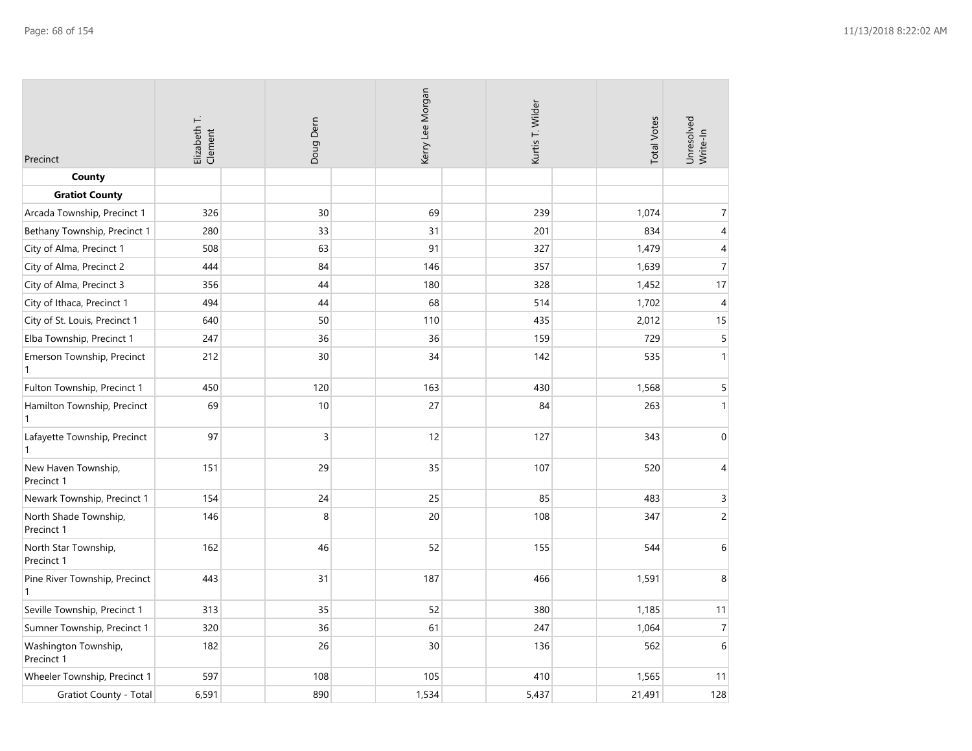| Precinct                                      | Elizabeth T.<br>Clement | Doug Dem | Kerry Lee Morgan | Kurtis T. Wilder | <b>Total Votes</b> | Unresolved<br>Write-In |
|-----------------------------------------------|-------------------------|----------|------------------|------------------|--------------------|------------------------|
| County                                        |                         |          |                  |                  |                    |                        |
| <b>Gratiot County</b>                         |                         |          |                  |                  |                    |                        |
| Arcada Township, Precinct 1                   | 326                     | 30       | 69               | 239              | 1,074              | $\overline{7}$         |
| Bethany Township, Precinct 1                  | 280                     | 33       | 31               | 201              | 834                | $\overline{4}$         |
| City of Alma, Precinct 1                      | 508                     | 63       | 91               | 327              | 1,479              | $\overline{4}$         |
| City of Alma, Precinct 2                      | 444                     | 84       | 146              | 357              | 1,639              | $\overline{7}$         |
| City of Alma, Precinct 3                      | 356                     | 44       | 180              | 328              | 1,452              | 17                     |
| City of Ithaca, Precinct 1                    | 494                     | 44       | 68               | 514              | 1,702              | $\overline{4}$         |
| City of St. Louis, Precinct 1                 | 640                     | 50       | 110              | 435              | 2,012              | 15                     |
| Elba Township, Precinct 1                     | 247                     | 36       | 36               | 159              | 729                | 5                      |
| Emerson Township, Precinct<br>$\mathbf{1}$    | 212                     | 30       | 34               | 142              | 535                | $\mathbf{1}$           |
| Fulton Township, Precinct 1                   | 450                     | 120      | 163              | 430              | 1,568              | 5                      |
| Hamilton Township, Precinct<br>$\mathbf{1}$   | 69                      | 10       | 27               | 84               | 263                | $\mathbf{1}$           |
| Lafayette Township, Precinct<br>$\mathbf{1}$  | 97                      | 3        | 12               | 127              | 343                | $\mathbf{0}$           |
| New Haven Township,<br>Precinct 1             | 151                     | 29       | 35               | 107              | 520                | $\overline{4}$         |
| Newark Township, Precinct 1                   | 154                     | 24       | 25               | 85               | 483                | $\overline{3}$         |
| North Shade Township,<br>Precinct 1           | 146                     | 8        | 20               | 108              | 347                | $\overline{2}$         |
| North Star Township,<br>Precinct 1            | 162                     | 46       | 52               | 155              | 544                | 6                      |
| Pine River Township, Precinct<br>$\mathbf{1}$ | 443                     | 31       | 187              | 466              | 1,591              | $\,8\,$                |
| Seville Township, Precinct 1                  | 313                     | 35       | 52               | 380              | 1,185              | 11                     |
| Sumner Township, Precinct 1                   | 320                     | 36       | 61               | 247              | 1,064              | $\sqrt{7}$             |
| Washington Township,<br>Precinct 1            | 182                     | 26       | 30               | 136              | 562                | 6                      |
| Wheeler Township, Precinct 1                  | 597                     | 108      | 105              | 410              | 1,565              | 11                     |
| <b>Gratiot County - Total</b>                 | 6,591                   | 890      | 1,534            | 5,437            | 21,491             | 128                    |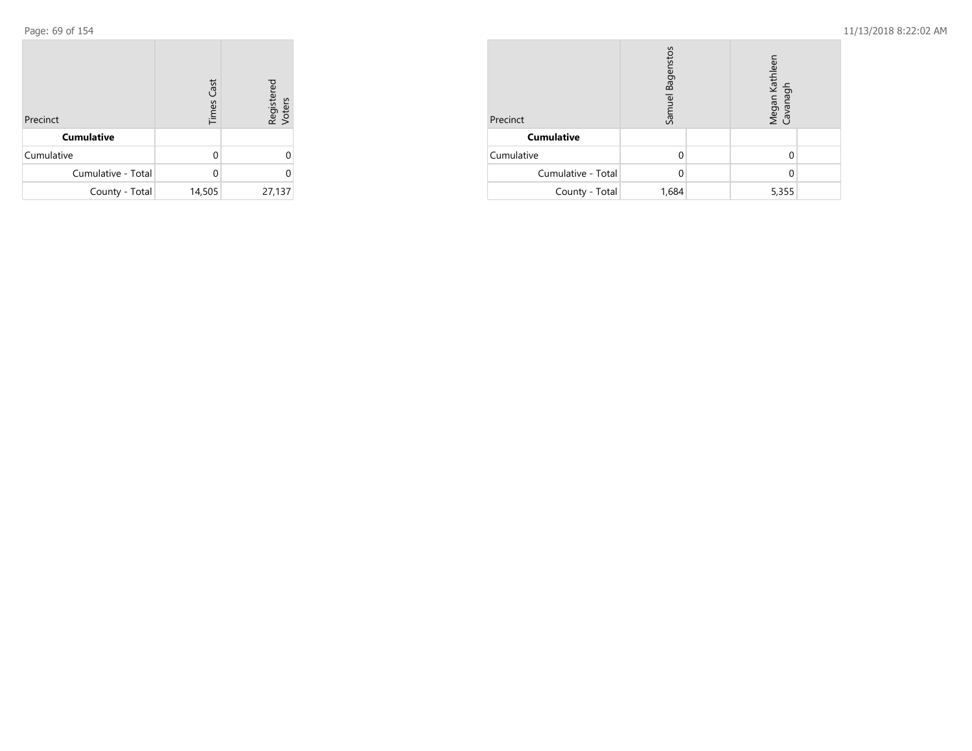| Precinct           | <b>Times Cast</b> | Registered<br>Voters |
|--------------------|-------------------|----------------------|
| <b>Cumulative</b>  |                   |                      |
| Cumulative         | U                 |                      |
| Cumulative - Total | U                 | 0                    |
| County - Total     | 14,505            | 27,137               |

| Precinct           | Bagenstos<br>Samuel |  | Megan Kathleen<br>Cavanagh |  |
|--------------------|---------------------|--|----------------------------|--|
| <b>Cumulative</b>  |                     |  |                            |  |
| Cumulative         |                     |  |                            |  |
| Cumulative - Total |                     |  |                            |  |
| County - Total     | 1,684               |  | 5,355                      |  |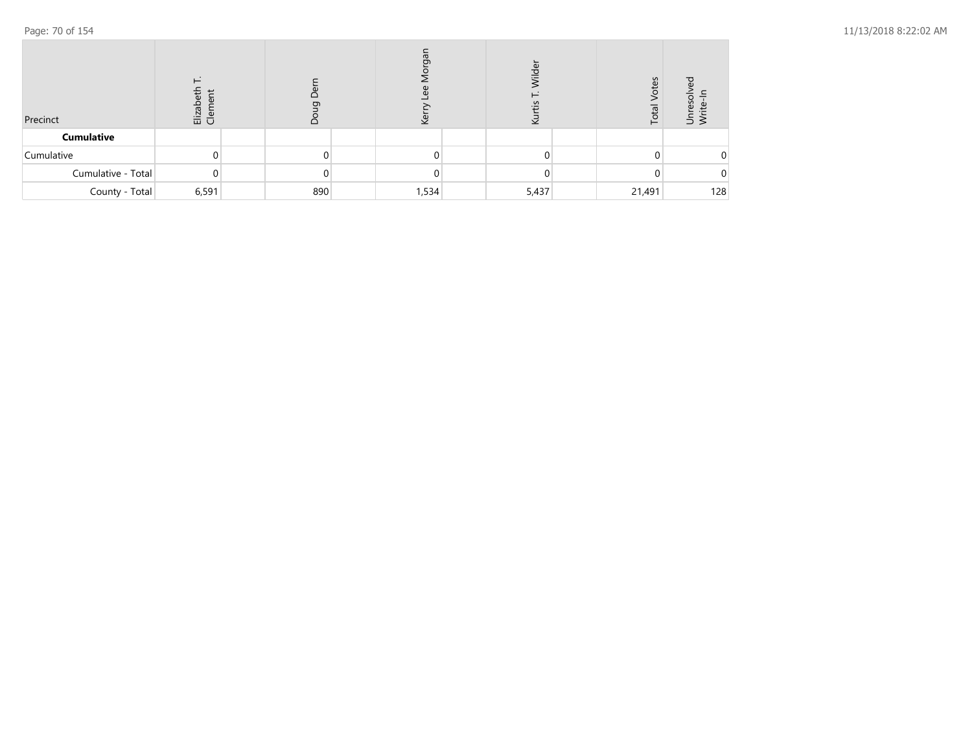| Precinct           | $\vdash$<br>Elizabet<br>Clemen | గా  | <b>B</b><br>Φ<br>ΣŪ | $\frac{1}{2}$<br>⊻ | Votes<br>Total | ਠ<br>reso<br>ぅ ≥ |
|--------------------|--------------------------------|-----|---------------------|--------------------|----------------|------------------|
| <b>Cumulative</b>  |                                |     |                     |                    |                |                  |
| Cumulative         |                                |     |                     |                    |                | 0.               |
| Cumulative - Total |                                |     |                     |                    |                | 0.               |
| County - Total     | 6,591                          | 890 | 1,534               | 5,437              | 21,491         | 128              |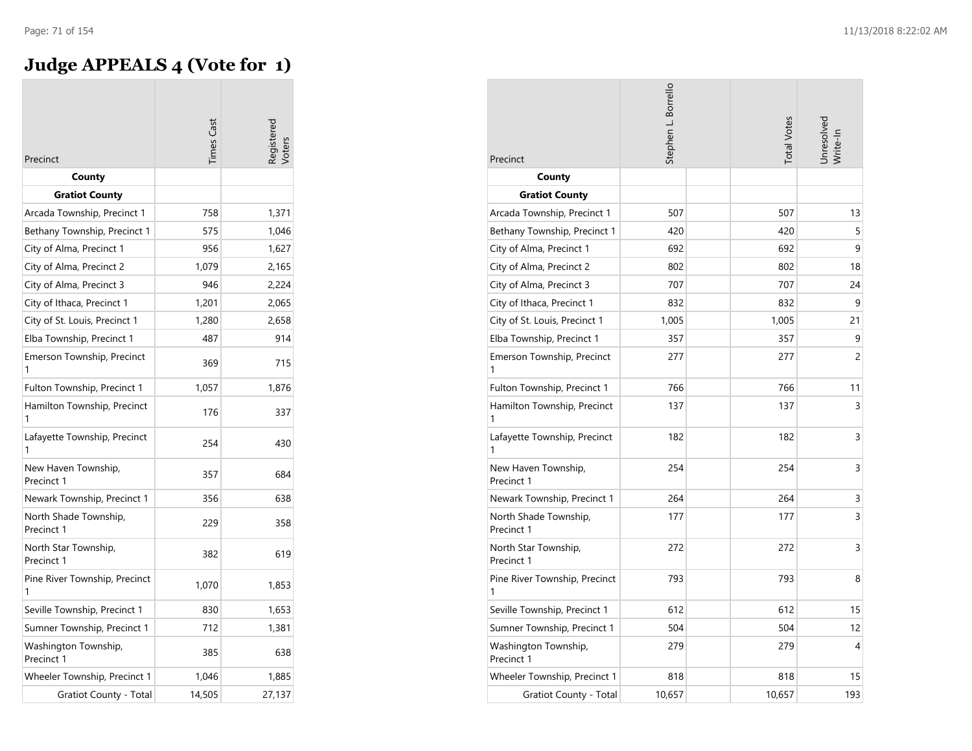#### **Judge APPEALS 4 (Vote for 1)**

|                                     | <b>Times</b> Cast | egistered      |
|-------------------------------------|-------------------|----------------|
| Precinct                            |                   |                |
| County                              |                   |                |
| <b>Gratiot County</b>               | 758               |                |
| Arcada Township, Precinct 1         | 575               | 1,371<br>1,046 |
| Bethany Township, Precinct 1        |                   |                |
| City of Alma, Precinct 1            | 956               | 1,627          |
| City of Alma, Precinct 2            | 1,079             | 2,165          |
| City of Alma, Precinct 3            | 946               | 2,224          |
| City of Ithaca, Precinct 1          | 1,201             | 2,065          |
| City of St. Louis, Precinct 1       | 1,280             | 2,658          |
| Elba Township, Precinct 1           | 487               | 914            |
| Emerson Township, Precinct<br>1     | 369               | 715            |
| Fulton Township, Precinct 1         | 1,057             | 1,876          |
| Hamilton Township, Precinct<br>1    | 176               | 337            |
| Lafayette Township, Precinct<br>1   | 254               | 430            |
| New Haven Township,<br>Precinct 1   | 357               | 684            |
| Newark Township, Precinct 1         | 356               | 638            |
| North Shade Township,<br>Precinct 1 | 229               | 358            |
| North Star Township,<br>Precinct 1  | 382               | 619            |
| Pine River Township, Precinct<br>1  | 1,070             | 1,853          |
| Seville Township, Precinct 1        | 830               | 1,653          |
| Sumner Township, Precinct 1         | 712               | 1,381          |
| Washington Township,<br>Precinct 1  | 385               | 638            |
| Wheeler Township, Precinct 1        | 1,046             | 1,885          |
| <b>Gratiot County - Total</b>       | 14,505            | 27,137         |

| Precinct                            | Stephen L. Borrello | <b>Total Votes</b> | Unresolved<br>Write-In |
|-------------------------------------|---------------------|--------------------|------------------------|
| County                              |                     |                    |                        |
| <b>Gratiot County</b>               |                     |                    |                        |
| Arcada Township, Precinct 1         | 507                 | 507                | 13                     |
| Bethany Township, Precinct 1        | 420                 | 420                | 5                      |
| City of Alma, Precinct 1            | 692                 | 692                | 9                      |
| City of Alma, Precinct 2            | 802                 | 802                | 18                     |
| City of Alma, Precinct 3            | 707                 | 707                | 24                     |
| City of Ithaca, Precinct 1          | 832                 | 832                | 9                      |
| City of St. Louis, Precinct 1       | 1,005               | 1,005              | 21                     |
| Elba Township, Precinct 1           | 357                 | 357                | 9                      |
| Emerson Township, Precinct<br>1     | 277                 | 277                | 2                      |
| Fulton Township, Precinct 1         | 766                 | 766                | 11                     |
| Hamilton Township, Precinct<br>1    | 137                 | 137                | 3                      |
| Lafayette Township, Precinct        | 182                 | 182                | 3                      |
| New Haven Township,<br>Precinct 1   | 254                 | 254                | 3                      |
| Newark Township, Precinct 1         | 264                 | 264                | 3                      |
| North Shade Township,<br>Precinct 1 | 177                 | 177                | 3                      |
| North Star Township,<br>Precinct 1  | 272                 | 272                | 3                      |
| Pine River Township, Precinct<br>1  | 793                 | 793                | 8                      |
| Seville Township, Precinct 1        | 612                 | 612                | 15                     |
| Sumner Township, Precinct 1         | 504                 | 504                | 12                     |
| Washington Township,<br>Precinct 1  | 279                 | 279                | 4                      |
| Wheeler Township, Precinct 1        | 818                 | 818                | 15                     |
| <b>Gratiot County - Total</b>       | 10,657              | 10,657             | 193                    |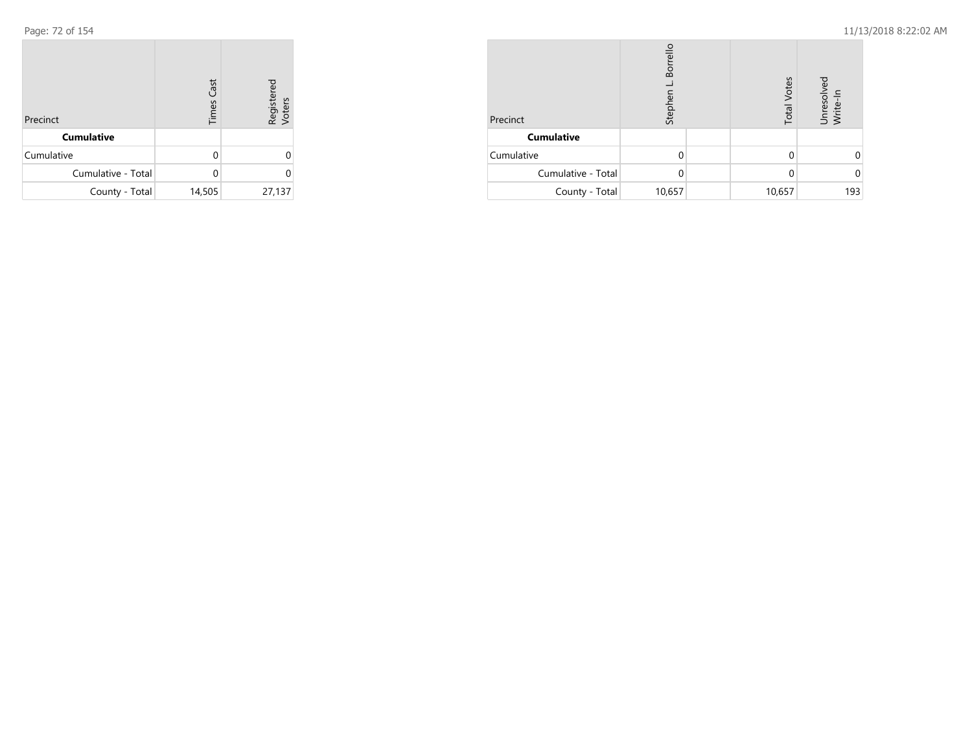| Precinct           | <b>Times Cast</b> | Registered<br>Voters |
|--------------------|-------------------|----------------------|
| <b>Cumulative</b>  |                   |                      |
| Cumulative         | U                 | 0                    |
| Cumulative - Total |                   |                      |
| County - Total     | 14,505            | 27,137               |

| Precinct           | <b>Borrell</b><br>Stephen |  | <b>Total Votes</b> | Unresolved<br>Write-In |
|--------------------|---------------------------|--|--------------------|------------------------|
| <b>Cumulative</b>  |                           |  |                    |                        |
| Cumulative         |                           |  |                    |                        |
| Cumulative - Total |                           |  |                    |                        |
| County - Total     | 10,657                    |  | 10,657             | 193                    |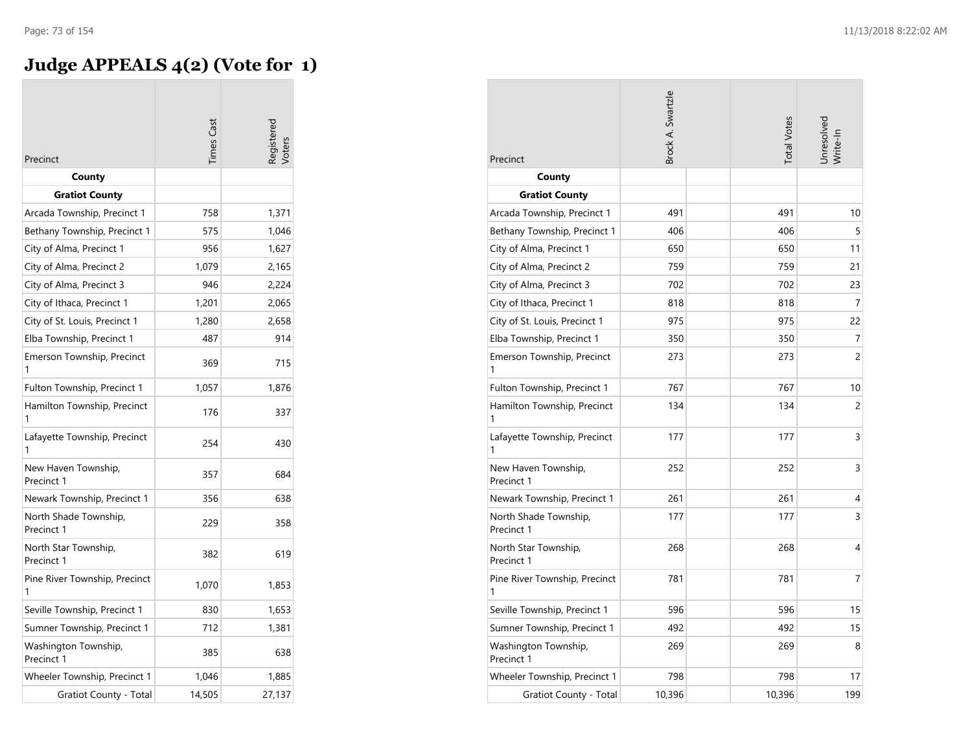#### **Judge APPEALS 4(2) (Vote for 1)**

|                                     | imes Cast | legisterec |
|-------------------------------------|-----------|------------|
| Precinct                            |           |            |
| County<br><b>Gratiot County</b>     |           |            |
| Arcada Township, Precinct 1         | 758       | 1,371      |
| Bethany Township, Precinct 1        | 575       | 1,046      |
| City of Alma, Precinct 1            | 956       | 1,627      |
| City of Alma, Precinct 2            | 1,079     | 2,165      |
| City of Alma, Precinct 3            | 946       | 2,224      |
| City of Ithaca, Precinct 1          | 1,201     | 2,065      |
| City of St. Louis, Precinct 1       | 1,280     | 2,658      |
| Elba Township, Precinct 1           | 487       | 914        |
| Emerson Township, Precinct<br>1     | 369       | 715        |
| Fulton Township, Precinct 1         | 1,057     | 1,876      |
| Hamilton Township, Precinct<br>1    | 176       | 337        |
| Lafayette Township, Precinct<br>1   | 254       | 430        |
| New Haven Township,<br>Precinct 1   | 357       | 684        |
| Newark Township, Precinct 1         | 356       | 638        |
| North Shade Township,<br>Precinct 1 | 229       | 358        |
| North Star Township,<br>Precinct 1  | 382       | 619        |
| Pine River Township, Precinct<br>1  | 1,070     | 1,853      |
| Seville Township, Precinct 1        | 830       | 1,653      |
| Sumner Township, Precinct 1         | 712       | 1,381      |
| Washington Township,<br>Precinct 1  | 385       | 638        |
| Wheeler Township, Precinct 1        | 1,046     | 1,885      |
| <b>Gratiot County - Total</b>       | 14,505    | 27,137     |

| Precinct                            | Brock A. Swartzle | <b>Total Votes</b> | Unresolved<br>Write-In |
|-------------------------------------|-------------------|--------------------|------------------------|
| County                              |                   |                    |                        |
| <b>Gratiot County</b>               |                   |                    |                        |
| Arcada Township, Precinct 1         | 491               | 491                | 10                     |
| Bethany Township, Precinct 1        | 406               | 406                | 5                      |
| City of Alma, Precinct 1            | 650               | 650                | 11                     |
| City of Alma, Precinct 2            | 759               | 759                | 21                     |
| City of Alma, Precinct 3            | 702               | 702                | 23                     |
| City of Ithaca, Precinct 1          | 818               | 818                | 7                      |
| City of St. Louis, Precinct 1       | 975               | 975                | 22                     |
| Elba Township, Precinct 1           | 350               | 350                | 7                      |
| Emerson Township, Precinct<br>1     | 273               | 273                | 2                      |
| Fulton Township, Precinct 1         | 767               | 767                | 10                     |
| Hamilton Township, Precinct         | 134               | 134                | 2                      |
| Lafayette Township, Precinct        | 177               | 177                | 3                      |
| New Haven Township,<br>Precinct 1   | 252               | 252                | 3                      |
| Newark Township, Precinct 1         | 261               | 261                | 4                      |
| North Shade Township,<br>Precinct 1 | 177               | 177                | 3                      |
| North Star Township,<br>Precinct 1  | 268               | 268                | 4                      |
| Pine River Township, Precinct<br>1  | 781               | 781                | 7                      |
| Seville Township, Precinct 1        | 596               | 596                | 15                     |
| Sumner Township, Precinct 1         | 492               | 492                | 15                     |
| Washington Township,<br>Precinct 1  | 269               | 269                | 8                      |
| Wheeler Township, Precinct 1        | 798               | 798                | 17                     |
| <b>Gratiot County - Total</b>       | 10,396            | 10,396             | 199                    |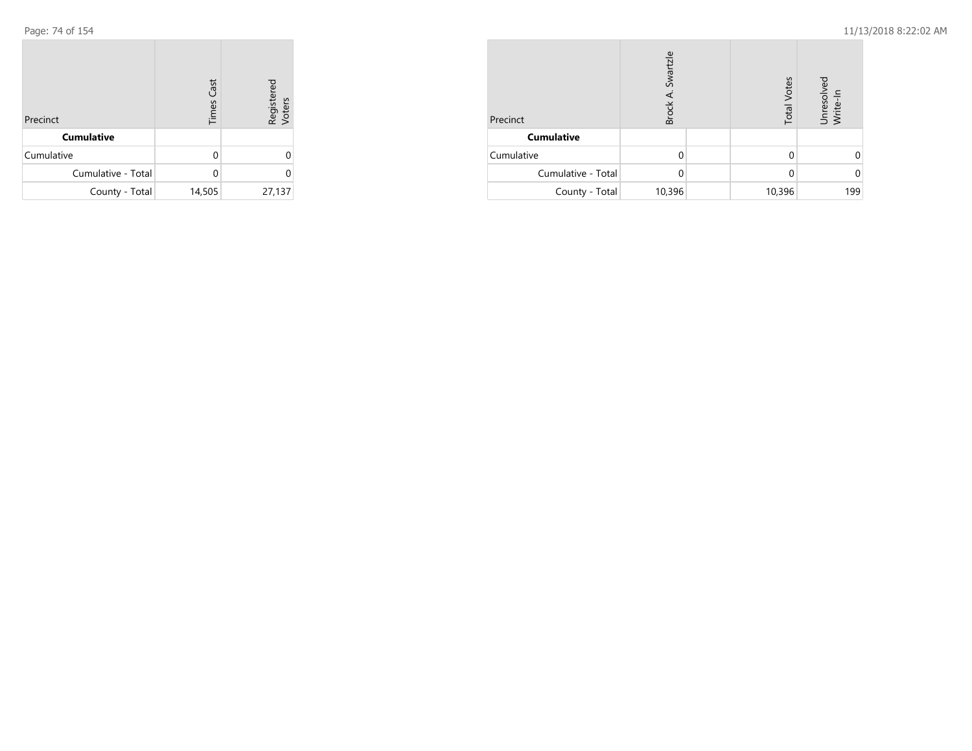| Precinct           | <b>Times Cast</b> | Registered<br>Voters |
|--------------------|-------------------|----------------------|
| <b>Cumulative</b>  |                   |                      |
| Cumulative         | U                 | 0                    |
| Cumulative - Total |                   |                      |
| County - Total     | 14,505            | 27,137               |

| Precinct           | Swartzle<br>Brock | <b>Total Votes</b> | Unresolved<br>Write-In |
|--------------------|-------------------|--------------------|------------------------|
| <b>Cumulative</b>  |                   |                    |                        |
| Cumulative         |                   |                    |                        |
| Cumulative - Total |                   |                    |                        |
| County - Total     | 10,396            | 10,396             | 199                    |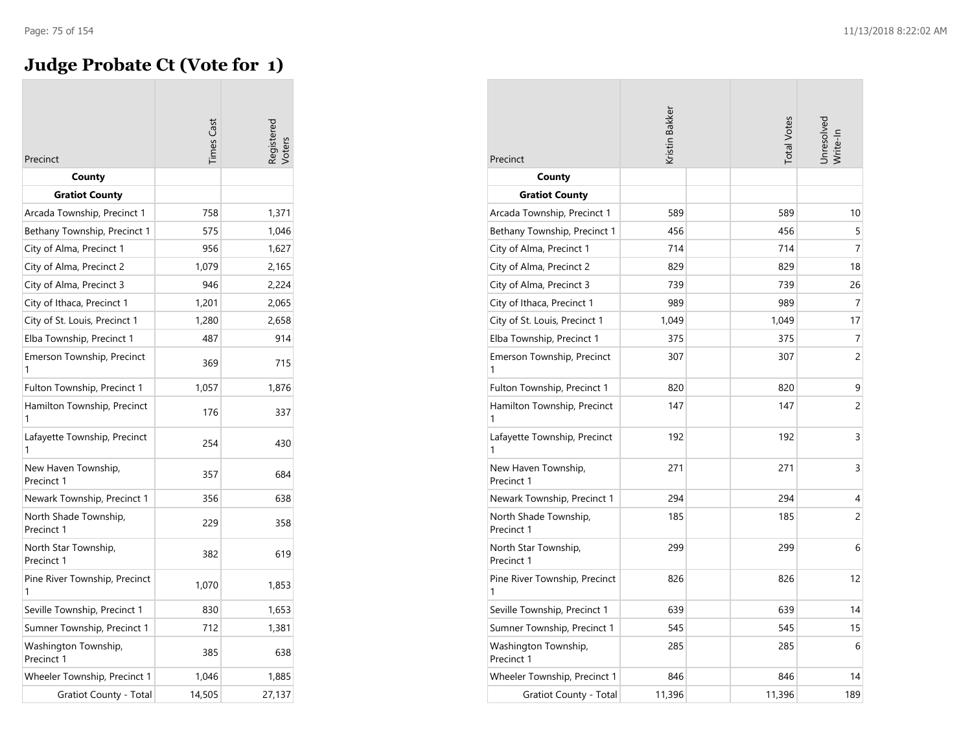#### **Judge Probate Ct (Vote for 1)**

| Precinct                            | <b>Times Cast</b> | egistered<br><b>oters</b> |
|-------------------------------------|-------------------|---------------------------|
| County                              |                   |                           |
| <b>Gratiot County</b>               |                   |                           |
| Arcada Township, Precinct 1         | 758               | 1,371                     |
| Bethany Township, Precinct 1        | 575               | 1,046                     |
| City of Alma, Precinct 1            | 956               | 1,627                     |
| City of Alma, Precinct 2            | 1,079             | 2,165                     |
| City of Alma, Precinct 3            | 946               | 2,224                     |
| City of Ithaca, Precinct 1          | 1,201             | 2,065                     |
| City of St. Louis, Precinct 1       | 1,280             | 2,658                     |
| Elba Township, Precinct 1           | 487               | 914                       |
| Emerson Township, Precinct<br>1     | 369               | 715                       |
| Fulton Township, Precinct 1         | 1,057             | 1,876                     |
| Hamilton Township, Precinct<br>1    | 176               | 337                       |
| Lafayette Township, Precinct<br>1   | 254               | 430                       |
| New Haven Township,<br>Precinct 1   | 357               | 684                       |
| Newark Township, Precinct 1         | 356               | 638                       |
| North Shade Township,<br>Precinct 1 | 229               | 358                       |
| North Star Township,<br>Precinct 1  | 382               | 619                       |
| Pine River Township, Precinct<br>1  | 1,070             | 1,853                     |
| Seville Township, Precinct 1        | 830               | 1,653                     |
| Sumner Township, Precinct 1         | 712               | 1,381                     |
| Washington Township,<br>Precinct 1  | 385               | 638                       |
| Wheeler Township, Precinct 1        | 1,046             | 1,885                     |
| <b>Gratiot County - Total</b>       | 14,505            | 27,137                    |

| Precinct                            | Kristin Bakker | <b>Total Votes</b> | Unresolved<br>Write-In |
|-------------------------------------|----------------|--------------------|------------------------|
| County                              |                |                    |                        |
| <b>Gratiot County</b>               |                |                    |                        |
| Arcada Township, Precinct 1         | 589            | 589                | 10                     |
| Bethany Township, Precinct 1        | 456            | 456                | 5                      |
| City of Alma, Precinct 1            | 714            | 714                | $\overline{7}$         |
| City of Alma, Precinct 2            | 829            | 829                | 18                     |
| City of Alma, Precinct 3            | 739            | 739                | 26                     |
| City of Ithaca, Precinct 1          | 989            | 989                | 7                      |
| City of St. Louis, Precinct 1       | 1,049          | 1,049              | 17                     |
| Elba Township, Precinct 1           | 375            | 375                | 7                      |
| Emerson Township, Precinct          | 307            | 307                | $\overline{c}$         |
| Fulton Township, Precinct 1         | 820            | 820                | 9                      |
| Hamilton Township, Precinct         | 147            | 147                | 2                      |
| Lafayette Township, Precinct        | 192            | 192                | 3                      |
| New Haven Township,<br>Precinct 1   | 271            | 271                | 3                      |
| Newark Township, Precinct 1         | 294            | 294                | 4                      |
| North Shade Township,<br>Precinct 1 | 185            | 185                | 2                      |
| North Star Township,<br>Precinct 1  | 299            | 299                | 6                      |
| Pine River Township, Precinct<br>1  | 826            | 826                | 12                     |
| Seville Township, Precinct 1        | 639            | 639                | 14                     |
| Sumner Township, Precinct 1         | 545            | 545                | 15                     |
| Washington Township,<br>Precinct 1  | 285            | 285                | 6                      |
| Wheeler Township, Precinct 1        | 846            | 846                | 14                     |
| <b>Gratiot County - Total</b>       | 11,396         | 11,396             | 189                    |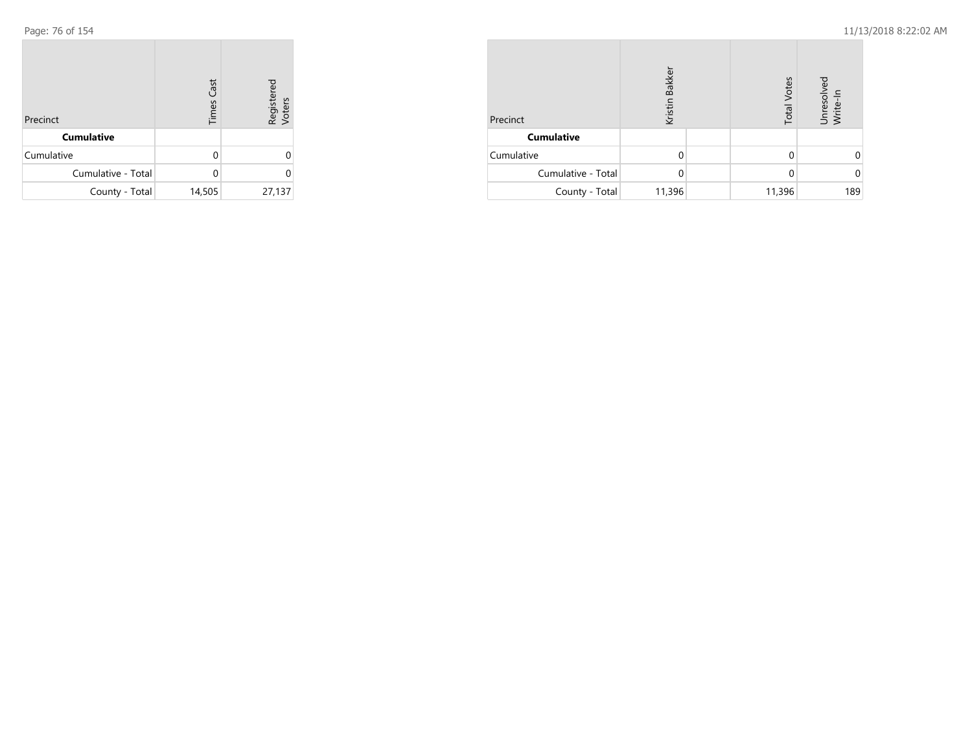| Precinct           | <b>Times Cast</b> | Registered<br>Voters |
|--------------------|-------------------|----------------------|
| <b>Cumulative</b>  |                   |                      |
| Cumulative         | O                 | 0                    |
| Cumulative - Total |                   |                      |
| County - Total     | 14,505            | 27,137               |

| Precinct           | <b>Bakker</b><br>Kristin | <b>Total Votes</b> | Unresolved<br>Write-In |
|--------------------|--------------------------|--------------------|------------------------|
| <b>Cumulative</b>  |                          |                    |                        |
| Cumulative         | U                        |                    |                        |
| Cumulative - Total | O                        |                    |                        |
| County - Total     | 11,396                   | 11,396             | 189                    |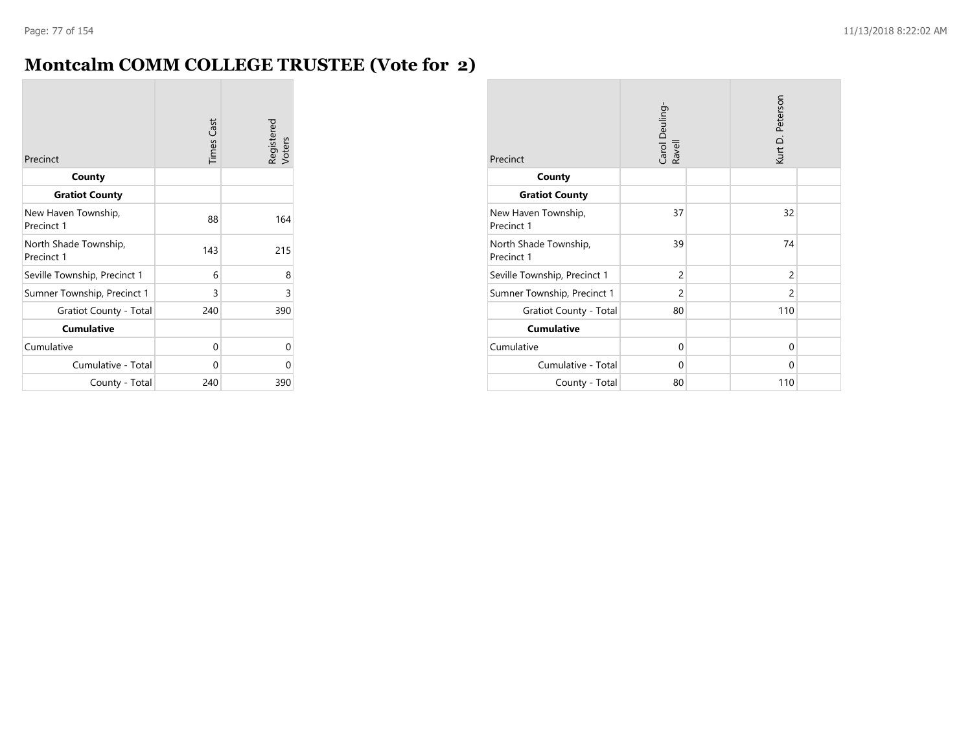#### **Montcalm COMM COLLEGE TRUSTEE (Vote for 2)**

| Precinct                            | <b>Times Cast</b> | Registered<br>Voters |
|-------------------------------------|-------------------|----------------------|
| County                              |                   |                      |
| <b>Gratiot County</b>               |                   |                      |
| New Haven Township,<br>Precinct 1   | 88                | 164                  |
| North Shade Township,<br>Precinct 1 | 143               | 215                  |
| Seville Township, Precinct 1        | 6                 | 8                    |
| Sumner Township, Precinct 1         | 3                 | 3                    |
| Gratiot County - Total              | 240               | 390                  |
| <b>Cumulative</b>                   |                   |                      |
| Cumulative                          | 0                 | 0                    |
| Cumulative - Total                  | 0                 | Ω                    |
| County - Total                      | 240               | 390                  |

| Precinct                            | Carol Deuling-<br>Ravell |  | Kurt D. Peterson |  |
|-------------------------------------|--------------------------|--|------------------|--|
| County                              |                          |  |                  |  |
| <b>Gratiot County</b>               |                          |  |                  |  |
| New Haven Township,<br>Precinct 1   | 37                       |  | 32               |  |
| North Shade Township,<br>Precinct 1 | 39                       |  | 74               |  |
| Seville Township, Precinct 1        | $\overline{2}$           |  | $\overline{c}$   |  |
| Sumner Township, Precinct 1         | $\overline{2}$           |  | 2                |  |
| Gratiot County - Total              | 80                       |  | 110              |  |
| <b>Cumulative</b>                   |                          |  |                  |  |
| Cumulative                          | $\Omega$                 |  | $\Omega$         |  |
| Cumulative - Total                  | $\Omega$                 |  | 0                |  |
| County - Total                      | 80                       |  | 110              |  |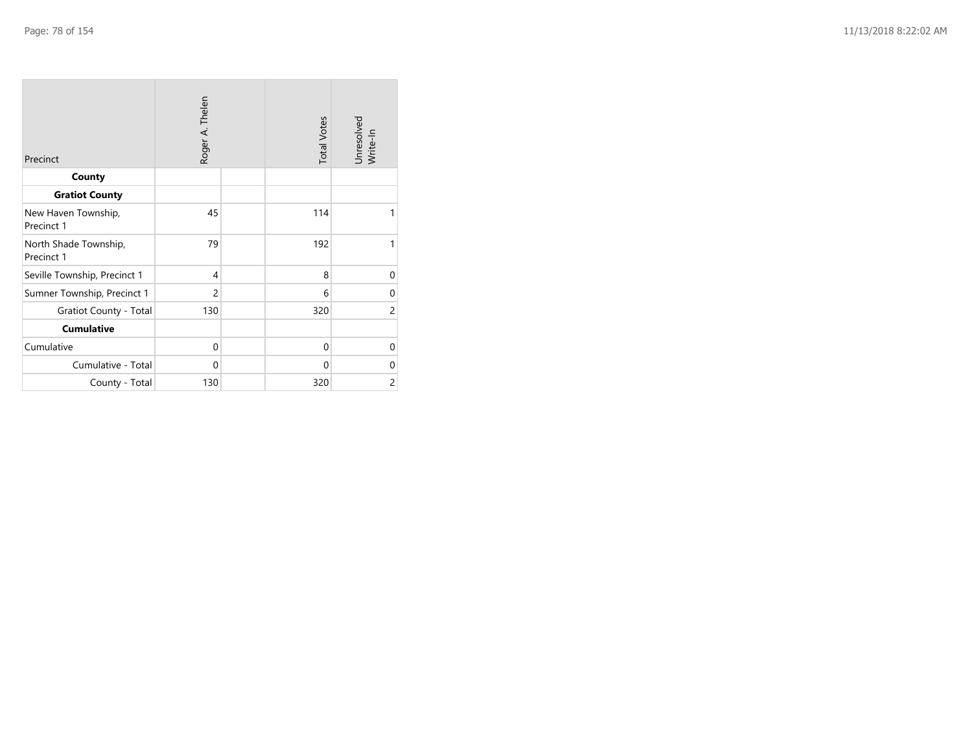| Precinct                            | Roger A. Thelen | <b>Total Votes</b> | Unresolved<br>Write-In |
|-------------------------------------|-----------------|--------------------|------------------------|
| County                              |                 |                    |                        |
| <b>Gratiot County</b>               |                 |                    |                        |
| New Haven Township,<br>Precinct 1   | 45              | 114                | 1                      |
| North Shade Township,<br>Precinct 1 | 79              | 192                | 1                      |
| Seville Township, Precinct 1        | 4               | 8                  | $\mathbf 0$            |
| Sumner Township, Precinct 1         | $\overline{c}$  | 6                  | $\mathbf{0}$           |
| <b>Gratiot County - Total</b>       | 130             | 320                | 2                      |
| <b>Cumulative</b>                   |                 |                    |                        |
| Cumulative                          | $\mathbf 0$     | $\mathbf{0}$       | $\mathbf{0}$           |
| Cumulative - Total                  | $\Omega$        | $\Omega$           | $\Omega$               |
| County - Total                      | 130             | 320                | 2                      |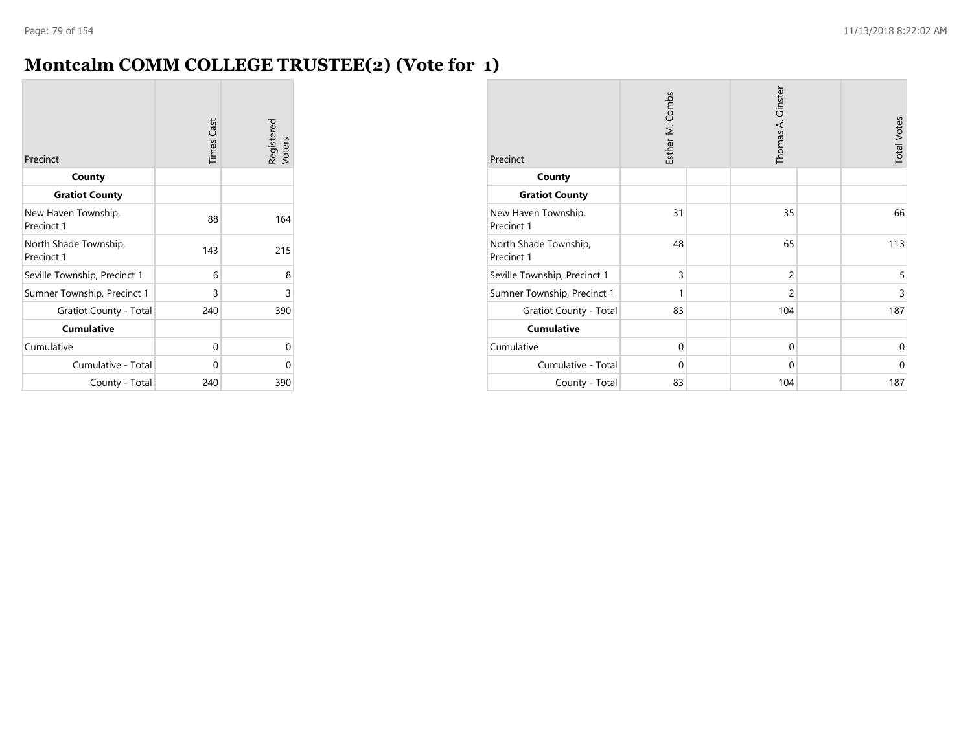#### **Montcalm COMM COLLEGE TRUSTEE(2) (Vote for 1)**

| Precinct                            | <b>Times Cast</b> | Registered<br>Voters |
|-------------------------------------|-------------------|----------------------|
| County                              |                   |                      |
| <b>Gratiot County</b>               |                   |                      |
| New Haven Township,<br>Precinct 1   | 88                | 164                  |
| North Shade Township,<br>Precinct 1 | 143               | 215                  |
| Seville Township, Precinct 1        | 6                 | 8                    |
| Sumner Township, Precinct 1         | 3                 | 3                    |
| Gratiot County - Total              | 240               | 390                  |
| <b>Cumulative</b>                   |                   |                      |
| Cumulative                          | 0                 | 0                    |
| Cumulative - Total                  | 0                 | U                    |
| County - Total                      | 240               | 390                  |

| Precinct                            | Esther M. Combs |  | Thomas A. Ginster |  | <b>Total Votes</b> |
|-------------------------------------|-----------------|--|-------------------|--|--------------------|
| County                              |                 |  |                   |  |                    |
| <b>Gratiot County</b>               |                 |  |                   |  |                    |
| New Haven Township,<br>Precinct 1   | 31              |  | 35                |  | 66                 |
| North Shade Township,<br>Precinct 1 | 48              |  | 65                |  | 113                |
| Seville Township, Precinct 1        | 3               |  | $\overline{c}$    |  | 5                  |
| Sumner Township, Precinct 1         | 1               |  | $\overline{c}$    |  | 3                  |
| <b>Gratiot County - Total</b>       | 83              |  | 104               |  | 187                |
| <b>Cumulative</b>                   |                 |  |                   |  |                    |
| Cumulative                          | $\Omega$        |  | $\mathbf 0$       |  | 0                  |
| Cumulative - Total                  | $\Omega$        |  | $\mathbf{0}$      |  | $\mathbf 0$        |
| County - Total                      | 83              |  | 104               |  | 187                |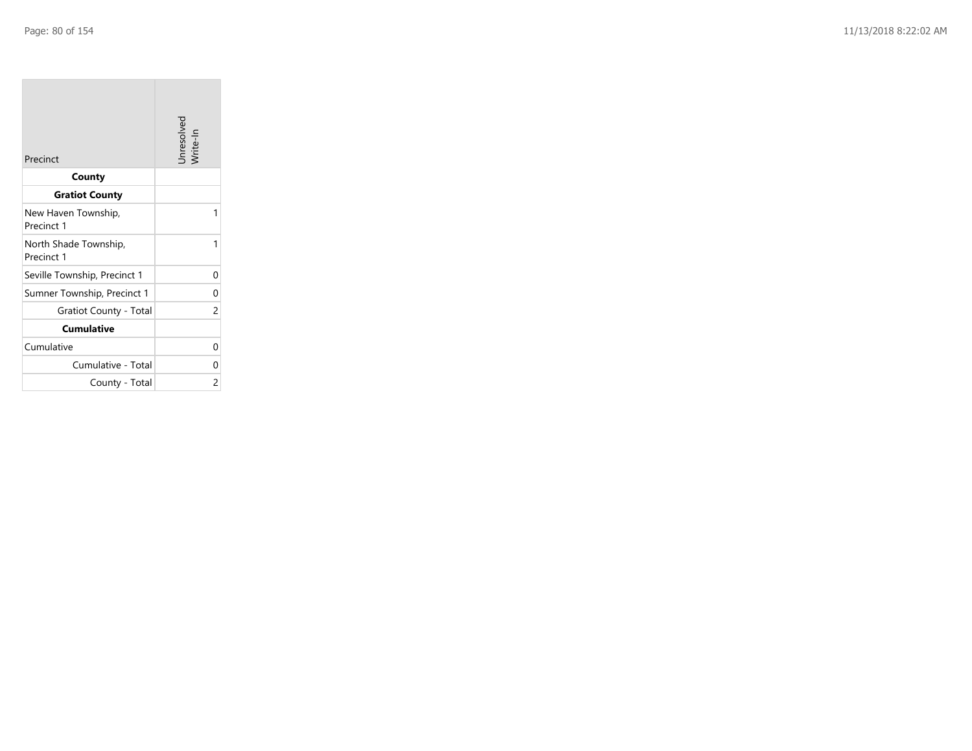| Precinct                            | Unresolved<br>Write-In |
|-------------------------------------|------------------------|
| County                              |                        |
| <b>Gratiot County</b>               |                        |
| New Haven Township,<br>Precinct 1   | 1                      |
| North Shade Township,<br>Precinct 1 | 1                      |
| Seville Township, Precinct 1        | 0                      |
| Sumner Township, Precinct 1         | 0                      |
| Gratiot County - Total              | $\overline{c}$         |
| <b>Cumulative</b>                   |                        |
| Cumulative                          | 0                      |
| Cumulative - Total                  | 0                      |
| County - Total                      | $\mathcal{P}$          |

the control of the control of the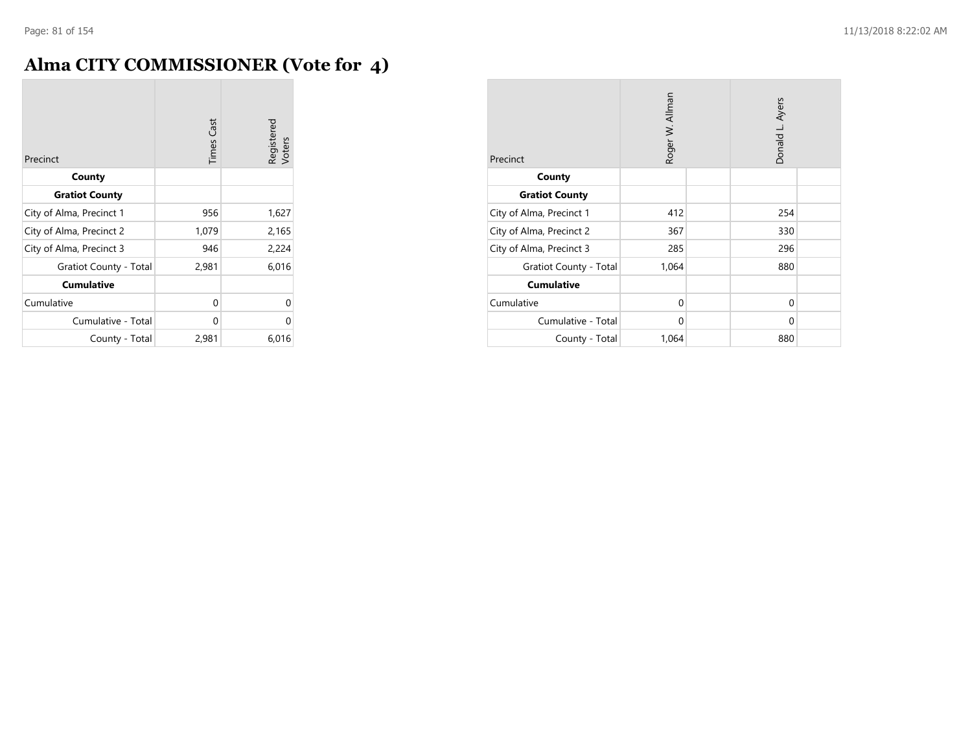## **Alma CITY COMMISSIONER (Vote for 4)**

| Precinct                 | <b>Times Cast</b> | Registered<br>Voters |
|--------------------------|-------------------|----------------------|
| County                   |                   |                      |
| <b>Gratiot County</b>    |                   |                      |
| City of Alma, Precinct 1 | 956               | 1,627                |
| City of Alma, Precinct 2 | 1,079             | 2,165                |
| City of Alma, Precinct 3 | 946               | 2,224                |
| Gratiot County - Total   | 2,981             | 6,016                |
| <b>Cumulative</b>        |                   |                      |
| Cumulative               | 0                 | 0                    |
| Cumulative - Total       | 0                 | 0                    |
| County - Total           | 2,981             | 6,016                |

| Precinct                 | Roger W. Allman |  | Donald L. Ayers |  |
|--------------------------|-----------------|--|-----------------|--|
| County                   |                 |  |                 |  |
| <b>Gratiot County</b>    |                 |  |                 |  |
| City of Alma, Precinct 1 | 412             |  | 254             |  |
| City of Alma, Precinct 2 | 367             |  | 330             |  |
| City of Alma, Precinct 3 | 285             |  | 296             |  |
| Gratiot County - Total   | 1,064           |  | 880             |  |
| <b>Cumulative</b>        |                 |  |                 |  |
| Cumulative               | $\mathbf 0$     |  | 0               |  |
| Cumulative - Total       | $\Omega$        |  | $\Omega$        |  |
| County - Total           | 1,064           |  | 880             |  |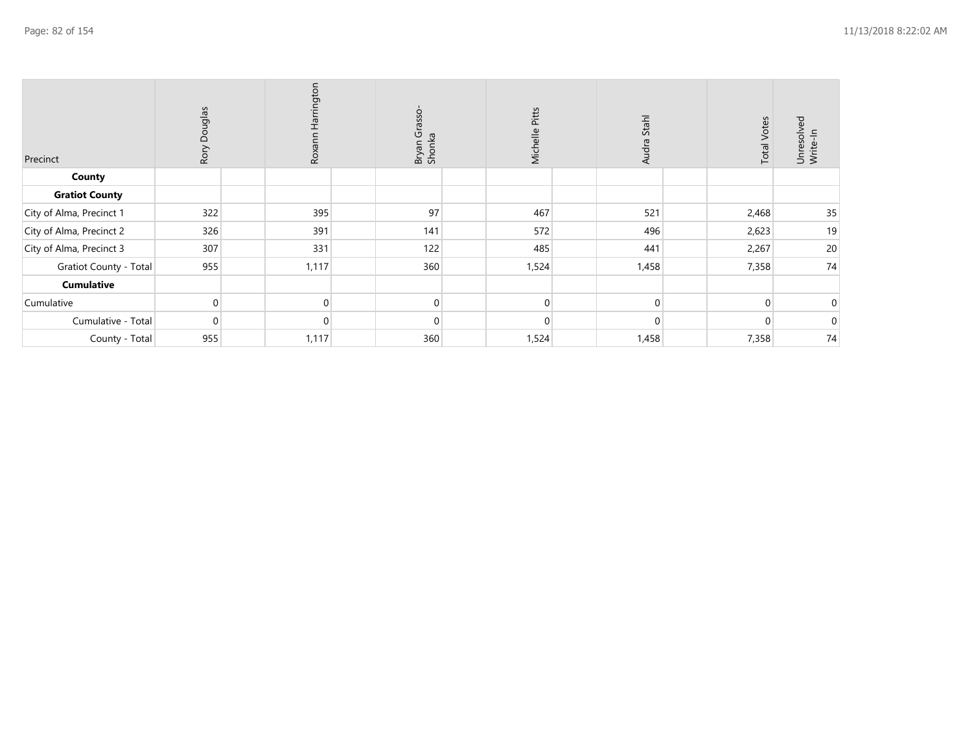| Precinct                      | Rory Douglas | Harrington<br>Roxann |       | Bryan Grasso-<br>Shonka | Michelle Pitts | Stahl<br>Audra | <b>Total Votes</b> | 공<br>Unresolve<br>Write-In |
|-------------------------------|--------------|----------------------|-------|-------------------------|----------------|----------------|--------------------|----------------------------|
| County                        |              |                      |       |                         |                |                |                    |                            |
| <b>Gratiot County</b>         |              |                      |       |                         |                |                |                    |                            |
| City of Alma, Precinct 1      | 322          |                      | 395   | 97                      | 467            | 521            | 2,468              | 35                         |
| City of Alma, Precinct 2      | 326          |                      | 391   | 141                     | 572            | 496            | 2,623              | 19                         |
| City of Alma, Precinct 3      | 307          |                      | 331   | 122                     | 485            | 441            | 2,267              | 20                         |
| <b>Gratiot County - Total</b> | 955          |                      | 1,117 | 360                     | 1,524          | 1,458          | 7,358              | 74                         |
| <b>Cumulative</b>             |              |                      |       |                         |                |                |                    |                            |
| Cumulative                    | $\Omega$     |                      |       | $\Omega$                | $\Omega$       | $\Omega$       | $\Omega$           | $\mathbf 0$                |
| Cumulative - Total            | $\Omega$     |                      |       |                         | $\overline{0}$ | 0              | $\Omega$           | $\mathbf 0$                |
| County - Total                | 955          |                      | 1,117 | 360                     | 1,524          | 1,458          | 7,358              | 74                         |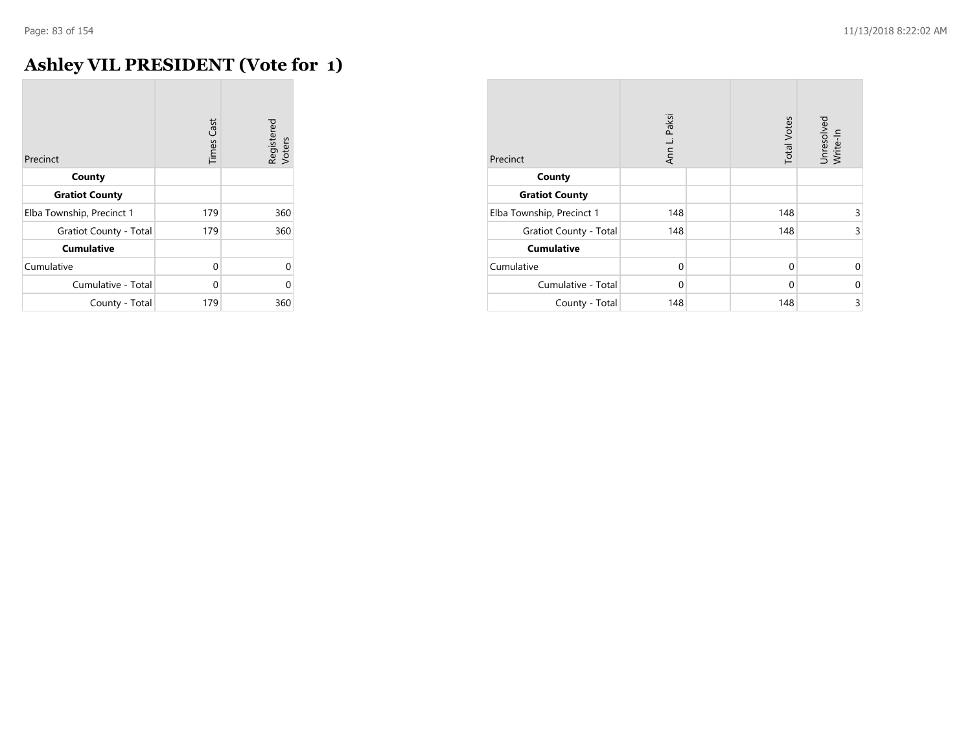## **Ashley VIL PRESIDENT (Vote for 1)**

| Precinct                  | <b>Times Cast</b> | Registered<br>Voters |
|---------------------------|-------------------|----------------------|
| County                    |                   |                      |
| <b>Gratiot County</b>     |                   |                      |
| Elba Township, Precinct 1 | 179               | 360                  |
| Gratiot County - Total    | 179               | 360                  |
| <b>Cumulative</b>         |                   |                      |
| Cumulative                | O                 | 0                    |
| Cumulative - Total        | ∩                 | በ                    |
| County - Total            | 179               | 360                  |

| Precinct                      | Ann L. Paksi | <b>Total Votes</b> | Unresolved<br>Write-In |
|-------------------------------|--------------|--------------------|------------------------|
| County                        |              |                    |                        |
| <b>Gratiot County</b>         |              |                    |                        |
| Elba Township, Precinct 1     | 148          | 148                | 3                      |
| <b>Gratiot County - Total</b> | 148          | 148                | 3                      |
| <b>Cumulative</b>             |              |                    |                        |
| Cumulative                    | $\Omega$     | $\Omega$           | $\Omega$               |
| Cumulative - Total            | $\Omega$     | $\Omega$           | $\Omega$               |
| County - Total                | 148          | 148                | 3                      |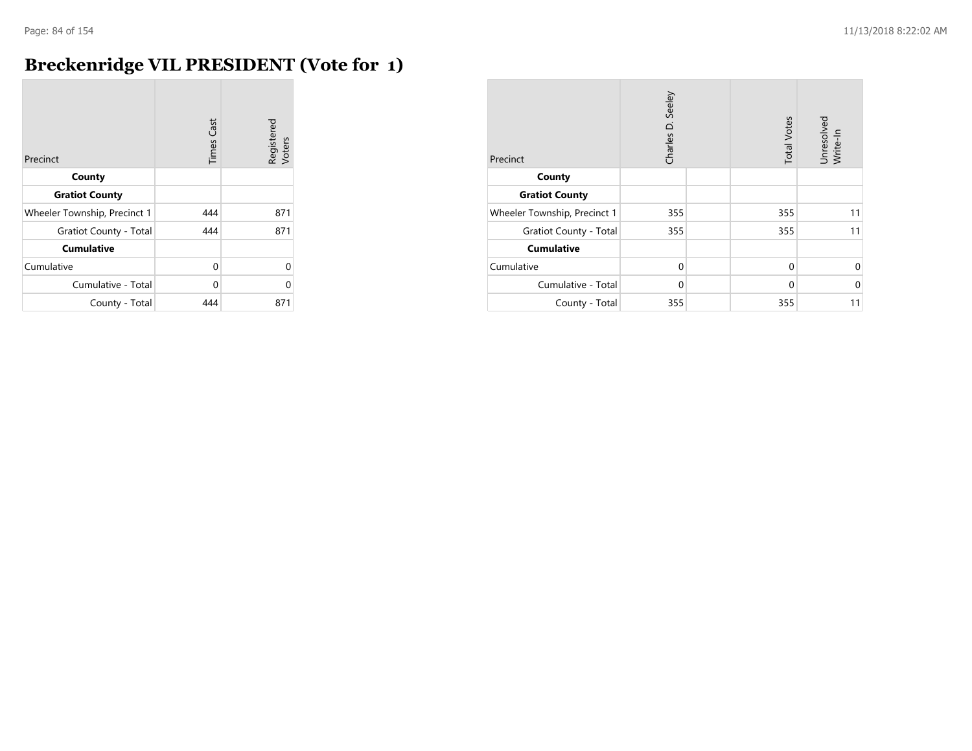## **Breckenridge VIL PRESIDENT (Vote for 1)**

| Precinct                     | <b>Times Cast</b> | Registered<br>Voters |
|------------------------------|-------------------|----------------------|
| County                       |                   |                      |
| <b>Gratiot County</b>        |                   |                      |
| Wheeler Township, Precinct 1 | 444               | 871                  |
| Gratiot County - Total       | 444               | 871                  |
| <b>Cumulative</b>            |                   |                      |
| Cumulative                   | 0                 | $\Omega$             |
| Cumulative - Total           | 0                 | 0                    |
| County - Total               | 444               | 871                  |

| Precinct                      | Charles D. Seeley | <b>Total Votes</b> | Unresolved<br>Write-In |
|-------------------------------|-------------------|--------------------|------------------------|
| County                        |                   |                    |                        |
| <b>Gratiot County</b>         |                   |                    |                        |
| Wheeler Township, Precinct 1  | 355               | 355                | 11                     |
| <b>Gratiot County - Total</b> | 355               | 355                | 11                     |
| <b>Cumulative</b>             |                   |                    |                        |
| Cumulative                    | $\Omega$          | $\Omega$           | $\Omega$               |
| Cumulative - Total            | $\Omega$          | $\Omega$           | $\Omega$               |
| County - Total                | 355               | 355                | 11                     |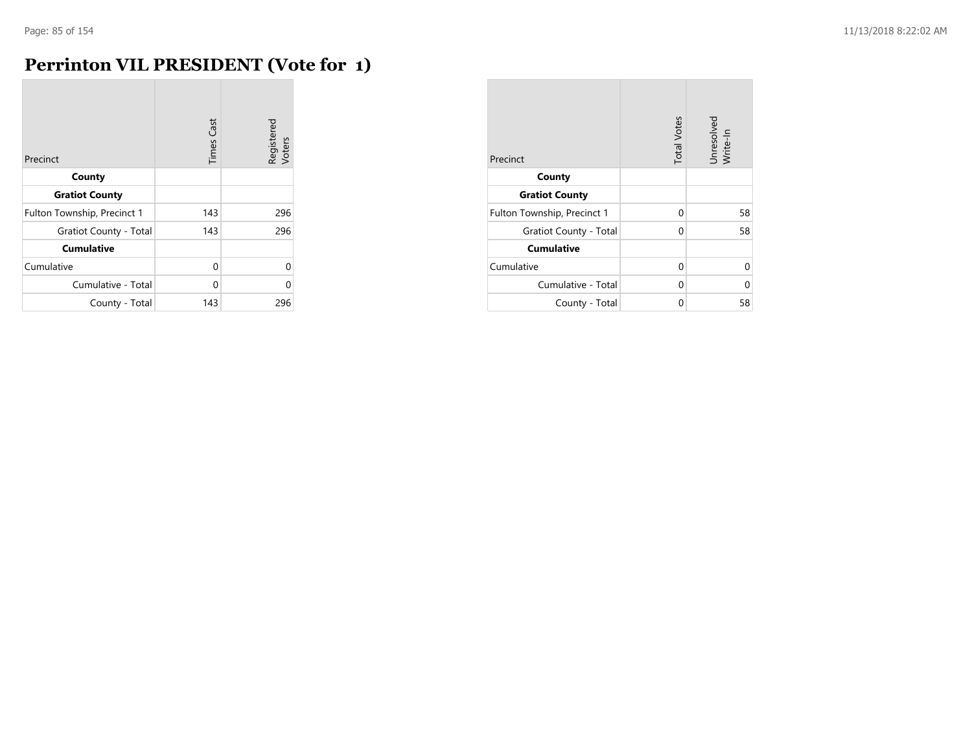$\sim$ 

#### **Perrinton VIL PRESIDENT (Vote for 1)**

| Precinct                    | <b>Times Cast</b> | Registered<br>Voters |
|-----------------------------|-------------------|----------------------|
| County                      |                   |                      |
| <b>Gratiot County</b>       |                   |                      |
| Fulton Township, Precinct 1 | 143               | 296                  |
| Gratiot County - Total      | 143               | 296                  |
| <b>Cumulative</b>           |                   |                      |
| Cumulative                  | $\Omega$          | 0                    |
| Cumulative - Total          | O                 | U                    |
| County - Total              | 143               | 296                  |

| Precinct                    | <b>Total Votes</b> | Unresolved<br>Write-In |
|-----------------------------|--------------------|------------------------|
| County                      |                    |                        |
| <b>Gratiot County</b>       |                    |                        |
| Fulton Township, Precinct 1 | 0                  | 58                     |
| Gratiot County - Total      | 0                  | 58                     |
| <b>Cumulative</b>           |                    |                        |
| Cumulative                  | 0                  | U                      |
| Cumulative - Total          | 0                  | U                      |
| County - Total              | 0                  | 58                     |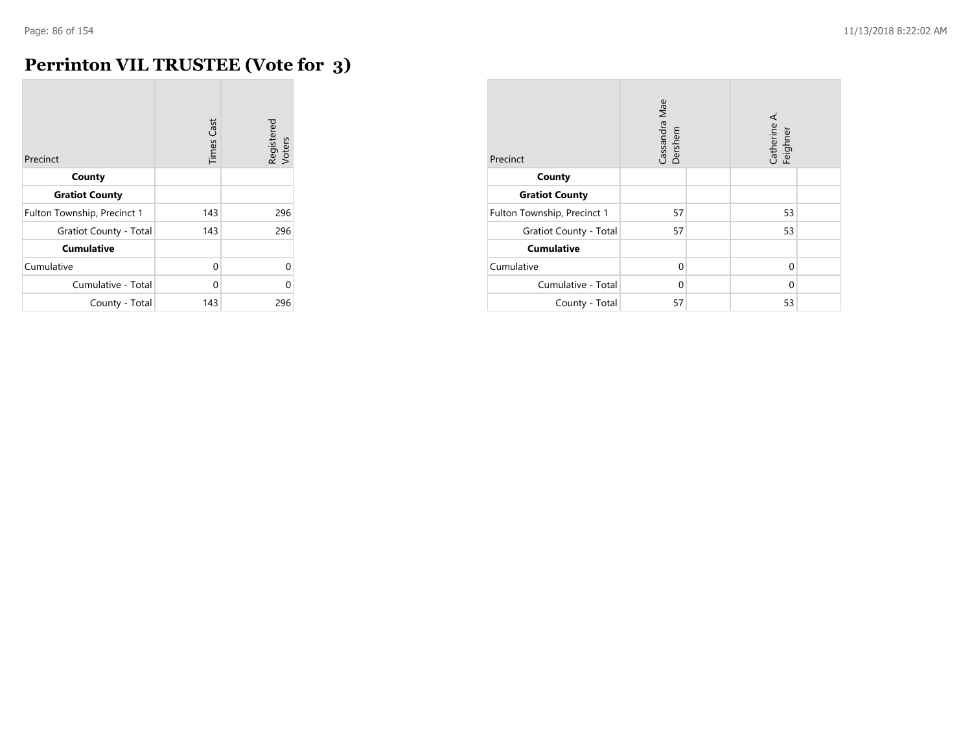#### **Perrinton VIL TRUSTEE (Vote for 3)**  $\overline{a}$

| Precinct                    | <b>Times Cast</b> | Registered<br>Voters |
|-----------------------------|-------------------|----------------------|
| County                      |                   |                      |
| <b>Gratiot County</b>       |                   |                      |
| Fulton Township, Precinct 1 | 143               | 296                  |
| Gratiot County - Total      | 143               | 296                  |
| <b>Cumulative</b>           |                   |                      |
| Cumulative                  | $\Omega$          | $\Omega$             |
| Cumulative - Total          | U                 | O                    |
| County - Total              | 143               | 296                  |

| Precinct                      | Cassandra Mae<br>Dershem | Catherine A<br>Feighner |  |
|-------------------------------|--------------------------|-------------------------|--|
| County                        |                          |                         |  |
| <b>Gratiot County</b>         |                          |                         |  |
| Fulton Township, Precinct 1   | 57                       | 53                      |  |
| <b>Gratiot County - Total</b> | 57                       | 53                      |  |
| <b>Cumulative</b>             |                          |                         |  |
| Cumulative                    | $\Omega$                 | $\Omega$                |  |
| Cumulative - Total            | $\Omega$                 | $\Omega$                |  |
| County - Total                | 57                       | 53                      |  |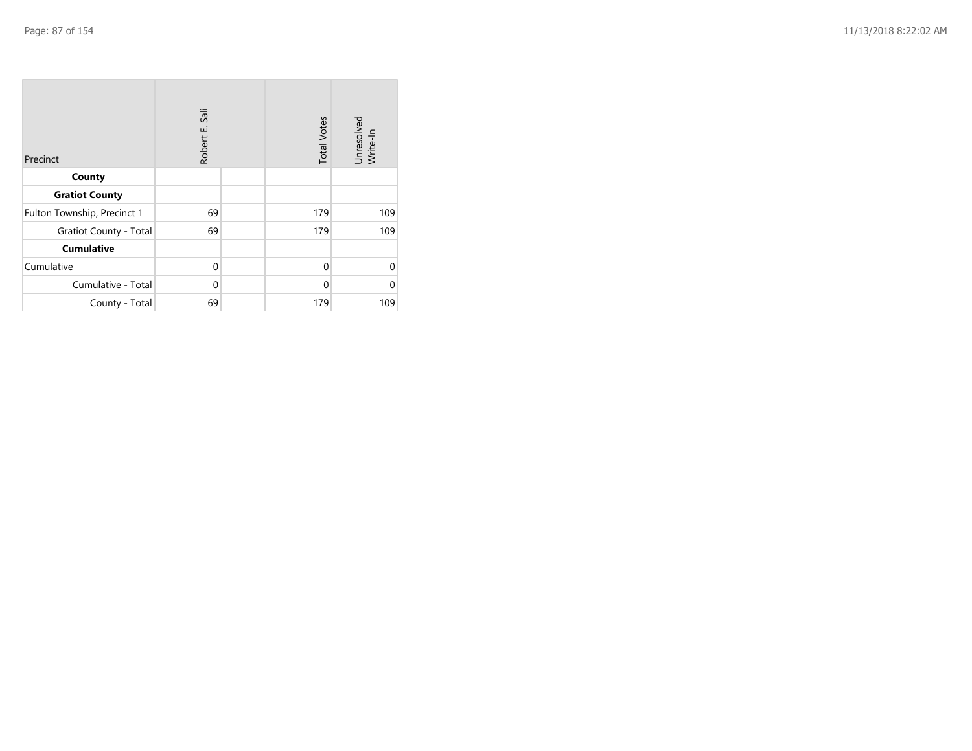| Precinct                      | Robert E. Sali | <b>Total Votes</b> | Unresolved<br>Write-In |
|-------------------------------|----------------|--------------------|------------------------|
| County                        |                |                    |                        |
| <b>Gratiot County</b>         |                |                    |                        |
| Fulton Township, Precinct 1   | 69             | 179                | 109                    |
| <b>Gratiot County - Total</b> | 69             | 179                | 109                    |
| <b>Cumulative</b>             |                |                    |                        |
| Cumulative                    | $\mathbf{0}$   | $\mathbf{0}$       | $\Omega$               |
| Cumulative - Total            | $\mathbf 0$    | $\mathbf 0$        | $\Omega$               |
| County - Total                | 69             | 179                | 109                    |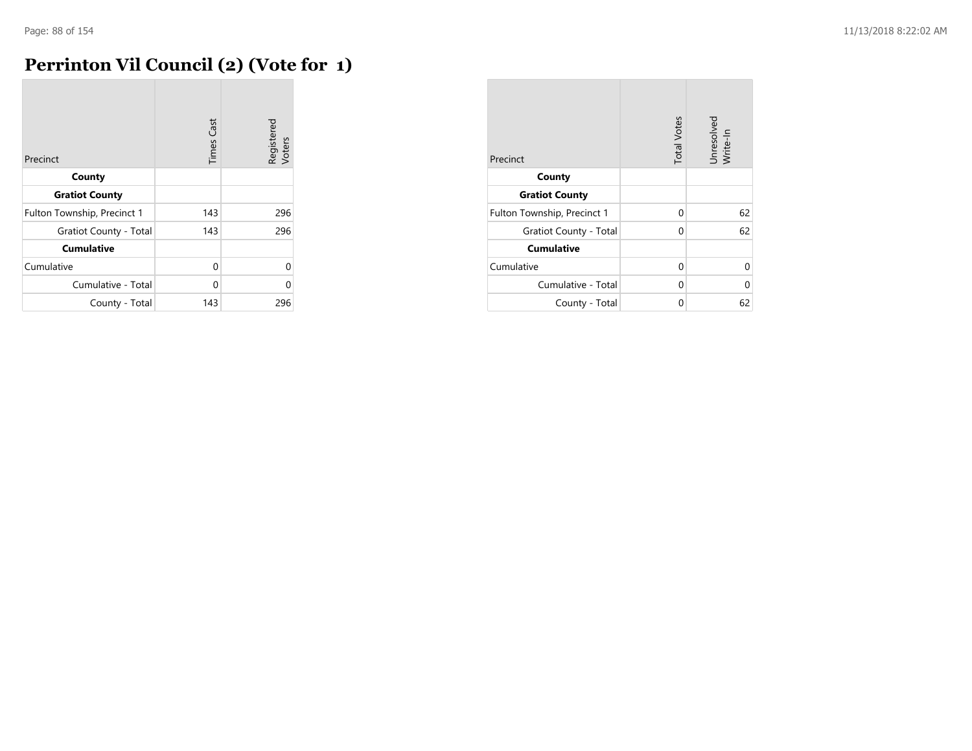÷

## **Perrinton Vil Council (2) (Vote for 1)**

| Precinct                    | <b>Times Cast</b> | Registered<br>Voters |
|-----------------------------|-------------------|----------------------|
| County                      |                   |                      |
| <b>Gratiot County</b>       |                   |                      |
| Fulton Township, Precinct 1 | 143               | 296                  |
| Gratiot County - Total      | 143               | 296                  |
| <b>Cumulative</b>           |                   |                      |
| Cumulative                  | $\Omega$          | $\Omega$             |
| Cumulative - Total          | U                 | O                    |
| County - Total              | 143               | 296                  |

| Precinct                    | <b>Total Votes</b> | Unresolved<br>Write-In |
|-----------------------------|--------------------|------------------------|
| County                      |                    |                        |
| <b>Gratiot County</b>       |                    |                        |
| Fulton Township, Precinct 1 | 0                  | 62                     |
| Gratiot County - Total      | 0                  | 62                     |
| <b>Cumulative</b>           |                    |                        |
| Cumulative                  | 0                  | 0                      |
| Cumulative - Total          | 0                  | ი                      |
| County - Total              | 0                  | 62                     |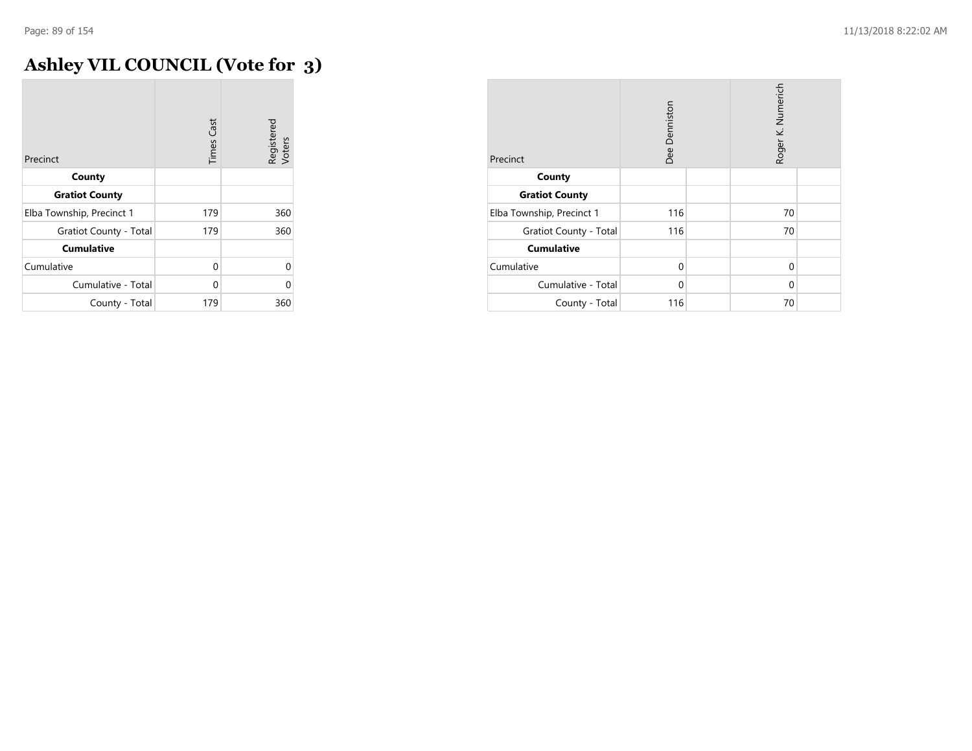## **Ashley VIL COUNCIL (Vote for 3)**

| Precinct                  | <b>Times Cast</b> | Registered<br>Voters |
|---------------------------|-------------------|----------------------|
| County                    |                   |                      |
| <b>Gratiot County</b>     |                   |                      |
| Elba Township, Precinct 1 | 179               | 360                  |
| Gratiot County - Total    | 179               | 360                  |
| <b>Cumulative</b>         |                   |                      |
| Cumulative                | $\Omega$          | 0                    |
| Cumulative - Total        | 0                 | $\Omega$             |
| County - Total            | 179               | 360                  |

| Precinct                      | Dee Denniston |  | Roger K. Numerich |  |
|-------------------------------|---------------|--|-------------------|--|
| County                        |               |  |                   |  |
| <b>Gratiot County</b>         |               |  |                   |  |
| Elba Township, Precinct 1     | 116           |  | 70                |  |
| <b>Gratiot County - Total</b> | 116           |  | 70                |  |
| <b>Cumulative</b>             |               |  |                   |  |
| Cumulative                    | $\Omega$      |  | $\mathbf 0$       |  |
| Cumulative - Total            | 0             |  | $\Omega$          |  |
| County - Total                | 116           |  | 70                |  |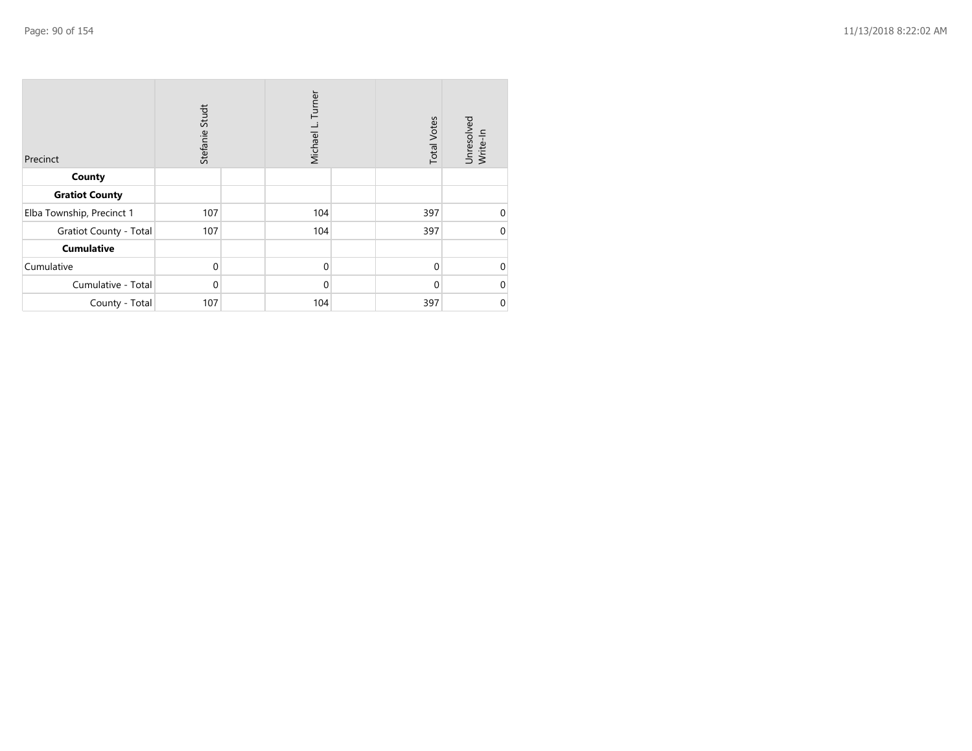| Precinct                      | Stefanie Studt |  | Turner<br>Michael L. |  | <b>Total Votes</b> | Unresolved<br>Write-In |
|-------------------------------|----------------|--|----------------------|--|--------------------|------------------------|
| County                        |                |  |                      |  |                    |                        |
| <b>Gratiot County</b>         |                |  |                      |  |                    |                        |
| Elba Township, Precinct 1     | 107            |  | 104                  |  | 397                | 0                      |
| <b>Gratiot County - Total</b> | 107            |  | 104                  |  | 397                | $\mathbf 0$            |
| <b>Cumulative</b>             |                |  |                      |  |                    |                        |
| Cumulative                    | $\mathbf{0}$   |  | $\mathbf{0}$         |  | $\Omega$           | $\mathbf{0}$           |
| Cumulative - Total            | $\mathbf 0$    |  | $\mathbf 0$          |  | 0                  | $\mathbf 0$            |
| County - Total                | 107            |  | 104                  |  | 397                | $\pmb{0}$              |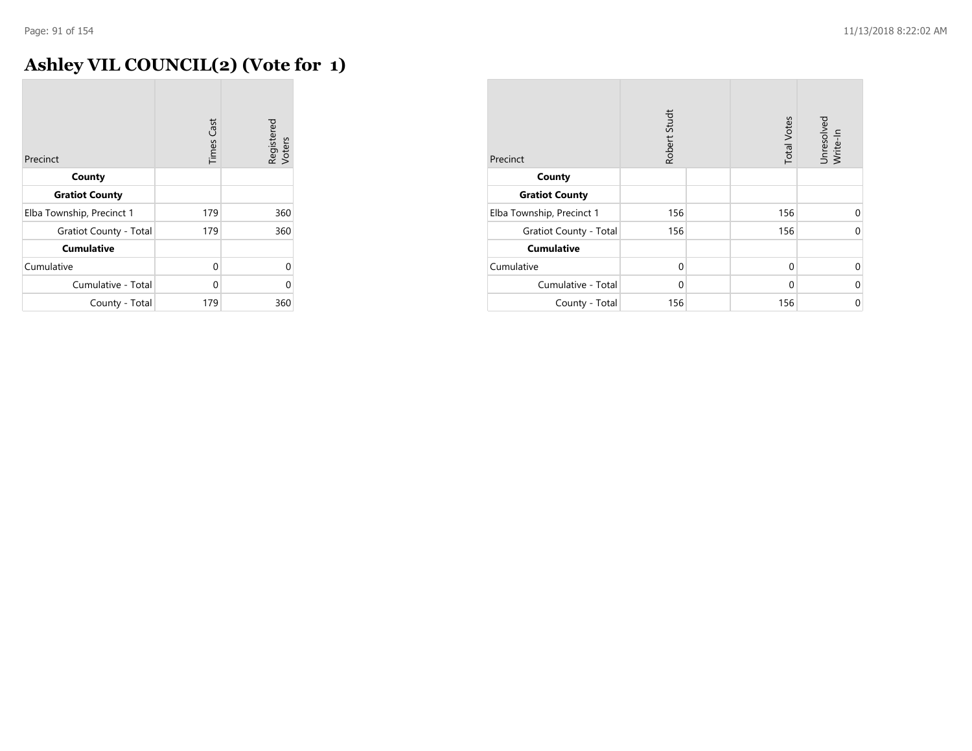## **Ashley VIL COUNCIL(2) (Vote for 1)**

| Precinct                  | <b>Times Cast</b> | Registered<br>Voters |
|---------------------------|-------------------|----------------------|
| County                    |                   |                      |
| <b>Gratiot County</b>     |                   |                      |
| Elba Township, Precinct 1 | 179               | 360                  |
| Gratiot County - Total    | 179               | 360                  |
| <b>Cumulative</b>         |                   |                      |
| Cumulative                | $\Omega$          | 0                    |
| Cumulative - Total        | O                 | C                    |
| County - Total            | 179               | 360                  |

| Precinct                      | Robert Studt | <b>Total Votes</b> | Unresolved<br>Write-In |
|-------------------------------|--------------|--------------------|------------------------|
| County                        |              |                    |                        |
| <b>Gratiot County</b>         |              |                    |                        |
| Elba Township, Precinct 1     | 156          | 156                | 0                      |
| <b>Gratiot County - Total</b> | 156          | 156                | $\mathbf{0}$           |
| <b>Cumulative</b>             |              |                    |                        |
| Cumulative                    | $\mathbf 0$  | $\Omega$           | $\mathbf 0$            |
| Cumulative - Total            | $\Omega$     | $\Omega$           | $\mathbf{0}$           |
| County - Total                | 156          | 156                | $\mathbf 0$            |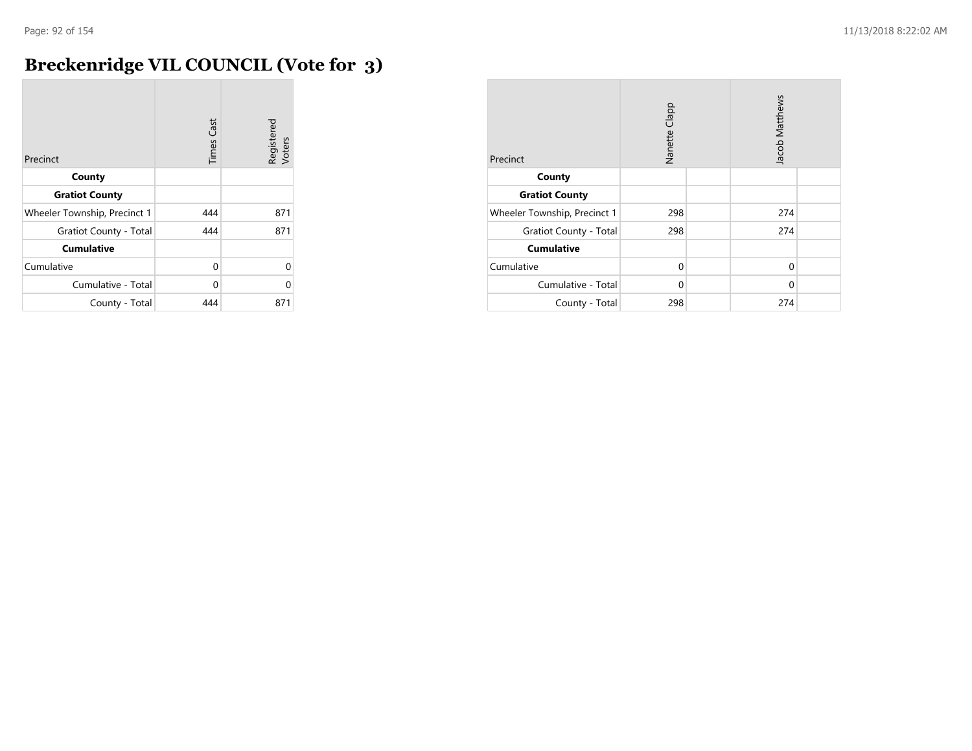$\sim$ 

## **Breckenridge VIL COUNCIL (Vote for 3)**

| Precinct                     | <b>Times Cast</b> | Registered<br>Voters |
|------------------------------|-------------------|----------------------|
| County                       |                   |                      |
| <b>Gratiot County</b>        |                   |                      |
| Wheeler Township, Precinct 1 | 444               | 871                  |
| Gratiot County - Total       | 444               | 871                  |
| <b>Cumulative</b>            |                   |                      |
| Cumulative                   | $\Omega$          | 0                    |
| Cumulative - Total           | O                 | O                    |
| County - Total               | 444               | 871                  |

| Precinct                      | Nanette Clapp |  | Jacob Matthews |  |
|-------------------------------|---------------|--|----------------|--|
| County                        |               |  |                |  |
| <b>Gratiot County</b>         |               |  |                |  |
| Wheeler Township, Precinct 1  | 298           |  | 274            |  |
| <b>Gratiot County - Total</b> | 298           |  | 274            |  |
| <b>Cumulative</b>             |               |  |                |  |
| Cumulative                    | $\Omega$      |  | $\mathbf 0$    |  |
| Cumulative - Total            | 0             |  | $\Omega$       |  |
| County - Total                | 298           |  | 274            |  |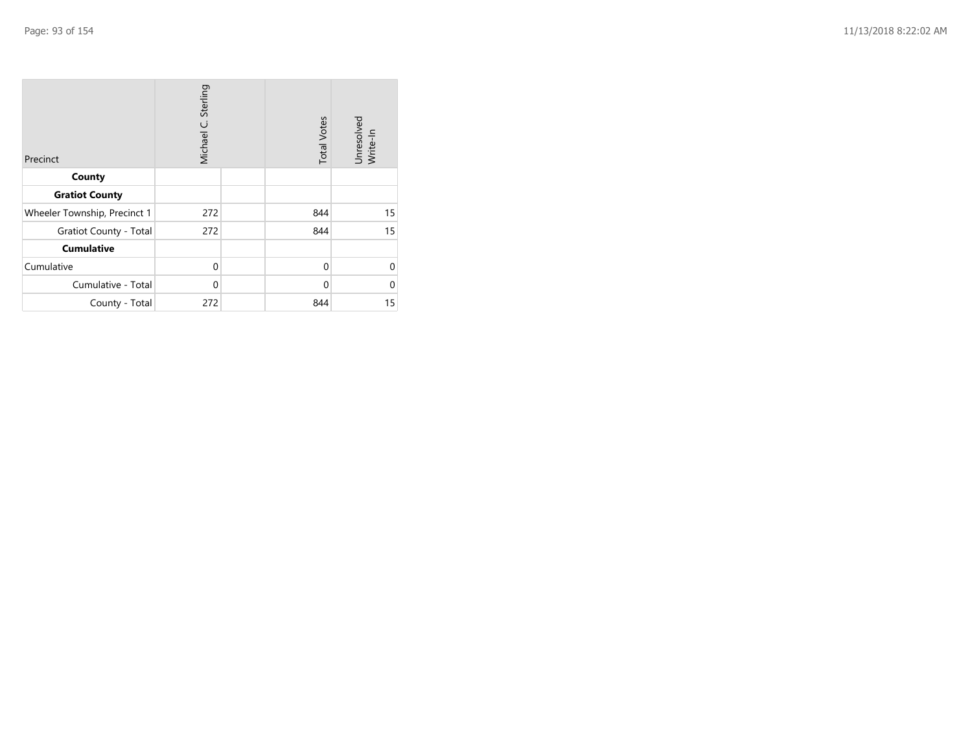| Precinct                     | Michael C. Sterling |  | <b>Total Votes</b> | Unresolved<br>Write-In |
|------------------------------|---------------------|--|--------------------|------------------------|
| County                       |                     |  |                    |                        |
| <b>Gratiot County</b>        |                     |  |                    |                        |
| Wheeler Township, Precinct 1 | 272                 |  | 844                | 15                     |
| Gratiot County - Total       | 272                 |  | 844                | 15                     |
| <b>Cumulative</b>            |                     |  |                    |                        |
| Cumulative                   | $\overline{0}$      |  | $\mathbf 0$        | $\Omega$               |
| Cumulative - Total           | $\mathbf 0$         |  | $\mathbf 0$        | 0                      |
| County - Total               | 272                 |  | 844                | 15                     |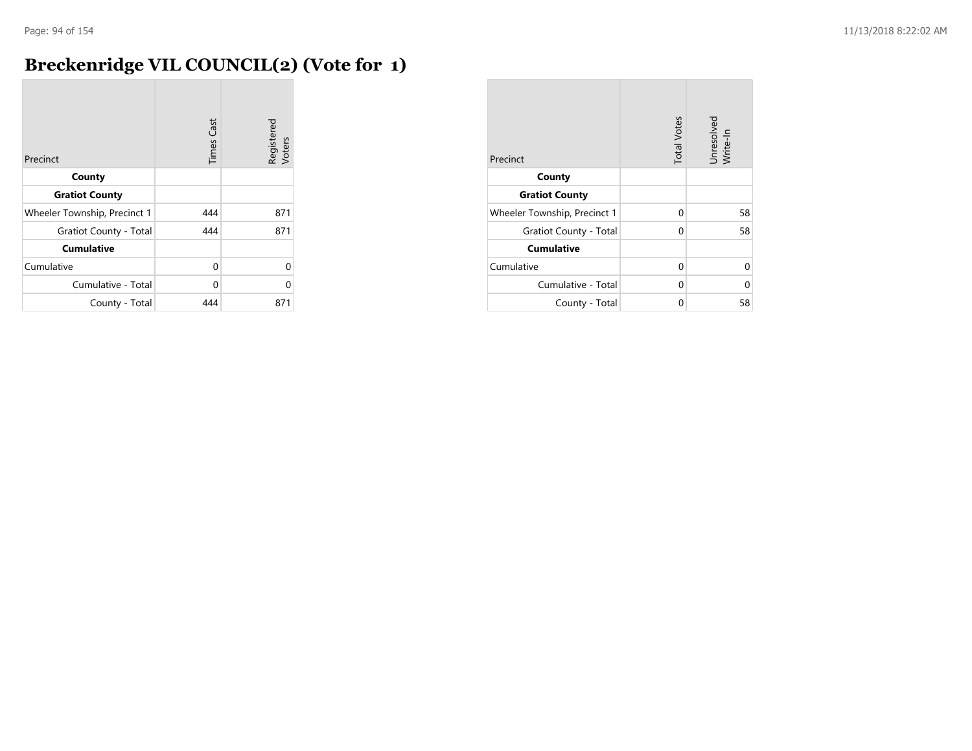$\sim$ 

## **Breckenridge VIL COUNCIL(2) (Vote for 1)**

| Precinct                     | <b>Times Cast</b> | Registered<br>Voters |
|------------------------------|-------------------|----------------------|
| County                       |                   |                      |
| <b>Gratiot County</b>        |                   |                      |
| Wheeler Township, Precinct 1 | 444               | 871                  |
| Gratiot County - Total       | 444               | 871                  |
| <b>Cumulative</b>            |                   |                      |
| Cumulative                   | $\Omega$          | $\Omega$             |
| Cumulative - Total           | O                 | C                    |
| County - Total               | 444               | 871                  |

| Precinct                     | <b>Total Votes</b> | Unresolved<br>Write-In |
|------------------------------|--------------------|------------------------|
| County                       |                    |                        |
| <b>Gratiot County</b>        |                    |                        |
| Wheeler Township, Precinct 1 | 0                  | 58                     |
| Gratiot County - Total       | 0                  | 58                     |
| <b>Cumulative</b>            |                    |                        |
| Cumulative                   | 0                  | U                      |
| Cumulative - Total           | 0                  | U                      |
| County - Total               | 0                  | 58                     |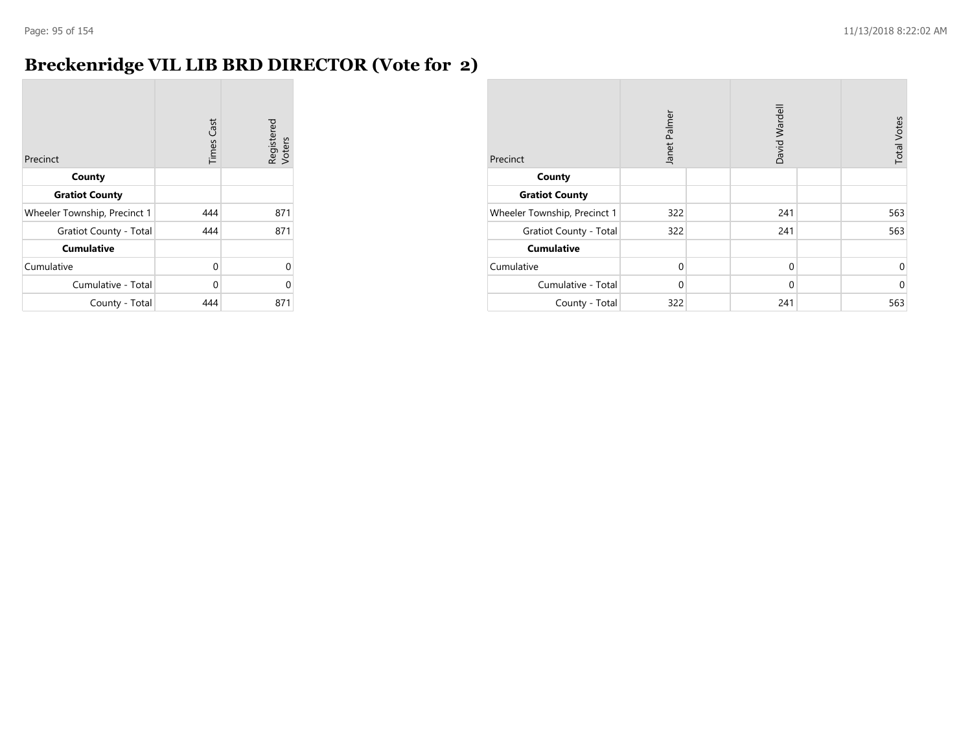# **Breckenridge VIL LIB BRD DIRECTOR (Vote for 2)**

| Precinct                     | <b>Times Cast</b> | Registered<br>Voters |
|------------------------------|-------------------|----------------------|
| County                       |                   |                      |
| <b>Gratiot County</b>        |                   |                      |
| Wheeler Township, Precinct 1 | 444               | 871                  |
| Gratiot County - Total       | 444               | 871                  |
| <b>Cumulative</b>            |                   |                      |
| Cumulative                   | 0                 | Λ                    |
| Cumulative - Total           | $\Omega$          | በ                    |
| County - Total               | 444               | 871                  |

| Precinct                     | Janet Palmer |  | David Wardell |  | <b>Total Votes</b> |
|------------------------------|--------------|--|---------------|--|--------------------|
| County                       |              |  |               |  |                    |
| <b>Gratiot County</b>        |              |  |               |  |                    |
| Wheeler Township, Precinct 1 | 322          |  | 241           |  | 563                |
| Gratiot County - Total       | 322          |  | 241           |  | 563                |
| <b>Cumulative</b>            |              |  |               |  |                    |
| Cumulative                   | $\Omega$     |  | $\mathbf 0$   |  | $\Omega$           |
| Cumulative - Total           | $\Omega$     |  | $\mathbf 0$   |  | $\Omega$           |
| County - Total               | 322          |  | 241           |  | 563                |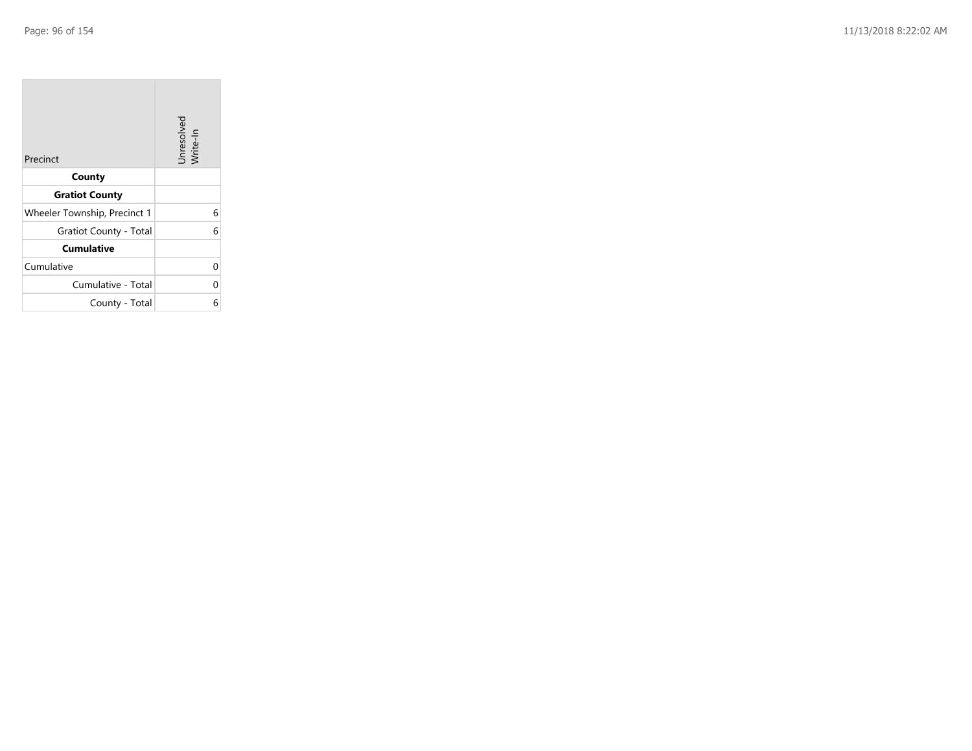$\sim$ 

| Precinct                     | Unresolved<br>Write-In |
|------------------------------|------------------------|
| County                       |                        |
| <b>Gratiot County</b>        |                        |
| Wheeler Township, Precinct 1 | 6                      |
| Gratiot County - Total       | 6                      |
| <b>Cumulative</b>            |                        |
| Cumulative                   | 0                      |
| Cumulative - Total           | 0                      |
| County - Total               | 6                      |

the property of the con-

 $\overline{\phantom{a}}$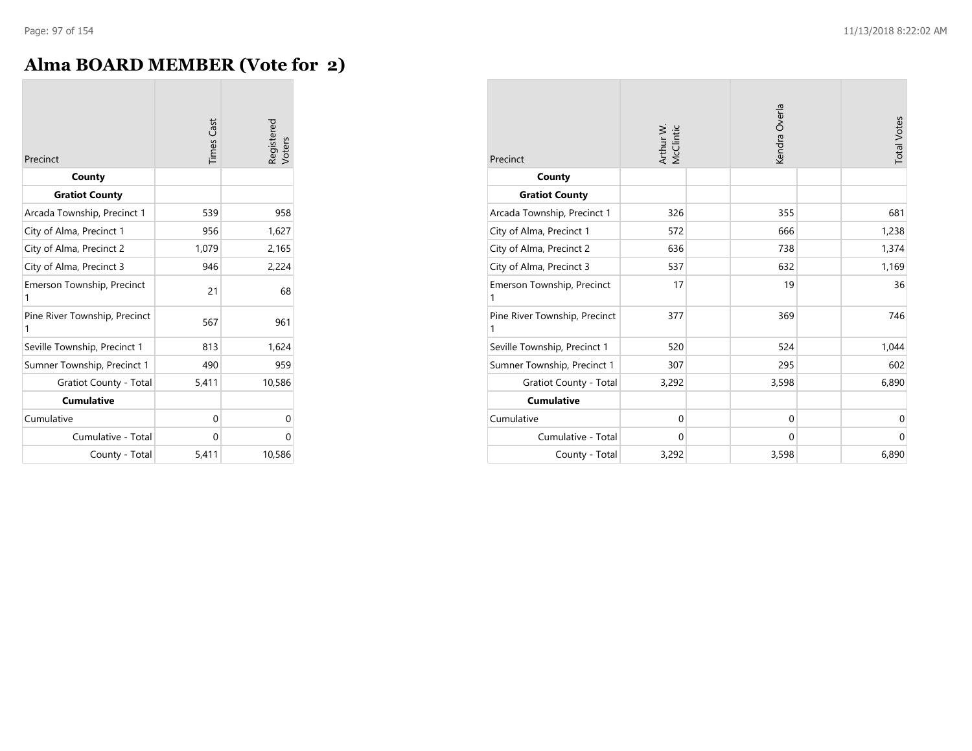## **Alma BOARD MEMBER (Vote for 2)**

| Precinct                           | <b>Times Cast</b> | Registered<br>Voters |
|------------------------------------|-------------------|----------------------|
| County                             |                   |                      |
| <b>Gratiot County</b>              |                   |                      |
| Arcada Township, Precinct 1        | 539               | 958                  |
| City of Alma, Precinct 1           | 956               | 1,627                |
| City of Alma, Precinct 2           | 1,079             | 2,165                |
| City of Alma, Precinct 3           | 946               | 2,224                |
| Emerson Township, Precinct<br>1    | 21                | 68                   |
| Pine River Township, Precinct<br>1 | 567               | 961                  |
| Seville Township, Precinct 1       | 813               | 1,624                |
| Sumner Township, Precinct 1        | 490               | 959                  |
| <b>Gratiot County - Total</b>      | 5,411             | 10,586               |
| <b>Cumulative</b>                  |                   |                      |
| Cumulative                         | 0                 | 0                    |
| Cumulative - Total                 | 0                 | 0                    |
| County - Total                     | 5,411             | 10,586               |

| Precinct                           | Arthur W.<br>McClintic | Kendra Overla | <b>Total Votes</b> |
|------------------------------------|------------------------|---------------|--------------------|
| County                             |                        |               |                    |
| <b>Gratiot County</b>              |                        |               |                    |
| Arcada Township, Precinct 1        | 326                    | 355           | 681                |
| City of Alma, Precinct 1           | 572                    | 666           | 1,238              |
| City of Alma, Precinct 2           | 636                    | 738           | 1,374              |
| City of Alma, Precinct 3           | 537                    | 632           | 1,169              |
| Emerson Township, Precinct<br>1    | 17                     | 19            | 36                 |
| Pine River Township, Precinct<br>1 | 377                    | 369           | 746                |
| Seville Township, Precinct 1       | 520                    | 524           | 1,044              |
| Sumner Township, Precinct 1        | 307                    | 295           | 602                |
| <b>Gratiot County - Total</b>      | 3,292                  | 3,598         | 6,890              |
| <b>Cumulative</b>                  |                        |               |                    |
| Cumulative                         | $\Omega$               | $\mathbf 0$   | $\mathbf 0$        |
| Cumulative - Total                 | $\mathbf 0$            | $\mathbf 0$   | $\mathbf{0}$       |
| County - Total                     | 3,292                  | 3,598         | 6,890              |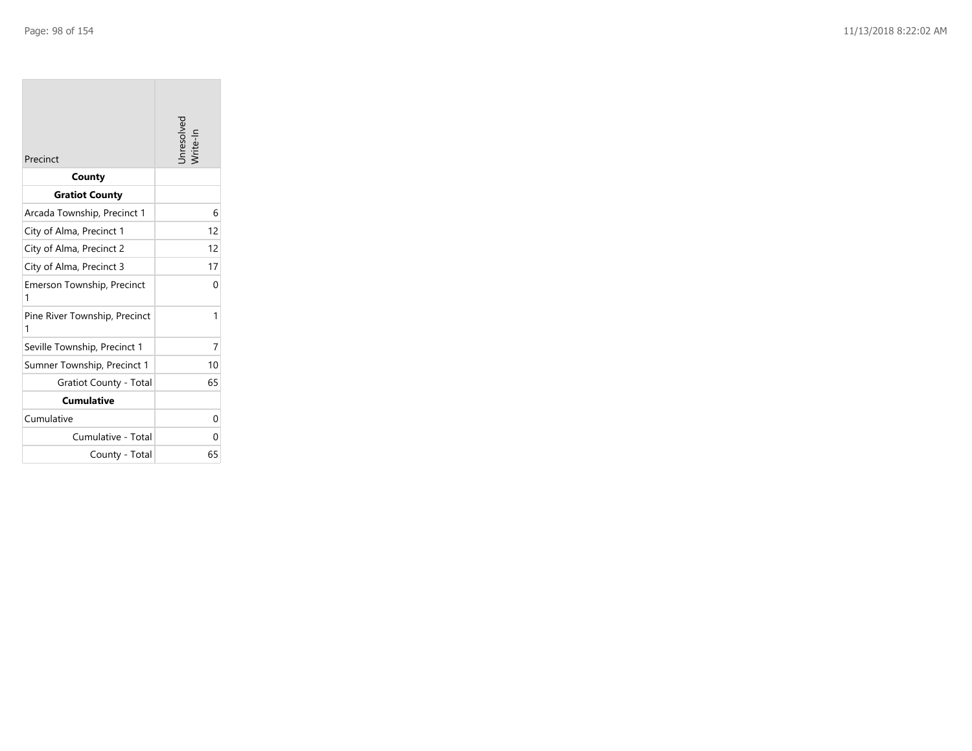| Precinct                           | Inresolvec |
|------------------------------------|------------|
| County                             |            |
| <b>Gratiot County</b>              |            |
| Arcada Township, Precinct 1        | 6          |
| City of Alma, Precinct 1           | 12         |
| City of Alma, Precinct 2           | 12         |
| City of Alma, Precinct 3           | 17         |
| Emerson Township, Precinct<br>1    | 0          |
| Pine River Township, Precinct<br>1 | 1          |
| Seville Township, Precinct 1       | 7          |
| Sumner Township, Precinct 1        | 10         |
| Gratiot County - Total             | 65         |
| Cumulative                         |            |
| Cumulative                         | 0          |
| Cumulative - Total                 | 0          |
| County - Total                     | 65         |

the control of the control of the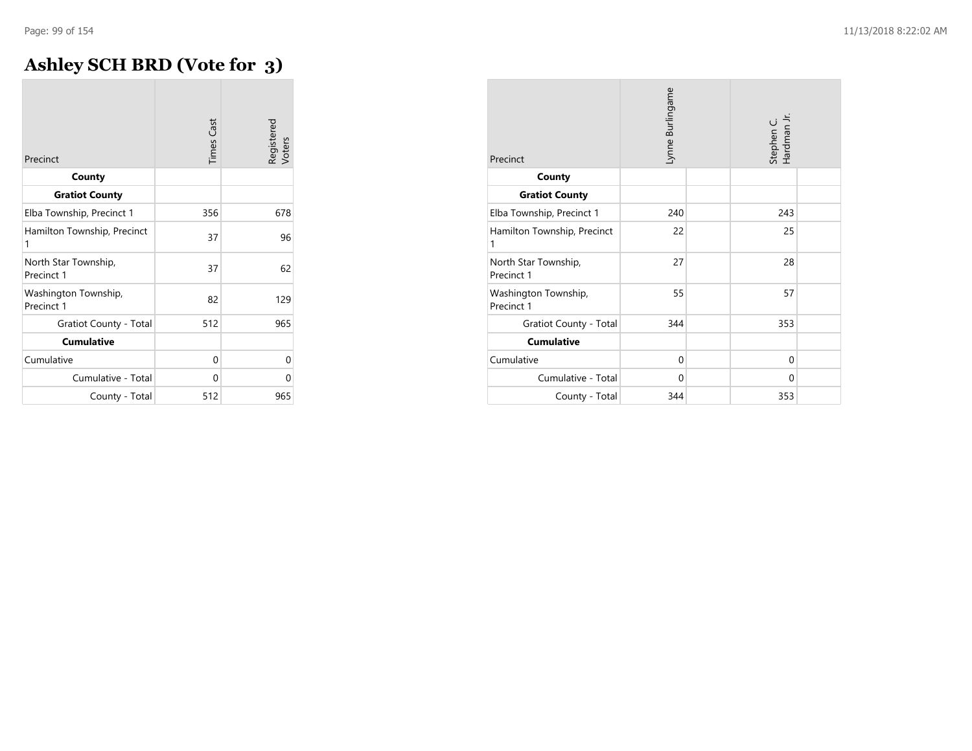## **Ashley SCH BRD (Vote for 3)**

| Precinct                           | <b>Times Cast</b> | Registered<br>Voters |
|------------------------------------|-------------------|----------------------|
| County                             |                   |                      |
| <b>Gratiot County</b>              |                   |                      |
| Elba Township, Precinct 1          | 356               | 678                  |
| Hamilton Township, Precinct<br>1   | 37                | 96                   |
| North Star Township,<br>Precinct 1 | 37                | 62                   |
| Washington Township,<br>Precinct 1 | 82                | 129                  |
| Gratiot County - Total             | 512               | 965                  |
| <b>Cumulative</b>                  |                   |                      |
| Cumulative                         | 0                 | 0                    |
| Cumulative - Total                 | 0                 | 0                    |
| County - Total                     | 512               | 965                  |

| Precinct                           | Lynne Burlingame |  | Stephen C.<br>Hardman Jr. |  |
|------------------------------------|------------------|--|---------------------------|--|
| County                             |                  |  |                           |  |
| <b>Gratiot County</b>              |                  |  |                           |  |
| Elba Township, Precinct 1          | 240              |  | 243                       |  |
| Hamilton Township, Precinct<br>1   | 22               |  | 25                        |  |
| North Star Township,<br>Precinct 1 | 27               |  | 28                        |  |
| Washington Township,<br>Precinct 1 | 55               |  | 57                        |  |
| Gratiot County - Total             | 344              |  | 353                       |  |
| <b>Cumulative</b>                  |                  |  |                           |  |
| Cumulative                         | $\Omega$         |  | $\Omega$                  |  |
| Cumulative - Total                 | $\Omega$         |  | 0                         |  |
| County - Total                     | 344              |  | 353                       |  |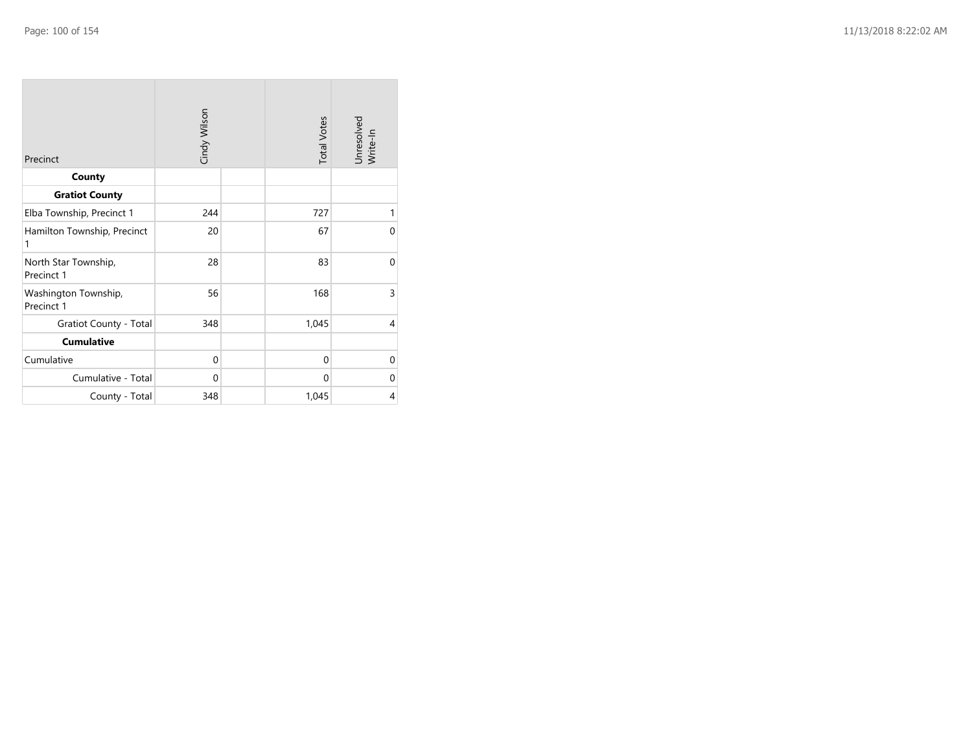| Precinct                           | Cindy Wilson | <b>Total Votes</b> | Unresolved<br>Write-In |
|------------------------------------|--------------|--------------------|------------------------|
| County                             |              |                    |                        |
| <b>Gratiot County</b>              |              |                    |                        |
| Elba Township, Precinct 1          | 244          | 727                | 1                      |
| Hamilton Township, Precinct<br>1   | 20           | 67                 | $\Omega$               |
| North Star Township,<br>Precinct 1 | 28           | 83                 | $\Omega$               |
| Washington Township,<br>Precinct 1 | 56           | 168                | 3                      |
| Gratiot County - Total             | 348          | 1,045              | 4                      |
| <b>Cumulative</b>                  |              |                    |                        |
| Cumulative                         | $\mathbf{0}$ | $\Omega$           | $\mathbf 0$            |
| Cumulative - Total                 | 0            | $\mathbf{0}$       | 0                      |
| County - Total                     | 348          | 1,045              | 4                      |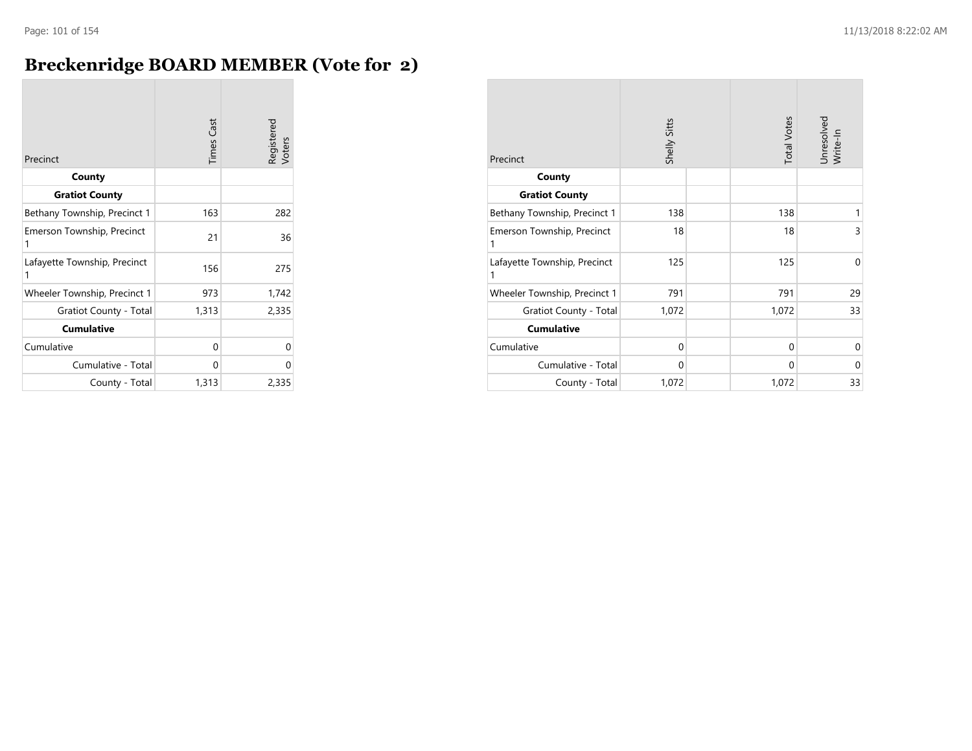## **Breckenridge BOARD MEMBER (Vote for 2)**

| Precinct                          | <b>Times Cast</b> | Registered<br>Voters |
|-----------------------------------|-------------------|----------------------|
| County                            |                   |                      |
| <b>Gratiot County</b>             |                   |                      |
| Bethany Township, Precinct 1      | 163               | 282                  |
| Emerson Township, Precinct<br>1   | 21                | 36                   |
| Lafayette Township, Precinct<br>1 | 156               | 275                  |
| Wheeler Township, Precinct 1      | 973               | 1,742                |
| Gratiot County - Total            | 1,313             | 2,335                |
| <b>Cumulative</b>                 |                   |                      |
| Cumulative                        | 0                 | 0                    |
| Cumulative - Total                | 0                 | U                    |
| County - Total                    | 1,313             | 2.335                |

| Precinct                          | Shelly Sitts | <b>Total Votes</b> | Unresolved<br>Write-In |
|-----------------------------------|--------------|--------------------|------------------------|
| County                            |              |                    |                        |
| <b>Gratiot County</b>             |              |                    |                        |
| Bethany Township, Precinct 1      | 138          | 138                | 1                      |
| Emerson Township, Precinct<br>1   | 18           | 18                 | 3                      |
| Lafayette Township, Precinct<br>1 | 125          | 125                | 0                      |
| Wheeler Township, Precinct 1      | 791          | 791                | 29                     |
| Gratiot County - Total            | 1,072        | 1,072              | 33                     |
| <b>Cumulative</b>                 |              |                    |                        |
| Cumulative                        | $\mathbf 0$  | $\mathbf 0$        | $\mathbf 0$            |
| Cumulative - Total                | $\mathbf 0$  | 0                  | 0                      |
| County - Total                    | 1,072        | 1,072              | 33                     |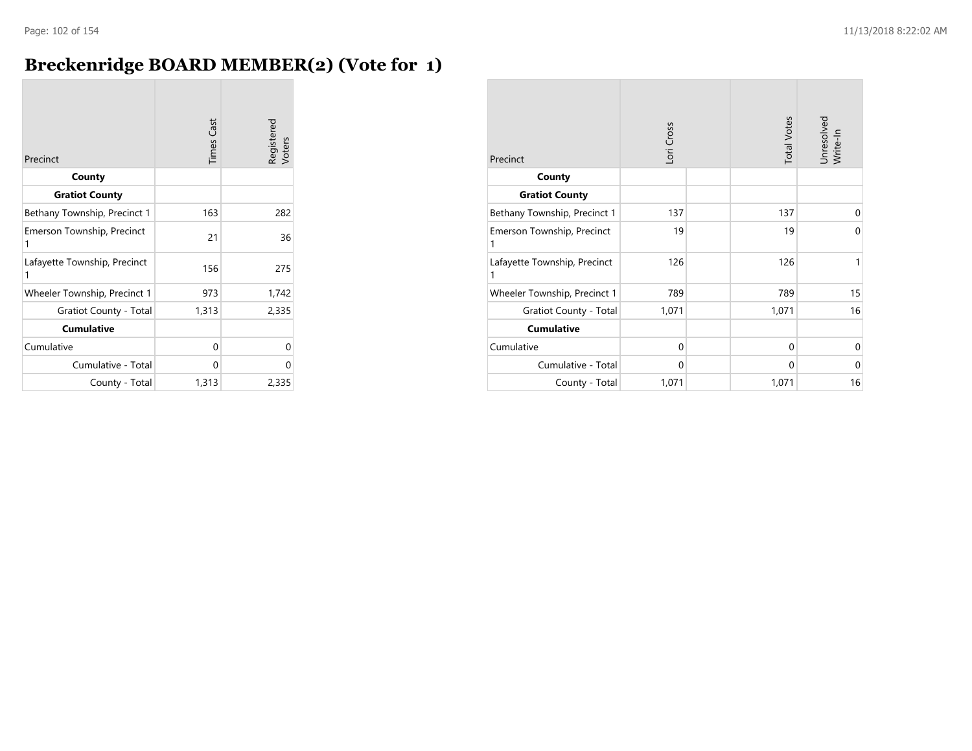## **Breckenridge BOARD MEMBER(2) (Vote for 1)**

| Precinct                          | <b>Times</b> Cast | Registered<br>Voters |
|-----------------------------------|-------------------|----------------------|
| County                            |                   |                      |
| <b>Gratiot County</b>             |                   |                      |
| Bethany Township, Precinct 1      | 163               | 282                  |
| Emerson Township, Precinct<br>1   | 21                | 36                   |
| Lafayette Township, Precinct<br>1 | 156               | 275                  |
| Wheeler Township, Precinct 1      | 973               | 1,742                |
| Gratiot County - Total            | 1,313             | 2,335                |
| <b>Cumulative</b>                 |                   |                      |
| Cumulative                        | 0                 | 0                    |
| Cumulative - Total                | 0                 | 0                    |
| County - Total                    | 1,313             | 2,335                |

| Precinct                          | Lori Cross | <b>Total Votes</b> | Unresolved<br>Write-In |
|-----------------------------------|------------|--------------------|------------------------|
| County                            |            |                    |                        |
| <b>Gratiot County</b>             |            |                    |                        |
| Bethany Township, Precinct 1      | 137        | 137                | $\mathbf 0$            |
| Emerson Township, Precinct<br>1   | 19         | 19                 | $\Omega$               |
| Lafayette Township, Precinct<br>1 | 126        | 126                | 1                      |
| Wheeler Township, Precinct 1      | 789        | 789                | 15                     |
| <b>Gratiot County - Total</b>     | 1,071      | 1,071              | 16                     |
| <b>Cumulative</b>                 |            |                    |                        |
| Cumulative                        | 0          | $\mathbf 0$        | $\mathbf 0$            |
| Cumulative - Total                | 0          | 0                  | $\Omega$               |
| County - Total                    | 1,071      | 1,071              | 16                     |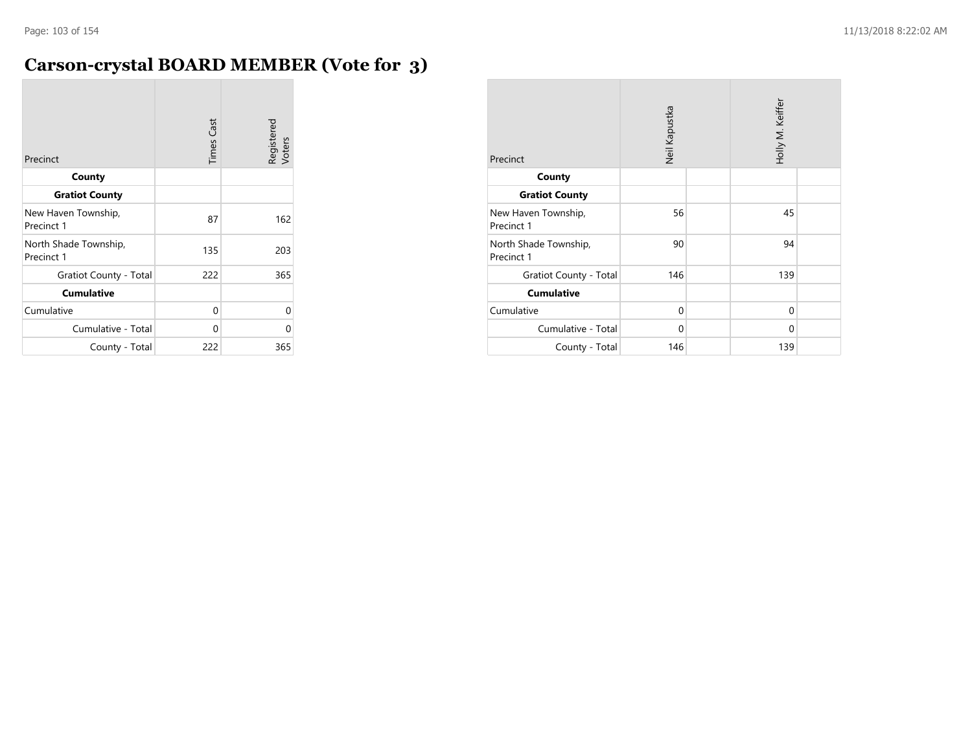#### **Carson-crystal BOARD MEMBER (Vote for 3)**

| Precinct                            | <b>Times Cast</b> | Registered<br>Voters |
|-------------------------------------|-------------------|----------------------|
| County                              |                   |                      |
| <b>Gratiot County</b>               |                   |                      |
| New Haven Township,<br>Precinct 1   | 87                | 162                  |
| North Shade Township,<br>Precinct 1 | 135               | 203                  |
| Gratiot County - Total              | 222               | 365                  |
| <b>Cumulative</b>                   |                   |                      |
| Cumulative                          | 0                 | 0                    |
| Cumulative - Total                  | 0                 | 0                    |
| County - Total                      | 222               | 365                  |

| Precinct                            | Neil Kapustka |  | Holly M. Keiffer |  |
|-------------------------------------|---------------|--|------------------|--|
| County                              |               |  |                  |  |
| <b>Gratiot County</b>               |               |  |                  |  |
| New Haven Township,<br>Precinct 1   | 56            |  | 45               |  |
| North Shade Township,<br>Precinct 1 | 90            |  | 94               |  |
| Gratiot County - Total              | 146           |  | 139              |  |
| <b>Cumulative</b>                   |               |  |                  |  |
| Cumulative                          | 0             |  | $\mathbf 0$      |  |
| Cumulative - Total                  | $\Omega$      |  | $\Omega$         |  |
| County - Total                      | 146           |  | 139              |  |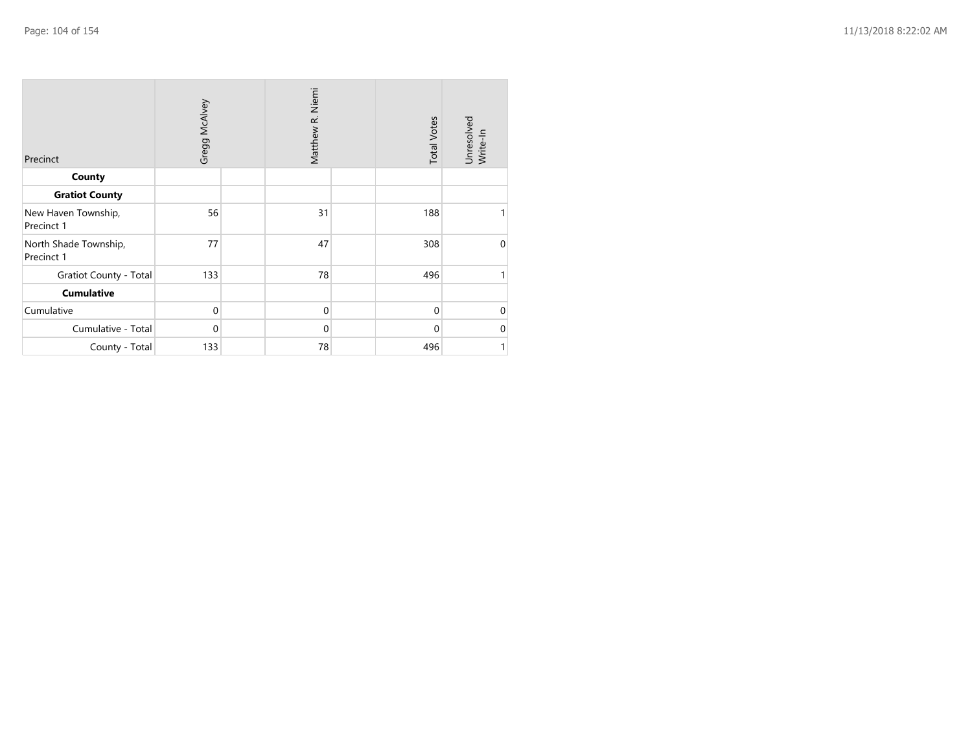| Precinct                            | Gregg McAlvey | Matthew R. Niemi | <b>Total Votes</b> | Unresolved<br>Write-In |
|-------------------------------------|---------------|------------------|--------------------|------------------------|
| County                              |               |                  |                    |                        |
| <b>Gratiot County</b>               |               |                  |                    |                        |
| New Haven Township,<br>Precinct 1   | 56            | 31               | 188                |                        |
| North Shade Township,<br>Precinct 1 | 77            | 47               | 308                | $\mathbf{0}$           |
| Gratiot County - Total              | 133           | 78               | 496                |                        |
| <b>Cumulative</b>                   |               |                  |                    |                        |
| Cumulative                          | $\mathbf{0}$  | $\mathbf 0$      | $\mathbf{0}$       | 0                      |
| Cumulative - Total                  | $\Omega$      | $\mathbf{0}$     | $\Omega$           | $\mathbf 0$            |
| County - Total                      | 133           | 78               | 496                | $\mathbf{1}$           |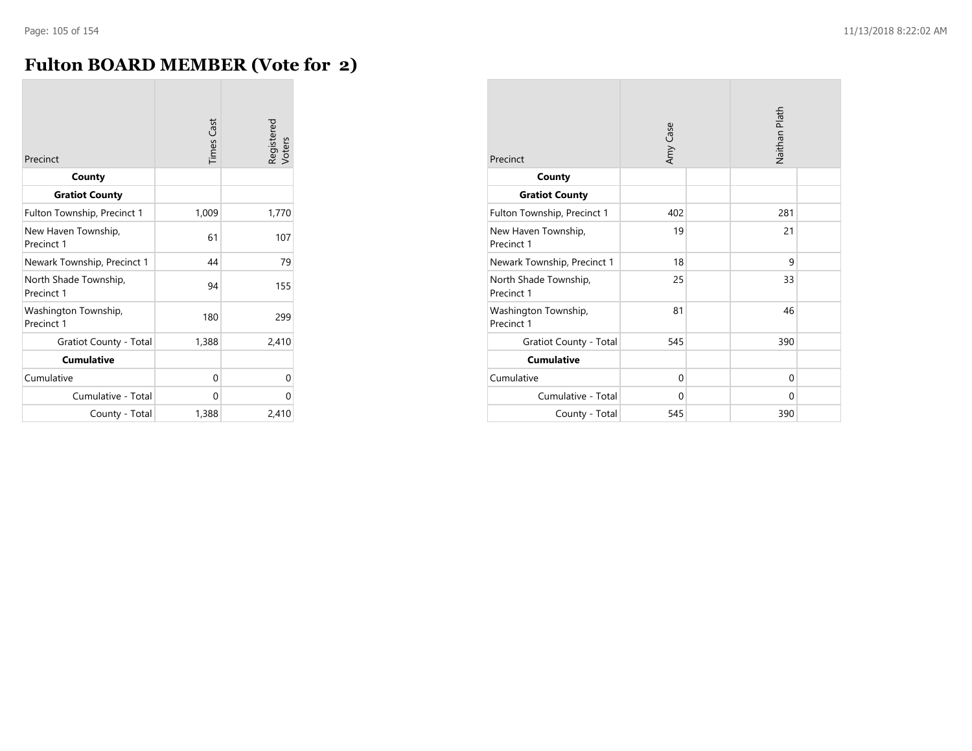## **Fulton BOARD MEMBER (Vote for 2)**

| Precinct                            | <b>Times Cast</b> | Registered<br>Voters |
|-------------------------------------|-------------------|----------------------|
| County                              |                   |                      |
| <b>Gratiot County</b>               |                   |                      |
| Fulton Township, Precinct 1         | 1,009             | 1,770                |
| New Haven Township,<br>Precinct 1   | 61                | 107                  |
| Newark Township, Precinct 1         | 44                | 79                   |
| North Shade Township,<br>Precinct 1 | 94                | 155                  |
| Washington Township,<br>Precinct 1  | 180               | 299                  |
| Gratiot County - Total              | 1,388             | 2,410                |
| <b>Cumulative</b>                   |                   |                      |
| Cumulative                          | 0                 | 0                    |
| Cumulative - Total                  | 0                 | 0                    |
| County - Total                      | 1,388             | 2,410                |

| Precinct                            | Amy Case |  | Naithan Plath |  |
|-------------------------------------|----------|--|---------------|--|
| County                              |          |  |               |  |
| <b>Gratiot County</b>               |          |  |               |  |
| Fulton Township, Precinct 1         | 402      |  | 281           |  |
| New Haven Township,<br>Precinct 1   | 19       |  | 21            |  |
| Newark Township, Precinct 1         | 18       |  | 9             |  |
| North Shade Township,<br>Precinct 1 | 25       |  | 33            |  |
| Washington Township,<br>Precinct 1  | 81       |  | 46            |  |
| Gratiot County - Total              | 545      |  | 390           |  |
| <b>Cumulative</b>                   |          |  |               |  |
| Cumulative                          | $\Omega$ |  | $\Omega$      |  |
| Cumulative - Total                  | $\Omega$ |  | $\Omega$      |  |
| County - Total                      | 545      |  | 390           |  |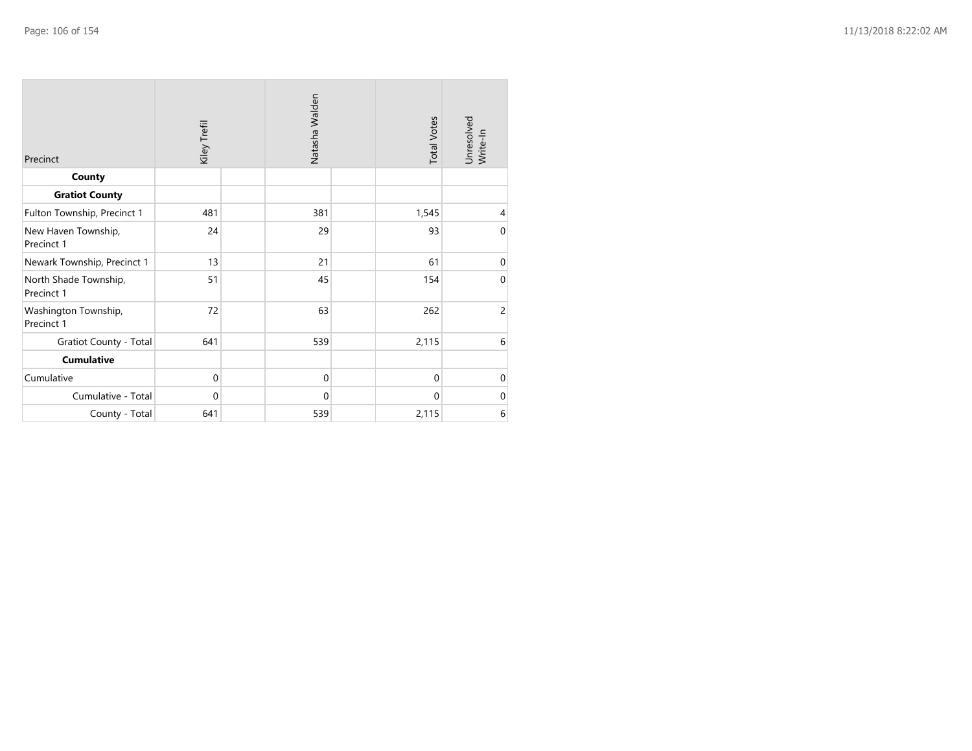| Precinct                            | Kiley Trefil | Natasha Walden | <b>Total Votes</b> | Unresolved<br>Write-In |
|-------------------------------------|--------------|----------------|--------------------|------------------------|
| County                              |              |                |                    |                        |
| <b>Gratiot County</b>               |              |                |                    |                        |
| Fulton Township, Precinct 1         | 481          | 381            | 1,545              | 4                      |
| New Haven Township,<br>Precinct 1   | 24           | 29             | 93                 | $\mathbf{0}$           |
| Newark Township, Precinct 1         | 13           | 21             | 61                 | $\mathbf 0$            |
| North Shade Township,<br>Precinct 1 | 51           | 45             | 154                | $\mathbf{0}$           |
| Washington Township,<br>Precinct 1  | 72           | 63             | 262                | $\overline{c}$         |
| <b>Gratiot County - Total</b>       | 641          | 539            | 2,115              | 6                      |
| <b>Cumulative</b>                   |              |                |                    |                        |
| Cumulative                          | $\mathbf{0}$ | $\mathbf 0$    | $\mathbf 0$        | $\mathbf 0$            |
| Cumulative - Total                  | $\mathbf{0}$ | 0              | $\Omega$           | $\boldsymbol{0}$       |
| County - Total                      | 641          | 539            | 2,115              | 6                      |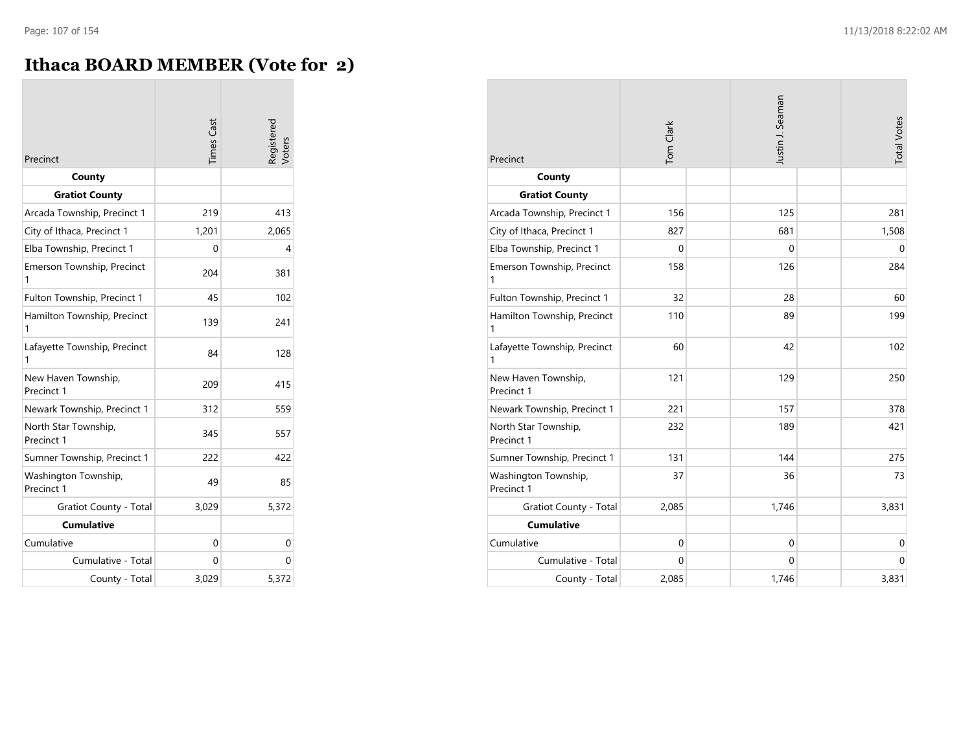#### **Ithaca BOARD MEMBER (Vote for 2)**

| Precinct                           | <b>Times</b> Cast | Registered<br>Voters |
|------------------------------------|-------------------|----------------------|
| County                             |                   |                      |
| <b>Gratiot County</b>              |                   |                      |
| Arcada Township, Precinct 1        | 219               | 413                  |
| City of Ithaca, Precinct 1         | 1,201             | 2,065                |
| Elba Township, Precinct 1          | 0                 | 4                    |
| Emerson Township, Precinct<br>1    | 204               | 381                  |
| Fulton Township, Precinct 1        | 45                | 102                  |
| Hamilton Township, Precinct<br>1   | 139               | 241                  |
| Lafayette Township, Precinct<br>1  | 84                | 128                  |
| New Haven Township,<br>Precinct 1  | 209               | 415                  |
| Newark Township, Precinct 1        | 312               | 559                  |
| North Star Township,<br>Precinct 1 | 345               | 557                  |
| Sumner Township, Precinct 1        | 222               | 422                  |
| Washington Township,<br>Precinct 1 | 49                | 85                   |
| <b>Gratiot County - Total</b>      | 3,029             | 5,372                |
| <b>Cumulative</b>                  |                   |                      |
| Cumulative                         | 0                 | 0                    |
| Cumulative - Total                 | 0                 | 0                    |
| County - Total                     | 3,029             | 5,372                |

| Precinct                           | Tom Clark   | Justin J. Seaman | <b>Total Votes</b> |
|------------------------------------|-------------|------------------|--------------------|
| County                             |             |                  |                    |
| <b>Gratiot County</b>              |             |                  |                    |
| Arcada Township, Precinct 1        | 156         | 125              | 281                |
| City of Ithaca, Precinct 1         | 827         | 681              | 1,508              |
| Elba Township, Precinct 1          | $\mathbf 0$ | $\Omega$         | $\Omega$           |
| Emerson Township, Precinct<br>1    | 158         | 126              | 284                |
| Fulton Township, Precinct 1        | 32          | 28               | 60                 |
| Hamilton Township, Precinct<br>1   | 110         | 89               | 199                |
| Lafayette Township, Precinct<br>1  | 60          | 42               | 102                |
| New Haven Township,<br>Precinct 1  | 121         | 129              | 250                |
| Newark Township, Precinct 1        | 221         | 157              | 378                |
| North Star Township,<br>Precinct 1 | 232         | 189              | 421                |
| Sumner Township, Precinct 1        | 131         | 144              | 275                |
| Washington Township,<br>Precinct 1 | 37          | 36               | 73                 |
| <b>Gratiot County - Total</b>      | 2,085       | 1,746            | 3,831              |
| <b>Cumulative</b>                  |             |                  |                    |
| Cumulative                         | $\Omega$    | $\mathbf{0}$     | 0                  |
| Cumulative - Total                 | $\mathbf 0$ | $\mathbf 0$      | $\mathbf 0$        |
| County - Total                     | 2,085       | 1,746            | 3,831              |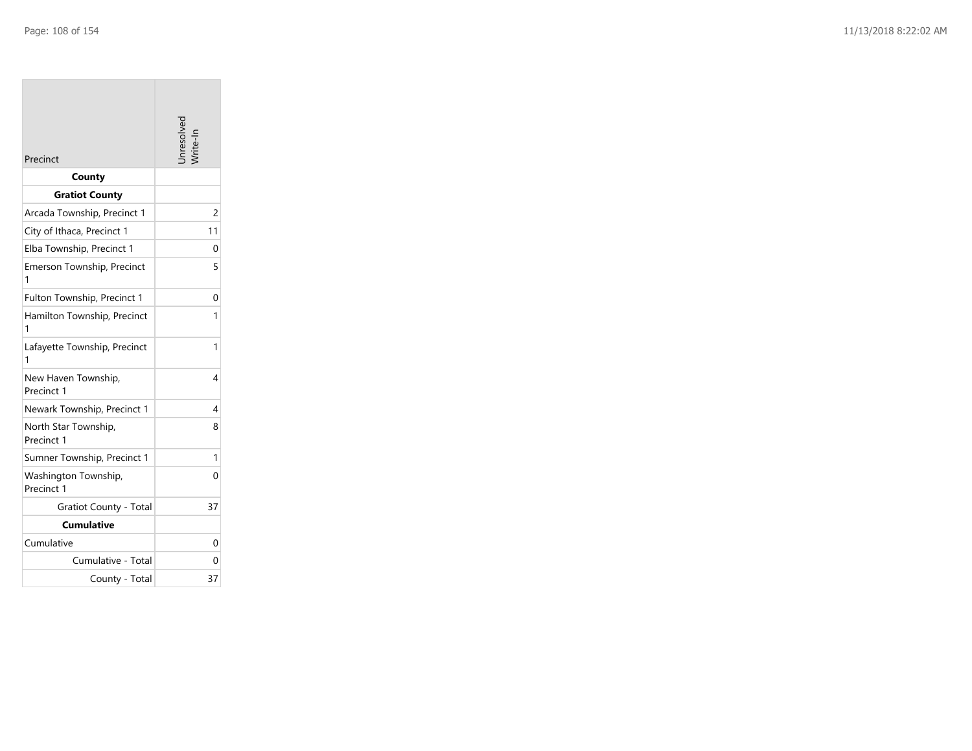**College** 

| Precinct                           | Inresolver |
|------------------------------------|------------|
| County                             |            |
| <b>Gratiot County</b>              |            |
| Arcada Township, Precinct 1        | 2          |
| City of Ithaca, Precinct 1         | 11         |
| Elba Township, Precinct 1          | 0          |
| Emerson Township, Precinct<br>1    | 5          |
| Fulton Township, Precinct 1        | 0          |
| Hamilton Township, Precinct<br>1   | 1          |
| Lafayette Township, Precinct<br>1  | 1          |
| New Haven Township,<br>Precinct 1  | 4          |
| Newark Township, Precinct 1        | 4          |
| North Star Township,<br>Precinct 1 | 8          |
| Sumner Township, Precinct 1        | 1          |
| Washington Township,<br>Precinct 1 | 0          |
| Gratiot County - Total             | 37         |
| <b>Cumulative</b>                  |            |
| Cumulative                         | 0          |
| Cumulative - Total                 | 0          |
| County - Total                     | 37         |

the control of the control of the control of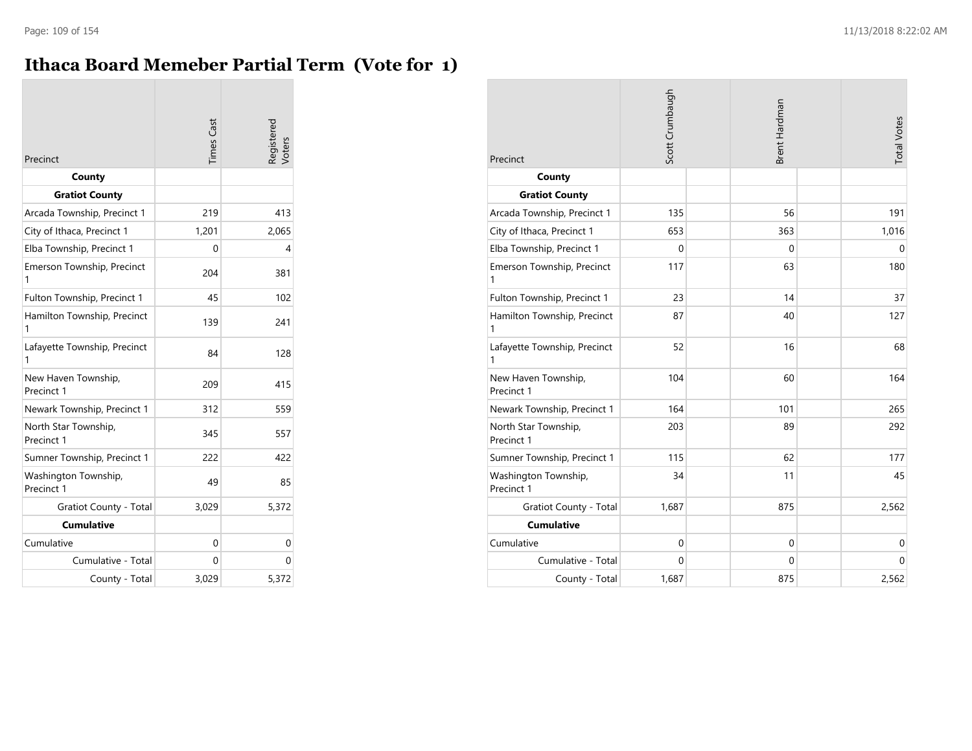#### **Ithaca Board Memeber Partial Term (Vote for 1)**

| Precinct                           | <b>Times</b> Cast | Registered<br>Voters |
|------------------------------------|-------------------|----------------------|
| County                             |                   |                      |
| <b>Gratiot County</b>              |                   |                      |
| Arcada Township, Precinct 1        | 219               | 413                  |
| City of Ithaca, Precinct 1         | 1,201             | 2,065                |
| Elba Township, Precinct 1          | 0                 | 4                    |
| Emerson Township, Precinct<br>1    | 204               | 381                  |
| Fulton Township, Precinct 1        | 45                | 102                  |
| Hamilton Township, Precinct<br>1   | 139               | 241                  |
| Lafayette Township, Precinct<br>1  | 84                | 128                  |
| New Haven Township,<br>Precinct 1  | 209               | 415                  |
| Newark Township, Precinct 1        | 312               | 559                  |
| North Star Township,<br>Precinct 1 | 345               | 557                  |
| Sumner Township, Precinct 1        | 222               | 422                  |
| Washington Township,<br>Precinct 1 | 49                | 85                   |
| <b>Gratiot County - Total</b>      | 3,029             | 5,372                |
| <b>Cumulative</b>                  |                   |                      |
| Cumulative                         | 0                 | 0                    |
| Cumulative - Total                 | 0                 | 0                    |
| County - Total                     | 3,029             | 5,372                |

| Precinct                           | Scott Crumbaugh |  | Brent Hardman |  | <b>Total Votes</b> |
|------------------------------------|-----------------|--|---------------|--|--------------------|
| County                             |                 |  |               |  |                    |
| <b>Gratiot County</b>              |                 |  |               |  |                    |
| Arcada Township, Precinct 1        | 135             |  | 56            |  | 191                |
| City of Ithaca, Precinct 1         | 653             |  | 363           |  | 1,016              |
| Elba Township, Precinct 1          | 0               |  | 0             |  | 0                  |
| Emerson Township, Precinct<br>1    | 117             |  | 63            |  | 180                |
| Fulton Township, Precinct 1        | 23              |  | 14            |  | 37                 |
| Hamilton Township, Precinct<br>1   | 87              |  | 40            |  | 127                |
| Lafayette Township, Precinct<br>1  | 52              |  | 16            |  | 68                 |
| New Haven Township,<br>Precinct 1  | 104             |  | 60            |  | 164                |
| Newark Township, Precinct 1        | 164             |  | 101           |  | 265                |
| North Star Township,<br>Precinct 1 | 203             |  | 89            |  | 292                |
| Sumner Township, Precinct 1        | 115             |  | 62            |  | 177                |
| Washington Township,<br>Precinct 1 | 34              |  | 11            |  | 45                 |
| <b>Gratiot County - Total</b>      | 1,687           |  | 875           |  | 2,562              |
| <b>Cumulative</b>                  |                 |  |               |  |                    |
| Cumulative                         | $\mathbf 0$     |  | $\mathbf 0$   |  | $\mathbf 0$        |
| Cumulative - Total                 | $\Omega$        |  | $\Omega$      |  | $\mathbf 0$        |
| County - Total                     | 1,687           |  | 875           |  | 2,562              |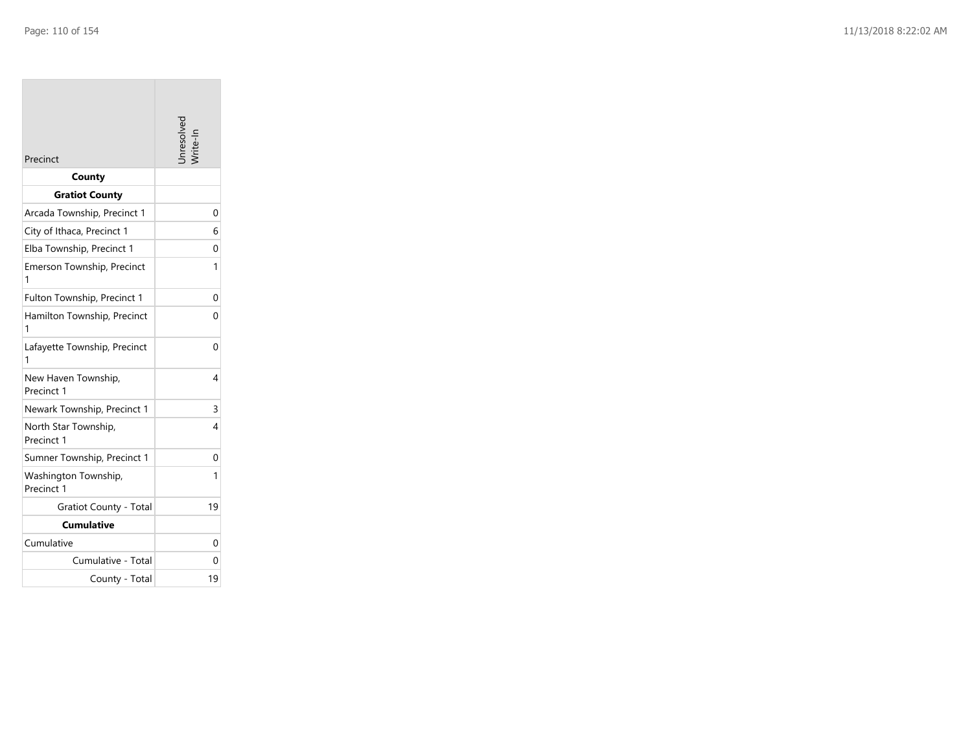$\mathcal{L}^{\text{max}}$ 

| Precinct                           | Jnresolve<br>Vrite-In |
|------------------------------------|-----------------------|
| County                             |                       |
| <b>Gratiot County</b>              |                       |
| Arcada Township, Precinct 1        | 0                     |
| City of Ithaca, Precinct 1         | 6                     |
| Elba Township, Precinct 1          | 0                     |
| Emerson Township, Precinct<br>1    | 1                     |
| Fulton Township, Precinct 1        | 0                     |
| Hamilton Township, Precinct<br>1   | 0                     |
| Lafayette Township, Precinct<br>1  | 0                     |
| New Haven Township,<br>Precinct 1  | 4                     |
| Newark Township, Precinct 1        | 3                     |
| North Star Township,<br>Precinct 1 | 4                     |
| Sumner Township, Precinct 1        | 0                     |
| Washington Township,<br>Precinct 1 | 1                     |
| Gratiot County - Total             | 19                    |
| Cumulative                         |                       |
| Cumulative                         | 0                     |
| Cumulative - Total                 | 0                     |
| County - Total                     | 19                    |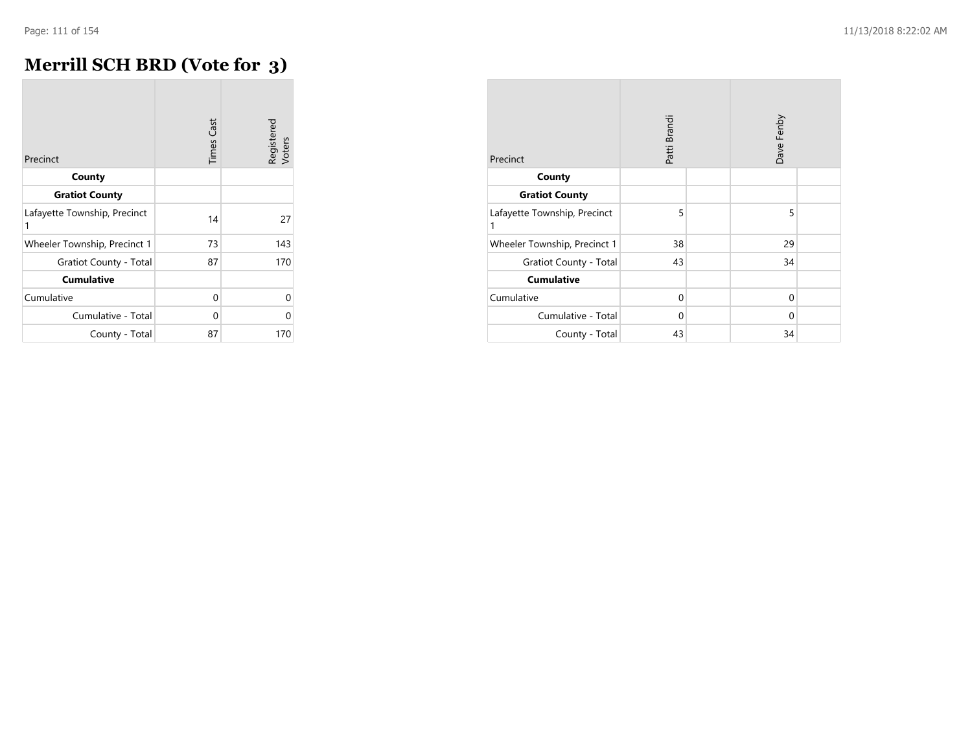# **Merrill SCH BRD (Vote for 3)**

| Precinct                          | <b>Times Cast</b> | Registered<br>Voters |
|-----------------------------------|-------------------|----------------------|
| County                            |                   |                      |
| <b>Gratiot County</b>             |                   |                      |
| Lafayette Township, Precinct<br>1 | 14                | 27                   |
| Wheeler Township, Precinct 1      | 73                | 143                  |
| Gratiot County - Total            | 87                | 170                  |
| <b>Cumulative</b>                 |                   |                      |
| Cumulative                        | 0                 | U                    |
| Cumulative - Total                | 0                 | Ω                    |
| County - Total                    | 87                | 170                  |

| Precinct                          | Patti Brandi |  | Dave Fenby |  |
|-----------------------------------|--------------|--|------------|--|
| County                            |              |  |            |  |
| <b>Gratiot County</b>             |              |  |            |  |
| Lafayette Township, Precinct<br>1 | 5            |  | 5          |  |
| Wheeler Township, Precinct 1      | 38           |  | 29         |  |
| <b>Gratiot County - Total</b>     | 43           |  | 34         |  |
| <b>Cumulative</b>                 |              |  |            |  |
| Cumulative                        | 0            |  | $\Omega$   |  |
| Cumulative - Total                | 0            |  | $\Omega$   |  |
| County - Total                    | 43           |  | 34         |  |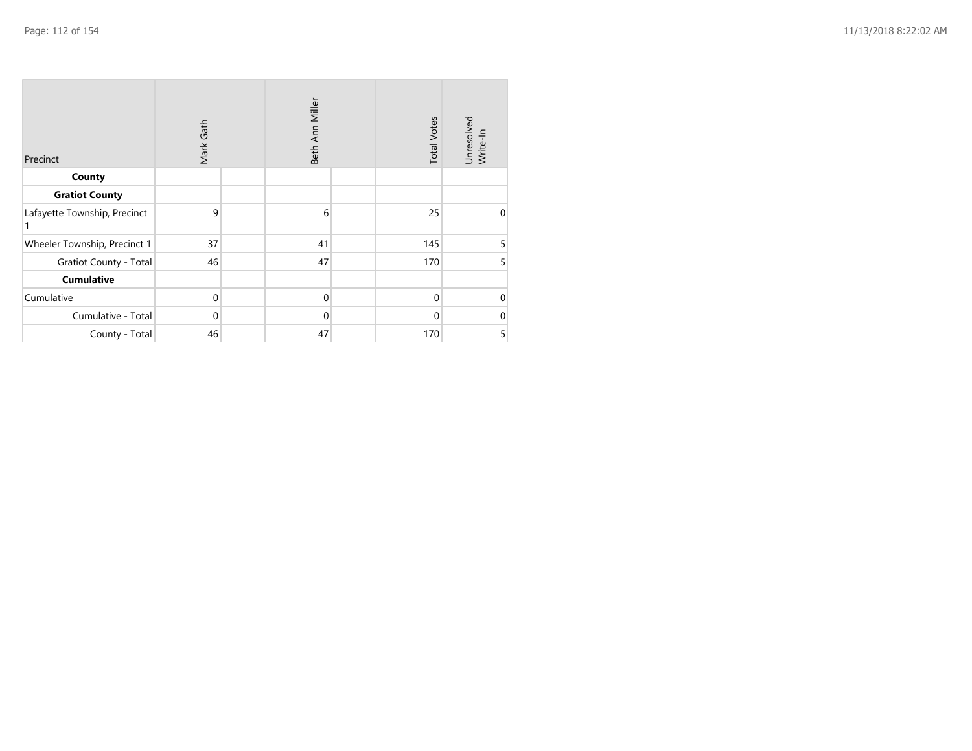| Precinct                     | Mark Gath    | Beth Ann Miller | <b>Total Votes</b> | Unresolved<br>Write-In |
|------------------------------|--------------|-----------------|--------------------|------------------------|
| County                       |              |                 |                    |                        |
| <b>Gratiot County</b>        |              |                 |                    |                        |
| Lafayette Township, Precinct | 9            | 6               | 25                 | $\mathbf{0}$           |
| Wheeler Township, Precinct 1 | 37           | 41              | 145                | 5                      |
| Gratiot County - Total       | 46           | 47              | 170                | 5                      |
| <b>Cumulative</b>            |              |                 |                    |                        |
| Cumulative                   | $\mathbf{0}$ | $\mathbf{0}$    | $\mathbf{0}$       | $\mathbf 0$            |
| Cumulative - Total           | $\Omega$     | $\mathbf{0}$    | $\mathbf{0}$       | $\mathbf 0$            |
| County - Total               | 46           | 47              | 170                | 5                      |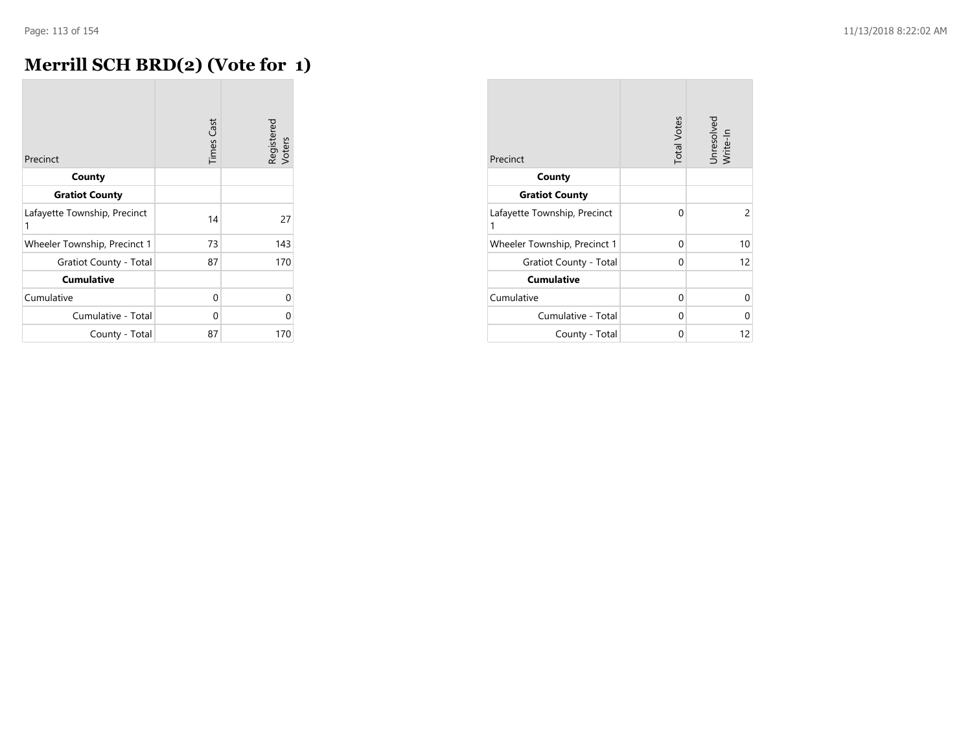### **Merrill SCH BRD(2) (Vote for 1)**

|                                   | <b>Times Cast</b> | Registered<br>Voters |
|-----------------------------------|-------------------|----------------------|
| Precinct                          |                   |                      |
| County                            |                   |                      |
| <b>Gratiot County</b>             |                   |                      |
| Lafayette Township, Precinct<br>1 | 14                | 27                   |
| Wheeler Township, Precinct 1      | 73                | 143                  |
| Gratiot County - Total            | 87                | 170                  |
| <b>Cumulative</b>                 |                   |                      |
| Cumulative                        | 0                 | U                    |
| Cumulative - Total                | 0                 | Ω                    |
| County - Total                    | 87                | 170                  |

| Precinct                          | <b>Total Votes</b> | Unresolved<br>Write-In |
|-----------------------------------|--------------------|------------------------|
| County                            |                    |                        |
| <b>Gratiot County</b>             |                    |                        |
| Lafayette Township, Precinct<br>1 | 0                  | 2                      |
| Wheeler Township, Precinct 1      | 0                  | 10                     |
| Gratiot County - Total            | 0                  | 12                     |
| <b>Cumulative</b>                 |                    |                        |
| Cumulative                        | 0                  | 0                      |
| Cumulative - Total                | 0                  | Ω                      |
| County - Total                    | 0                  | 12                     |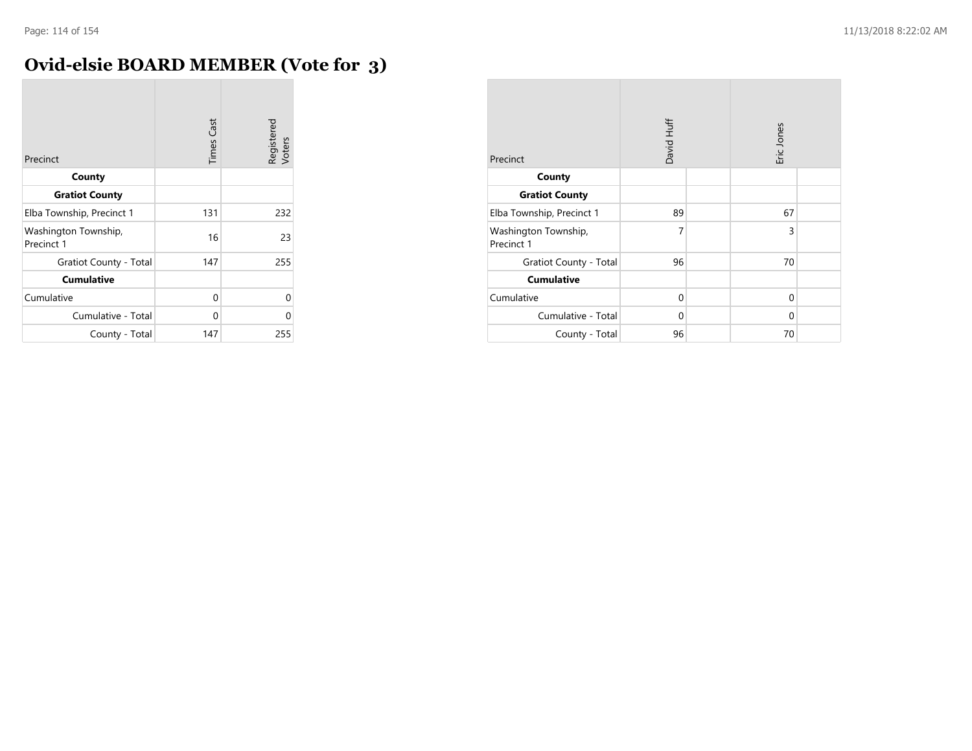## **Ovid-elsie BOARD MEMBER (Vote for 3)**

| Precinct                           | <b>Times Cast</b> | Registered<br>Voters |
|------------------------------------|-------------------|----------------------|
| County                             |                   |                      |
| <b>Gratiot County</b>              |                   |                      |
| Elba Township, Precinct 1          | 131               | 232                  |
| Washington Township,<br>Precinct 1 | 16                | 23                   |
| Gratiot County - Total             | 147               | 255                  |
| <b>Cumulative</b>                  |                   |                      |
| Cumulative                         | 0                 | $\Omega$             |
| Cumulative - Total                 | 0                 | $\Omega$             |
| County - Total                     | 147               | 255                  |

| Precinct                           | David Huff |  | Eric Jones |  |
|------------------------------------|------------|--|------------|--|
| County                             |            |  |            |  |
| <b>Gratiot County</b>              |            |  |            |  |
| Elba Township, Precinct 1          | 89         |  | 67         |  |
| Washington Township,<br>Precinct 1 | 7          |  | 3          |  |
| <b>Gratiot County - Total</b>      | 96         |  | 70         |  |
| <b>Cumulative</b>                  |            |  |            |  |
| Cumulative                         | $\Omega$   |  | $\Omega$   |  |
| Cumulative - Total                 | $\Omega$   |  | $\Omega$   |  |
| County - Total                     | 96         |  | 70         |  |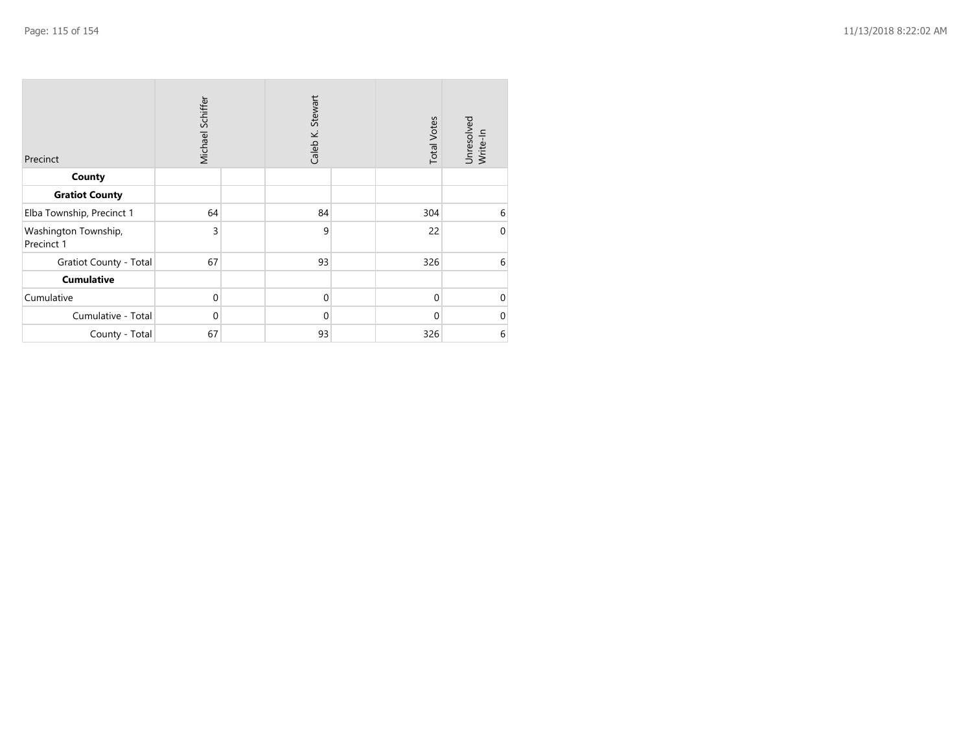| Precinct                           | Michael Schiffer | Caleb K. Stewart | <b>Total Votes</b> | Unresolved<br>Write-In |
|------------------------------------|------------------|------------------|--------------------|------------------------|
| County                             |                  |                  |                    |                        |
| <b>Gratiot County</b>              |                  |                  |                    |                        |
| Elba Township, Precinct 1          | 64               | 84               | 304                | 6                      |
| Washington Township,<br>Precinct 1 | 3                | 9                | 22                 | $\mathbf 0$            |
| <b>Gratiot County - Total</b>      | 67               | 93               | 326                | 6                      |
| <b>Cumulative</b>                  |                  |                  |                    |                        |
| Cumulative                         | $\mathbf{0}$     | $\mathbf{0}$     | $\mathbf{0}$       | $\mathbf 0$            |
| Cumulative - Total                 | $\Omega$         | $\mathbf{0}$     | $\mathbf 0$        | $\mathbf 0$            |
| County - Total                     | 67               | 93               | 326                | 6                      |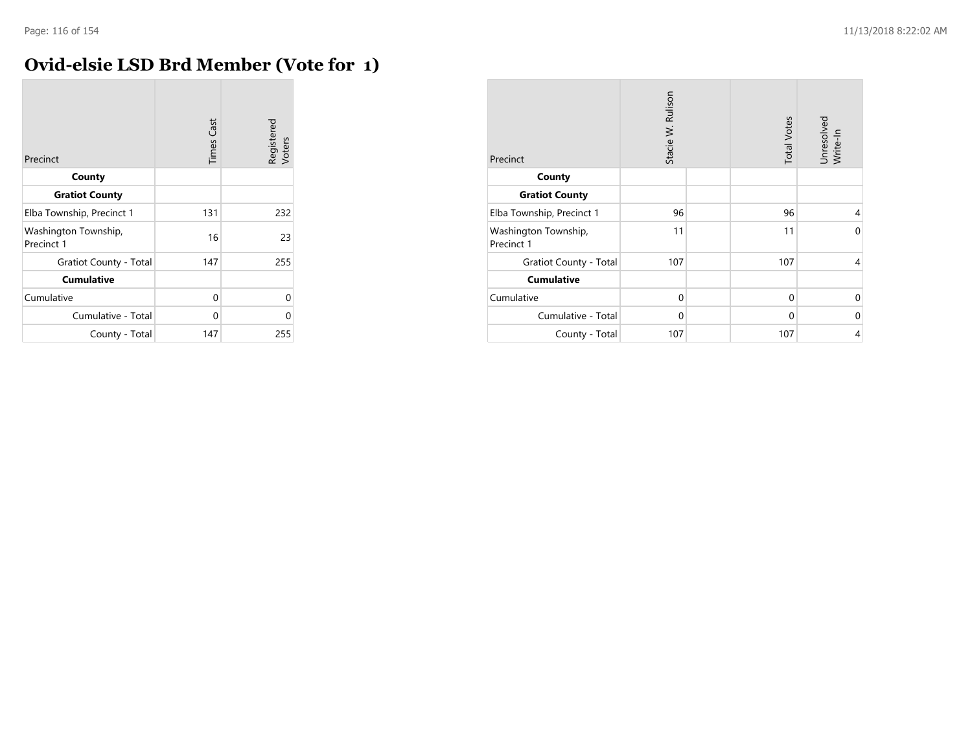### **Ovid-elsie LSD Brd Member (Vote for 1)**

| Precinct                           | <b>Times Cast</b> | Registered<br>Voters |
|------------------------------------|-------------------|----------------------|
| County                             |                   |                      |
| <b>Gratiot County</b>              |                   |                      |
| Elba Township, Precinct 1          | 131               | 232                  |
| Washington Township,<br>Precinct 1 | 16                | 23                   |
| Gratiot County - Total             | 147               | 255                  |
| <b>Cumulative</b>                  |                   |                      |
| Cumulative                         | 0                 | U                    |
| Cumulative - Total                 | 0                 | Ω                    |
| County - Total                     | 147               | 255                  |

| Precinct                           | Stacie W. Rulison |  | <b>Total Votes</b> | Unresolved<br>Write-In |
|------------------------------------|-------------------|--|--------------------|------------------------|
| County                             |                   |  |                    |                        |
| <b>Gratiot County</b>              |                   |  |                    |                        |
| Elba Township, Precinct 1          | 96                |  | 96                 | 4                      |
| Washington Township,<br>Precinct 1 | 11                |  | 11                 | $\Omega$               |
| Gratiot County - Total             | 107               |  | 107                | 4                      |
| <b>Cumulative</b>                  |                   |  |                    |                        |
| Cumulative                         | $\Omega$          |  | $\mathbf 0$        | $\Omega$               |
| Cumulative - Total                 | $\mathbf{0}$      |  | $\mathbf{0}$       | 0                      |
| County - Total                     | 107               |  | 107                | 4                      |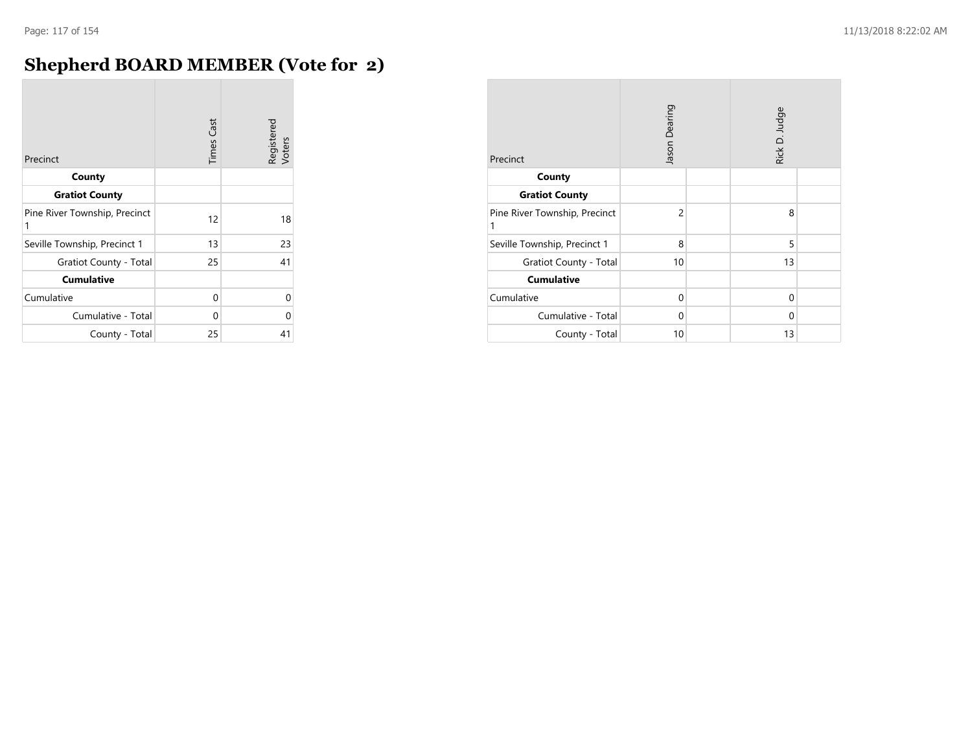### **Shepherd BOARD MEMBER (Vote for 2)**

|                                    | <b>Times Cast</b> | Registered<br>Voters |
|------------------------------------|-------------------|----------------------|
| Precinct                           |                   |                      |
| County                             |                   |                      |
| <b>Gratiot County</b>              |                   |                      |
| Pine River Township, Precinct<br>1 | 12                | 18                   |
| Seville Township, Precinct 1       | 13                | 23                   |
| Gratiot County - Total             | 25                | 41                   |
| <b>Cumulative</b>                  |                   |                      |
| Cumulative                         | 0                 | $\Omega$             |
| Cumulative - Total                 | 0                 | 0                    |
| County - Total                     | 25                | 41                   |

| Precinct                           | Jason Dearing  |  | Rick D. Judge |  |
|------------------------------------|----------------|--|---------------|--|
| County                             |                |  |               |  |
| <b>Gratiot County</b>              |                |  |               |  |
| Pine River Township, Precinct<br>1 | $\overline{2}$ |  | 8             |  |
| Seville Township, Precinct 1       | 8              |  | 5             |  |
| Gratiot County - Total             | 10             |  | 13            |  |
| <b>Cumulative</b>                  |                |  |               |  |
| Cumulative                         | $\Omega$       |  | $\mathbf 0$   |  |
| Cumulative - Total                 | $\Omega$       |  | $\Omega$      |  |
| County - Total                     | 10             |  | 13            |  |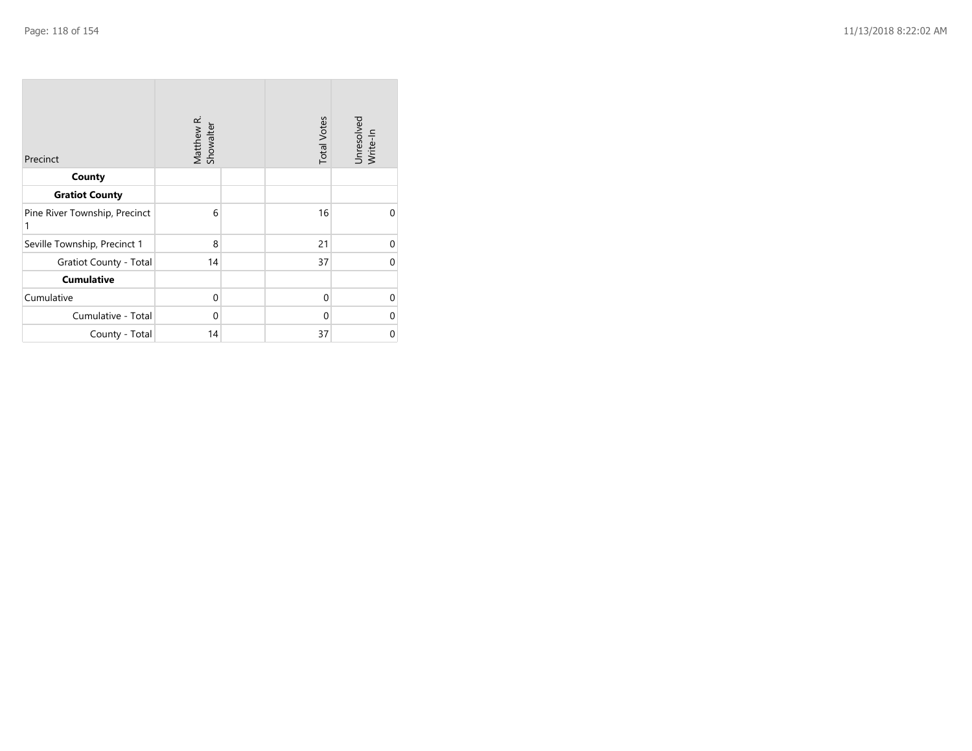| Precinct                           | Matthew R.<br>Showalter | <b>Total Votes</b> | Unresolved<br>Write-In |
|------------------------------------|-------------------------|--------------------|------------------------|
| County                             |                         |                    |                        |
| <b>Gratiot County</b>              |                         |                    |                        |
| Pine River Township, Precinct<br>1 | 6                       | 16                 | $\Omega$               |
| Seville Township, Precinct 1       | 8                       | 21                 | 0                      |
| Gratiot County - Total             | 14                      | 37                 | $\Omega$               |
| <b>Cumulative</b>                  |                         |                    |                        |
| Cumulative                         | $\mathbf{0}$            | $\mathbf 0$        | $\Omega$               |
| Cumulative - Total                 | $\mathbf{0}$            | $\mathbf 0$        | 0                      |
| County - Total                     | 14                      | 37                 | 0                      |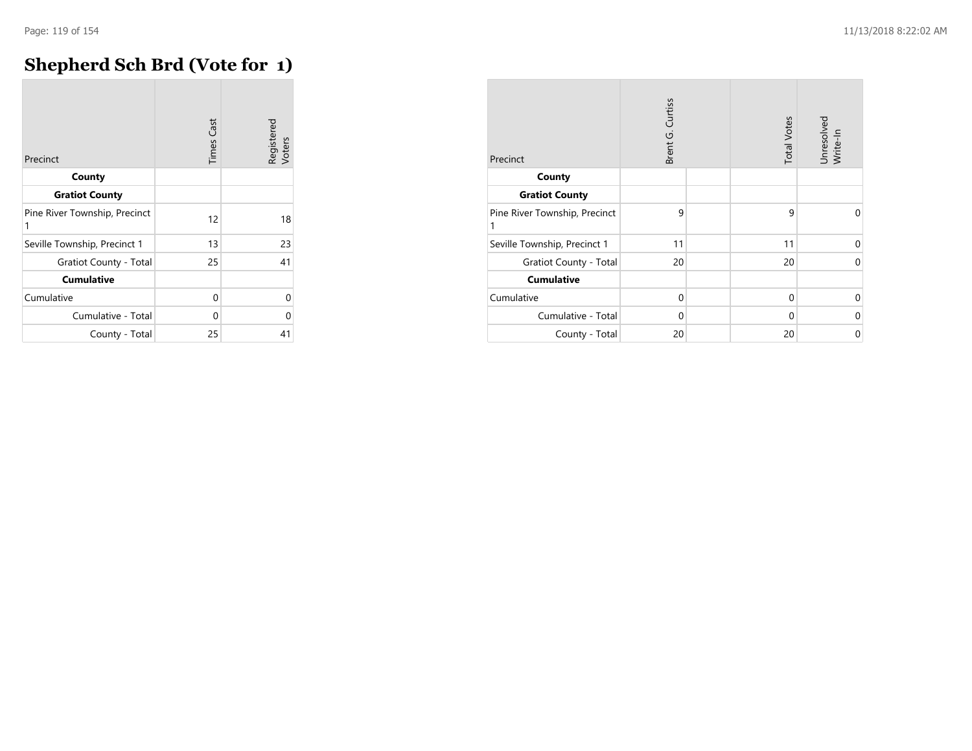# **Shepherd Sch Brd (Vote for 1)**

| Precinct                           | <b>Times Cast</b> | Registered<br>Voters |
|------------------------------------|-------------------|----------------------|
| County                             |                   |                      |
| <b>Gratiot County</b>              |                   |                      |
| Pine River Township, Precinct<br>1 | 12                | 18                   |
| Seville Township, Precinct 1       | 13                | 23                   |
| Gratiot County - Total             | 25                | 41                   |
| <b>Cumulative</b>                  |                   |                      |
| Cumulative                         | 0                 | U                    |
| Cumulative - Total                 | 0                 | በ                    |
| County - Total                     | 25                | 41                   |

| Precinct                           | Brent G. Curtiss | <b>Total Votes</b> | Unresolved<br>Write-In |
|------------------------------------|------------------|--------------------|------------------------|
| County                             |                  |                    |                        |
| <b>Gratiot County</b>              |                  |                    |                        |
| Pine River Township, Precinct<br>1 | 9                | 9                  | $\Omega$               |
| Seville Township, Precinct 1       | 11               | 11                 | 0                      |
| <b>Gratiot County - Total</b>      | 20               | 20                 | $\Omega$               |
| <b>Cumulative</b>                  |                  |                    |                        |
| Cumulative                         | $\Omega$         | $\Omega$           | $\Omega$               |
| Cumulative - Total                 | $\Omega$         | 0                  | 0                      |
| County - Total                     | 20               | 20                 | 0                      |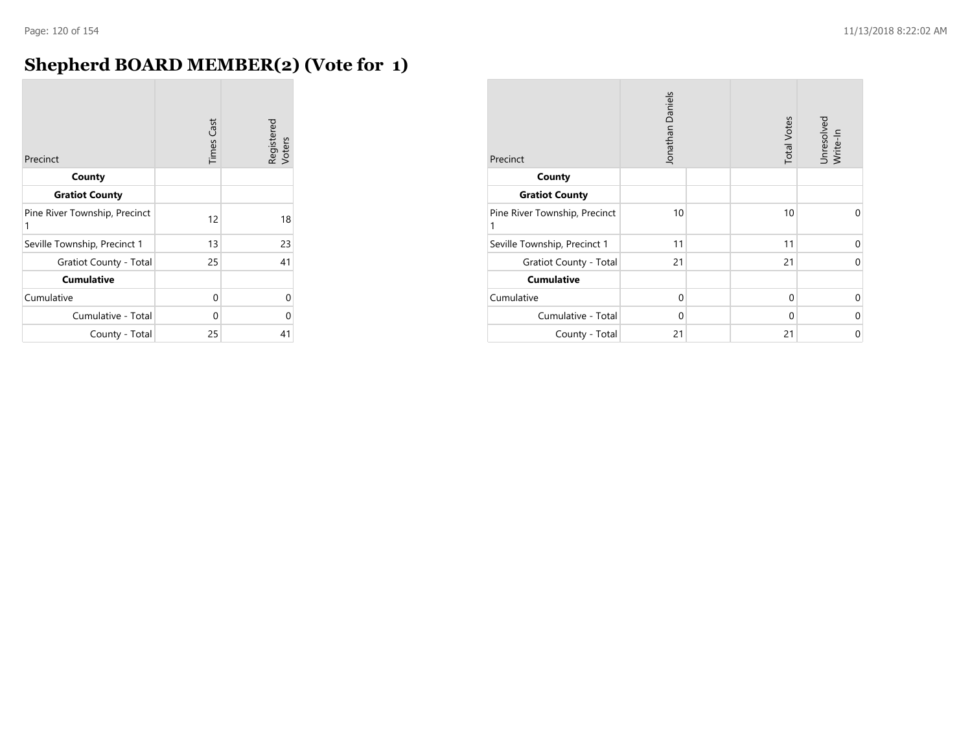### **Shepherd BOARD MEMBER(2) (Vote for 1)**

| Precinct                           | <b>Times Cast</b> | Registered<br>Voters |
|------------------------------------|-------------------|----------------------|
| County                             |                   |                      |
| <b>Gratiot County</b>              |                   |                      |
| Pine River Township, Precinct<br>1 | 12                | 18                   |
| Seville Township, Precinct 1       | 13                | 23                   |
| <b>Gratiot County - Total</b>      | 25                | 41                   |
| <b>Cumulative</b>                  |                   |                      |
| Cumulative                         | 0                 | Ω                    |
| Cumulative - Total                 | 0                 |                      |
| County - Total                     | 25                | 41                   |

| Precinct                           | Jonathan Daniels | <b>Total Votes</b> | Unresolved<br>Write-In |
|------------------------------------|------------------|--------------------|------------------------|
| County                             |                  |                    |                        |
| <b>Gratiot County</b>              |                  |                    |                        |
| Pine River Township, Precinct<br>1 | 10               | 10                 | $\Omega$               |
| Seville Township, Precinct 1       | 11               | 11                 | $\mathbf 0$            |
| <b>Gratiot County - Total</b>      | 21               | 21                 | $\Omega$               |
| <b>Cumulative</b>                  |                  |                    |                        |
| Cumulative                         | $\Omega$         | $\Omega$           | $\Omega$               |
| Cumulative - Total                 | $\Omega$         | $\Omega$           | $\Omega$               |
| County - Total                     | 21               | 21                 | 0                      |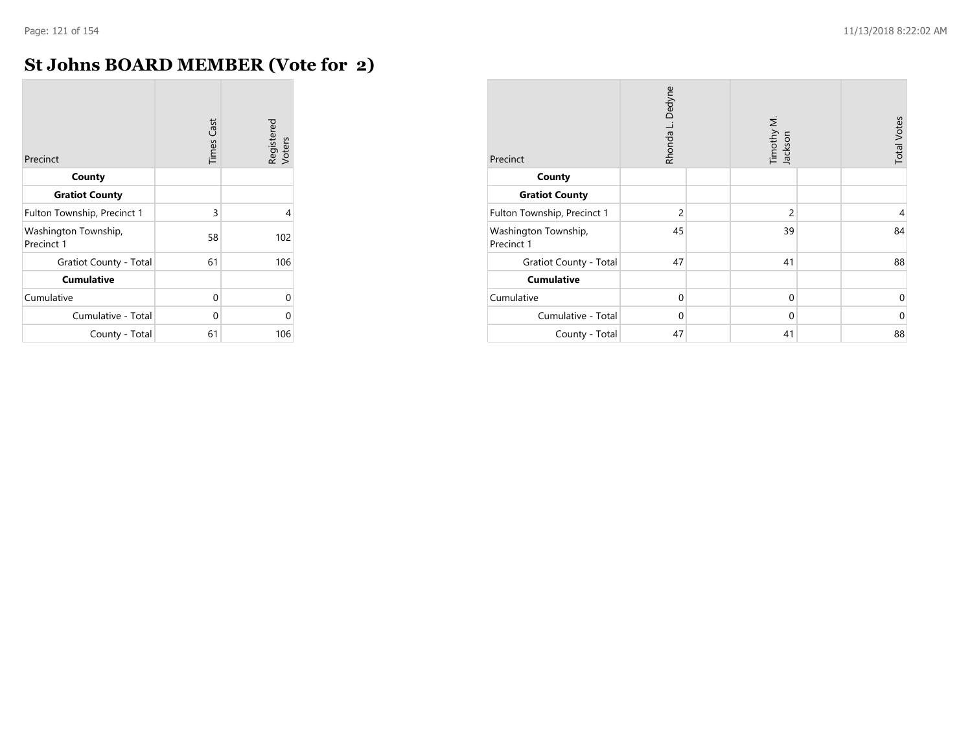$\overline{\phantom{a}}$ 

### **St Johns BOARD MEMBER (Vote for 2)**

| Precinct                           | <b>Times Cast</b> | Registered<br>Voters |
|------------------------------------|-------------------|----------------------|
| County                             |                   |                      |
| <b>Gratiot County</b>              |                   |                      |
| Fulton Township, Precinct 1        | 3                 | 4                    |
| Washington Township,<br>Precinct 1 | 58                | 102                  |
| Gratiot County - Total             | 61                | 106                  |
| <b>Cumulative</b>                  |                   |                      |
| Cumulative                         | 0                 | 0                    |
| Cumulative - Total                 | 0                 | 0                    |
| County - Total                     | 61                | 106                  |

| Precinct                           | Rhonda L. Dedyne | Timothy M.<br>Jackson | <b>Total Votes</b> |
|------------------------------------|------------------|-----------------------|--------------------|
| County                             |                  |                       |                    |
| <b>Gratiot County</b>              |                  |                       |                    |
| Fulton Township, Precinct 1        | $\overline{2}$   | $\overline{c}$        | 4                  |
| Washington Township,<br>Precinct 1 | 45               | 39                    | 84                 |
| <b>Gratiot County - Total</b>      | 47               | 41                    | 88                 |
| <b>Cumulative</b>                  |                  |                       |                    |
| Cumulative                         | $\Omega$         | $\mathbf 0$           | $\mathbf 0$        |
| Cumulative - Total                 | $\mathbf 0$      | $\mathbf 0$           | $\mathbf 0$        |
| County - Total                     | 47               | 41                    | 88                 |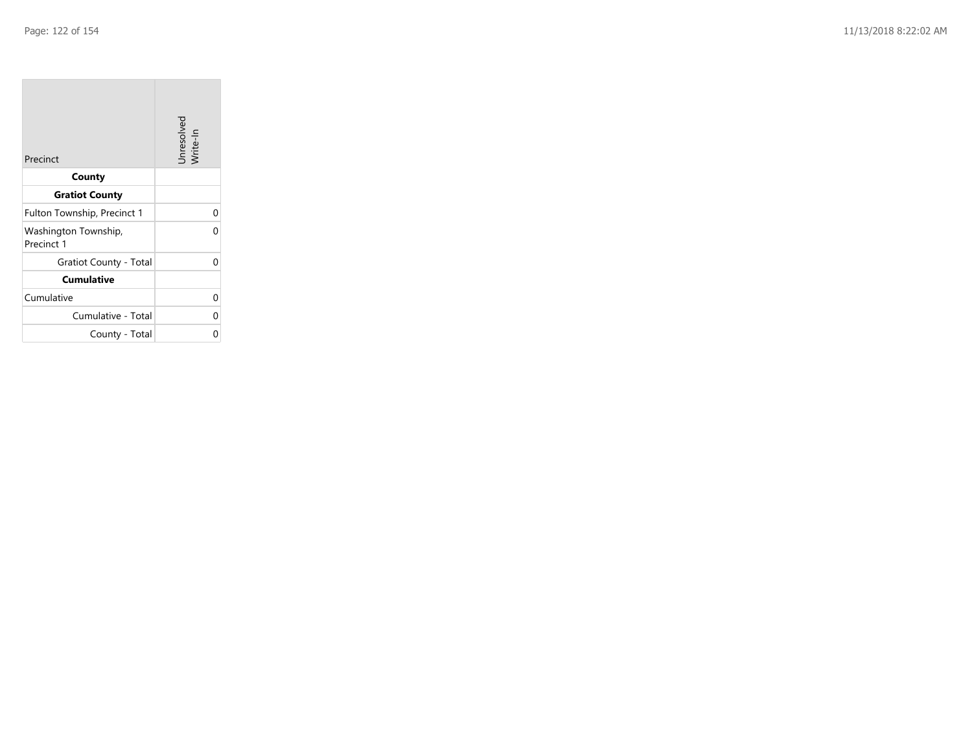**COL** 

| Precinct                           | Unresolved<br>Write-In |
|------------------------------------|------------------------|
| County                             |                        |
| <b>Gratiot County</b>              |                        |
| Fulton Township, Precinct 1        | 0                      |
| Washington Township,<br>Precinct 1 |                        |
| Gratiot County - Total             | U                      |
| <b>Cumulative</b>                  |                        |
| Cumulative                         | U                      |
| Cumulative - Total                 | ი                      |
| County - Total                     |                        |

the company of the company

 $\mathcal{L}_{\mathcal{A}}$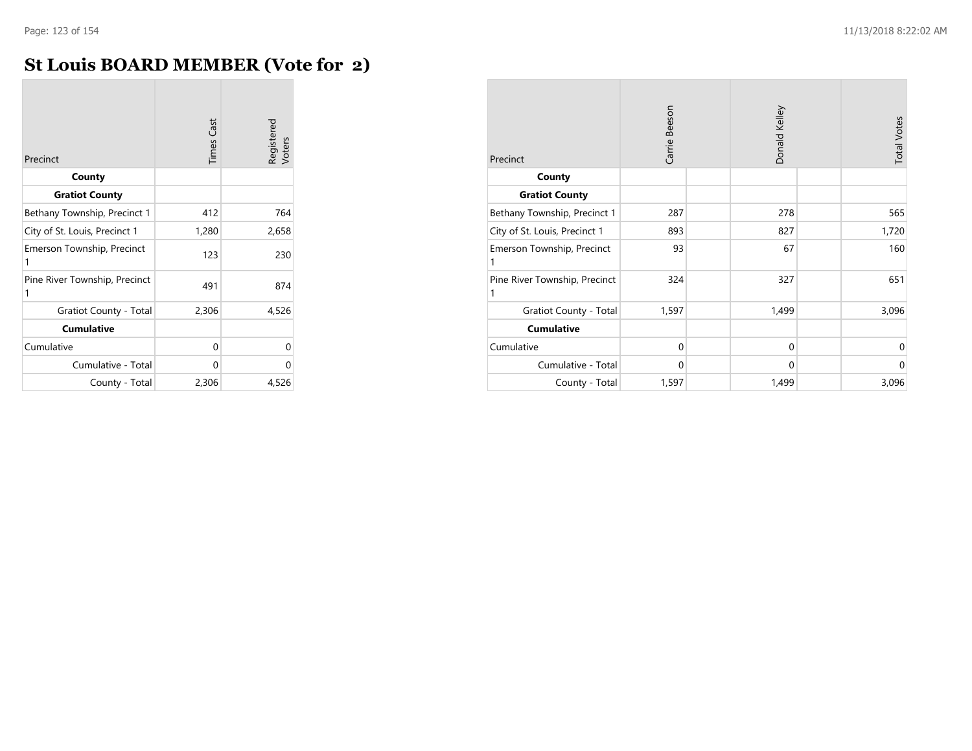### **St Louis BOARD MEMBER (Vote for 2)**

| Precinct                           | <b>Times Cast</b> | Registered<br>Voters |
|------------------------------------|-------------------|----------------------|
| County                             |                   |                      |
| <b>Gratiot County</b>              |                   |                      |
| Bethany Township, Precinct 1       | 412               | 764                  |
| City of St. Louis, Precinct 1      | 1,280             | 2,658                |
| Emerson Township, Precinct<br>1    | 123               | 230                  |
| Pine River Township, Precinct<br>1 | 491               | 874                  |
| Gratiot County - Total             | 2,306             | 4,526                |
| <b>Cumulative</b>                  |                   |                      |
| Cumulative                         | 0                 | 0                    |
| Cumulative - Total                 | 0                 | 0                    |
| County - Total                     | 2,306             | 4,526                |

| Precinct                           | Carrie Beeson | Donald Kelley | <b>Total Votes</b> |
|------------------------------------|---------------|---------------|--------------------|
| County                             |               |               |                    |
| <b>Gratiot County</b>              |               |               |                    |
| Bethany Township, Precinct 1       | 287           | 278           | 565                |
| City of St. Louis, Precinct 1      | 893           | 827           | 1,720              |
| Emerson Township, Precinct<br>1    | 93            | 67            | 160                |
| Pine River Township, Precinct<br>1 | 324           | 327           | 651                |
| <b>Gratiot County - Total</b>      | 1,597         | 1,499         | 3,096              |
| <b>Cumulative</b>                  |               |               |                    |
| Cumulative                         | $\Omega$      | $\mathbf 0$   | $\mathbf 0$        |
| Cumulative - Total                 | $\mathbf{0}$  | $\mathbf 0$   | $\mathbf{0}$       |
| County - Total                     | 1,597         | 1,499         | 3,096              |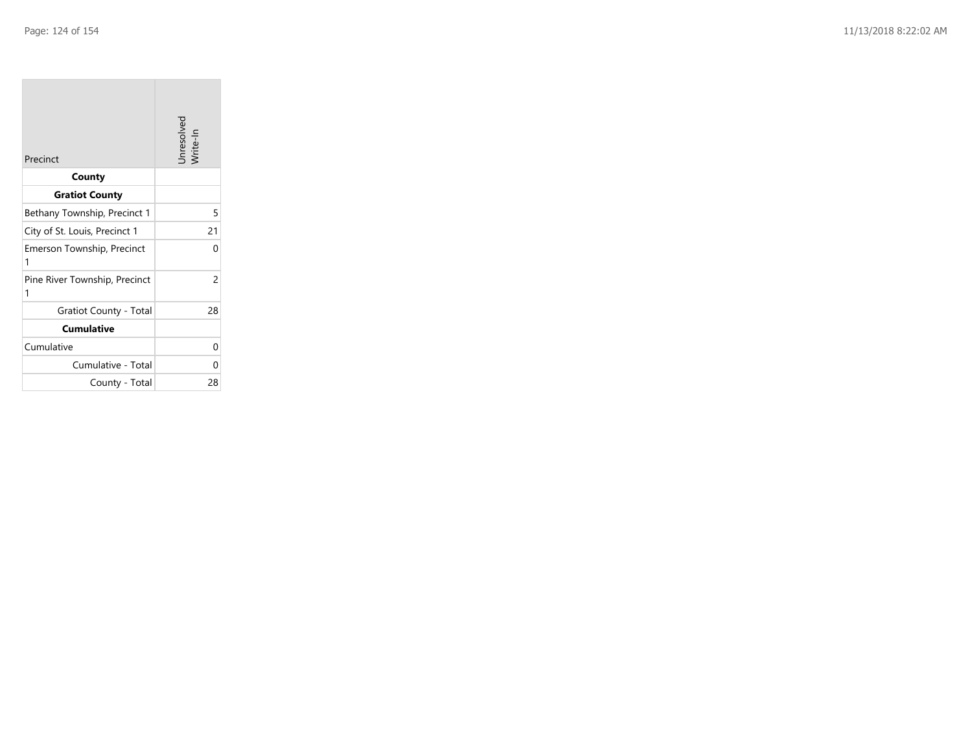**COL** 

| Precinct                           | Unresolved<br>Write-In |
|------------------------------------|------------------------|
| County                             |                        |
| <b>Gratiot County</b>              |                        |
| Bethany Township, Precinct 1       | 5                      |
| City of St. Louis, Precinct 1      | 21                     |
| Emerson Township, Precinct<br>1    | 0                      |
| Pine River Township, Precinct<br>1 | $\overline{c}$         |
| Gratiot County - Total             | 28                     |
| <b>Cumulative</b>                  |                        |
| Cumulative                         | 0                      |
| Cumulative - Total                 | 0                      |
| County - Total                     | 28                     |

the control of the control of the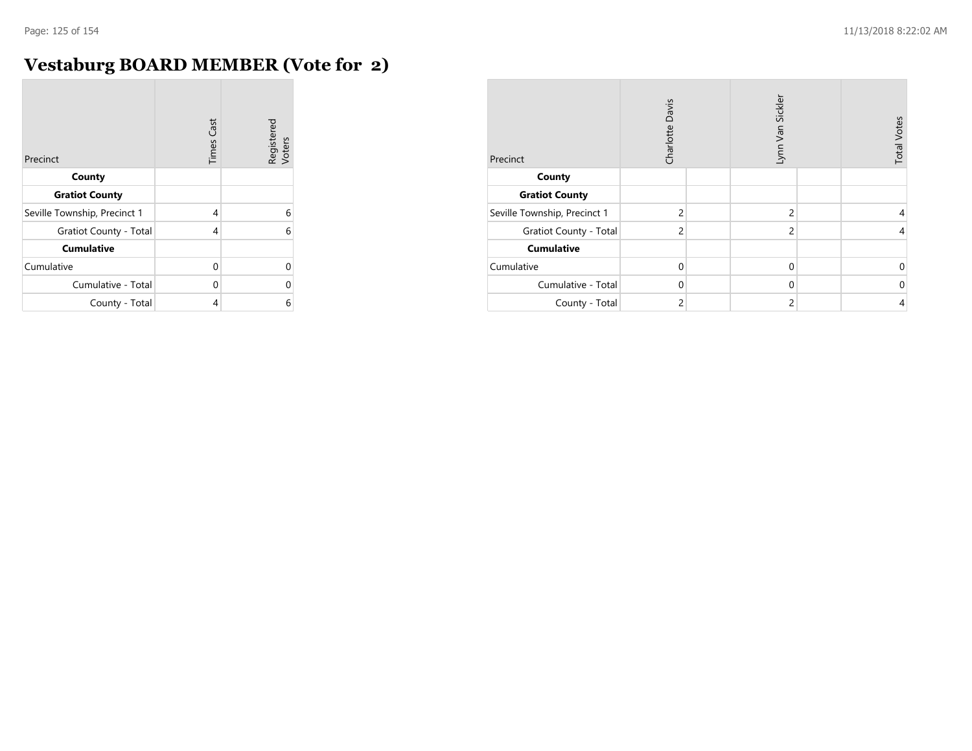$\overline{\phantom{a}}$ 

### **Vestaburg BOARD MEMBER (Vote for 2)**

| Precinct                     | <b>Times Cast</b> | Registered<br>Voters |
|------------------------------|-------------------|----------------------|
| County                       |                   |                      |
| <b>Gratiot County</b>        |                   |                      |
| Seville Township, Precinct 1 | 4                 | 6                    |
| Gratiot County - Total       | 4                 | 6                    |
| <b>Cumulative</b>            |                   |                      |
| Cumulative                   | 0                 | 0                    |
| Cumulative - Total           | 0                 | 0                    |
| County - Total               | 4                 | 6                    |

| Precinct                     | Charlotte Davis |  | Lynn Van Sickler |  | <b>Total Votes</b> |
|------------------------------|-----------------|--|------------------|--|--------------------|
| County                       |                 |  |                  |  |                    |
| <b>Gratiot County</b>        |                 |  |                  |  |                    |
| Seville Township, Precinct 1 | $\overline{2}$  |  | $\overline{2}$   |  | $\overline{4}$     |
| Gratiot County - Total       | $\overline{2}$  |  | $\overline{2}$   |  | 4                  |
| <b>Cumulative</b>            |                 |  |                  |  |                    |
| Cumulative                   | $\Omega$        |  | $\Omega$         |  | $\mathbf 0$        |
| Cumulative - Total           | $\Omega$        |  | $\Omega$         |  | $\mathbf{0}$       |
| County - Total               | $\overline{2}$  |  | $\overline{2}$   |  | $\overline{4}$     |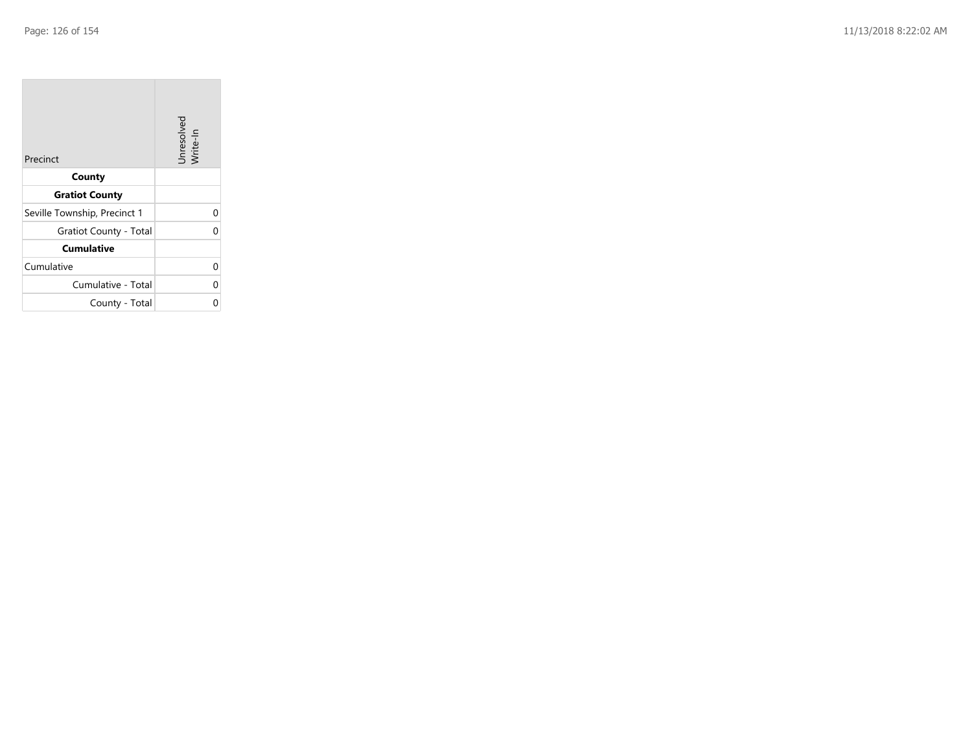$\sim$ 

| Precinct                     | Unresolved<br>Write-In |
|------------------------------|------------------------|
| County                       |                        |
| <b>Gratiot County</b>        |                        |
| Seville Township, Precinct 1 | 0                      |
| Gratiot County - Total       | 0                      |
| <b>Cumulative</b>            |                        |
| Cumulative                   | 0                      |
| Cumulative - Total           | 0                      |
| County - Total               | በ                      |

the property of the con-

 $\mathcal{L}(\mathcal{A})$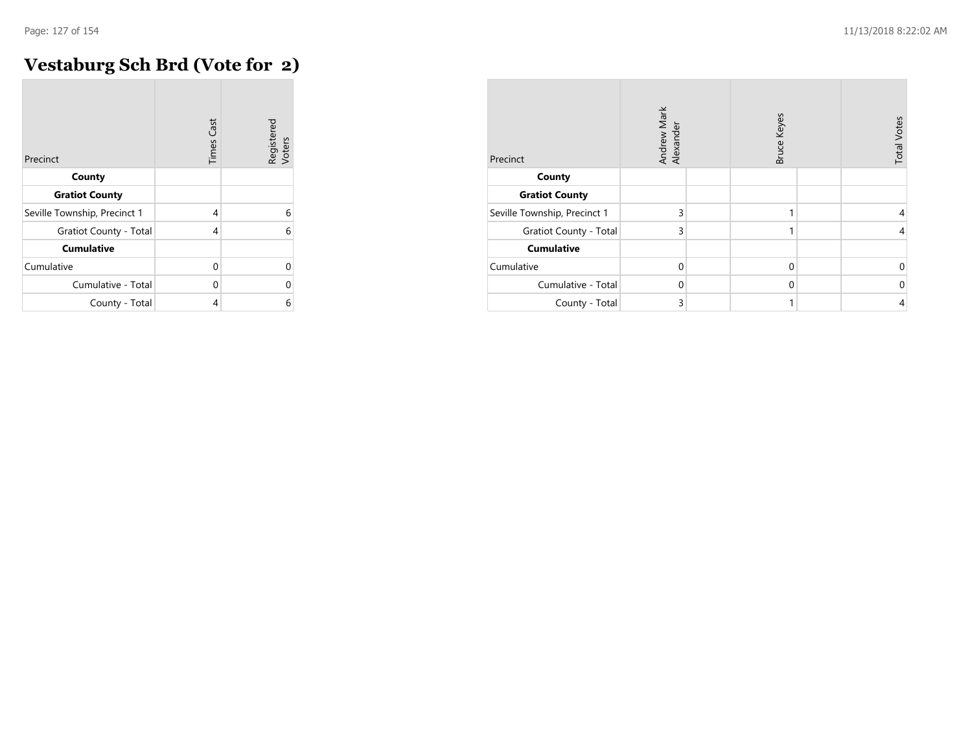### **Vestaburg Sch Brd (Vote for 2)**

| Precinct                     | <b>Times Cast</b> | Registered<br>Voters |
|------------------------------|-------------------|----------------------|
| County                       |                   |                      |
| <b>Gratiot County</b>        |                   |                      |
| Seville Township, Precinct 1 | 4                 | 6                    |
| Gratiot County - Total       | 4                 | 6                    |
| <b>Cumulative</b>            |                   |                      |
| Cumulative                   | 0                 |                      |
| Cumulative - Total           | 0                 |                      |
| County - Total               | 4                 | 6                    |

| Precinct                      | Andrew Mark<br>Alexander |  | <b>Bruce Keyes</b> |  | <b>Total Votes</b> |
|-------------------------------|--------------------------|--|--------------------|--|--------------------|
| County                        |                          |  |                    |  |                    |
| <b>Gratiot County</b>         |                          |  |                    |  |                    |
| Seville Township, Precinct 1  | 3                        |  |                    |  | 4                  |
| <b>Gratiot County - Total</b> | 3                        |  |                    |  | 4                  |
| <b>Cumulative</b>             |                          |  |                    |  |                    |
| Cumulative                    | $\Omega$                 |  | $\mathbf{0}$       |  | $\Omega$           |
| Cumulative - Total            | $\Omega$                 |  | $\Omega$           |  | $\mathbf{0}$       |
| County - Total                | 3                        |  |                    |  | $\overline{4}$     |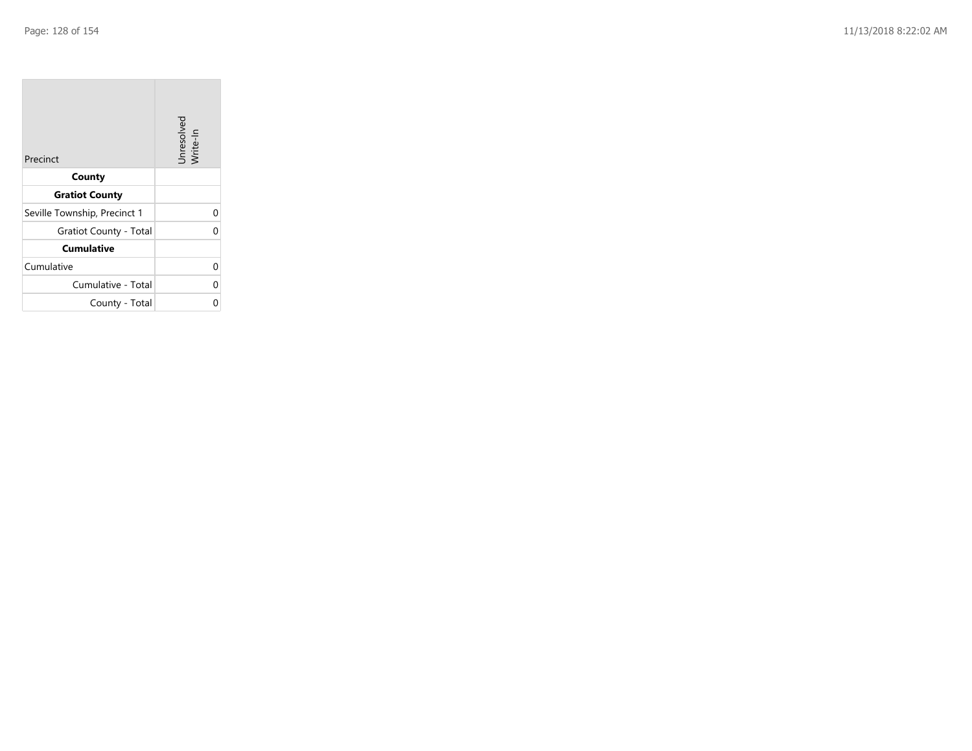| Precinct                     | Unresolved<br>Write-In |
|------------------------------|------------------------|
| County                       |                        |
| <b>Gratiot County</b>        |                        |
| Seville Township, Precinct 1 | 0                      |
| Gratiot County - Total       | 0                      |
| <b>Cumulative</b>            |                        |
| Cumulative                   | 0                      |
| Cumulative - Total           | 0                      |
| County - Total               | በ                      |

the contract of the contract of

m.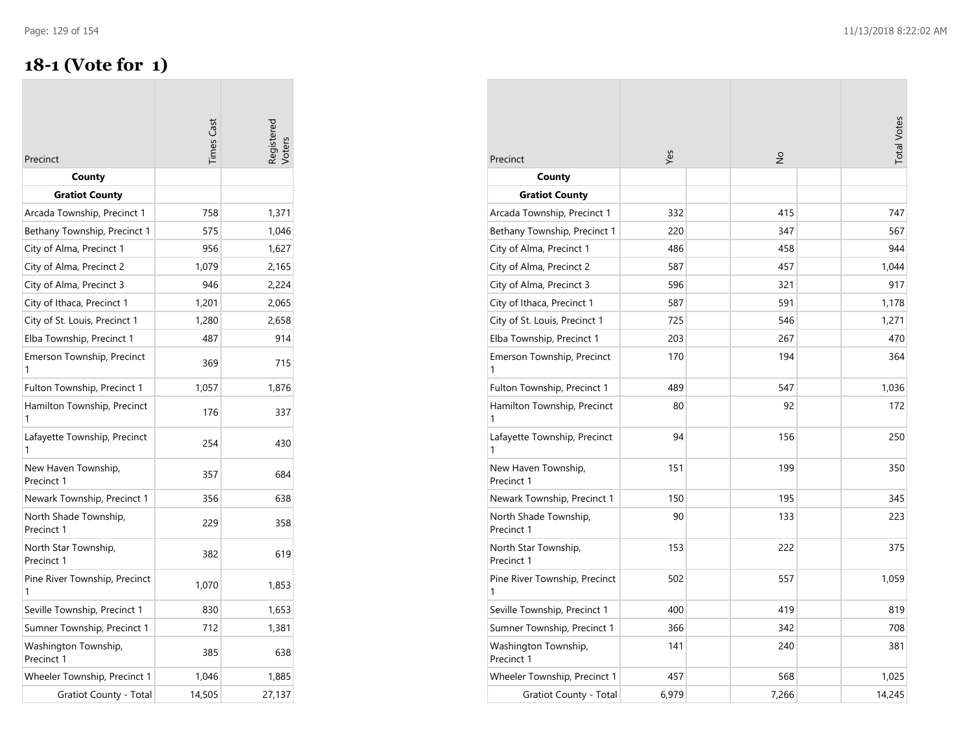### **18-1 (Vote for 1)**

| Precinct                            | imes Cast | egisterec<br><b>oters</b> |
|-------------------------------------|-----------|---------------------------|
| County                              |           |                           |
| <b>Gratiot County</b>               |           |                           |
| Arcada Township, Precinct 1         | 758       | 1,371                     |
| Bethany Township, Precinct 1        | 575       | 1,046                     |
| City of Alma, Precinct 1            | 956       | 1,627                     |
| City of Alma, Precinct 2            | 1,079     | 2,165                     |
| City of Alma, Precinct 3            | 946       | 2,224                     |
| City of Ithaca, Precinct 1          | 1,201     | 2,065                     |
| City of St. Louis, Precinct 1       | 1,280     | 2,658                     |
| Elba Township, Precinct 1           | 487       | 914                       |
| Emerson Township, Precinct<br>1     | 369       | 715                       |
| Fulton Township, Precinct 1         | 1,057     | 1,876                     |
| Hamilton Township, Precinct<br>1    | 176       | 337                       |
| Lafayette Township, Precinct<br>1   | 254       | 430                       |
| New Haven Township,<br>Precinct 1   | 357       | 684                       |
| Newark Township, Precinct 1         | 356       | 638                       |
| North Shade Township,<br>Precinct 1 | 229       | 358                       |
| North Star Township,<br>Precinct 1  | 382       | 619                       |
| Pine River Township, Precinct<br>1  | 1,070     | 1,853                     |
| Seville Township, Precinct 1        | 830       | 1,653                     |
| Sumner Township, Precinct 1         | 712       | 1,381                     |
| Washington Township,<br>Precinct 1  | 385       | 638                       |
| Wheeler Township, Precinct 1        | 1,046     | 1,885                     |
| <b>Gratiot County - Total</b>       | 14,505    | 27,137                    |

| Precinct                            | Yes   | $\frac{1}{2}$ | <b>Total Votes</b> |
|-------------------------------------|-------|---------------|--------------------|
| County                              |       |               |                    |
| <b>Gratiot County</b>               |       |               |                    |
| Arcada Township, Precinct 1         | 332   | 415           | 747                |
| Bethany Township, Precinct 1        | 220   | 347           | 567                |
| City of Alma, Precinct 1            | 486   | 458           | 944                |
| City of Alma, Precinct 2            | 587   | 457           | 1,044              |
| City of Alma, Precinct 3            | 596   | 321           | 917                |
| City of Ithaca, Precinct 1          | 587   | 591           | 1,178              |
| City of St. Louis, Precinct 1       | 725   | 546           | 1,271              |
| Elba Township, Precinct 1           | 203   | 267           | 470                |
| Emerson Township, Precinct<br>1     | 170   | 194           | 364                |
| Fulton Township, Precinct 1         | 489   | 547           | 1,036              |
| Hamilton Township, Precinct<br>1    | 80    | 92            | 172                |
| Lafayette Township, Precinct        | 94    | 156           | 250                |
| New Haven Township,<br>Precinct 1   | 151   | 199           | 350                |
| Newark Township, Precinct 1         | 150   | 195           | 345                |
| North Shade Township,<br>Precinct 1 | 90    | 133           | 223                |
| North Star Township,<br>Precinct 1  | 153   | 222           | 375                |
| Pine River Township, Precinct<br>1  | 502   | 557           | 1,059              |
| Seville Township, Precinct 1        | 400   | 419           | 819                |
| Sumner Township, Precinct 1         | 366   | 342           | 708                |
| Washington Township,<br>Precinct 1  | 141   | 240           | 381                |
| Wheeler Township, Precinct 1        | 457   | 568           | 1,025              |
| <b>Gratiot County - Total</b>       | 6,979 | 7,266         | 14,245             |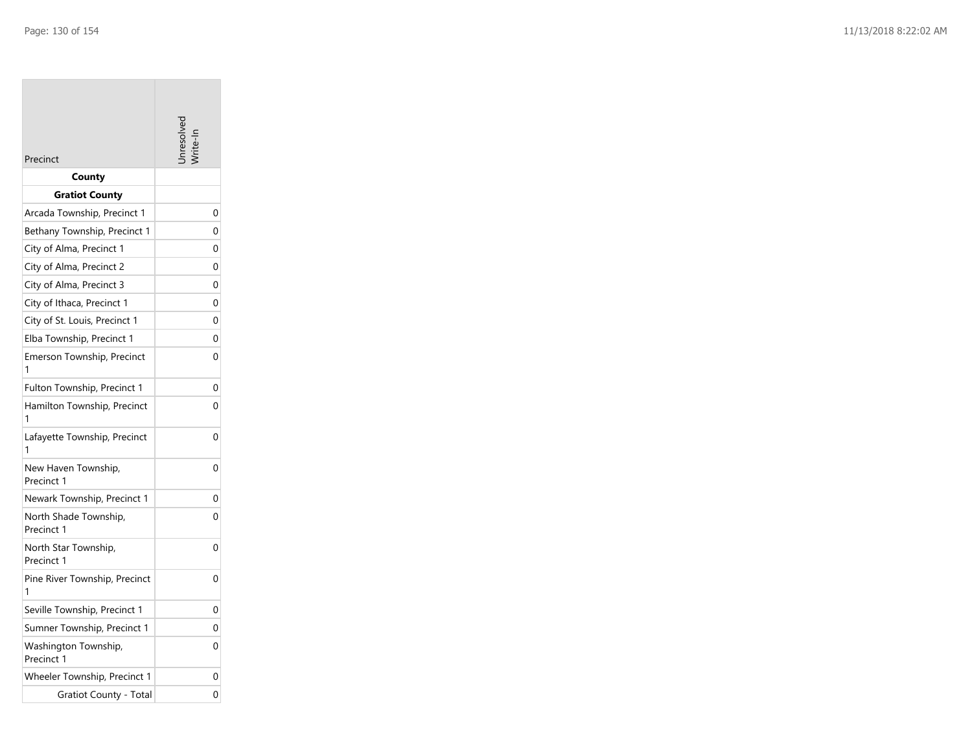| Precinct                            | nresolv |
|-------------------------------------|---------|
| County                              |         |
| <b>Gratiot County</b>               |         |
| Arcada Township, Precinct 1         | 0       |
| Bethany Township, Precinct 1        | 0       |
| City of Alma, Precinct 1            | 0       |
| City of Alma, Precinct 2            | 0       |
| City of Alma, Precinct 3            | 0       |
| City of Ithaca, Precinct 1          | 0       |
| City of St. Louis, Precinct 1       | 0       |
| Elba Township, Precinct 1           | 0       |
| Emerson Township, Precinct<br>1     | 0       |
| Fulton Township, Precinct 1         | 0       |
| Hamilton Township, Precinct<br>1    | 0       |
| Lafayette Township, Precinct<br>1   | 0       |
| New Haven Township,<br>Precinct 1   | 0       |
| Newark Township, Precinct 1         | 0       |
| North Shade Township,<br>Precinct 1 | 0       |
| North Star Township,<br>Precinct 1  | 0       |
| Pine River Township, Precinct<br>1  | 0       |
| Seville Township, Precinct 1        | 0       |
| Sumner Township, Precinct 1         | 0       |
| Washington Township,<br>Precinct 1  | 0       |
| Wheeler Township, Precinct 1        | 0       |
| Gratiot County - Total              | 0       |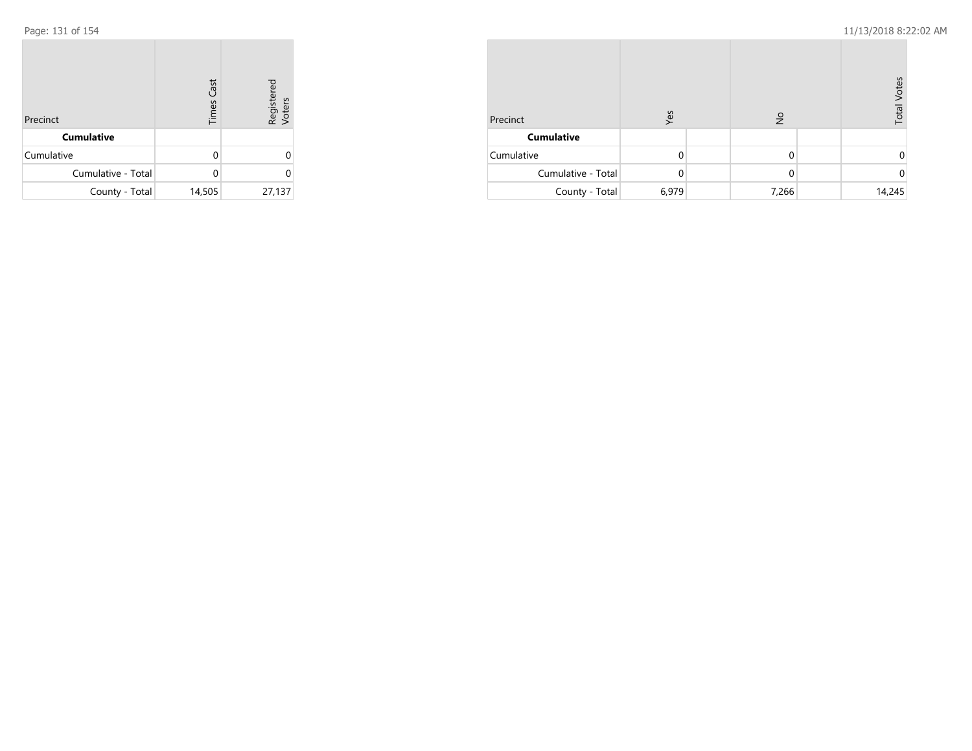| Precinct           | <b>Times Cast</b> | Registered<br>Voters |  |
|--------------------|-------------------|----------------------|--|
| <b>Cumulative</b>  |                   |                      |  |
| Cumulative         | $\Omega$          |                      |  |
| Cumulative - Total | $\Omega$          |                      |  |
| County - Total     | 14,505            | 27,137               |  |

| Precinct           | Yes   | $\frac{1}{2}$ | <b>Total Votes</b> |
|--------------------|-------|---------------|--------------------|
| <b>Cumulative</b>  |       |               |                    |
| Cumulative         |       |               |                    |
| Cumulative - Total |       | 0             | 0                  |
| County - Total     | 6,979 | 7,266         | 14,245             |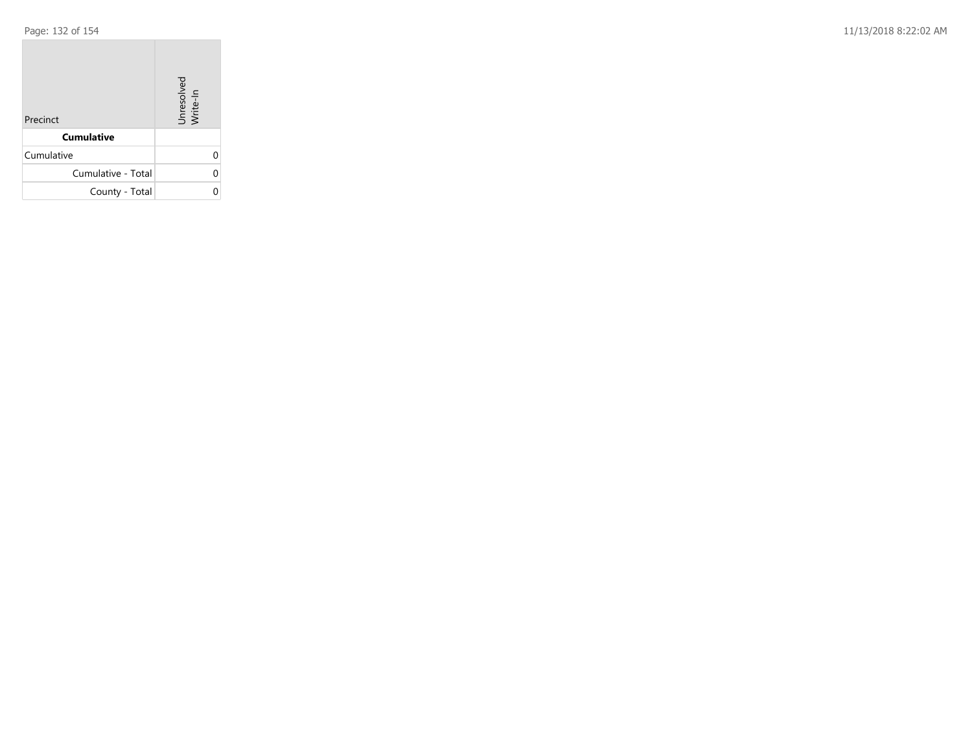**COL** 

Page: 132 of 154 11/13/2018 8:22:02 AM

| Precinct           | Unresolved<br>Write-In |
|--------------------|------------------------|
| <b>Cumulative</b>  |                        |
| Cumulative         | U                      |
| Cumulative - Total |                        |
| County - Total     |                        |

the control of the control of the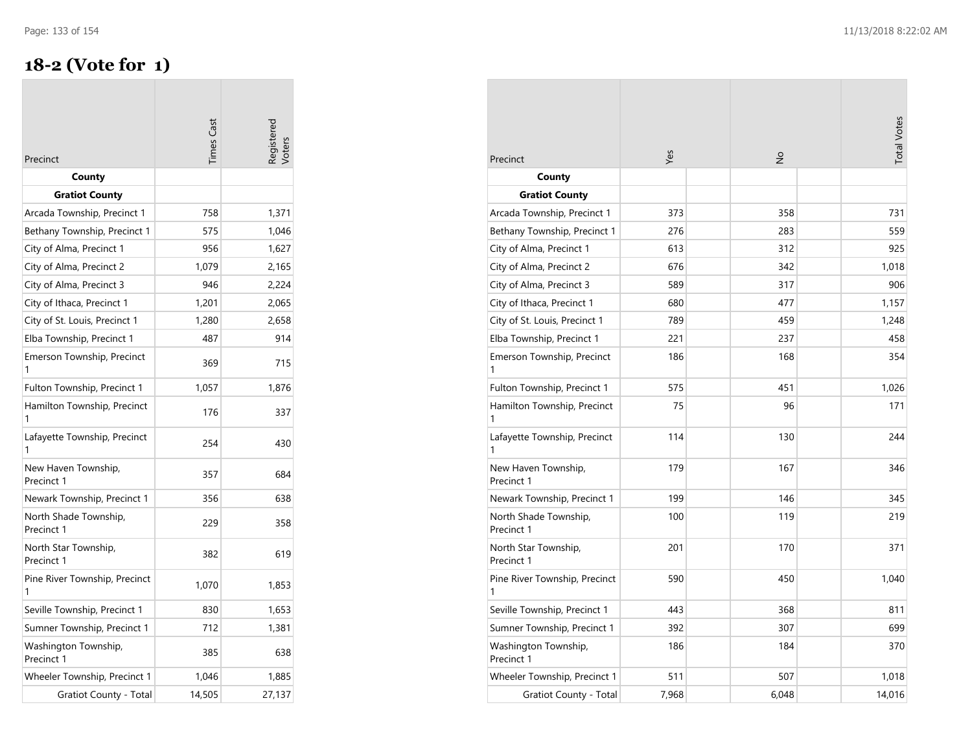### **18-2 (Vote for 1)**

| Precinct                            | <b>Times</b> Cast | Registerec<br>'oters |
|-------------------------------------|-------------------|----------------------|
| County                              |                   |                      |
| <b>Gratiot County</b>               |                   |                      |
| Arcada Township, Precinct 1         | 758               | 1,371                |
| Bethany Township, Precinct 1        | 575               | 1,046                |
| City of Alma, Precinct 1            | 956               | 1,627                |
| City of Alma, Precinct 2            | 1,079             | 2,165                |
| City of Alma, Precinct 3            | 946               | 2,224                |
| City of Ithaca, Precinct 1          | 1,201             | 2,065                |
| City of St. Louis, Precinct 1       | 1,280             | 2,658                |
| Elba Township, Precinct 1           | 487               | 914                  |
| Emerson Township, Precinct<br>1     | 369               | 715                  |
| Fulton Township, Precinct 1         | 1,057             | 1,876                |
| Hamilton Township, Precinct<br>1    | 176               | 337                  |
| Lafayette Township, Precinct<br>1   | 254               | 430                  |
| New Haven Township,<br>Precinct 1   | 357               | 684                  |
| Newark Township, Precinct 1         | 356               | 638                  |
| North Shade Township,<br>Precinct 1 | 229               | 358                  |
| North Star Township,<br>Precinct 1  | 382               | 619                  |
| Pine River Township, Precinct<br>1  | 1,070             | 1,853                |
| Seville Township, Precinct 1        | 830               | 1,653                |
| Sumner Township, Precinct 1         | 712               | 1,381                |
| Washington Township,<br>Precinct 1  | 385               | 638                  |
| Wheeler Township, Precinct 1        | 1,046             | 1,885                |
| <b>Gratiot County - Total</b>       | 14,505            | 27,137               |

| Precinct                            | Yes   | $\frac{1}{2}$ | <b>Total Votes</b> |
|-------------------------------------|-------|---------------|--------------------|
| County                              |       |               |                    |
| <b>Gratiot County</b>               |       |               |                    |
| Arcada Township, Precinct 1         | 373   | 358           | 731                |
| Bethany Township, Precinct 1        | 276   | 283           | 559                |
| City of Alma, Precinct 1            | 613   | 312           | 925                |
| City of Alma, Precinct 2            | 676   | 342           | 1,018              |
| City of Alma, Precinct 3            | 589   | 317           | 906                |
| City of Ithaca, Precinct 1          | 680   | 477           | 1,157              |
| City of St. Louis, Precinct 1       | 789   | 459           | 1,248              |
| Elba Township, Precinct 1           | 221   | 237           | 458                |
| Emerson Township, Precinct<br>1     | 186   | 168           | 354                |
| Fulton Township, Precinct 1         | 575   | 451           | 1,026              |
| Hamilton Township, Precinct<br>1    | 75    | 96            | 171                |
| Lafayette Township, Precinct<br>1   | 114   | 130           | 244                |
| New Haven Township,<br>Precinct 1   | 179   | 167           | 346                |
| Newark Township, Precinct 1         | 199   | 146           | 345                |
| North Shade Township,<br>Precinct 1 | 100   | 119           | 219                |
| North Star Township,<br>Precinct 1  | 201   | 170           | 371                |
| Pine River Township, Precinct<br>1  | 590   | 450           | 1,040              |
| Seville Township, Precinct 1        | 443   | 368           | 811                |
| Sumner Township, Precinct 1         | 392   | 307           | 699                |
| Washington Township,<br>Precinct 1  | 186   | 184           | 370                |
| Wheeler Township, Precinct 1        | 511   | 507           | 1,018              |
| Gratiot County - Total              | 7,968 | 6,048         | 14,016             |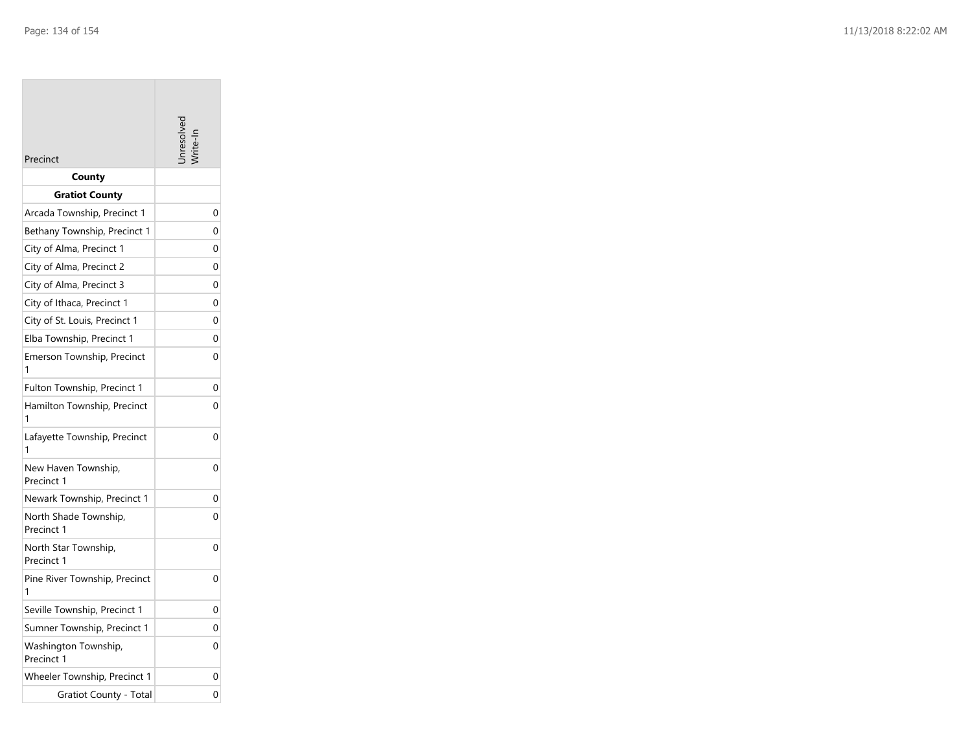| Precinct                            | nresolv  |
|-------------------------------------|----------|
| County                              |          |
| <b>Gratiot County</b>               |          |
| Arcada Township, Precinct 1         | 0        |
| Bethany Township, Precinct 1        | 0        |
| City of Alma, Precinct 1            | 0        |
| City of Alma, Precinct 2            | 0        |
| City of Alma, Precinct 3            | 0        |
| City of Ithaca, Precinct 1          | 0        |
| City of St. Louis, Precinct 1       | 0        |
| Elba Township, Precinct 1           | 0        |
| Emerson Township, Precinct<br>1     | 0        |
| Fulton Township, Precinct 1         | 0        |
| Hamilton Township, Precinct<br>1    | 0        |
| Lafayette Township, Precinct<br>1   | $\Omega$ |
| New Haven Township,<br>Precinct 1   | 0        |
| Newark Township, Precinct 1         | 0        |
| North Shade Township,<br>Precinct 1 | 0        |
| North Star Township,<br>Precinct 1  | 0        |
| Pine River Township, Precinct<br>1  | 0        |
| Seville Township, Precinct 1        | 0        |
| Sumner Township, Precinct 1         | 0        |
| Washington Township,<br>Precinct 1  | 0        |
| Wheeler Township, Precinct 1        | 0        |
| Gratiot County - Total              | 0        |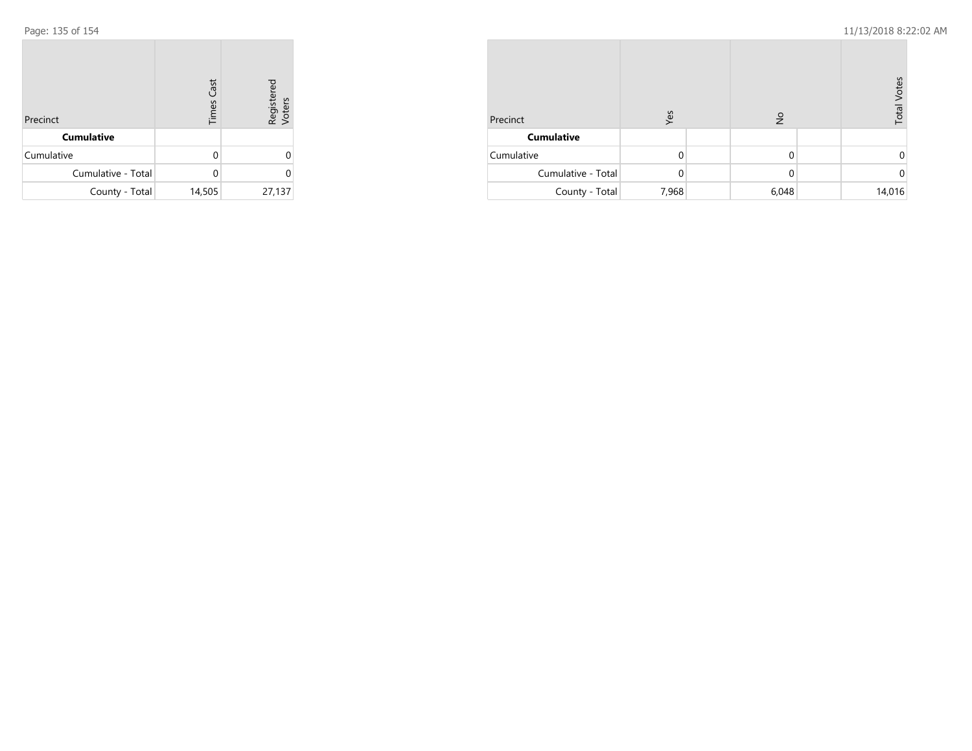| Precinct           | <b>Times Cast</b> | Registered<br>Voters |  |
|--------------------|-------------------|----------------------|--|
| <b>Cumulative</b>  |                   |                      |  |
| Cumulative         | $\Omega$          |                      |  |
| Cumulative - Total | $\Omega$          |                      |  |
| County - Total     | 14,505            | 27,137               |  |

| Precinct           | Yes   | $\frac{1}{2}$ | <b>Total Votes</b> |
|--------------------|-------|---------------|--------------------|
| <b>Cumulative</b>  |       |               |                    |
| Cumulative         |       |               | 0                  |
| Cumulative - Total |       |               | 0                  |
| County - Total     | 7,968 | 6,048         | 14,016             |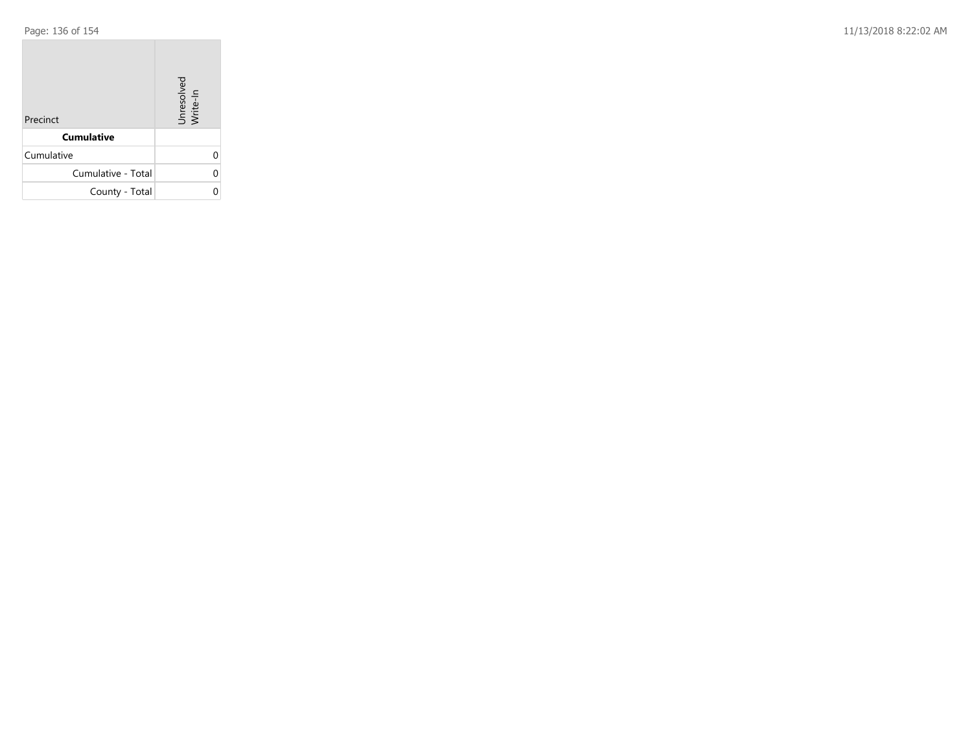**COL** 

Page: 136 of 154 11/13/2018 8:22:02 AM

| Precinct           | Unresolved<br>Write-In |
|--------------------|------------------------|
| <b>Cumulative</b>  |                        |
| Cumulative         | U                      |
| Cumulative - Total |                        |
| County - Total     |                        |

the control of the control of the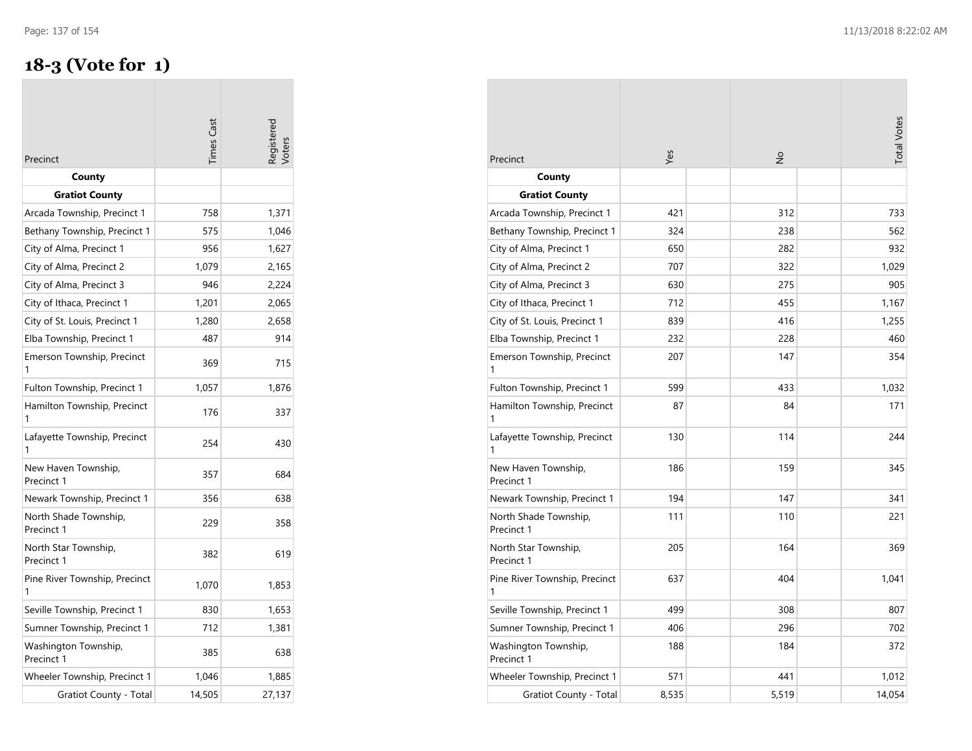### **18-3 (Vote for 1)**

| Precinct                            | <b>Times</b> Cast | <b>Registered</b><br><b>/oters</b> |
|-------------------------------------|-------------------|------------------------------------|
| County                              |                   |                                    |
| <b>Gratiot County</b>               |                   |                                    |
| Arcada Township, Precinct 1         | 758               | 1,371                              |
| Bethany Township, Precinct 1        | 575               | 1,046                              |
| City of Alma, Precinct 1            | 956               | 1,627                              |
| City of Alma, Precinct 2            | 1,079             | 2,165                              |
| City of Alma, Precinct 3            | 946               | 2,224                              |
| City of Ithaca, Precinct 1          | 1,201             | 2,065                              |
| City of St. Louis, Precinct 1       | 1,280             | 2,658                              |
| Elba Township, Precinct 1           | 487               | 914                                |
| Emerson Township, Precinct<br>1     | 369               | 715                                |
| Fulton Township, Precinct 1         | 1,057             | 1,876                              |
| Hamilton Township, Precinct<br>1    | 176               | 337                                |
| Lafayette Township, Precinct<br>1   | 254               | 430                                |
| New Haven Township,<br>Precinct 1   | 357               | 684                                |
| Newark Township, Precinct 1         | 356               | 638                                |
| North Shade Township,<br>Precinct 1 | 229               | 358                                |
| North Star Township,<br>Precinct 1  | 382               | 619                                |
| Pine River Township, Precinct<br>1  | 1,070             | 1,853                              |
| Seville Township, Precinct 1        | 830               | 1,653                              |
| Sumner Township, Precinct 1         | 712               | 1,381                              |
| Washington Township,<br>Precinct 1  | 385               | 638                                |
| Wheeler Township, Precinct 1        | 1,046             | 1,885                              |
| Gratiot County - Total              | 14,505            | 27,137                             |

| Precinct                            | Yes   | $\frac{1}{2}$ | <b>Total Votes</b> |
|-------------------------------------|-------|---------------|--------------------|
| County                              |       |               |                    |
| <b>Gratiot County</b>               |       |               |                    |
| Arcada Township, Precinct 1         | 421   | 312           | 733                |
| Bethany Township, Precinct 1        | 324   | 238           | 562                |
| City of Alma, Precinct 1            | 650   | 282           | 932                |
| City of Alma, Precinct 2            | 707   | 322           | 1,029              |
| City of Alma, Precinct 3            | 630   | 275           | 905                |
| City of Ithaca, Precinct 1          | 712   | 455           | 1,167              |
| City of St. Louis, Precinct 1       | 839   | 416           | 1,255              |
| Elba Township, Precinct 1           | 232   | 228           | 460                |
| Emerson Township, Precinct<br>1     | 207   | 147           | 354                |
| Fulton Township, Precinct 1         | 599   | 433           | 1,032              |
| Hamilton Township, Precinct         | 87    | 84            | 171                |
| Lafayette Township, Precinct<br>1   | 130   | 114           | 244                |
| New Haven Township,<br>Precinct 1   | 186   | 159           | 345                |
| Newark Township, Precinct 1         | 194   | 147           | 341                |
| North Shade Township,<br>Precinct 1 | 111   | 110           | 221                |
| North Star Township,<br>Precinct 1  | 205   | 164           | 369                |
| Pine River Township, Precinct<br>1  | 637   | 404           | 1,041              |
| Seville Township, Precinct 1        | 499   | 308           | 807                |
| Sumner Township, Precinct 1         | 406   | 296           | 702                |
| Washington Township,<br>Precinct 1  | 188   | 184           | 372                |
| Wheeler Township, Precinct 1        | 571   | 441           | 1,012              |
| Gratiot County - Total              | 8,535 | 5,519         | 14,054             |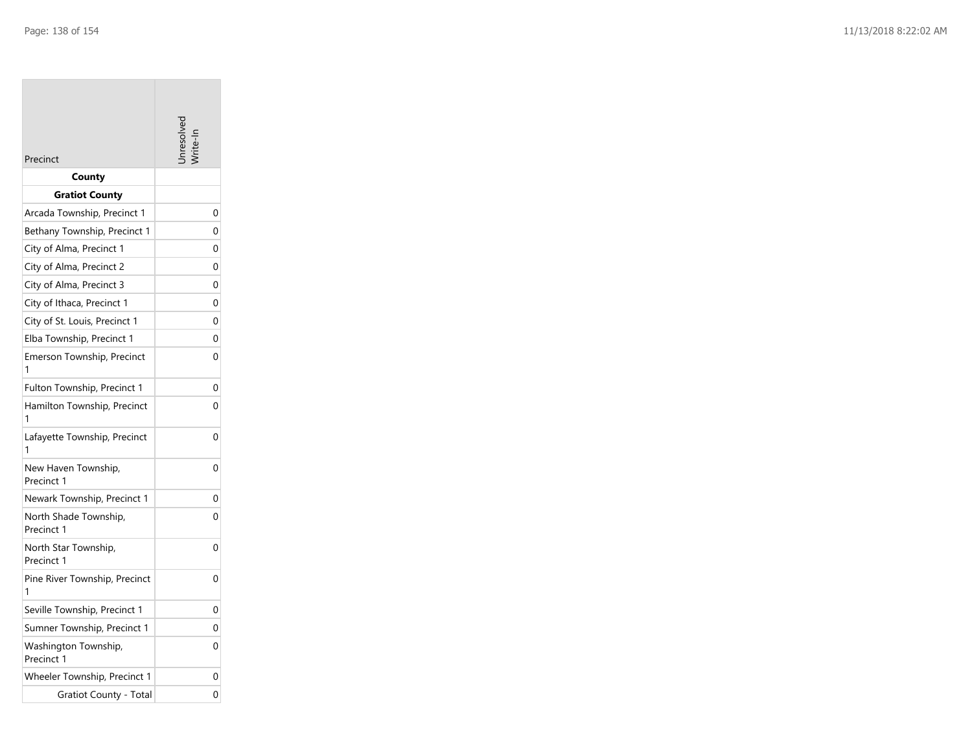| Precinct                            | nresolv |
|-------------------------------------|---------|
| County                              |         |
| <b>Gratiot County</b>               |         |
| Arcada Township, Precinct 1         | 0       |
| Bethany Township, Precinct 1        | 0       |
| City of Alma, Precinct 1            | 0       |
| City of Alma, Precinct 2            | 0       |
| City of Alma, Precinct 3            | 0       |
| City of Ithaca, Precinct 1          | 0       |
| City of St. Louis, Precinct 1       | 0       |
| Elba Township, Precinct 1           | 0       |
| Emerson Township, Precinct<br>1     | 0       |
| Fulton Township, Precinct 1         | 0       |
| Hamilton Township, Precinct<br>1    | 0       |
| Lafayette Township, Precinct<br>1   | 0       |
| New Haven Township,<br>Precinct 1   | 0       |
| Newark Township, Precinct 1         | 0       |
| North Shade Township,<br>Precinct 1 | 0       |
| North Star Township,<br>Precinct 1  | 0       |
| Pine River Township, Precinct<br>1  | 0       |
| Seville Township, Precinct 1        | 0       |
| Sumner Township, Precinct 1         | 0       |
| Washington Township,<br>Precinct 1  | 0       |
| Wheeler Township, Precinct 1        | 0       |
| Gratiot County - Total              | 0       |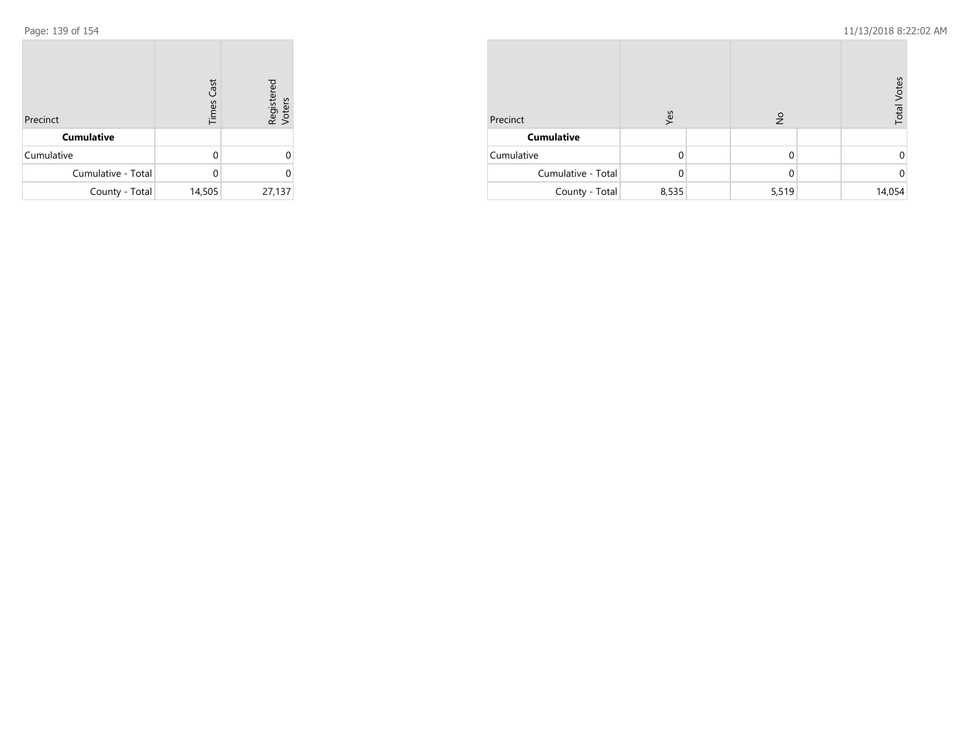| Precinct           | <b>Times Cast</b> | Registered<br>Voters |  |
|--------------------|-------------------|----------------------|--|
| <b>Cumulative</b>  |                   |                      |  |
| Cumulative         | $\Omega$          |                      |  |
| Cumulative - Total | $\Omega$          |                      |  |
| County - Total     | 14,505            | 27,137               |  |

| Precinct           | Yes   | $\frac{1}{2}$ | <b>Total Votes</b> |
|--------------------|-------|---------------|--------------------|
| <b>Cumulative</b>  |       |               |                    |
| Cumulative         |       |               | O                  |
| Cumulative - Total |       | 0             | 0                  |
| County - Total     | 8,535 | 5,519         | 14,054             |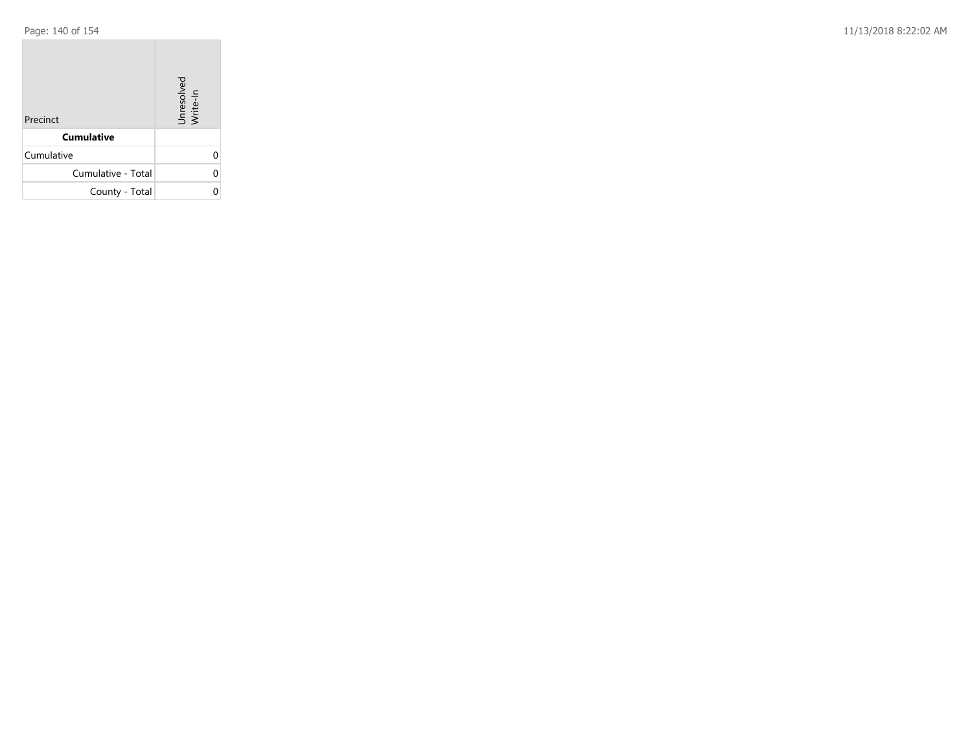**College** 

Page: 140 of 154 11/13/2018 8:22:02 AM

| Precinct           | Unresolved<br>Write-In |
|--------------------|------------------------|
| <b>Cumulative</b>  |                        |
| Cumulative         |                        |
| Cumulative - Total |                        |
| County - Total     |                        |

the control of the control of the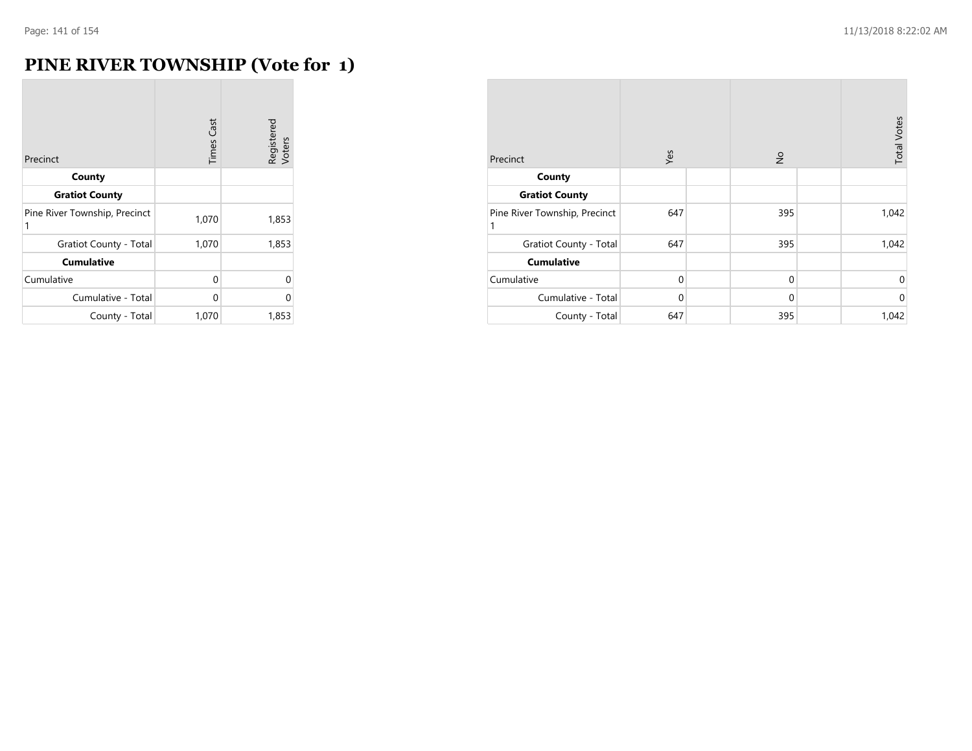### **PINE RIVER TOWNSHIP (Vote for 1)**

| Precinct                           | <b>Times Cast</b> | Registered<br>Voters |
|------------------------------------|-------------------|----------------------|
| County                             |                   |                      |
| <b>Gratiot County</b>              |                   |                      |
| Pine River Township, Precinct<br>1 | 1,070             | 1,853                |
| Gratiot County - Total             | 1,070             | 1,853                |
| <b>Cumulative</b>                  |                   |                      |
| Cumulative                         | O                 | 0                    |
| Cumulative - Total                 | 0                 | 0                    |
| County - Total                     | 1,070             | 1,853                |

| Precinct                           | Yes      | $\frac{1}{2}$ | <b>Total Votes</b> |
|------------------------------------|----------|---------------|--------------------|
| County                             |          |               |                    |
| <b>Gratiot County</b>              |          |               |                    |
| Pine River Township, Precinct<br>1 | 647      | 395           | 1,042              |
| Gratiot County - Total             | 647      | 395           | 1,042              |
| <b>Cumulative</b>                  |          |               |                    |
| Cumulative                         | $\Omega$ | $\mathbf 0$   | $\mathbf 0$        |
| Cumulative - Total                 | $\Omega$ | $\mathbf{0}$  | $\overline{0}$     |
| County - Total                     | 647      | 395           | 1,042              |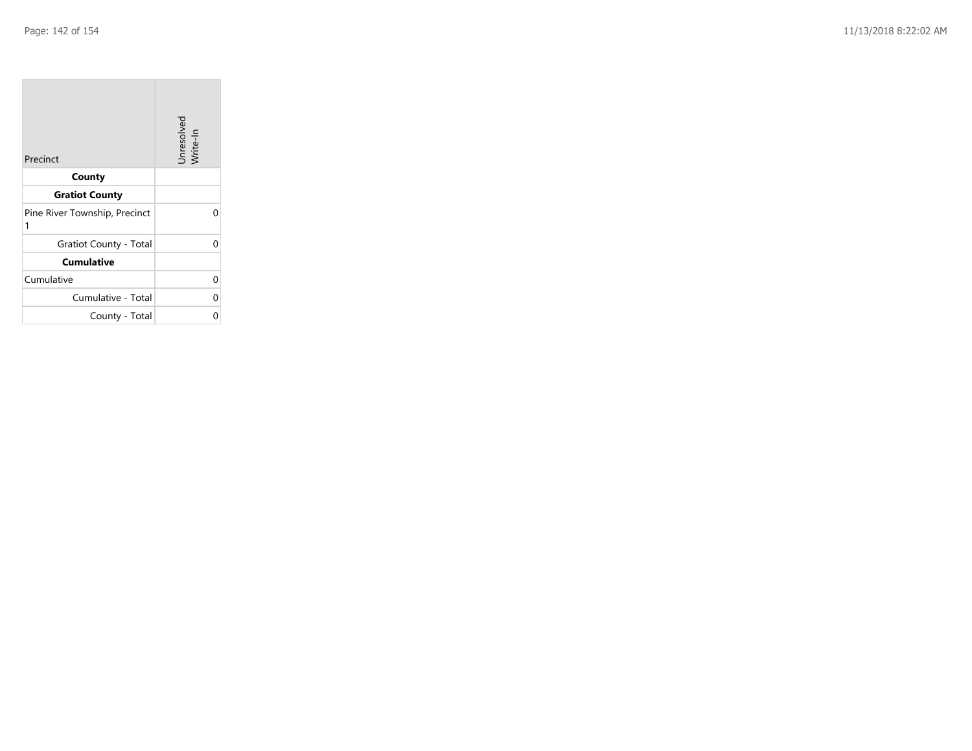$\sim$ 

| Precinct                           | Unresolved<br>Write-In |
|------------------------------------|------------------------|
| County                             |                        |
| <b>Gratiot County</b>              |                        |
| Pine River Township, Precinct<br>1 | U                      |
| Gratiot County - Total             | U                      |
| <b>Cumulative</b>                  |                        |
| Cumulative                         |                        |
| Cumulative - Total                 | 0                      |
| County - Total                     |                        |

the property of the con-

 $\overline{\phantom{a}}$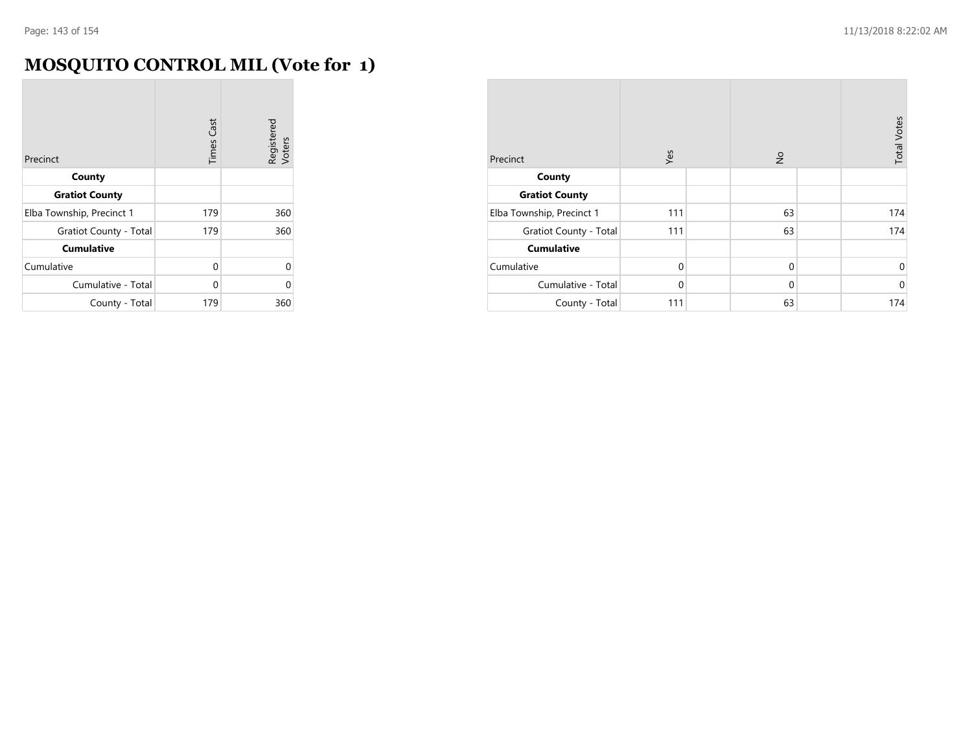### **MOSQUITO CONTROL MIL (Vote for 1)**

| Precinct                  | <b>Times Cast</b> | Registered<br>Voters |
|---------------------------|-------------------|----------------------|
| County                    |                   |                      |
| <b>Gratiot County</b>     |                   |                      |
| Elba Township, Precinct 1 | 179               | 360                  |
| Gratiot County - Total    | 179               | 360                  |
| <b>Cumulative</b>         |                   |                      |
| Cumulative                | $\Omega$          | 0                    |
| Cumulative - Total        | ∩                 | U                    |
| County - Total            | 179               | 360                  |

| Precinct                  | Yes          | $\frac{1}{2}$ | <b>Total Votes</b> |
|---------------------------|--------------|---------------|--------------------|
| County                    |              |               |                    |
| <b>Gratiot County</b>     |              |               |                    |
| Elba Township, Precinct 1 | 111          | 63            | 174                |
| Gratiot County - Total    | 111          | 63            | 174                |
| <b>Cumulative</b>         |              |               |                    |
| Cumulative                | $\mathbf{0}$ | $\mathbf{0}$  | $\mathbf 0$        |
| Cumulative - Total        | $\mathbf{0}$ | $\mathbf{0}$  | $\mathbf{0}$       |
| County - Total            | 111          | 63            | 174                |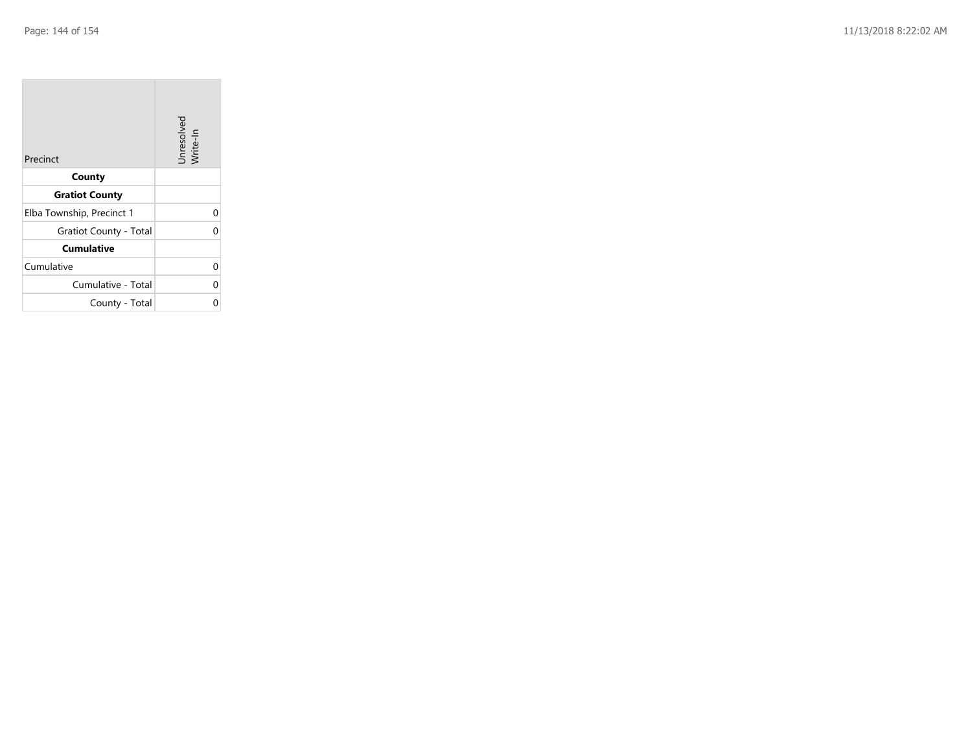| Precinct                      | Unresolved<br>Write-In |
|-------------------------------|------------------------|
| County                        |                        |
| <b>Gratiot County</b>         |                        |
| Elba Township, Precinct 1     | 0                      |
| <b>Gratiot County - Total</b> | 0                      |
| <b>Cumulative</b>             |                        |
| Cumulative                    | 0                      |
| Cumulative - Total            | 0                      |
| County - Total                | በ                      |

the contract of the contract of

m.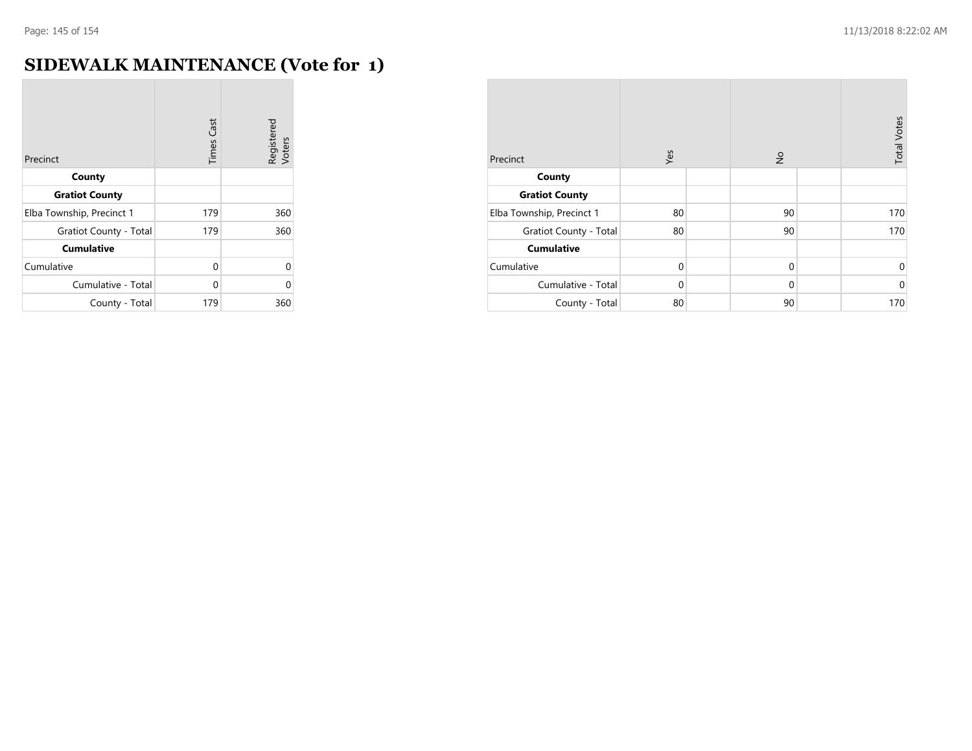### **SIDEWALK MAINTENANCE (Vote for 1)**

| Precinct                  | <b>Times Cast</b> | Registered<br>Voters |
|---------------------------|-------------------|----------------------|
| County                    |                   |                      |
| <b>Gratiot County</b>     |                   |                      |
| Elba Township, Precinct 1 | 179               | 360                  |
| Gratiot County - Total    | 179               | 360                  |
| <b>Cumulative</b>         |                   |                      |
| Cumulative                | $\Omega$          | 0                    |
| Cumulative - Total        | U                 | Ω                    |
| County - Total            | 179               | 360                  |

| Precinct                  | Yes          | $\frac{1}{2}$ | <b>Total Votes</b> |
|---------------------------|--------------|---------------|--------------------|
| County                    |              |               |                    |
| <b>Gratiot County</b>     |              |               |                    |
| Elba Township, Precinct 1 | 80           | 90            | 170                |
| Gratiot County - Total    | 80           | 90            | 170                |
| <b>Cumulative</b>         |              |               |                    |
| Cumulative                | $\mathbf{0}$ | $\mathbf{0}$  | $\mathbf 0$        |
| Cumulative - Total        | 0            | $\mathbf{0}$  | $\mathbf{0}$       |
| County - Total            | 80           | 90            | 170                |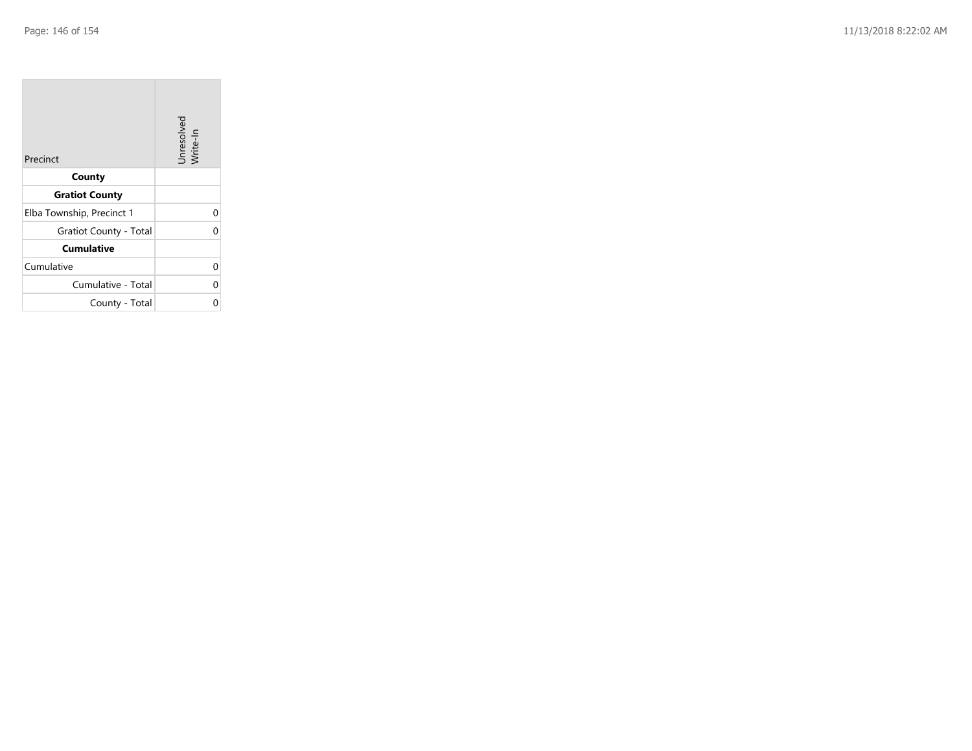| Precinct                      | Unresolved<br>Write-In |
|-------------------------------|------------------------|
| County                        |                        |
| <b>Gratiot County</b>         |                        |
| Elba Township, Precinct 1     | 0                      |
| <b>Gratiot County - Total</b> | 0                      |
| <b>Cumulative</b>             |                        |
| Cumulative                    | 0                      |
| Cumulative - Total            | 0                      |
| County - Total                | በ                      |

the contract of the contract of

m.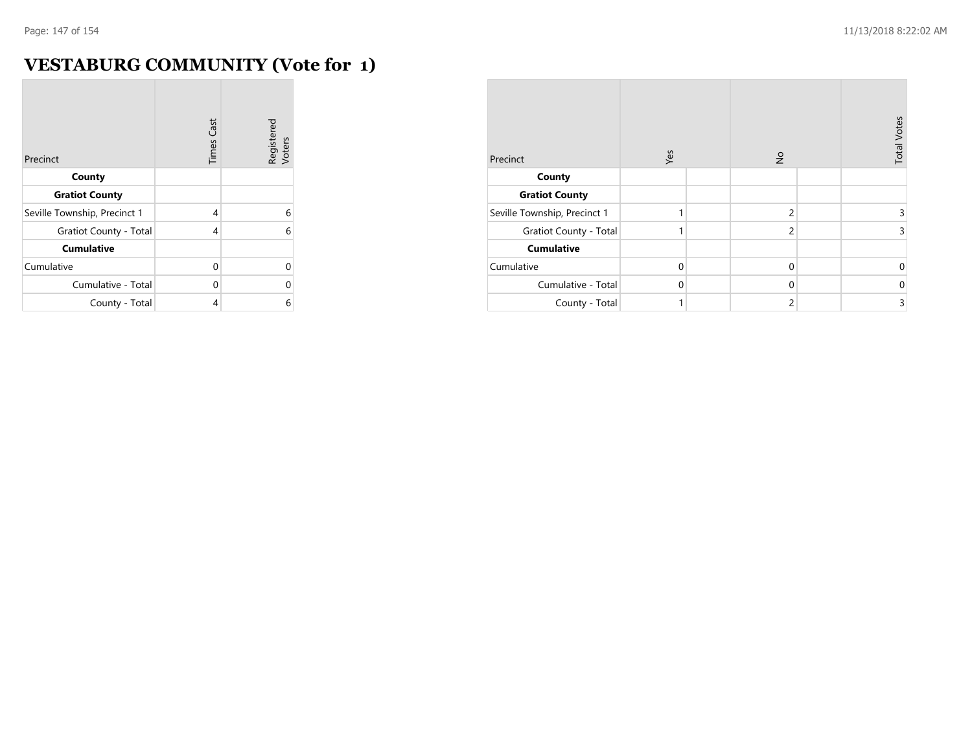$\sim$ 

## **VESTABURG COMMUNITY (Vote for 1)**

| Precinct                     | <b>Times Cast</b> | Registered<br>Voters |
|------------------------------|-------------------|----------------------|
| County                       |                   |                      |
| <b>Gratiot County</b>        |                   |                      |
| Seville Township, Precinct 1 | 4                 | 6                    |
| Gratiot County - Total       | 4                 | 6                    |
| <b>Cumulative</b>            |                   |                      |
| Cumulative                   | $\Omega$          | 0                    |
| Cumulative - Total           | O                 | 0                    |
| County - Total               | 4                 | 6                    |

| Precinct                     | Yes      | $\frac{1}{2}$  | <b>Total Votes</b> |
|------------------------------|----------|----------------|--------------------|
| County                       |          |                |                    |
| <b>Gratiot County</b>        |          |                |                    |
| Seville Township, Precinct 1 | 1        | 2              | 3                  |
| Gratiot County - Total       | 1        | $\overline{2}$ | 3                  |
| <b>Cumulative</b>            |          |                |                    |
| Cumulative                   | $\Omega$ | $\mathbf{0}$   | $\mathbf 0$        |
| Cumulative - Total           | $\Omega$ | $\mathbf{0}$   | $\mathbf{0}$       |
| County - Total               | 1        | 2              | 3                  |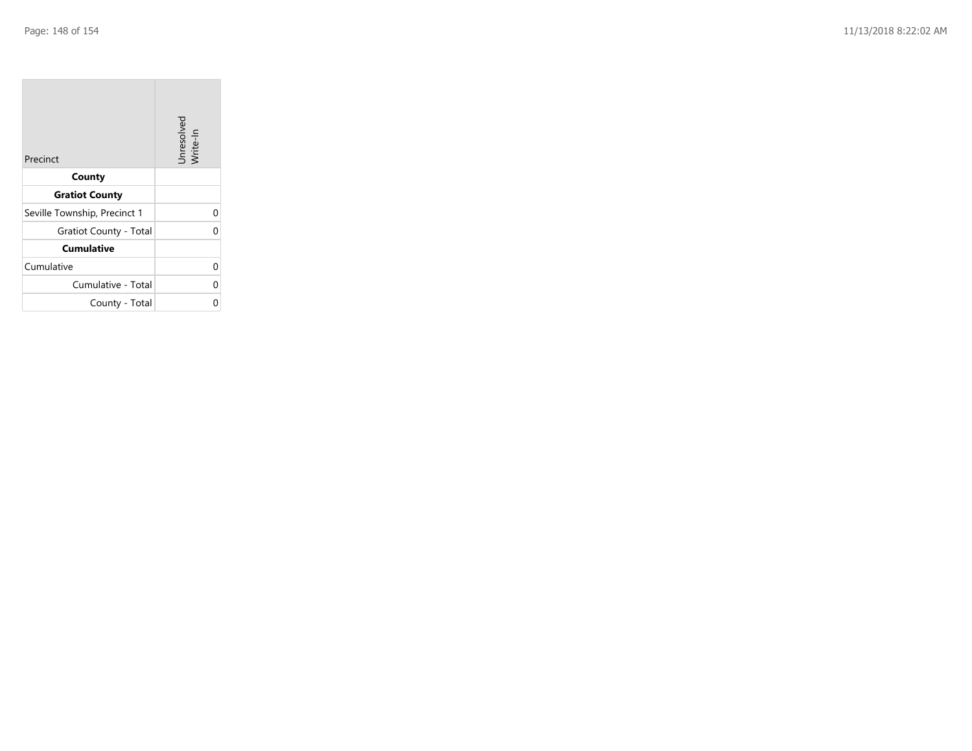| Precinct                     | Unresolved<br>Write-In |
|------------------------------|------------------------|
| County                       |                        |
| <b>Gratiot County</b>        |                        |
| Seville Township, Precinct 1 | 0                      |
| Gratiot County - Total       | 0                      |
| <b>Cumulative</b>            |                        |
| Cumulative                   | 0                      |
| Cumulative - Total           | 0                      |
| County - Total               | በ                      |

the contract of the contract of

m.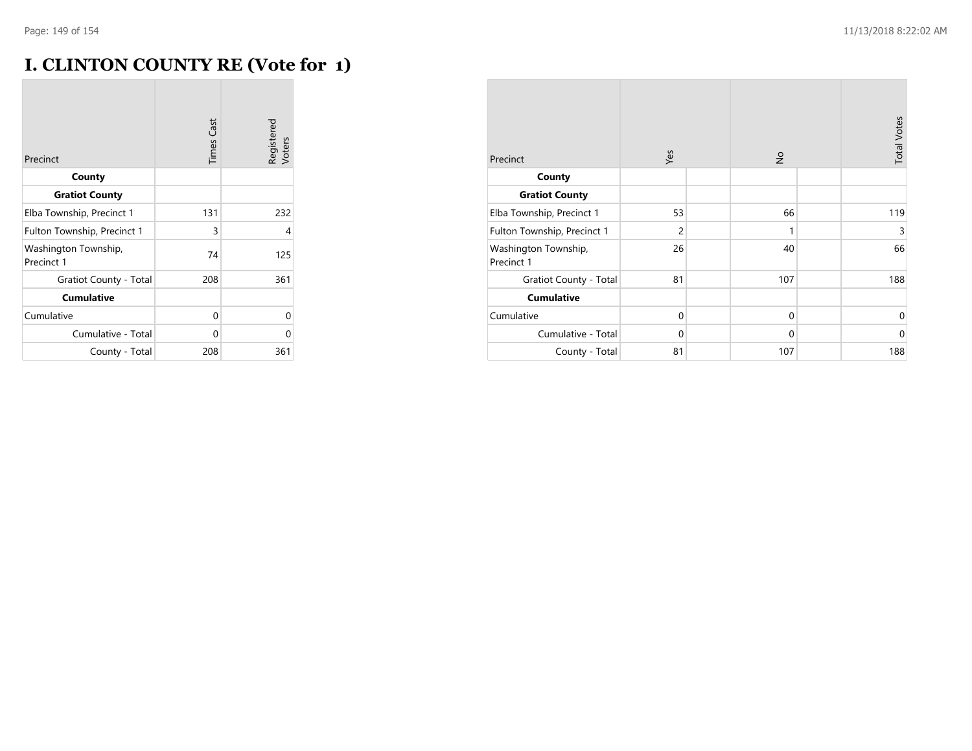## **I. CLINTON COUNTY RE (Vote for 1)** r.

| Precinct                           | <b>Times Cast</b> | Registered<br>Voters |
|------------------------------------|-------------------|----------------------|
| County                             |                   |                      |
| <b>Gratiot County</b>              |                   |                      |
| Elba Township, Precinct 1          | 131               | 232                  |
| Fulton Township, Precinct 1        | 3                 | 4                    |
| Washington Township,<br>Precinct 1 | 74                | 125                  |
| Gratiot County - Total             | 208               | 361                  |
| <b>Cumulative</b>                  |                   |                      |
| Cumulative                         | 0                 | 0                    |
| Cumulative - Total                 | 0                 | 0                    |
| County - Total                     | 208               | 361                  |

| Precinct                           | Yes            | $\frac{1}{2}$ | <b>Total Votes</b> |
|------------------------------------|----------------|---------------|--------------------|
| County                             |                |               |                    |
| <b>Gratiot County</b>              |                |               |                    |
| Elba Township, Precinct 1          | 53             | 66            | 119                |
| Fulton Township, Precinct 1        | $\overline{2}$ | 1             | 3                  |
| Washington Township,<br>Precinct 1 | 26             | 40            | 66                 |
| <b>Gratiot County - Total</b>      | 81             | 107           | 188                |
| <b>Cumulative</b>                  |                |               |                    |
| Cumulative                         | $\mathbf 0$    | 0             | $\mathbf 0$        |
| Cumulative - Total                 | $\Omega$       | $\mathbf{0}$  | $\mathbf 0$        |
| County - Total                     | 81             | 107           | 188                |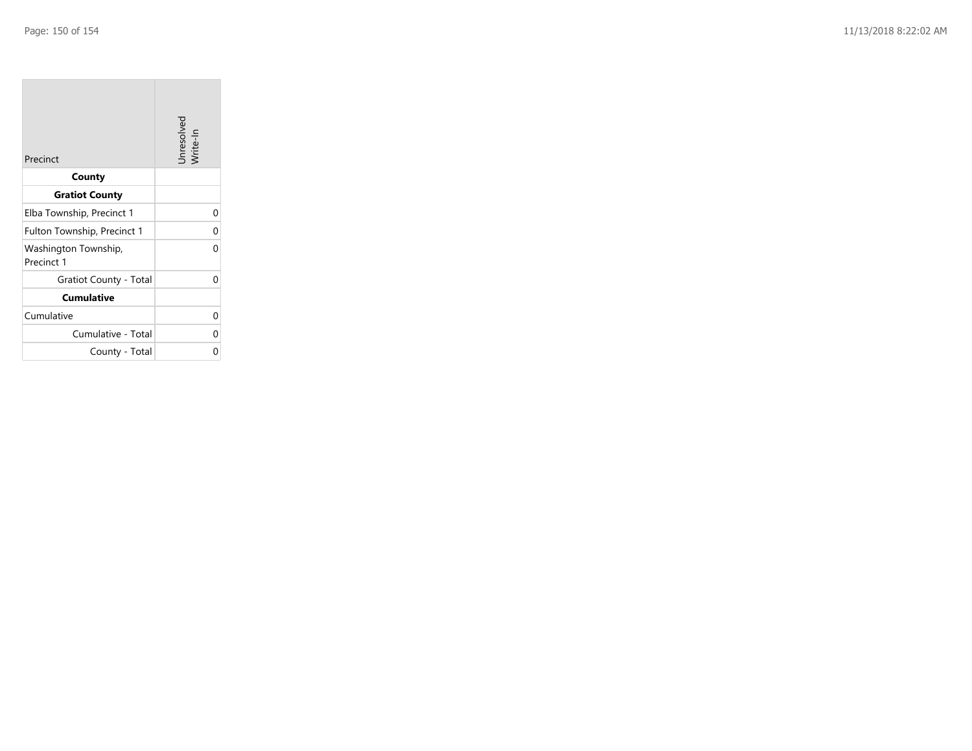**COL** 

| Precinct                           | Unresolved<br>Write-In |
|------------------------------------|------------------------|
| County                             |                        |
| <b>Gratiot County</b>              |                        |
| Elba Township, Precinct 1          | 0                      |
| Fulton Township, Precinct 1        | 0                      |
| Washington Township,<br>Precinct 1 | ი                      |
| Gratiot County - Total             | ი                      |
| <b>Cumulative</b>                  |                        |
| Cumulative                         | 0                      |
| Cumulative - Total                 | ი                      |
| County - Total                     |                        |

the control of the control of the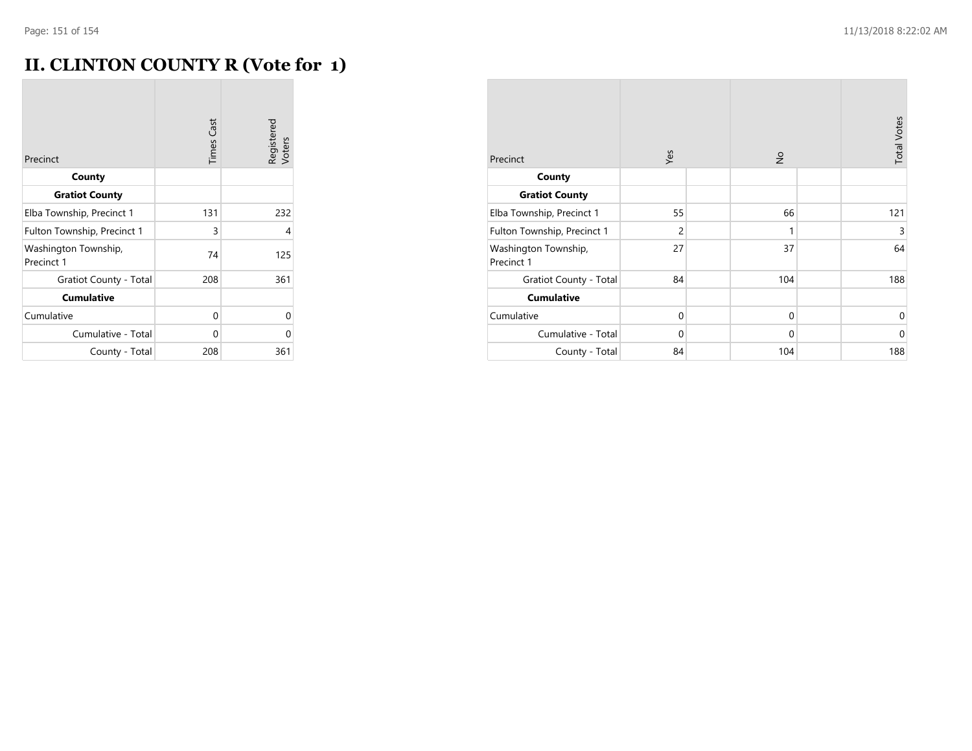## **II. CLINTON COUNTY R (Vote for 1)** m.

| Precinct                           | <b>Times Cast</b> | Registered<br>Voters |
|------------------------------------|-------------------|----------------------|
| County                             |                   |                      |
| <b>Gratiot County</b>              |                   |                      |
| Elba Township, Precinct 1          | 131               | 232                  |
| Fulton Township, Precinct 1        | 3                 | 4                    |
| Washington Township,<br>Precinct 1 | 74                | 125                  |
| Gratiot County - Total             | 208               | 361                  |
| <b>Cumulative</b>                  |                   |                      |
| Cumulative                         | 0                 | 0                    |
| Cumulative - Total                 | 0                 | 0                    |
| County - Total                     | 208               | 361                  |

| Precinct                           | Yes            | $\frac{1}{2}$ | <b>Total Votes</b> |
|------------------------------------|----------------|---------------|--------------------|
| County                             |                |               |                    |
| <b>Gratiot County</b>              |                |               |                    |
| Elba Township, Precinct 1          | 55             | 66            | 121                |
| Fulton Township, Precinct 1        | $\overline{2}$ | 1             | 3                  |
| Washington Township,<br>Precinct 1 | 27             | 37            | 64                 |
| <b>Gratiot County - Total</b>      | 84             | 104           | 188                |
| <b>Cumulative</b>                  |                |               |                    |
| Cumulative                         | $\mathbf{0}$   | $\mathbf 0$   | $\mathbf 0$        |
| Cumulative - Total                 | $\Omega$       | $\mathbf{0}$  | $\mathbf{0}$       |
| County - Total                     | 84             | 104           | 188                |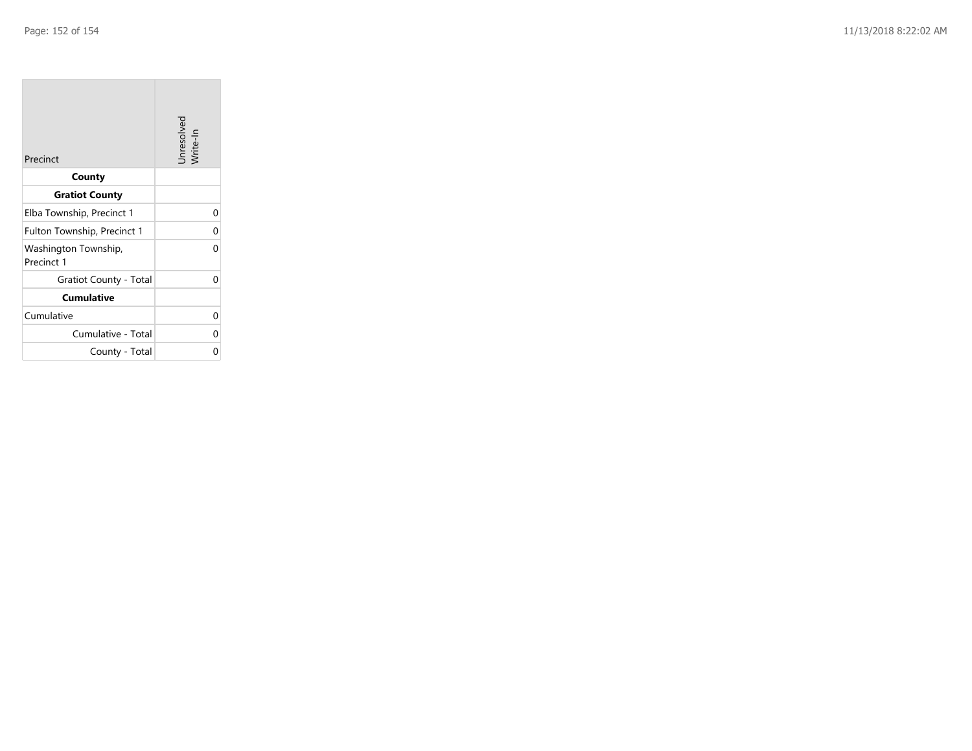**COL** 

| Precinct                           | Unresolved<br>Write-In |
|------------------------------------|------------------------|
| County                             |                        |
| <b>Gratiot County</b>              |                        |
| Elba Township, Precinct 1          | 0                      |
| Fulton Township, Precinct 1        | 0                      |
| Washington Township,<br>Precinct 1 | ი                      |
| Gratiot County - Total             | U                      |
| <b>Cumulative</b>                  |                        |
| Cumulative                         | 0                      |
| Cumulative - Total                 | ი                      |
| County - Total                     |                        |

the control of the control of the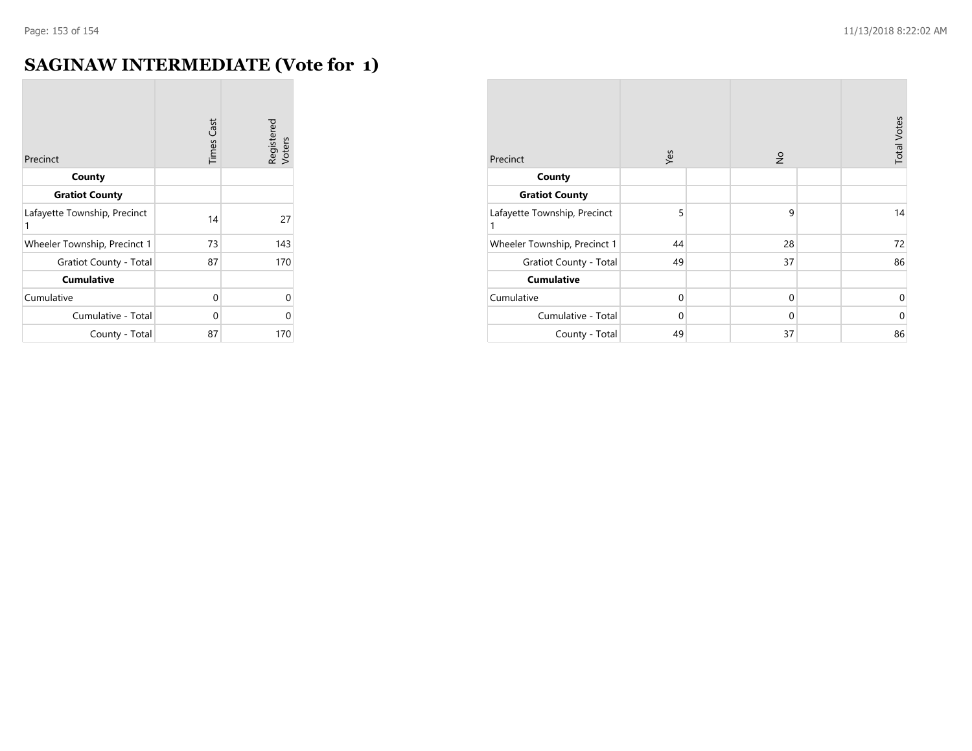## **SAGINAW INTERMEDIATE (Vote for 1)**

| Precinct                          | <b>Times Cast</b> | Registered<br>Voters |
|-----------------------------------|-------------------|----------------------|
| County                            |                   |                      |
| <b>Gratiot County</b>             |                   |                      |
| Lafayette Township, Precinct<br>1 | 14                | 27                   |
| Wheeler Township, Precinct 1      | 73                | 143                  |
| <b>Gratiot County - Total</b>     | 87                | 170                  |
| <b>Cumulative</b>                 |                   |                      |
| Cumulative                        | 0                 | 0                    |
| Cumulative - Total                | 0                 | O                    |
| County - Total                    | 87                | 170                  |

| Precinct                          | Yes         | $\frac{1}{2}$ | <b>Total Votes</b> |
|-----------------------------------|-------------|---------------|--------------------|
| County                            |             |               |                    |
| <b>Gratiot County</b>             |             |               |                    |
| Lafayette Township, Precinct<br>1 | 5           | 9             | 14                 |
| Wheeler Township, Precinct 1      | 44          | 28            | 72                 |
| Gratiot County - Total            | 49          | 37            | 86                 |
| <b>Cumulative</b>                 |             |               |                    |
| Cumulative                        | $\Omega$    | $\Omega$      | $\mathbf 0$        |
| Cumulative - Total                | $\mathbf 0$ | $\mathbf{0}$  | $\mathbf{0}$       |
| County - Total                    | 49          | 37            | 86                 |